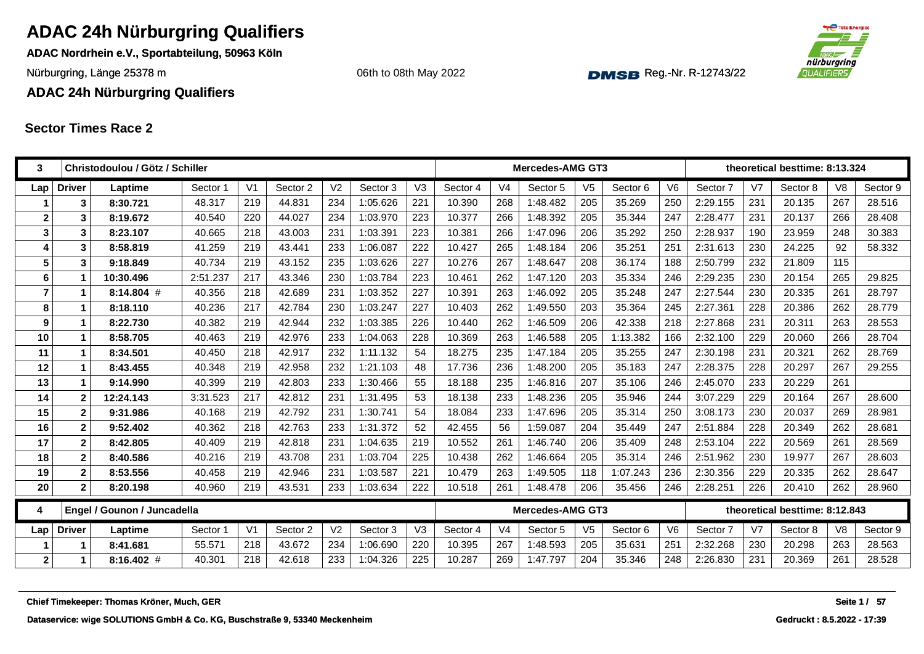**ADAC Nordrhein e.V., Sportabteilung, 50963 Köln**

Nürburgring, Länge 25378 m and the Communication of the Communication of the Communication of the Communication of the Communication of the Communication of the Communication of the Communication of the Communication of th

06th to 08th May 2022



**ADAC 24h Nürburgring Qualifiers**

| 3                       |               | Christodoulou / Götz / Schiller            |          |                |          |                |          |                |          |                | <b>Mercedes-AMG GT3</b> |                |          |                |          |                | theoretical besttime: 8:13.324 |                |              |
|-------------------------|---------------|--------------------------------------------|----------|----------------|----------|----------------|----------|----------------|----------|----------------|-------------------------|----------------|----------|----------------|----------|----------------|--------------------------------|----------------|--------------|
| Lap                     | <b>Driver</b> | Laptime                                    | Sector 1 | V <sub>1</sub> | Sector 2 | V <sub>2</sub> | Sector 3 | V3             | Sector 4 | V <sub>4</sub> | Sector 5                | V <sub>5</sub> | Sector 6 | V <sub>6</sub> | Sector 7 | V <sub>7</sub> | Sector 8                       | V <sub>8</sub> | Sector 9     |
|                         | 3             | 8:30.721                                   | 48.317   | 219            | 44.831   | 234            | 1:05.626 | 221            | 10.390   | 268            | 1:48.482                | 205            | 35.269   | 250            | 2:29.155 | 231            | 20.135                         | 267            | 28.516       |
| $\overline{2}$          | 3             | 8:19.672                                   | 40.540   | 220            | 44.027   | 234            | 1:03.970 | 223            | 10.377   | 266            | 1:48.392                | 205            | 35.344   | 247            | 2:28.477 | 231            | 20.137                         | 266            | 28.408       |
| 3                       | 3             | 8:23.107                                   | 40.665   | 218            | 43.003   | 231            | 1:03.391 | 223            | 10.381   | 266            | 1:47.096                | 206            | 35.292   | 250            | 2:28.937 | 190            | 23.959                         | 248            | 30.383       |
| $\overline{\mathbf{4}}$ | 3             | 8:58.819                                   | 41.259   | 219            | 43.441   | 233            | 1:06.087 | 222            | 10.427   | 265            | 1:48.184                | 206            | 35.251   | 251            | 2:31.613 | 230            | 24.225                         | 92             | 58.332       |
| $5\phantom{.0}$         | 3             | 9:18.849                                   | 40.734   | 219            | 43.152   | 235            | 1:03.626 | 227            | 10.276   | 267            | 1:48.647                | 208            | 36.174   | 188            | 2:50.799 | 232            | 21.809                         | 115            |              |
| 6                       | 1             | 10:30.496                                  | 2:51.237 | 217            | 43.346   | 230            | 1:03.784 | 223            | 10.461   | 262            | 1:47.120                | 203            | 35.334   | 246            | 2:29.235 | 230            | 20.154                         | 265            | 29.825       |
| $\overline{7}$          | 1             | $8:14.804$ #                               | 40.356   | 218            | 42.689   | 231            | 1:03.352 | 227            | 10.391   | 263            | 1:46.092                | 205            | 35.248   | 247            | 2:27.544 | 230            | 20.335                         | 261            | 28.797       |
| 8                       | 1             | 8:18.110                                   | 40.236   | 217            | 42.784   | 230            | 1:03.247 | 227            | 10.403   | 262            | 1:49.550                | 203            | 35.364   | 245            | 2:27.361 | 228            | 20.386                         | 262            | 28.779       |
| 9                       | 1             | 8:22.730                                   | 40.382   | 219            | 42.944   | 232            | 1:03.385 | 226            | 10.440   | 262            | 1:46.509                | 206            | 42.338   | 218            | 2:27.868 | 231            | 20.311                         | 263            | 28.553       |
| 10                      | 1             | 8:58.705                                   | 40.463   | 219            | 42.976   | 233            | 1:04.063 | 228            | 10.369   | 263            | 1:46.588                | 205            | 1:13.382 | 166            | 2:32.100 | 229            | 20.060                         | 266            | 28.704       |
| 11                      | $\mathbf{1}$  | 8:34.501                                   | 40.450   | 218            | 42.917   | 232            | 1:11.132 | 54             | 18.275   | 235            | 1:47.184                | 205            | 35.255   | 247            | 2:30.198 | 231            | 20.321                         | 262            | 28.769       |
| 12                      | 1             | 8:43.455                                   | 40.348   | 219            | 42.958   | 232            | 1:21.103 | 48             | 17.736   | 236            | 1:48.200                | 205            | 35.183   | 247            | 2:28.375 | 228            | 20.297                         | 267            | 29.255       |
| 13                      | 1             | 9:14.990                                   | 40.399   | 219            | 42.803   | 233            | 1:30.466 | 55             | 18.188   | 235            | 1:46.816                | 207            | 35.106   | 246            | 2:45.070 | 233            | 20.229                         | 261            |              |
| 14                      | $\mathbf{2}$  | 12:24.143                                  | 3:31.523 | 217            | 42.812   | 231            | 1:31.495 | 53             | 18.138   | 233            | 1:48.236                | 205            | 35.946   | 244            | 3:07.229 | 229            | 20.164                         | 267            | 28.600       |
| 15                      | $\mathbf{2}$  | 9:31.986                                   | 40.168   | 219            | 42.792   | 231            | 1:30.741 | 54             | 18.084   | 233            | 1:47.696                | 205            | 35.314   | 250            | 3:08.173 | 230            | 20.037                         | 269            | 28.981       |
| 16                      | $\mathbf{2}$  | 9:52.402                                   | 40.362   | 218            | 42.763   | 233            | 1:31.372 | 52             | 42.455   | 56             | 1:59.087                | 204            | 35.449   | 247            | 2:51.884 | 228            | 20.349                         | 262            | 28.681       |
| 17                      | $\mathbf{2}$  | 8:42.805                                   | 40.409   | 219            | 42.818   | 231            | 1:04.635 | 219            | 10.552   | 261            | 1:46.740                | 206            | 35.409   | 248            | 2:53.104 | 222            | 20.569                         | 261            | 28.569       |
| 18                      | 2             | 8:40.586                                   | 40.216   | 219            | 43.708   | 231            | 1:03.704 | 225            | 10.438   | 262            | 1:46.664                | 205            | 35.314   | 246            | 2:51.962 | 230            | 19.977                         | 267            | 28,603       |
| 19                      | $\mathbf{2}$  | 8:53.556                                   | 40.458   | 219            | 42.946   | 231            | 1:03.587 | 221            | 10.479   | 263            | 1:49.505                | 118            | 1:07.243 | 236            | 2:30.356 | 229            | 20.335                         | 262            | 28.647       |
| 20                      | $\mathbf{2}$  | 8:20.198                                   | 40.960   | 219            | 43.531   | 233            | 1:03.634 | 222            | 10.518   | 261            | 1:48.478                | 206            | 35.456   | 246            | 2:28.251 | 226            | 20.410                         | 262            | 28.960       |
| 4                       |               | Engel / Gounon / Juncadella                |          |                |          |                |          |                |          |                | <b>Mercedes-AMG GT3</b> |                |          |                |          |                | theoretical besttime: 8:12.843 |                |              |
| Lap                     | <b>Driver</b> | Laptime                                    | Sector 1 | V <sub>1</sub> | Sector 2 | V <sub>2</sub> | Sector 3 | V <sub>3</sub> | Sector 4 | V <sub>4</sub> | Sector 5                | V <sub>5</sub> | Sector 6 | V <sub>6</sub> | Sector 7 | V <sub>7</sub> | Sector 8                       | V <sub>8</sub> | Sector 9     |
|                         | 1             | 8:41.681                                   | 55.571   | 218            | 43.672   | 234            | 1:06.690 | 220            | 10.395   | 267            | 1:48.593                | 205            | 35.631   | 251            | 2:32.268 | 230            | 20.298                         | 263            | 28.563       |
| $\mathbf{2}$            | $\mathbf 1$   | $8:16.402$ #                               | 40.301   | 218            | 42.618   | 233            | 1:04.326 | 225            | 10.287   | 269            | 1:47.797                | 204            | 35.346   | 248            | 2:26.830 | 231            | 20.369                         | 261            | 28.528       |
|                         |               | Chief Timekeeper: Thomas Kröner, Much, GER |          |                |          |                |          |                |          |                |                         |                |          |                |          |                |                                |                | Seite 1 / 57 |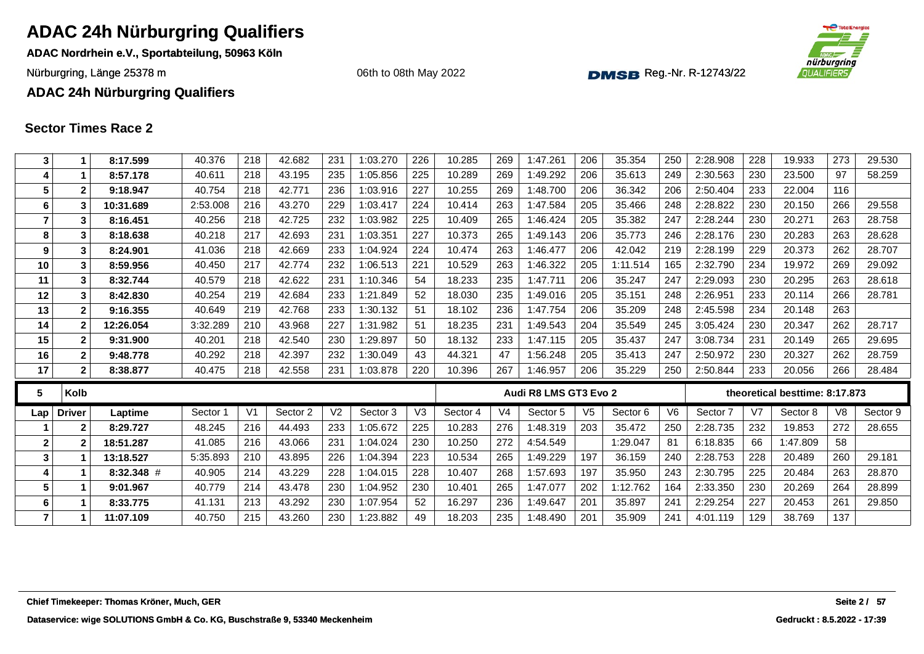**ADAC Nordrhein e.V., Sportabteilung, 50963 Köln**

Nürburgring, Länge 25378 m and the Communication of the Communication of the Communication of the Communication of the Communication of the Communication of the Communication of the Communication of the Communication of th

nürburgring *OUALIFIERS* 

06th to 08th May 2022

#### **ADAC 24h Nürburgring Qualifiers**

| 3                         | 1             | 8:17.599                                   | 40.376           | 218            | 42.682           | 231            | 1:03.270             | 226      | 10.285           | 269            | 1:47.261              | 206            | 35.354           | 250        | 2:28.908             | 228        | 19.933                         | 273        | 29.530           |
|---------------------------|---------------|--------------------------------------------|------------------|----------------|------------------|----------------|----------------------|----------|------------------|----------------|-----------------------|----------------|------------------|------------|----------------------|------------|--------------------------------|------------|------------------|
| $\overline{\mathbf{4}}$   | $\mathbf{1}$  | 8:57.178                                   | 40.611           | 218            | 43.195           | 235            | 1:05.856             | 225      | 10.289           | 269            | 1:49.292              | 206            | 35.613           | 249        | 2:30.563             | 230        | 23.500                         | 97         | 58.259           |
| 5                         | 2             | 9:18.947                                   | 40.754           | 218            | 42.771           | 236            | 1:03.916             | 227      | 10.255           | 269            | 1:48.700              | 206            | 36.342           | 206        | 2:50.404             | 233        | 22.004                         | 116        |                  |
| 6                         | 3             | 10:31.689                                  | 2:53.008         | 216            | 43.270           | 229            | 1:03.417             | 224      | 10.414           | 263            | 1:47.584              | 205            | 35.466           | 248        | 2:28.822             | 230        | 20.150                         | 266        | 29.558           |
| $\overline{7}$            | 3             | 8:16.451                                   | 40.256           | 218            | 42.725           | 232            | 1:03.982             | 225      | 10.409           | 265            | 1:46.424              | 205            | 35.382           | 247        | 2:28.244             | 230        | 20.271                         | 263        | 28.758           |
| 8                         | 3             | 8:18.638                                   | 40.218           | 217            | 42.693           | 231            | 1:03.351             | 227      | 10.373           | 265            | 1:49.143              | 206            | 35.773           | 246        | 2:28.176             | 230        | 20.283                         | 263        | 28.628           |
| 9                         | 3             | 8:24.901                                   | 41.036           | 218            | 42.669           | 233            | 1:04.924             | 224      | 10.474           | 263            | 1:46.477              | 206            | 42.042           | 219        | 2:28.199             | 229        | 20.373                         | 262        | 28.707           |
| 10                        | 3             | 8:59.956                                   | 40.450           | 217            | 42.774           | 232            | 1:06.513             | 221      | 10.529           | 263            | 1:46.322              | 205            | 1:11.514         | 165        | 2:32.790             | 234        | 19.972                         | 269        | 29.092           |
| 11                        | 3             | 8:32.744                                   | 40.579           | 218            | 42.622           | 231            | 1:10.346             | 54       | 18.233           | 235            | 1:47.711              | 206            | 35.247           | 247        | 2:29.093             | 230        | 20.295                         | 263        | 28.618           |
| 12                        | 3             | 8:42.830                                   | 40.254           | 219            | 42.684           | 233            | 1:21.849             | 52       | 18.030           | 235            | 1:49.016              | 205            | 35.151           | 248        | 2:26.951             | 233        | 20.114                         | 266        | 28.781           |
| 13                        | $\mathbf{2}$  | 9:16.355                                   | 40.649           | 219            | 42.768           | 233            | 1:30.132             | 51       | 18.102           | 236            | 1:47.754              | 206            | 35.209           | 248        | 2:45.598             | 234        | 20.148                         | 263        |                  |
| 14                        | $\mathbf{2}$  | 12:26.054                                  | 3:32.289         | 210            | 43.968           | 227            | 1:31.982             | 51       | 18.235           | 231            | 1:49.543              | 204            | 35.549           | 245        | 3:05.424             | 230        | 20.347                         | 262        | 28.717           |
| 15                        | $\mathbf{2}$  | 9:31.900                                   | 40.201           | 218            | 42.540           | 230            | 1:29.897             | 50       | 18.132           | 233            | 1:47.115              | 205            | 35.437           | 247        | 3:08.734             | 231        | 20.149                         | 265        | 29.695           |
| 16                        | $\mathbf{2}$  | 9:48.778                                   | 40.292           | 218            | 42.397           | 232            | 1:30.049             | 43       | 44.321           | 47             | 1:56.248              | 205            | 35.413           | 247        | 2:50.972             | 230        | 20.327                         | 262        | 28.759           |
| 17                        | $\mathbf{2}$  | 8:38.877                                   | 40.475           | 218            | 42.558           | 231            | 1:03.878             | 220      | 10.396           | 267            | 1:46.957              | 206            | 35.229           | 250        | 2:50.844             | 233        | 20.056                         | 266        | 28.484           |
|                           |               |                                            |                  |                |                  |                |                      |          |                  |                |                       |                |                  |            |                      |            |                                |            |                  |
|                           |               |                                            |                  |                |                  |                |                      |          |                  |                | Audi R8 LMS GT3 Evo 2 |                |                  |            |                      |            | theoretical besttime: 8:17.873 |            |                  |
| $5\phantom{.0}$           | Kolb          |                                            |                  |                |                  |                |                      |          |                  |                |                       |                |                  |            |                      |            |                                |            |                  |
| Lap                       | <b>Driver</b> | Laptime                                    | Sector 1         | V <sub>1</sub> | Sector 2         | V <sub>2</sub> | Sector 3             | V3       | Sector 4         | V <sub>4</sub> | Sector 5              | V <sub>5</sub> | Sector 6         | V6         | Sector 7             | V7         | Sector 8                       | V8         | Sector 9         |
|                           | $\mathbf{2}$  | 8:29.727                                   | 48.245           | 216            | 44.493           | 233            | 1:05.672             | 225      | 10.283           | 276            | 1:48.319              | 203            | 35.472           | 250        | 2:28.735             | 232        | 19.853                         | 272        | 28.655           |
| $\mathbf{2}$              | $\mathbf 2$   | 18:51.287                                  | 41.085           | 216            | 43.066           | 231            | 1:04.024             | 230      | 10.250           | 272            | 4:54.549              |                | 1:29.047         | 81         | 6:18.835             | 66         | 1:47.809                       | 58         |                  |
| 3                         | 1             | 13:18.527                                  | 5:35.893         | 210            | 43.895           | 226            | 1:04.394             | 223      | 10.534           | 265            | 1:49.229              | 197            | 36.159           | 240        | 2:28.753             | 228        | 20.489                         | 260        | 29.181           |
| 4                         | 1             | $8:32.348$ #                               | 40.905           | 214            | 43.229           | 228            | 1:04.015             | 228      | 10.407           | 268            | 1:57.693              | 197            | 35.950           | 243        | 2:30.795             | 225        | 20.484                         | 263        | 28,870           |
| $5\phantom{.0}$           | 1<br>1        | 9:01.967                                   | 40.779           | 214            | 43.478           | 230            | 1:04.952             | 230      | 10.401           | 265            | 1:47.077              | 202            | 1:12.762         | 164        | 2:33.350             | 230        | 20.269                         | 264        | 28,899<br>29,850 |
| $\bf 6$<br>$\overline{7}$ | 1             | 8:33.775<br>11:07.109                      | 41.131<br>40.750 | 213<br>215     | 43.292<br>43.260 | 230<br>230     | 1:07.954<br>1:23.882 | 52<br>49 | 16.297<br>18.203 | 236<br>235     | 1:49.647<br>1:48.490  | 201<br>201     | 35.897<br>35.909 | 241<br>241 | 2:29.254<br>4:01.119 | 227<br>129 | 20.453<br>38.769               | 261<br>137 |                  |
|                           |               |                                            |                  |                |                  |                |                      |          |                  |                |                       |                |                  |            |                      |            |                                |            |                  |
|                           |               |                                            |                  |                |                  |                |                      |          |                  |                |                       |                |                  |            |                      |            |                                |            |                  |
|                           |               |                                            |                  |                |                  |                |                      |          |                  |                |                       |                |                  |            |                      |            |                                |            |                  |
|                           |               |                                            |                  |                |                  |                |                      |          |                  |                |                       |                |                  |            |                      |            |                                |            |                  |
|                           |               | Chief Timekeeper: Thomas Kröner. Much. GER |                  |                |                  |                |                      |          |                  |                |                       |                |                  |            |                      |            |                                |            | Seite 2 / 57     |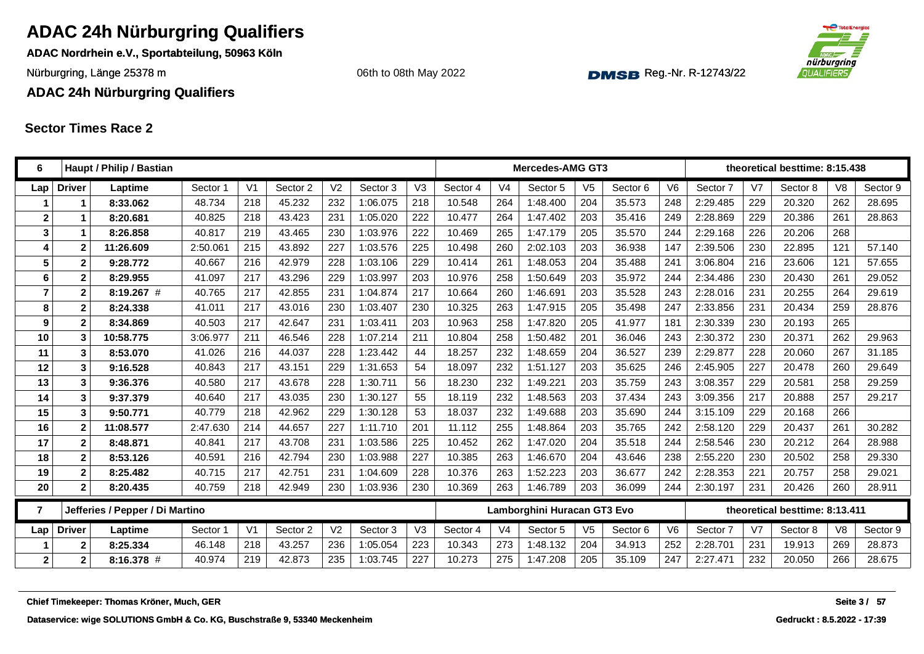**ADAC Nordrhein e.V., Sportabteilung, 50963 Köln**

Nürburgring, Länge 25378 m and the Communication of the Communication of the Communication of the Communication of the Communication of the Communication of the Communication of the Communication of the Communication of th

06th to 08th May 2022



**ADAC 24h Nürburgring Qualifiers**

| 6                       |               | Haupt / Philip / Bastian                   |          |                |          |                |          |                |          |                | <b>Mercedes-AMG GT3</b>     |                |          |                |          |                | theoretical besttime: 8:15.438 |                |              |
|-------------------------|---------------|--------------------------------------------|----------|----------------|----------|----------------|----------|----------------|----------|----------------|-----------------------------|----------------|----------|----------------|----------|----------------|--------------------------------|----------------|--------------|
| Lap                     | <b>Driver</b> | Laptime                                    | Sector 1 | V <sub>1</sub> | Sector 2 | V <sub>2</sub> | Sector 3 | V3             | Sector 4 | V <sub>4</sub> | Sector 5                    | V <sub>5</sub> | Sector 6 | V <sub>6</sub> | Sector 7 | V <sub>7</sub> | Sector 8                       | V <sub>8</sub> | Sector 9     |
|                         | 1             | 8:33.062                                   | 48.734   | 218            | 45.232   | 232            | 1:06.075 | 218            | 10.548   | 264            | 1:48.400                    | 204            | 35.573   | 248            | 2:29.485 | 229            | 20.320                         | 262            | 28.695       |
| $\overline{2}$          | 1             | 8:20.681                                   | 40.825   | 218            | 43.423   | 231            | 1:05.020 | 222            | 10.477   | 264            | 1:47.402                    | 203            | 35.416   | 249            | 2:28.869 | 229            | 20.386                         | 261            | 28.863       |
| 3                       | 1             | 8:26.858                                   | 40.817   | 219            | 43.465   | 230            | 1:03.976 | 222            | 10.469   | 265            | 1:47.179                    | 205            | 35.570   | 244            | 2:29.168 | 226            | 20.206                         | 268            |              |
| $\overline{\mathbf{4}}$ | $\mathbf{2}$  | 11:26.609                                  | 2:50.061 | 215            | 43.892   | 227            | 1:03.576 | 225            | 10.498   | 260            | 2:02.103                    | 203            | 36.938   | 147            | 2:39.506 | 230            | 22.895                         | 121            | 57.140       |
| 5                       | $\mathbf{2}$  | 9:28.772                                   | 40.667   | 216            | 42.979   | 228            | 1:03.106 | 229            | 10.414   | 261            | 1:48.053                    | 204            | 35.488   | 241            | 3:06.804 | 216            | 23.606                         | 121            | 57.655       |
| 6                       | $\mathbf{2}$  | 8:29.955                                   | 41.097   | 217            | 43.296   | 229            | 1:03.997 | 203            | 10.976   | 258            | 1:50.649                    | 203            | 35.972   | 244            | 2:34.486 | 230            | 20.430                         | 261            | 29.052       |
| $\overline{7}$          | $\mathbf{2}$  | 8:19.267 #                                 | 40.765   | 217            | 42.855   | 231            | 1:04.874 | 217            | 10.664   | 260            | 1:46.691                    | 203            | 35.528   | 243            | 2:28.016 | 231            | 20.255                         | 264            | 29.619       |
| 8                       | $\mathbf{2}$  | 8:24.338                                   | 41.011   | 217            | 43.016   | 230            | 1:03.407 | 230            | 10.325   | 263            | 1:47.915                    | 205            | 35.498   | 247            | 2:33.856 | 231            | 20.434                         | 259            | 28.876       |
| 9                       | $\mathbf{2}$  | 8:34.869                                   | 40.503   | 217            | 42.647   | 231            | 1:03.411 | 203            | 10.963   | 258            | 1:47.820                    | 205            | 41.977   | 181            | 2:30.339 | 230            | 20.193                         | 265            |              |
| 10                      | 3             | 10:58.775                                  | 3:06.977 | 211            | 46.546   | 228            | 1:07.214 | 211            | 10.804   | 258            | 1:50.482                    | 201            | 36.046   | 243            | 2:30.372 | 230            | 20.371                         | 262            | 29.963       |
| 11                      | 3             | 8:53.070                                   | 41.026   | 216            | 44.037   | 228            | 1:23.442 | 44             | 18.257   | 232            | 1:48.659                    | 204            | 36.527   | 239            | 2:29.877 | 228            | 20.060                         | 267            | 31.185       |
| 12                      | 3             | 9:16.528                                   | 40.843   | 217            | 43.151   | 229            | 1:31.653 | 54             | 18.097   | 232            | 1:51.127                    | 203            | 35.625   | 246            | 2:45.905 | 227            | 20.478                         | 260            | 29.649       |
| 13                      | 3             | 9:36.376                                   | 40.580   | 217            | 43.678   | 228            | 1:30.711 | 56             | 18.230   | 232            | 1:49.221                    | 203            | 35.759   | 243            | 3:08.357 | 229            | 20.581                         | 258            | 29.259       |
| 14                      | 3             | 9:37.379                                   | 40.640   | 217            | 43.035   | 230            | 1:30.127 | 55             | 18.119   | 232            | 1:48.563                    | 203            | 37.434   | 243            | 3:09.356 | 217            | 20.888                         | 257            | 29.217       |
| 15                      | 3             | 9:50.771                                   | 40.779   | 218            | 42.962   | 229            | 1:30.128 | 53             | 18.037   | 232            | 1:49.688                    | 203            | 35.690   | 244            | 3:15.109 | 229            | 20.168                         | 266            |              |
| 16                      | $\mathbf{2}$  | 11:08.577                                  | 2:47.630 | 214            | 44.657   | 227            | 1:11.710 | 201            | 11.112   | 255            | 1:48.864                    | 203            | 35.765   | 242            | 2:58.120 | 229            | 20.437                         | 261            | 30.282       |
| 17                      | $\mathbf{2}$  | 8:48.871                                   | 40.841   | 217            | 43.708   | 231            | 1:03.586 | 225            | 10.452   | 262            | 1:47.020                    | 204            | 35.518   | 244            | 2:58.546 | 230            | 20.212                         | 264            | 28.988       |
| 18                      | $\mathbf{2}$  | 8:53.126                                   | 40.591   | 216            | 42.794   | 230            | 1:03.988 | 227            | 10.385   | 263            | 1:46.670                    | 204            | 43.646   | 238            | 2:55.220 | 230            | 20.502                         | 258            | 29.330       |
| 19                      | $\mathbf{2}$  | 8:25.482                                   | 40.715   | 217            | 42.751   | 231            | 1:04.609 | 228            | 10.376   | 263            | 1:52.223                    | 203            | 36.677   | 242            | 2:28.353 | 221            | 20.757                         | 258            | 29.021       |
| 20                      | $\mathbf{2}$  | 8:20.435                                   | 40.759   | 218            | 42.949   | 230            | 1:03.936 | 230            | 10.369   | 263            | 1:46.789                    | 203            | 36.099   | 244            | 2:30.197 | 231            | 20.426                         | 260            | 28.911       |
| $\overline{7}$          |               | Jefferies / Pepper / Di Martino            |          |                |          |                |          |                |          |                | Lamborghini Huracan GT3 Evo |                |          |                |          |                | theoretical besttime: 8:13.411 |                |              |
| Lap                     | <b>Driver</b> | Laptime                                    | Sector 1 | V <sub>1</sub> | Sector 2 | V <sub>2</sub> | Sector 3 | V <sub>3</sub> | Sector 4 | V <sub>4</sub> | Sector 5                    | V <sub>5</sub> | Sector 6 | V <sub>6</sub> | Sector 7 | V <sub>7</sub> | Sector 8                       | V <sub>8</sub> | Sector 9     |
|                         | 2             | 8:25.334                                   | 46.148   | 218            | 43.257   | 236            | 1:05.054 | 223            | 10.343   | 273            | 1:48.132                    | 204            | 34.913   | 252            | 2:28.701 | 231            | 19.913                         | 269            | 28.873       |
| 2 <sup>1</sup>          | $\mathbf{2}$  | $8:16.378$ #                               | 40.974   | 219            | 42.873   | 235            | 1:03.745 | 227            | 10.273   | 275            | 1:47.208                    | 205            | 35.109   | 247            | 2:27.471 | 232            | 20.050                         | 266            | 28.675       |
|                         |               | Chief Timekeeper: Thomas Kröner, Much, GER |          |                |          |                |          |                |          |                |                             |                |          |                |          |                |                                |                | Seite 3 / 57 |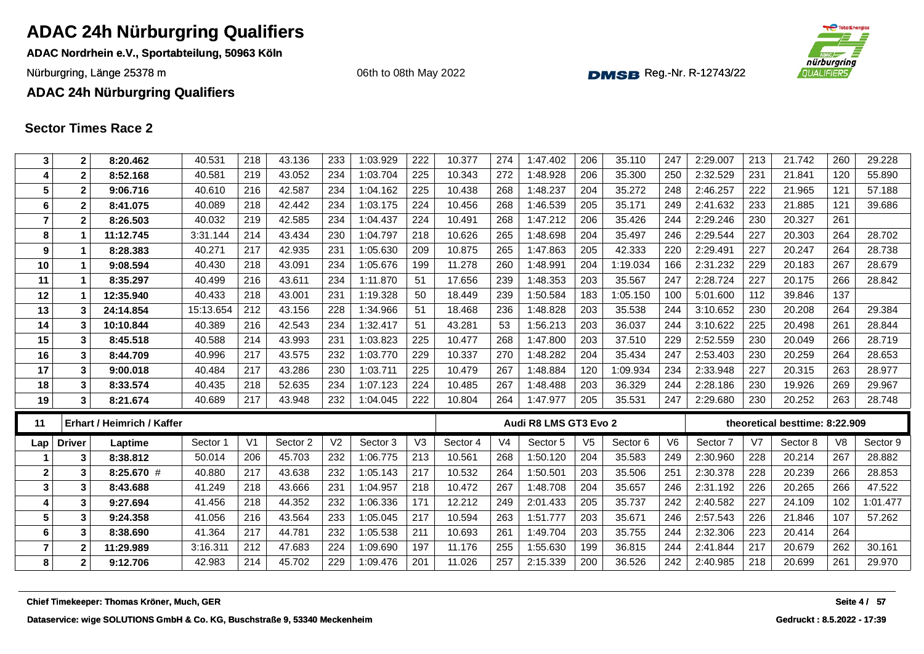**ADAC Nordrhein e.V., Sportabteilung, 50963 Köln**

Nürburgring, Länge 25378 m and the Communication of the Communication of the Communication of the Communication of the Communication of the Communication of the Communication of the Communication of the Communication of th

nürburgring **OUALIFIERS** 

06th to 08th May 2022

#### **ADAC 24h Nürburgring Qualifiers**

| 3                | $\mathbf{2}$            | 8:20.462                   | 40.531    | 218            | 43.136   | 233            | 1:03.929 | 222            | 10.377   | 274            | 1:47.402              | 206            | 35.110   | 247            | 2:29.007 | 213            | 21.742                         | 260 | 29.228   |
|------------------|-------------------------|----------------------------|-----------|----------------|----------|----------------|----------|----------------|----------|----------------|-----------------------|----------------|----------|----------------|----------|----------------|--------------------------------|-----|----------|
| 4                | $\mathbf 2$             | 8:52.168                   | 40.581    | 219            | 43.052   | 234            | 1:03.704 | 225            | 10.343   | 272            | 1:48.928              | 206            | 35.300   | 250            | 2:32.529 | 231            | 21.841                         | 120 | 55.890   |
| 5                | $\mathbf{2}$            | 9:06.716                   | 40.610    | 216            | 42.587   | 234            | 1:04.162 | 225            | 10.438   | 268            | 1:48.237              | 204            | 35.272   | 248            | 2:46.257 | 222            | 21.965                         | 121 | 57.188   |
| 6                | $\mathbf{2}$            | 8:41.075                   | 40.089    | 218            | 42.442   | 234            | 1:03.175 | 224            | 10.456   | 268            | 1:46.539              | 205            | 35.171   | 249            | 2:41.632 | 233            | 21.885                         | 121 | 39.686   |
| $\overline{7}$   | $\mathbf{2}$            | 8:26.503                   | 40.032    | 219            | 42.585   | 234            | 1:04.437 | 224            | 10.491   | 268            | 1:47.212              | 206            | 35.426   | 244            | 2:29.246 | 230            | 20.327                         | 261 |          |
| 8                | 1                       | 11:12.745                  | 3:31.144  | 214            | 43.434   | 230            | 1:04.797 | 218            | 10.626   | 265            | 1:48.698              | 204            | 35.497   | 246            | 2:29.544 | 227            | 20.303                         | 264 | 28.702   |
| 9                | 1                       | 8:28.383                   | 40.271    | 217            | 42.935   | 231            | 1:05.630 | 209            | 10.875   | 265            | 1:47.863              | 205            | 42.333   | 220            | 2:29.491 | 227            | 20.247                         | 264 | 28.738   |
| 10               | $\mathbf{1}$            | 9:08.594                   | 40.430    | 218            | 43.091   | 234            | 1:05.676 | 199            | 11.278   | 260            | 1:48.991              | 204            | 1:19.034 | 166            | 2:31.232 | 229            | 20.183                         | 267 | 28.679   |
| 11               | -1                      | 8:35.297                   | 40.499    | 216            | 43.611   | 234            | 1:11.870 | 51             | 17.656   | 239            | 1:48.353              | 203            | 35.567   | 247            | 2:28.724 | 227            | 20.175                         | 266 | 28.842   |
| 12               | -1                      | 12:35.940                  | 40.433    | 218            | 43.001   | 231            | 1:19.328 | 50             | 18.449   | 239            | 1:50.584              | 183            | 1:05.150 | 100            | 5:01.600 | 112            | 39.846                         | 137 |          |
| 13               | 3                       | 24:14.854                  | 15:13.654 | 212            | 43.156   | 228            | 1:34.966 | 51             | 18.468   | 236            | 1:48.828              | 203            | 35.538   | 244            | 3:10.652 | 230            | 20.208                         | 264 | 29.384   |
| 14               | 3                       | 10:10.844                  | 40.389    | 216            | 42.543   | 234            | 1:32.417 | 51             | 43.281   | 53             | 1:56.213              | 203            | 36.037   | 244            | 3:10.622 | 225            | 20.498                         | 261 | 28.844   |
| 15               | 3                       | 8:45.518                   | 40.588    | 214            | 43.993   | 231            | 1:03.823 | 225            | 10.477   | 268            | 1:47.800              | 203            | 37.510   | 229            | 2:52.559 | 230            | 20.049                         | 266 | 28.719   |
| 16               | 3                       | 8:44.709                   | 40.996    | 217            | 43.575   | 232            | 1:03.770 | 229            | 10.337   | 270            | 1:48.282              | 204            | 35.434   | 247            | 2:53.403 | 230            | 20.259                         | 264 | 28.653   |
| 17               | 3                       | 9:00.018                   | 40.484    | 217            | 43.286   | 230            | 1:03.711 | 225            | 10.479   | 267            | 1:48.884              | 120            | 1:09.934 | 234            | 2:33.948 | 227            | 20.315                         | 263 | 28.977   |
| 18               | 3                       | 8:33.574                   | 40.435    | 218            | 52.635   | 234            | 1:07.123 | 224            | 10.485   | 267            | 1:48.488              | 203            | 36.329   | 244            | 2:28.186 | 230            | 19.926                         | 269 | 29.967   |
| 19               | 3                       | 8:21.674                   | 40.689    | 217            | 43.948   | 232            | 1:04.045 | 222            | 10.804   | 264            | 1:47.977              | 205            | 35.531   | 247            | 2:29.680 | 230            | 20.252                         | 263 | 28.748   |
| 11               |                         | Erhart / Heimrich / Kaffer |           |                |          |                |          |                |          |                | Audi R8 LMS GT3 Evo 2 |                |          |                |          |                | theoretical besttime: 8:22.909 |     |          |
|                  |                         |                            |           |                |          |                |          |                |          |                |                       |                |          |                |          |                |                                |     |          |
|                  |                         |                            |           |                |          |                |          |                |          |                |                       |                |          |                |          |                |                                |     |          |
| Lap              | <b>Driver</b>           | Laptime                    | Sector 1  | V <sub>1</sub> | Sector 2 | V <sub>2</sub> | Sector 3 | V <sub>3</sub> | Sector 4 | V <sub>4</sub> | Sector 5              | V <sub>5</sub> | Sector 6 | V <sub>6</sub> | Sector 7 | V <sub>7</sub> | Sector 8                       | V8  | Sector 9 |
| 1                | 3                       | 8:38.812                   | 50.014    | 206            | 45.703   | 232            | 1:06.775 | 213            | 10.561   | 268            | 1:50.120              | 204            | 35.583   | 249            | 2:30.960 | 228            | 20.214                         | 267 | 28.882   |
| $\boldsymbol{2}$ | 3                       | 8:25.670 #                 | 40.880    | 217            | 43.638   | 232            | 1:05.143 | 217            | 10.532   | 264            | 1:50.501              | 203            | 35.506   | 251            | 2:30.378 | 228            | 20.239                         | 266 | 28.853   |
| $\mathbf{3}$     | 3                       | 8:43.688                   | 41.249    | 218            | 43.666   | 231            | 1:04.957 | 218            | 10.472   | 267            | 1:48.708              | 204            | 35.657   | 246            | 2:31.192 | 226            | 20.265                         | 266 | 47.522   |
| 4                | 3                       | 9:27.694                   | 41.456    | 218            | 44.352   | 232            | 1:06.336 | 171            | 12.212   | 249            | 2:01.433              | 205            | 35.737   | 242            | 2:40.582 | 227            | 24.109                         | 102 | 1:01.477 |
| 5                | 3                       | 9:24.358                   | 41.056    | 216            | 43.564   | 233            | 1:05.045 | 217            | 10.594   | 263            | 1:51.777              | 203            | 35.671   | 246            | 2:57.543 | 226            | 21.846                         | 107 | 57.262   |
| 6                | 3                       | 8:38.690                   | 41.364    | 217            | 44.781   | 232            | 1:05.538 | 211            | 10.693   | 261            | 1:49.704              | 203            | 35.755   | 244            | 2:32.306 | 223            | 20.414                         | 264 |          |
| 7                | $\overline{2}$          | 11:29.989                  | 3:16.311  | 212            | 47.683   | 224            | 1:09.690 | 197            | 11.176   | 255            | 1:55.630              | 199            | 36.815   | 244            | 2:41.844 | 217            | 20.679                         | 262 | 30.161   |
| 8                | $\overline{\mathbf{2}}$ | 9:12.706                   | 42.983    | 214            | 45.702   | 229            | 1:09.476 | 201            | 11.026   | 257            | 2:15.339              | 200            | 36.526   | 242            | 2:40.985 | 218            | 20.699                         | 261 | 29.970   |
|                  |                         |                            |           |                |          |                |          |                |          |                |                       |                |          |                |          |                |                                |     |          |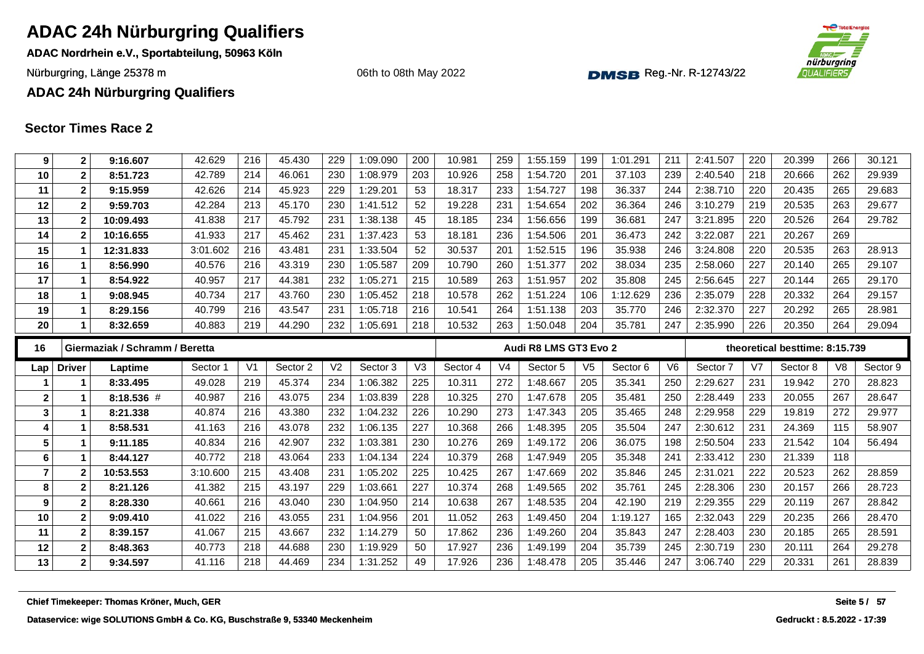**ADAC Nordrhein e.V., Sportabteilung, 50963 Köln**

Nürburgring, Länge 25378 m and the Communication of the Communication of the Communication of the Communication of the Communication of the Communication of the Communication of the Communication of the Communication of th

06th to 08th May 2022



#### **ADAC 24h Nürburgring Qualifiers**

| 42.789<br>214<br>46.061<br>230<br>1:08.979<br>203<br>10.926<br>258<br>1:54.720<br>201<br>37.103<br>239<br>2:40.540<br>218<br>20.666<br>262<br>29.939<br>10<br>$\mathbf{2}$<br>8:51.723<br>11<br>45.923<br>36.337<br>2:38.710<br>$\mathbf{2}$<br>42.626<br>214<br>229<br>1:29.201<br>53<br>18.317<br>233<br>1:54.727<br>198<br>244<br>220<br>20.435<br>265<br>29.683<br>9:15.959<br>45.170<br>1:41.512<br>1:54.654<br>36.364<br>3:10.279<br>$\mathbf{2}$<br>42.284<br>213<br>230<br>52<br>19.228<br>231<br>202<br>246<br>219<br>20.535<br>263<br>29.677<br>12<br>9:59.703<br>13<br>$\overline{2}$<br>10:09.493<br>217<br>45.792<br>1:38.138<br>45<br>18.185<br>234<br>1:56.656<br>199<br>36.681<br>247<br>3:21.895<br>220<br>20.526<br>41.838<br>231<br>264<br>29.782<br>41.933<br>217<br>45.462<br>1:37.423<br>53<br>18.181<br>1:54.506<br>36.473<br>242<br>3:22.087<br>221<br>20.267<br>269<br>14<br>$\overline{2}$<br>10:16.655<br>231<br>236<br>201<br>15<br>3:24.808<br>216<br>43.481<br>1:33.504<br>52<br>30.537<br>201<br>1:52.515<br>196<br>35.938<br>246<br>220<br>20.535<br>263<br>28.913<br>12:31.833<br>3:01.602<br>231<br>43.319<br>1:05.587<br>10.790<br>1:51.377<br>38.034<br>2:58.060<br>29.107<br>16<br>8:56.990<br>40.576<br>216<br>230<br>209<br>260<br>202<br>235<br>227<br>20.140<br>265<br>$\mathbf{1}$<br>17<br>217<br>44.381<br>232<br>1:05.271<br>215<br>10.589<br>1:51.957<br>35.808<br>2:56.645<br>20.144<br>8:54.922<br>40.957<br>263<br>202<br>245<br>227<br>265<br>29.170<br>18<br>9:08.945<br>40.734<br>217<br>43.760<br>230<br>1:05.452<br>218<br>10.578<br>1:51.224<br>1:12.629<br>236<br>2:35.079<br>20.332<br>29.157<br>$\mathbf 1$<br>262<br>106<br>228<br>264<br>19<br>40.799<br>216<br>43.547<br>231<br>1:05.718<br>216<br>10.541<br>264<br>1:51.138<br>35.770<br>246<br>2:32.370<br>227<br>20.292<br>265<br>28.981<br>8:29.156<br>203<br>219<br>44.290<br>1:05.691<br>218<br>263<br>1:50.048<br>204<br>35.781<br>247<br>2:35.990<br>226<br>264<br>29.094<br>20<br>8:32.659<br>40.883<br>232<br>10.532<br>20.350<br>$\mathbf 1$<br>16<br>Giermaziak / Schramm / Beretta<br>Audi R8 LMS GT3 Evo 2<br>theoretical besttime: 8:15.739<br>V <sub>2</sub><br>V <sub>6</sub><br>V <sub>7</sub><br>V <sub>1</sub><br>V <sub>3</sub><br>V <sub>4</sub><br>V <sub>5</sub><br><b>Driver</b><br>Laptime<br>Sector 2<br>Sector 3<br>Sector 4<br>Sector 5<br>Sector <sub>6</sub><br>Sector 7<br>Sector 8<br>V <sub>8</sub><br>Sector 9<br>Lap<br>Sector 1<br>45.374<br>10.311<br>272<br>35.341<br>2:29.627<br>19.942<br>49.028<br>219<br>234<br>1:06.382<br>225<br>1:48.667<br>205<br>250<br>231<br>270<br>28.823<br>8:33.495<br>1<br>43.075<br>10.325<br>40.987<br>216<br>234<br>1:03.839<br>228<br>270<br>1:47.678<br>205<br>35.481<br>250<br>2:28.449<br>233<br>20.055<br>267<br>28.647<br>$\mathbf{2}$<br>$8:18.536$ #<br>-1<br>43.380<br>2:29.958<br>$\mathbf 3$<br>216<br>232<br>1:04.232<br>226<br>10.290<br>273<br>1:47.343<br>205<br>35.465<br>248<br>229<br>19.819<br>272<br>29.977<br>8:21.338<br>40.874<br>$\mathbf 1$<br>$\overline{4}$<br>216<br>43.078<br>232<br>1:06.135<br>227<br>10.368<br>266<br>1:48.395<br>35.504<br>247<br>2:30.612<br>231<br>24.369<br>8:58.531<br>41.163<br>205<br>115<br>58.907<br>$\mathbf 1$<br>5<br>$\overline{1}$<br>216<br>42.907<br>2:50.504<br>9:11.185<br>232<br>1:03.381<br>230<br>10.276<br>269<br>1:49.172<br>206<br>36.075<br>198<br>233<br>21.542<br>40.834<br>104<br>56.494<br>6<br>40.772<br>218<br>43.064<br>233<br>1:04.134<br>224<br>10.379<br>268<br>1:47.949<br>205<br>35.348<br>241<br>2:33.412<br>230<br>21.339<br>118<br>$\mathbf 1$<br>8:44.127<br>7<br>$\overline{\mathbf{2}}$<br>215<br>43.408<br>1:05.202<br>225<br>10.425<br>267<br>1:47.669<br>202<br>35.846<br>2:31.021<br>222<br>20.523<br>262<br>28.859<br>3:10.600<br>231<br>245<br>10:53.553<br>$\pmb{8}$<br>$\overline{2}$<br>215<br>43.197<br>10.374<br>2:28.306<br>230<br>41.382<br>229<br>1:03.661<br>227<br>268<br>1:49.565<br>202<br>35.761<br>245<br>20.157<br>266<br>28.723<br>8:21.126<br>2:29.355<br>9<br>$\mathbf{2}$<br>216<br>43.040<br>230<br>1:04.950<br>10.638<br>1:48.535<br>204<br>42.190<br>219<br>229<br>20.119<br>267<br>28.842<br>8:28.330<br>40.661<br>214<br>267<br>10<br>$\mathbf{2}$<br>41.022<br>216<br>43.055<br>231<br>1:04.956<br>11.052<br>263<br>1:49.450<br>204<br>1:19.127<br>165<br>2:32.043<br>229<br>20.235<br>9:09.410<br>201<br>266<br>28.470<br>11<br>$\overline{2}$<br>43.667<br>232<br>1:49.260<br>35.843<br>2:28.403<br>8:39.157<br>41.067<br>215<br>1:14.279<br>50<br>17.862<br>236<br>204<br>247<br>230<br>20.185<br>265<br>28.591<br>44.688<br>12<br>$\mathbf{2}$<br>40.773<br>218<br>230<br>1:19.929<br>50<br>17.927<br>1:49.199<br>204<br>35.739<br>2:30.719<br>230<br>20.111<br>29.278<br>8:48.363<br>236<br>245<br>264<br>218<br>44.469<br>234<br>49<br>17.926<br>205<br>3:06.740<br>229<br>261<br>13<br>$\mathbf{2}$<br>9:34.597<br>41.116<br>1:31.252<br>236<br>1:48.478<br>35.446<br>247<br>20.331<br>28.839 | 9 | $\mathbf{2}$ | 9:16.607 | 42.629 | 216 | 45.430 | 229 | 1:09.090 | 200 | 10.981 | 259 | 1:55.159 | 199 | 1:01.291 | 211 | 2:41.507 | 220 | 20.399 | 266 | 30.121 |
|----------------------------------------------------------------------------------------------------------------------------------------------------------------------------------------------------------------------------------------------------------------------------------------------------------------------------------------------------------------------------------------------------------------------------------------------------------------------------------------------------------------------------------------------------------------------------------------------------------------------------------------------------------------------------------------------------------------------------------------------------------------------------------------------------------------------------------------------------------------------------------------------------------------------------------------------------------------------------------------------------------------------------------------------------------------------------------------------------------------------------------------------------------------------------------------------------------------------------------------------------------------------------------------------------------------------------------------------------------------------------------------------------------------------------------------------------------------------------------------------------------------------------------------------------------------------------------------------------------------------------------------------------------------------------------------------------------------------------------------------------------------------------------------------------------------------------------------------------------------------------------------------------------------------------------------------------------------------------------------------------------------------------------------------------------------------------------------------------------------------------------------------------------------------------------------------------------------------------------------------------------------------------------------------------------------------------------------------------------------------------------------------------------------------------------------------------------------------------------------------------------------------------------------------------------------------------------------------------------------------------------------------------------------------------------------------------------------------------------------------------------------------------------------------------------------------------------------------------------------------------------------------------------------------------------------------------------------------------------------------------------------------------------------------------------------------------------------------------------------------------------------------------------------------------------------------------------------------------------------------------------------------------------------------------------------------------------------------------------------------------------------------------------------------------------------------------------------------------------------------------------------------------------------------------------------------------------------------------------------------------------------------------------------------------------------------------------------------------------------------------------------------------------------------------------------------------------------------------------------------------------------------------------------------------------------------------------------------------------------------------------------------------------------------------------------------------------------------------------------------------------------------------------------------------------------------------------------------------------------------------------------------------------------------------------------------------------------------------------------------------------------------------------------------------------------------------------------------------------------------------------------------------------------------------------------------------------------------------------------------------------------------------------------------------------------------------------------------------------------------------------------------------------------------------------------------------------------------------------------------------------------------------------------------------------------------------------------------------------------------------------------------|---|--------------|----------|--------|-----|--------|-----|----------|-----|--------|-----|----------|-----|----------|-----|----------|-----|--------|-----|--------|
|                                                                                                                                                                                                                                                                                                                                                                                                                                                                                                                                                                                                                                                                                                                                                                                                                                                                                                                                                                                                                                                                                                                                                                                                                                                                                                                                                                                                                                                                                                                                                                                                                                                                                                                                                                                                                                                                                                                                                                                                                                                                                                                                                                                                                                                                                                                                                                                                                                                                                                                                                                                                                                                                                                                                                                                                                                                                                                                                                                                                                                                                                                                                                                                                                                                                                                                                                                                                                                                                                                                                                                                                                                                                                                                                                                                                                                                                                                                                                                                                                                                                                                                                                                                                                                                                                                                                                                                                                                                                                                                                                                                                                                                                                                                                                                                                                                                                                                                                                                                                                      |   |              |          |        |     |        |     |          |     |        |     |          |     |          |     |          |     |        |     |        |
|                                                                                                                                                                                                                                                                                                                                                                                                                                                                                                                                                                                                                                                                                                                                                                                                                                                                                                                                                                                                                                                                                                                                                                                                                                                                                                                                                                                                                                                                                                                                                                                                                                                                                                                                                                                                                                                                                                                                                                                                                                                                                                                                                                                                                                                                                                                                                                                                                                                                                                                                                                                                                                                                                                                                                                                                                                                                                                                                                                                                                                                                                                                                                                                                                                                                                                                                                                                                                                                                                                                                                                                                                                                                                                                                                                                                                                                                                                                                                                                                                                                                                                                                                                                                                                                                                                                                                                                                                                                                                                                                                                                                                                                                                                                                                                                                                                                                                                                                                                                                                      |   |              |          |        |     |        |     |          |     |        |     |          |     |          |     |          |     |        |     |        |
|                                                                                                                                                                                                                                                                                                                                                                                                                                                                                                                                                                                                                                                                                                                                                                                                                                                                                                                                                                                                                                                                                                                                                                                                                                                                                                                                                                                                                                                                                                                                                                                                                                                                                                                                                                                                                                                                                                                                                                                                                                                                                                                                                                                                                                                                                                                                                                                                                                                                                                                                                                                                                                                                                                                                                                                                                                                                                                                                                                                                                                                                                                                                                                                                                                                                                                                                                                                                                                                                                                                                                                                                                                                                                                                                                                                                                                                                                                                                                                                                                                                                                                                                                                                                                                                                                                                                                                                                                                                                                                                                                                                                                                                                                                                                                                                                                                                                                                                                                                                                                      |   |              |          |        |     |        |     |          |     |        |     |          |     |          |     |          |     |        |     |        |
|                                                                                                                                                                                                                                                                                                                                                                                                                                                                                                                                                                                                                                                                                                                                                                                                                                                                                                                                                                                                                                                                                                                                                                                                                                                                                                                                                                                                                                                                                                                                                                                                                                                                                                                                                                                                                                                                                                                                                                                                                                                                                                                                                                                                                                                                                                                                                                                                                                                                                                                                                                                                                                                                                                                                                                                                                                                                                                                                                                                                                                                                                                                                                                                                                                                                                                                                                                                                                                                                                                                                                                                                                                                                                                                                                                                                                                                                                                                                                                                                                                                                                                                                                                                                                                                                                                                                                                                                                                                                                                                                                                                                                                                                                                                                                                                                                                                                                                                                                                                                                      |   |              |          |        |     |        |     |          |     |        |     |          |     |          |     |          |     |        |     |        |
|                                                                                                                                                                                                                                                                                                                                                                                                                                                                                                                                                                                                                                                                                                                                                                                                                                                                                                                                                                                                                                                                                                                                                                                                                                                                                                                                                                                                                                                                                                                                                                                                                                                                                                                                                                                                                                                                                                                                                                                                                                                                                                                                                                                                                                                                                                                                                                                                                                                                                                                                                                                                                                                                                                                                                                                                                                                                                                                                                                                                                                                                                                                                                                                                                                                                                                                                                                                                                                                                                                                                                                                                                                                                                                                                                                                                                                                                                                                                                                                                                                                                                                                                                                                                                                                                                                                                                                                                                                                                                                                                                                                                                                                                                                                                                                                                                                                                                                                                                                                                                      |   |              |          |        |     |        |     |          |     |        |     |          |     |          |     |          |     |        |     |        |
|                                                                                                                                                                                                                                                                                                                                                                                                                                                                                                                                                                                                                                                                                                                                                                                                                                                                                                                                                                                                                                                                                                                                                                                                                                                                                                                                                                                                                                                                                                                                                                                                                                                                                                                                                                                                                                                                                                                                                                                                                                                                                                                                                                                                                                                                                                                                                                                                                                                                                                                                                                                                                                                                                                                                                                                                                                                                                                                                                                                                                                                                                                                                                                                                                                                                                                                                                                                                                                                                                                                                                                                                                                                                                                                                                                                                                                                                                                                                                                                                                                                                                                                                                                                                                                                                                                                                                                                                                                                                                                                                                                                                                                                                                                                                                                                                                                                                                                                                                                                                                      |   |              |          |        |     |        |     |          |     |        |     |          |     |          |     |          |     |        |     |        |
|                                                                                                                                                                                                                                                                                                                                                                                                                                                                                                                                                                                                                                                                                                                                                                                                                                                                                                                                                                                                                                                                                                                                                                                                                                                                                                                                                                                                                                                                                                                                                                                                                                                                                                                                                                                                                                                                                                                                                                                                                                                                                                                                                                                                                                                                                                                                                                                                                                                                                                                                                                                                                                                                                                                                                                                                                                                                                                                                                                                                                                                                                                                                                                                                                                                                                                                                                                                                                                                                                                                                                                                                                                                                                                                                                                                                                                                                                                                                                                                                                                                                                                                                                                                                                                                                                                                                                                                                                                                                                                                                                                                                                                                                                                                                                                                                                                                                                                                                                                                                                      |   |              |          |        |     |        |     |          |     |        |     |          |     |          |     |          |     |        |     |        |
|                                                                                                                                                                                                                                                                                                                                                                                                                                                                                                                                                                                                                                                                                                                                                                                                                                                                                                                                                                                                                                                                                                                                                                                                                                                                                                                                                                                                                                                                                                                                                                                                                                                                                                                                                                                                                                                                                                                                                                                                                                                                                                                                                                                                                                                                                                                                                                                                                                                                                                                                                                                                                                                                                                                                                                                                                                                                                                                                                                                                                                                                                                                                                                                                                                                                                                                                                                                                                                                                                                                                                                                                                                                                                                                                                                                                                                                                                                                                                                                                                                                                                                                                                                                                                                                                                                                                                                                                                                                                                                                                                                                                                                                                                                                                                                                                                                                                                                                                                                                                                      |   |              |          |        |     |        |     |          |     |        |     |          |     |          |     |          |     |        |     |        |
|                                                                                                                                                                                                                                                                                                                                                                                                                                                                                                                                                                                                                                                                                                                                                                                                                                                                                                                                                                                                                                                                                                                                                                                                                                                                                                                                                                                                                                                                                                                                                                                                                                                                                                                                                                                                                                                                                                                                                                                                                                                                                                                                                                                                                                                                                                                                                                                                                                                                                                                                                                                                                                                                                                                                                                                                                                                                                                                                                                                                                                                                                                                                                                                                                                                                                                                                                                                                                                                                                                                                                                                                                                                                                                                                                                                                                                                                                                                                                                                                                                                                                                                                                                                                                                                                                                                                                                                                                                                                                                                                                                                                                                                                                                                                                                                                                                                                                                                                                                                                                      |   |              |          |        |     |        |     |          |     |        |     |          |     |          |     |          |     |        |     |        |
|                                                                                                                                                                                                                                                                                                                                                                                                                                                                                                                                                                                                                                                                                                                                                                                                                                                                                                                                                                                                                                                                                                                                                                                                                                                                                                                                                                                                                                                                                                                                                                                                                                                                                                                                                                                                                                                                                                                                                                                                                                                                                                                                                                                                                                                                                                                                                                                                                                                                                                                                                                                                                                                                                                                                                                                                                                                                                                                                                                                                                                                                                                                                                                                                                                                                                                                                                                                                                                                                                                                                                                                                                                                                                                                                                                                                                                                                                                                                                                                                                                                                                                                                                                                                                                                                                                                                                                                                                                                                                                                                                                                                                                                                                                                                                                                                                                                                                                                                                                                                                      |   |              |          |        |     |        |     |          |     |        |     |          |     |          |     |          |     |        |     |        |
|                                                                                                                                                                                                                                                                                                                                                                                                                                                                                                                                                                                                                                                                                                                                                                                                                                                                                                                                                                                                                                                                                                                                                                                                                                                                                                                                                                                                                                                                                                                                                                                                                                                                                                                                                                                                                                                                                                                                                                                                                                                                                                                                                                                                                                                                                                                                                                                                                                                                                                                                                                                                                                                                                                                                                                                                                                                                                                                                                                                                                                                                                                                                                                                                                                                                                                                                                                                                                                                                                                                                                                                                                                                                                                                                                                                                                                                                                                                                                                                                                                                                                                                                                                                                                                                                                                                                                                                                                                                                                                                                                                                                                                                                                                                                                                                                                                                                                                                                                                                                                      |   |              |          |        |     |        |     |          |     |        |     |          |     |          |     |          |     |        |     |        |
|                                                                                                                                                                                                                                                                                                                                                                                                                                                                                                                                                                                                                                                                                                                                                                                                                                                                                                                                                                                                                                                                                                                                                                                                                                                                                                                                                                                                                                                                                                                                                                                                                                                                                                                                                                                                                                                                                                                                                                                                                                                                                                                                                                                                                                                                                                                                                                                                                                                                                                                                                                                                                                                                                                                                                                                                                                                                                                                                                                                                                                                                                                                                                                                                                                                                                                                                                                                                                                                                                                                                                                                                                                                                                                                                                                                                                                                                                                                                                                                                                                                                                                                                                                                                                                                                                                                                                                                                                                                                                                                                                                                                                                                                                                                                                                                                                                                                                                                                                                                                                      |   |              |          |        |     |        |     |          |     |        |     |          |     |          |     |          |     |        |     |        |
|                                                                                                                                                                                                                                                                                                                                                                                                                                                                                                                                                                                                                                                                                                                                                                                                                                                                                                                                                                                                                                                                                                                                                                                                                                                                                                                                                                                                                                                                                                                                                                                                                                                                                                                                                                                                                                                                                                                                                                                                                                                                                                                                                                                                                                                                                                                                                                                                                                                                                                                                                                                                                                                                                                                                                                                                                                                                                                                                                                                                                                                                                                                                                                                                                                                                                                                                                                                                                                                                                                                                                                                                                                                                                                                                                                                                                                                                                                                                                                                                                                                                                                                                                                                                                                                                                                                                                                                                                                                                                                                                                                                                                                                                                                                                                                                                                                                                                                                                                                                                                      |   |              |          |        |     |        |     |          |     |        |     |          |     |          |     |          |     |        |     |        |
|                                                                                                                                                                                                                                                                                                                                                                                                                                                                                                                                                                                                                                                                                                                                                                                                                                                                                                                                                                                                                                                                                                                                                                                                                                                                                                                                                                                                                                                                                                                                                                                                                                                                                                                                                                                                                                                                                                                                                                                                                                                                                                                                                                                                                                                                                                                                                                                                                                                                                                                                                                                                                                                                                                                                                                                                                                                                                                                                                                                                                                                                                                                                                                                                                                                                                                                                                                                                                                                                                                                                                                                                                                                                                                                                                                                                                                                                                                                                                                                                                                                                                                                                                                                                                                                                                                                                                                                                                                                                                                                                                                                                                                                                                                                                                                                                                                                                                                                                                                                                                      |   |              |          |        |     |        |     |          |     |        |     |          |     |          |     |          |     |        |     |        |
|                                                                                                                                                                                                                                                                                                                                                                                                                                                                                                                                                                                                                                                                                                                                                                                                                                                                                                                                                                                                                                                                                                                                                                                                                                                                                                                                                                                                                                                                                                                                                                                                                                                                                                                                                                                                                                                                                                                                                                                                                                                                                                                                                                                                                                                                                                                                                                                                                                                                                                                                                                                                                                                                                                                                                                                                                                                                                                                                                                                                                                                                                                                                                                                                                                                                                                                                                                                                                                                                                                                                                                                                                                                                                                                                                                                                                                                                                                                                                                                                                                                                                                                                                                                                                                                                                                                                                                                                                                                                                                                                                                                                                                                                                                                                                                                                                                                                                                                                                                                                                      |   |              |          |        |     |        |     |          |     |        |     |          |     |          |     |          |     |        |     |        |
|                                                                                                                                                                                                                                                                                                                                                                                                                                                                                                                                                                                                                                                                                                                                                                                                                                                                                                                                                                                                                                                                                                                                                                                                                                                                                                                                                                                                                                                                                                                                                                                                                                                                                                                                                                                                                                                                                                                                                                                                                                                                                                                                                                                                                                                                                                                                                                                                                                                                                                                                                                                                                                                                                                                                                                                                                                                                                                                                                                                                                                                                                                                                                                                                                                                                                                                                                                                                                                                                                                                                                                                                                                                                                                                                                                                                                                                                                                                                                                                                                                                                                                                                                                                                                                                                                                                                                                                                                                                                                                                                                                                                                                                                                                                                                                                                                                                                                                                                                                                                                      |   |              |          |        |     |        |     |          |     |        |     |          |     |          |     |          |     |        |     |        |
|                                                                                                                                                                                                                                                                                                                                                                                                                                                                                                                                                                                                                                                                                                                                                                                                                                                                                                                                                                                                                                                                                                                                                                                                                                                                                                                                                                                                                                                                                                                                                                                                                                                                                                                                                                                                                                                                                                                                                                                                                                                                                                                                                                                                                                                                                                                                                                                                                                                                                                                                                                                                                                                                                                                                                                                                                                                                                                                                                                                                                                                                                                                                                                                                                                                                                                                                                                                                                                                                                                                                                                                                                                                                                                                                                                                                                                                                                                                                                                                                                                                                                                                                                                                                                                                                                                                                                                                                                                                                                                                                                                                                                                                                                                                                                                                                                                                                                                                                                                                                                      |   |              |          |        |     |        |     |          |     |        |     |          |     |          |     |          |     |        |     |        |
|                                                                                                                                                                                                                                                                                                                                                                                                                                                                                                                                                                                                                                                                                                                                                                                                                                                                                                                                                                                                                                                                                                                                                                                                                                                                                                                                                                                                                                                                                                                                                                                                                                                                                                                                                                                                                                                                                                                                                                                                                                                                                                                                                                                                                                                                                                                                                                                                                                                                                                                                                                                                                                                                                                                                                                                                                                                                                                                                                                                                                                                                                                                                                                                                                                                                                                                                                                                                                                                                                                                                                                                                                                                                                                                                                                                                                                                                                                                                                                                                                                                                                                                                                                                                                                                                                                                                                                                                                                                                                                                                                                                                                                                                                                                                                                                                                                                                                                                                                                                                                      |   |              |          |        |     |        |     |          |     |        |     |          |     |          |     |          |     |        |     |        |
|                                                                                                                                                                                                                                                                                                                                                                                                                                                                                                                                                                                                                                                                                                                                                                                                                                                                                                                                                                                                                                                                                                                                                                                                                                                                                                                                                                                                                                                                                                                                                                                                                                                                                                                                                                                                                                                                                                                                                                                                                                                                                                                                                                                                                                                                                                                                                                                                                                                                                                                                                                                                                                                                                                                                                                                                                                                                                                                                                                                                                                                                                                                                                                                                                                                                                                                                                                                                                                                                                                                                                                                                                                                                                                                                                                                                                                                                                                                                                                                                                                                                                                                                                                                                                                                                                                                                                                                                                                                                                                                                                                                                                                                                                                                                                                                                                                                                                                                                                                                                                      |   |              |          |        |     |        |     |          |     |        |     |          |     |          |     |          |     |        |     |        |
|                                                                                                                                                                                                                                                                                                                                                                                                                                                                                                                                                                                                                                                                                                                                                                                                                                                                                                                                                                                                                                                                                                                                                                                                                                                                                                                                                                                                                                                                                                                                                                                                                                                                                                                                                                                                                                                                                                                                                                                                                                                                                                                                                                                                                                                                                                                                                                                                                                                                                                                                                                                                                                                                                                                                                                                                                                                                                                                                                                                                                                                                                                                                                                                                                                                                                                                                                                                                                                                                                                                                                                                                                                                                                                                                                                                                                                                                                                                                                                                                                                                                                                                                                                                                                                                                                                                                                                                                                                                                                                                                                                                                                                                                                                                                                                                                                                                                                                                                                                                                                      |   |              |          |        |     |        |     |          |     |        |     |          |     |          |     |          |     |        |     |        |
|                                                                                                                                                                                                                                                                                                                                                                                                                                                                                                                                                                                                                                                                                                                                                                                                                                                                                                                                                                                                                                                                                                                                                                                                                                                                                                                                                                                                                                                                                                                                                                                                                                                                                                                                                                                                                                                                                                                                                                                                                                                                                                                                                                                                                                                                                                                                                                                                                                                                                                                                                                                                                                                                                                                                                                                                                                                                                                                                                                                                                                                                                                                                                                                                                                                                                                                                                                                                                                                                                                                                                                                                                                                                                                                                                                                                                                                                                                                                                                                                                                                                                                                                                                                                                                                                                                                                                                                                                                                                                                                                                                                                                                                                                                                                                                                                                                                                                                                                                                                                                      |   |              |          |        |     |        |     |          |     |        |     |          |     |          |     |          |     |        |     |        |
|                                                                                                                                                                                                                                                                                                                                                                                                                                                                                                                                                                                                                                                                                                                                                                                                                                                                                                                                                                                                                                                                                                                                                                                                                                                                                                                                                                                                                                                                                                                                                                                                                                                                                                                                                                                                                                                                                                                                                                                                                                                                                                                                                                                                                                                                                                                                                                                                                                                                                                                                                                                                                                                                                                                                                                                                                                                                                                                                                                                                                                                                                                                                                                                                                                                                                                                                                                                                                                                                                                                                                                                                                                                                                                                                                                                                                                                                                                                                                                                                                                                                                                                                                                                                                                                                                                                                                                                                                                                                                                                                                                                                                                                                                                                                                                                                                                                                                                                                                                                                                      |   |              |          |        |     |        |     |          |     |        |     |          |     |          |     |          |     |        |     |        |
|                                                                                                                                                                                                                                                                                                                                                                                                                                                                                                                                                                                                                                                                                                                                                                                                                                                                                                                                                                                                                                                                                                                                                                                                                                                                                                                                                                                                                                                                                                                                                                                                                                                                                                                                                                                                                                                                                                                                                                                                                                                                                                                                                                                                                                                                                                                                                                                                                                                                                                                                                                                                                                                                                                                                                                                                                                                                                                                                                                                                                                                                                                                                                                                                                                                                                                                                                                                                                                                                                                                                                                                                                                                                                                                                                                                                                                                                                                                                                                                                                                                                                                                                                                                                                                                                                                                                                                                                                                                                                                                                                                                                                                                                                                                                                                                                                                                                                                                                                                                                                      |   |              |          |        |     |        |     |          |     |        |     |          |     |          |     |          |     |        |     |        |
|                                                                                                                                                                                                                                                                                                                                                                                                                                                                                                                                                                                                                                                                                                                                                                                                                                                                                                                                                                                                                                                                                                                                                                                                                                                                                                                                                                                                                                                                                                                                                                                                                                                                                                                                                                                                                                                                                                                                                                                                                                                                                                                                                                                                                                                                                                                                                                                                                                                                                                                                                                                                                                                                                                                                                                                                                                                                                                                                                                                                                                                                                                                                                                                                                                                                                                                                                                                                                                                                                                                                                                                                                                                                                                                                                                                                                                                                                                                                                                                                                                                                                                                                                                                                                                                                                                                                                                                                                                                                                                                                                                                                                                                                                                                                                                                                                                                                                                                                                                                                                      |   |              |          |        |     |        |     |          |     |        |     |          |     |          |     |          |     |        |     |        |
|                                                                                                                                                                                                                                                                                                                                                                                                                                                                                                                                                                                                                                                                                                                                                                                                                                                                                                                                                                                                                                                                                                                                                                                                                                                                                                                                                                                                                                                                                                                                                                                                                                                                                                                                                                                                                                                                                                                                                                                                                                                                                                                                                                                                                                                                                                                                                                                                                                                                                                                                                                                                                                                                                                                                                                                                                                                                                                                                                                                                                                                                                                                                                                                                                                                                                                                                                                                                                                                                                                                                                                                                                                                                                                                                                                                                                                                                                                                                                                                                                                                                                                                                                                                                                                                                                                                                                                                                                                                                                                                                                                                                                                                                                                                                                                                                                                                                                                                                                                                                                      |   |              |          |        |     |        |     |          |     |        |     |          |     |          |     |          |     |        |     |        |
|                                                                                                                                                                                                                                                                                                                                                                                                                                                                                                                                                                                                                                                                                                                                                                                                                                                                                                                                                                                                                                                                                                                                                                                                                                                                                                                                                                                                                                                                                                                                                                                                                                                                                                                                                                                                                                                                                                                                                                                                                                                                                                                                                                                                                                                                                                                                                                                                                                                                                                                                                                                                                                                                                                                                                                                                                                                                                                                                                                                                                                                                                                                                                                                                                                                                                                                                                                                                                                                                                                                                                                                                                                                                                                                                                                                                                                                                                                                                                                                                                                                                                                                                                                                                                                                                                                                                                                                                                                                                                                                                                                                                                                                                                                                                                                                                                                                                                                                                                                                                                      |   |              |          |        |     |        |     |          |     |        |     |          |     |          |     |          |     |        |     |        |
| Chief Timekeeper: Thomas Kröner, Much, GER<br>Seite 5 / 57                                                                                                                                                                                                                                                                                                                                                                                                                                                                                                                                                                                                                                                                                                                                                                                                                                                                                                                                                                                                                                                                                                                                                                                                                                                                                                                                                                                                                                                                                                                                                                                                                                                                                                                                                                                                                                                                                                                                                                                                                                                                                                                                                                                                                                                                                                                                                                                                                                                                                                                                                                                                                                                                                                                                                                                                                                                                                                                                                                                                                                                                                                                                                                                                                                                                                                                                                                                                                                                                                                                                                                                                                                                                                                                                                                                                                                                                                                                                                                                                                                                                                                                                                                                                                                                                                                                                                                                                                                                                                                                                                                                                                                                                                                                                                                                                                                                                                                                                                           |   |              |          |        |     |        |     |          |     |        |     |          |     |          |     |          |     |        |     |        |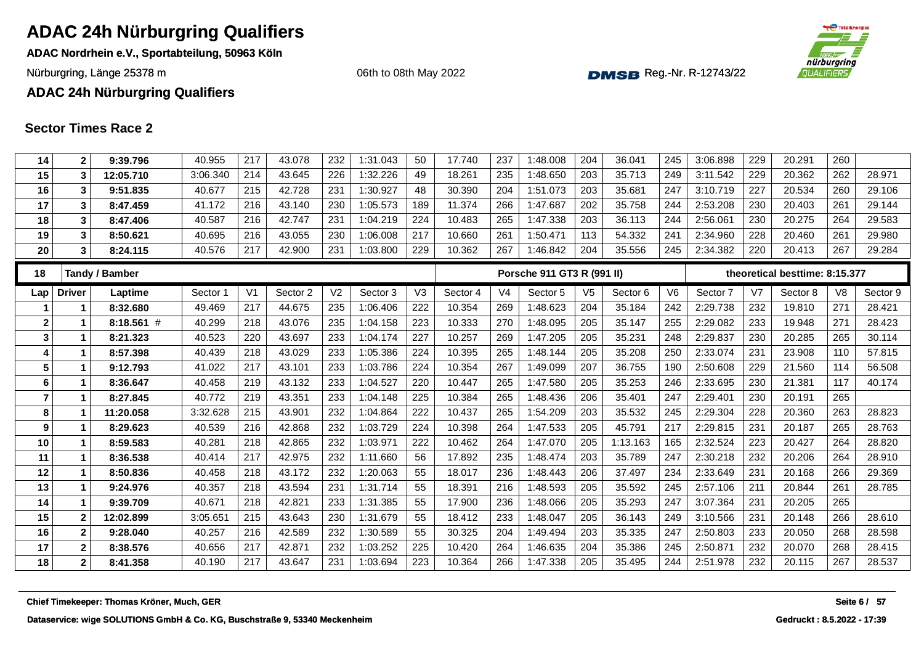**ADAC Nordrhein e.V., Sportabteilung, 50963 Köln**

Nürburgring, Länge 25378 m and the Communication of the Communication of the Communication of the Communication of the Communication of the Communication of the Communication of the Communication of the Communication of th

06th to 08th May 2022



**ADAC 24h Nürburgring Qualifiers**

| 14               | $\mathbf{2}$   | 9:39.796                                   | 40.955   | 217            | 43.078   | 232            | 1:31.043 | 50             | 17.740   | 237            | 1:48.008                   | 204            | 36.041   | 245            | 3:06.898 | 229 | 20.291                         | 260            |              |
|------------------|----------------|--------------------------------------------|----------|----------------|----------|----------------|----------|----------------|----------|----------------|----------------------------|----------------|----------|----------------|----------|-----|--------------------------------|----------------|--------------|
| 15               | 3              | 12:05.710                                  | 3:06.340 | 214            | 43.645   | 226            | 1:32.226 | 49             | 18.261   | 235            | 1:48.650                   | 203            | 35.713   | 249            | 3:11.542 | 229 | 20.362                         | 262            | 28.971       |
| 16               | 3              | 9:51.835                                   | 40.677   | 215            | 42.728   | 231            | 1:30.927 | 48             | 30.390   | 204            | 1:51.073                   | 203            | 35.681   | 247            | 3:10.719 | 227 | 20.534                         | 260            | 29.106       |
| 17               | 3              | 8:47.459                                   | 41.172   | 216            | 43.140   | 230            | 1:05.573 | 189            | 11.374   | 266            | 1:47.687                   | 202            | 35.758   | 244            | 2:53.208 | 230 | 20.403                         | 261            | 29.144       |
| 18               | 3              | 8:47.406                                   | 40.587   | 216            | 42.747   | 231            | 1:04.219 | 224            | 10.483   | 265            | 1:47.338                   | 203            | 36.113   | 244            | 2:56.061 | 230 | 20.275                         | 264            | 29.583       |
| 19               | 3              | 8:50.621                                   | 40.695   | 216            | 43.055   | 230            | 1:06.008 | 217            | 10.660   | 261            | 1:50.471                   | 113            | 54.332   | 241            | 2:34.960 | 228 | 20.460                         | 261            | 29.980       |
| 20               | 3              | 8:24.115                                   | 40.576   | 217            | 42.900   | 231            | 1:03.800 | 229            | 10.362   | 267            | 1:46.842                   | 204            | 35.556   | 245            | 2:34.382 | 220 | 20.413                         | 267            | 29.284       |
| 18               |                | Tandy / Bamber                             |          |                |          |                |          |                |          |                | Porsche 911 GT3 R (991 II) |                |          |                |          |     | theoretical besttime: 8:15.377 |                |              |
| Lap              | <b>Driver</b>  | Laptime                                    | Sector 1 | V <sub>1</sub> | Sector 2 | V <sub>2</sub> | Sector 3 | V <sub>3</sub> | Sector 4 | V <sub>4</sub> | Sector 5                   | V <sub>5</sub> | Sector 6 | V <sub>6</sub> | Sector 7 | V7  | Sector 8                       | V <sub>8</sub> | Sector 9     |
|                  | $\mathbf 1$    | 8:32.680                                   | 49.469   | 217            | 44.675   | 235            | 1:06.406 | 222            | 10.354   | 269            | 1:48.623                   | 204            | 35.184   | 242            | 2:29.738 | 232 | 19.810                         | 271            | 28.421       |
| $\boldsymbol{2}$ | -1             | $8:18.561$ #                               | 40.299   | 218            | 43.076   | 235            | 1:04.158 | 223            | 10.333   | 270            | 1:48.095                   | 205            | 35.147   | 255            | 2:29.082 | 233 | 19.948                         | 271            | 28.423       |
| $\mathbf{3}$     | $\mathbf{1}$   | 8:21.323                                   | 40.523   | 220            | 43.697   | 233            | 1:04.174 | 227            | 10.257   | 269            | 1:47.205                   | 205            | 35.231   | 248            | 2:29.837 | 230 | 20.285                         | 265            | 30.114       |
| 4                |                | 8:57.398                                   | 40.439   | 218            | 43.029   | 233            | 1:05.386 | 224            | 10.395   | 265            | 1:48.144                   | 205            | 35.208   | 250            | 2:33.074 | 231 | 23.908                         | 110            | 57.815       |
| 5                | $\mathbf{1}$   | 9:12.793                                   | 41.022   | 217            | 43.101   | 233            | 1:03.786 | 224            | 10.354   | 267            | 1:49.099                   | 207            | 36.755   | 190            | 2:50.608 | 229 | 21.560                         | 114            | 56.508       |
| $\bf 6$          |                | 8:36.647                                   | 40.458   | 219            | 43.132   | 233            | 1:04.527 | 220            | 10.447   | 265            | 1:47.580                   | 205            | 35.253   | 246            | 2:33.695 | 230 | 21.381                         | 117            | 40.174       |
| $\overline{7}$   | 1              | 8:27.845                                   | 40.772   | 219            | 43.351   | 233            | 1:04.148 | 225            | 10.384   | 265            | 1:48.436                   | 206            | 35.401   | 247            | 2:29.401 | 230 | 20.191                         | 265            |              |
| 8                |                | 11:20.058                                  | 3:32.628 | 215            | 43.901   | 232            | 1:04.864 | 222            | 10.437   | 265            | 1:54.209                   | 203            | 35.532   | 245            | 2:29.304 | 228 | 20.360                         | 263            | 28.823       |
| 9                | -1             | 8:29.623                                   | 40.539   | 216            | 42.868   | 232            | 1:03.729 | 224            | 10.398   | 264            | 1:47.533                   | 205            | 45.791   | 217            | 2:29.815 | 231 | 20.187                         | 265            | 28.763       |
| 10               |                | 8:59.583                                   | 40.281   | 218            | 42.865   | 232            | 1:03.971 | 222            | 10.462   | 264            | 1:47.070                   | 205            | 1:13.163 | 165            | 2:32.524 | 223 | 20.427                         | 264            | 28.820       |
| 11               | -1             | 8:36.538                                   | 40.414   | 217            | 42.975   | 232            | 1:11.660 | 56             | 17.892   | 235            | 1:48.474                   | 203            | 35.789   | 247            | 2:30.218 | 232 | 20.206                         | 264            | 28.910       |
| 12               |                | 8:50.836                                   | 40.458   | 218            | 43.172   | 232            | 1:20.063 | 55             | 18.017   | 236            | 1:48.443                   | 206            | 37.497   | 234            | 2:33.649 | 231 | 20.168                         | 266            | 29.369       |
| 13               |                | 9:24.976                                   | 40.357   | 218            | 43.594   | 231            | 1:31.714 | 55             | 18.391   | 216            | 1:48.593                   | 205            | 35.592   | 245            | 2:57.106 | 211 | 20.844                         | 261            | 28.785       |
| 14               |                | 9:39.709                                   | 40.671   | 218            | 42.821   | 233            | 1:31.385 | 55             | 17.900   | 236            | 1:48.066                   | 205            | 35.293   | 247            | 3:07.364 | 231 | 20.205                         | 265            |              |
| 15               | $\overline{2}$ | 12:02.899                                  | 3:05.651 | 215            | 43.643   | 230            | 1:31.679 | 55             | 18.412   | 233            | 1:48.047                   | 205            | 36.143   | 249            | 3:10.566 | 231 | 20.148                         | 266            | 28.610       |
| 16               | $\mathbf{2}$   | 9:28.040                                   | 40.257   | 216            | 42.589   | 232            | 1:30.589 | 55             | 30.325   | 204            | 1:49.494                   | 203            | 35.335   | 247            | 2:50.803 | 233 | 20.050                         | 268            | 28.598       |
| 17               | $\mathbf 2$    | 8:38.576                                   | 40.656   | 217            | 42.871   | 232            | 1:03.252 | 225            | 10.420   | 264            | 1:46.635                   | 204            | 35.386   | 245            | 2:50.871 | 232 | 20.070                         | 268            | 28.415       |
| 18               | $\mathbf 2$    | 8:41.358                                   | 40.190   | 217            | 43.647   | 231            | 1:03.694 | 223            | 10.364   | 266            | 1:47.338                   | 205            | 35.495   | 244            | 2:51.978 | 232 | 20.115                         | 267            | 28.537       |
|                  |                | Chief Timekeeper: Thomas Kröner, Much, GER |          |                |          |                |          |                |          |                |                            |                |          |                |          |     |                                |                | Seite 6 / 57 |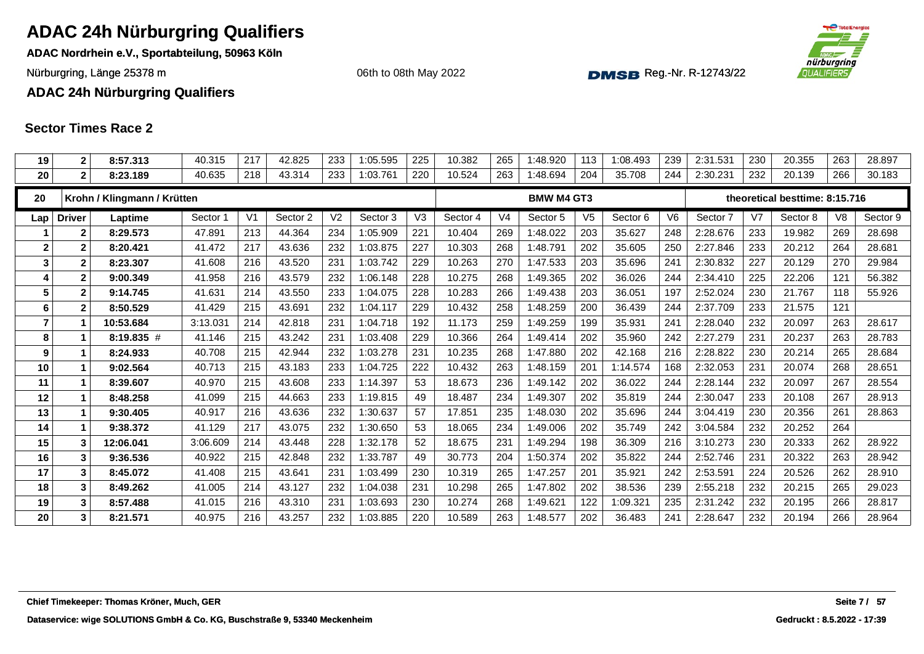**ADAC Nordrhein e.V., Sportabteilung, 50963 Köln**

Nürburgring, Länge 25378 m and the Communication of the Communication of the Communication of the Communication of the Communication of the Communication of the Communication of the Communication of the Communication of th

06th to 08th May 2022



**ADAC 24h Nürburgring Qualifiers**

| 19               | $\mathbf{2}$            | 8:57.313                                   | 40.315   | 217            | 42.825   | 233            | 1:05.595 | 225 | 10.382   | 265            | 1:48.920          | 113            | 1:08.493            | 239            | 2:31.531 | 230 | 20.355                         | 263 | 28.897       |
|------------------|-------------------------|--------------------------------------------|----------|----------------|----------|----------------|----------|-----|----------|----------------|-------------------|----------------|---------------------|----------------|----------|-----|--------------------------------|-----|--------------|
| 20               | $\mathbf{2}$            | 8:23.189                                   | 40.635   | 218            | 43.314   | 233            | 1:03.761 | 220 | 10.524   | 263            | 1:48.694          | 204            | 35.708              | 244            | 2:30.231 | 232 | 20.139                         | 266 | 30.183       |
| 20               |                         | Krohn / Klingmann / Krütten                |          |                |          |                |          |     |          |                | <b>BMW M4 GT3</b> |                |                     |                |          |     | theoretical besttime: 8:15.716 |     |              |
| Lap              | <b>Driver</b>           | Laptime                                    | Sector 1 | V <sub>1</sub> | Sector 2 | V <sub>2</sub> | Sector 3 | V3  | Sector 4 | V <sub>4</sub> | Sector 5          | V <sub>5</sub> | Sector <sub>6</sub> | V <sub>6</sub> | Sector 7 | V7  | Sector 8                       | V8  | Sector 9     |
| 1                | $\mathbf{2}$            | 8:29.573                                   | 47.891   | 213            | 44.364   | 234            | 1:05.909 | 221 | 10.404   | 269            | 1:48.022          | 203            | 35.627              | 248            | 2:28.676 | 233 | 19.982                         | 269 | 28.698       |
| $\mathbf 2$      | $\mathbf{2}$            | 8:20.421                                   | 41.472   | 217            | 43.636   | 232            | 1:03.875 | 227 | 10.303   | 268            | 1:48.791          | 202            | 35.605              | 250            | 2:27.846 | 233 | 20.212                         | 264 | 28.681       |
| $\mathbf 3$      | $\mathbf{2}$            | 8:23.307                                   | 41.608   | 216            | 43.520   | 231            | 1:03.742 | 229 | 10.263   | 270            | 1:47.533          | 203            | 35.696              | 241            | 2:30.832 | 227 | 20.129                         | 270 | 29.984       |
| 4                | $\mathbf{2}$            | 9:00.349                                   | 41.958   | 216            | 43.579   | 232            | 1:06.148 | 228 | 10.275   | 268            | 1:49.365          | 202            | 36.026              | 244            | 2:34.410 | 225 | 22.206                         | 121 | 56.382       |
| 5                | $\mathbf{2}$            | 9:14.745                                   | 41.631   | 214            | 43.550   | 233            | 1:04.075 | 228 | 10.283   | 266            | 1:49.438          | 203            | 36.051              | 197            | 2:52.024 | 230 | 21.767                         | 118 | 55.926       |
| $\bf 6$          | $\mathbf{2}$            | 8:50.529                                   | 41.429   | 215            | 43.691   | 232            | 1:04.117 | 229 | 10.432   | 258            | 1:48.259          | 200            | 36.439              | 244            | 2:37.709 | 233 | 21.575                         | 121 |              |
| $\overline{7}$   |                         | 10:53.684                                  | 3:13.031 | 214            | 42.818   | 231            | 1:04.718 | 192 | 11.173   | 259            | 1:49.259          | 199            | 35.931              | 241            | 2:28.040 | 232 | 20.097                         | 263 | 28.617       |
| 8                | 1                       | $8:19.835$ #                               | 41.146   | 215            | 43.242   | 231            | 1:03.408 | 229 | 10.366   | 264            | 1:49.414          | 202            | 35.960              | 242            | 2:27.279 | 231 | 20.237                         | 263 | 28.783       |
| $\boldsymbol{9}$ | $\overline{\mathbf{1}}$ | 8:24.933                                   | 40.708   | 215            | 42.944   | 232            | 1:03.278 | 231 | 10.235   | 268            | 1:47.880          | 202            | 42.168              | 216            | 2:28.822 | 230 | 20.214                         | 265 | 28.684       |
| 10               | $\mathbf 1$             | 9:02.564                                   | 40.713   | 215            | 43.183   | 233            | 1:04.725 | 222 | 10.432   | 263            | 1:48.159          | 201            | 1:14.574            | 168            | 2:32.053 | 231 | 20.074                         | 268 | 28.651       |
| 11               | $\overline{\mathbf{1}}$ | 8:39.607                                   | 40.970   | 215            | 43.608   | 233            | 1:14.397 | 53  | 18.673   | 236            | 1:49.142          | 202            | 36.022              | 244            | 2:28.144 | 232 | 20.097                         | 267 | 28.554       |
| 12               | $\mathbf{1}$            | 8:48.258                                   | 41.099   | 215            | 44.663   | 233            | 1:19.815 | 49  | 18.487   | 234            | 1:49.307          | 202            | 35.819              | 244            | 2:30.047 | 233 | 20.108                         | 267 | 28.913       |
| 13               | $\mathbf 1$             | 9:30.405                                   | 40.917   | 216            | 43.636   | 232            | 1:30.637 | 57  | 17.851   | 235            | 1:48.030          | 202            | 35.696              | 244            | 3:04.419 | 230 | 20.356                         | 261 | 28.863       |
| 14               | 1                       | 9:38.372                                   | 41.129   | 217            | 43.075   | 232            | 1:30.650 | 53  | 18.065   | 234            | 1:49.006          | 202            | 35.749              | 242            | 3:04.584 | 232 | 20.252                         | 264 |              |
| 15               | 3                       | 12:06.041                                  | 3:06.609 | 214            | 43.448   | 228            | 1:32.178 | 52  | 18.675   | 231            | 1:49.294          | 198            | 36.309              | 216            | 3:10.273 | 230 | 20.333                         | 262 | 28.922       |
| 16               | 3                       | 9:36.536                                   | 40.922   | 215            | 42.848   | 232            | 1:33.787 | 49  | 30.773   | 204            | 1:50.374          | 202            | 35.822              | 244            | 2:52.746 | 231 | 20.322                         | 263 | 28.942       |
| 17               | 3                       | 8:45.072                                   | 41.408   | 215            | 43.641   | 231            | 1:03.499 | 230 | 10.319   | 265            | 1:47.257          | 201            | 35.921              | 242            | 2:53.591 | 224 | 20.526                         | 262 | 28.910       |
| 18               | 3                       | 8:49.262                                   | 41.005   | 214            | 43.127   | 232            | 1:04.038 | 231 | 10.298   | 265            | 1:47.802          | 202            | 38.536              | 239            | 2:55.218 | 232 | 20.215                         | 265 | 29.023       |
| 19               | 3                       | 8:57.488                                   | 41.015   | 216            | 43.310   | 231            | 1:03.693 | 230 | 10.274   | 268            | 1:49.621          | 122            | 1:09.321            | 235            | 2:31.242 | 232 | 20.195                         | 266 | 28.817       |
| 20               | 3                       | 8:21.571                                   | 40.975   | 216            | 43.257   | 232            | 1:03.885 | 220 | 10.589   | 263            | 1:48.577          | 202            | 36.483              | 241            | 2:28.647 | 232 | 20.194                         | 266 | 28.964       |
|                  |                         |                                            |          |                |          |                |          |     |          |                |                   |                |                     |                |          |     |                                |     |              |
|                  |                         |                                            |          |                |          |                |          |     |          |                |                   |                |                     |                |          |     |                                |     |              |
|                  |                         |                                            |          |                |          |                |          |     |          |                |                   |                |                     |                |          |     |                                |     |              |
|                  |                         |                                            |          |                |          |                |          |     |          |                |                   |                |                     |                |          |     |                                |     |              |
|                  |                         | Chief Timekeeper: Thomas Kröner, Much, GER |          |                |          |                |          |     |          |                |                   |                |                     |                |          |     |                                |     | Seite 7 / 57 |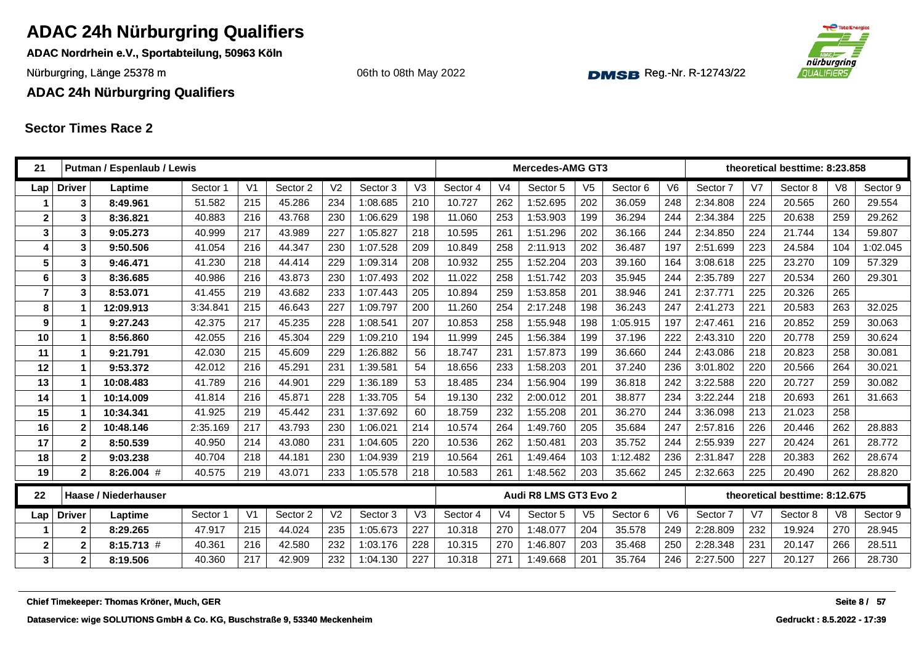**ADAC Nordrhein e.V., Sportabteilung, 50963 Köln**

Nürburgring, Länge 25378 m and the Communication of the Communication of the Communication of the Communication of the Communication of the Communication of the Communication of the Communication of the Communication of th

06th to 08th May 2022



**ADAC 24h Nürburgring Qualifiers**

| 21                      |                | Putman / Espenlaub / Lewis                 |          |                |          |                |          |                |          |                | <b>Mercedes-AMG GT3</b> |                |          |                |          |                | theoretical besttime: 8:23.858 |                |              |
|-------------------------|----------------|--------------------------------------------|----------|----------------|----------|----------------|----------|----------------|----------|----------------|-------------------------|----------------|----------|----------------|----------|----------------|--------------------------------|----------------|--------------|
| Lap                     | <b>Driver</b>  | Laptime                                    | Sector 1 | V <sub>1</sub> | Sector 2 | V <sub>2</sub> | Sector 3 | V <sub>3</sub> | Sector 4 | V <sub>4</sub> | Sector 5                | V <sub>5</sub> | Sector 6 | V <sub>6</sub> | Sector 7 | V7             | Sector 8                       | V8             | Sector 9     |
|                         | 3              | 8:49.961                                   | 51.582   | 215            | 45.286   | 234            | 1:08.685 | 210            | 10.727   | 262            | 1:52.695                | 202            | 36.059   | 248            | 2:34.808 | 224            | 20.565                         | 260            | 29.554       |
| $\overline{\mathbf{2}}$ | 3              | 8:36.821                                   | 40.883   | 216            | 43.768   | 230            | 1:06.629 | 198            | 11.060   | 253            | 1:53.903                | 199            | 36.294   | 244            | 2:34.384 | 225            | 20.638                         | 259            | 29.262       |
| 3                       | 3              | 9:05.273                                   | 40.999   | 217            | 43.989   | 227            | 1:05.827 | 218            | 10.595   | 261            | 1:51.296                | 202            | 36.166   | 244            | 2:34.850 | 224            | 21.744                         | 134            | 59.807       |
| 4                       | 3              | 9:50.506                                   | 41.054   | 216            | 44.347   | 230            | 1:07.528 | 209            | 10.849   | 258            | 2:11.913                | 202            | 36.487   | 197            | 2:51.699 | 223            | 24.584                         | 104            | 1:02.045     |
| 5                       | 3              | 9:46.471                                   | 41.230   | 218            | 44.414   | 229            | 1:09.314 | 208            | 10.932   | 255            | 1:52.204                | 203            | 39.160   | 164            | 3:08.618 | 225            | 23.270                         | 109            | 57.329       |
| 6                       | 3              | 8:36.685                                   | 40.986   | 216            | 43.873   | 230            | 1:07.493 | 202            | 11.022   | 258            | 1:51.742                | 203            | 35.945   | 244            | 2:35.789 | 227            | 20.534                         | 260            | 29.301       |
| $\overline{7}$          | 3              | 8:53.071                                   | 41.455   | 219            | 43.682   | 233            | 1:07.443 | 205            | 10.894   | 259            | 1:53.858                | 201            | 38.946   | 241            | 2:37.771 | 225            | 20.326                         | 265            |              |
| 8                       | 1              | 12:09.913                                  | 3:34.841 | 215            | 46.643   | 227            | 1:09.797 | 200            | 11.260   | 254            | 2:17.248                | 198            | 36.243   | 247            | 2:41.273 | 221            | 20.583                         | 263            | 32.025       |
| 9                       | 1              | 9:27.243                                   | 42.375   | 217            | 45.235   | 228            | 1:08.541 | 207            | 10.853   | 258            | 1:55.948                | 198            | 1:05.915 | 197            | 2:47.461 | 216            | 20.852                         | 259            | 30.063       |
| 10                      | 1              | 8:56.860                                   | 42.055   | 216            | 45.304   | 229            | 1:09.210 | 194            | 11.999   | 245            | 1:56.384                | 199            | 37.196   | 222            | 2:43.310 | 220            | 20.778                         | 259            | 30.624       |
| 11                      | 1              | 9:21.791                                   | 42.030   | 215            | 45.609   | 229            | 1:26.882 | 56             | 18.747   | 231            | 1:57.873                | 199            | 36.660   | 244            | 2:43.086 | 218            | 20.823                         | 258            | 30.081       |
| 12                      | 1              | 9:53.372                                   | 42.012   | 216            | 45.291   | 231            | 1:39.581 | 54             | 18.656   | 233            | 1:58.203                | 201            | 37.240   | 236            | 3:01.802 | 220            | 20.566                         | 264            | 30.021       |
| 13                      | 1              | 10:08.483                                  | 41.789   | 216            | 44.901   | 229            | 1:36.189 | 53             | 18.485   | 234            | 1:56.904                | 199            | 36.818   | 242            | 3:22.588 | 220            | 20.727                         | 259            | 30.082       |
| 14                      | 1              | 10:14.009                                  | 41.814   | 216            | 45.871   | 228            | 1:33.705 | 54             | 19.130   | 232            | 2:00.012                | 201            | 38.877   | 234            | 3:22.244 | 218            | 20.693                         | 261            | 31.663       |
| 15                      | 1              | 10:34.341                                  | 41.925   | 219            | 45.442   | 231            | 1:37.692 | 60             | 18.759   | 232            | 1:55.208                | 201            | 36.270   | 244            | 3:36.098 | 213            | 21.023                         | 258            |              |
| 16                      | $\overline{2}$ | 10:48.146                                  | 2:35.169 | 217            | 43.793   | 230            | 1:06.021 | 214            | 10.574   | 264            | 1:49.760                | 205            | 35.684   | 247            | 2:57.816 | 226            | 20.446                         | 262            | 28.883       |
| 17                      | $\mathbf{2}$   | 8:50.539                                   | 40.950   | 214            | 43.080   | 231            | 1:04.605 | 220            | 10.536   | 262            | 1:50.481                | 203            | 35.752   | 244            | 2:55.939 | 227            | 20.424                         | 261            | 28.772       |
| 18                      | $\mathbf{2}$   | 9:03.238                                   | 40.704   | 218            | 44.181   | 230            | 1:04.939 | 219            | 10.564   | 261            | 1:49.464                | 103            | 1:12.482 | 236            | 2:31.847 | 228            | 20.383                         | 262            | 28.674       |
| 19                      | $\mathbf{2}$   | $8:26.004$ #                               | 40.575   | 219            | 43.071   | 233            | 1:05.578 | 218            | 10.583   | 261            | 1:48.562                | 203            | 35.662   | 245            | 2:32.663 | 225            | 20.490                         | 262            | 28.820       |
| 22                      |                | Haase / Niederhauser                       |          |                |          |                |          |                |          |                | Audi R8 LMS GT3 Evo 2   |                |          |                |          |                | theoretical besttime: 8:12.675 |                |              |
| Lap                     | <b>Driver</b>  | Laptime                                    | Sector 1 | V <sub>1</sub> | Sector 2 | V <sub>2</sub> | Sector 3 | V <sub>3</sub> | Sector 4 | V <sub>4</sub> | Sector 5                | V <sub>5</sub> | Sector 6 | V <sub>6</sub> | Sector 7 | V <sub>7</sub> | Sector 8                       | V <sub>8</sub> | Sector 9     |
|                         | $\mathbf{2}$   | 8:29.265                                   | 47.917   | 215            | 44.024   | 235            | 1:05.673 | 227            | 10.318   | 270            | 1:48.077                | 204            | 35.578   | 249            | 2:28.809 | 232            | 19.924                         | 270            | 28.945       |
| $\mathbf{2}$            | $\mathbf 2$    | $8:15.713$ #                               | 40.361   | 216            | 42.580   | 232            | 1:03.176 | 228            | 10.315   | 270            | 1:46.807                | 203            | 35.468   | 250            | 2:28.348 | 231            | 20.147                         | 266            | 28.511       |
| $\mathbf 3$             | $\mathbf{2}$   | 8:19.506                                   | 40.360   | 217            | 42.909   | 232            | 1:04.130 | 227            | 10.318   | 271            | 1:49.668                | 201            | 35.764   | 246            | 2:27.500 | 227            | 20.127                         | 266            | 28.730       |
|                         |                |                                            |          |                |          |                |          |                |          |                |                         |                |          |                |          |                |                                |                |              |
|                         |                | Chief Timekeeper: Thomas Kröner, Much, GER |          |                |          |                |          |                |          |                |                         |                |          |                |          |                |                                |                | Seite 8 / 57 |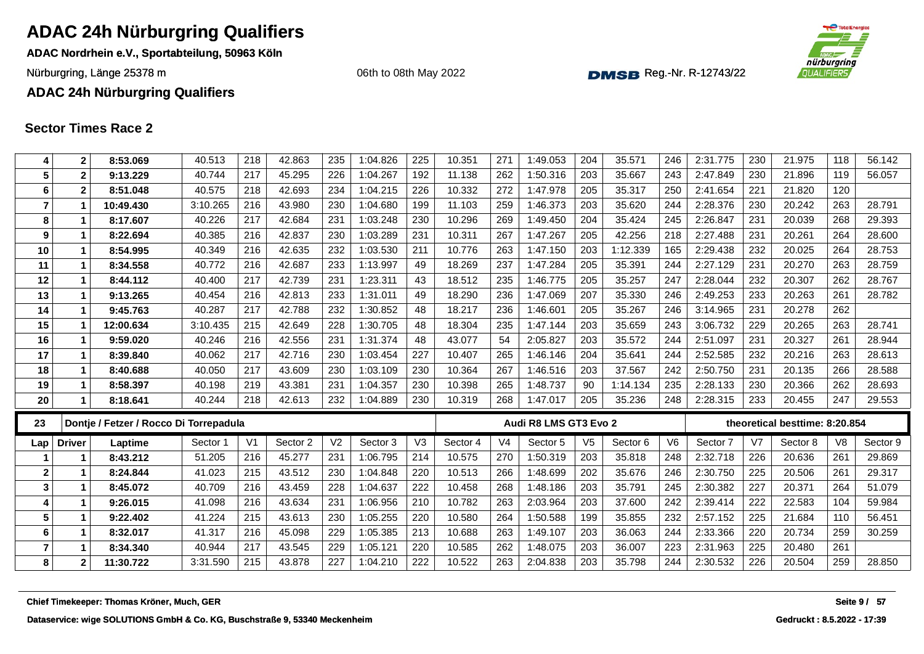**ADAC Nordrhein e.V., Sportabteilung, 50963 Köln**

Nürburgring, Länge 25378 m and the Communication of the Communication of the Communication of the Communication of the Communication of the Communication of the Communication of the Communication of the Communication of th

nürburgring **OUALIFIERS** 

06th to 08th May 2022

#### **ADAC 24h Nürburgring Qualifiers**

| 4                | $\mathbf 2$    | 8:53.069                               | 40.513   | 218            | 42.863   | 235            | 1:04.826 | 225            | 10.351   | 271            | 1:49.053              | 204            | 35.571   | 246            | 2:31.775 | 230 | 21.975                         | 118 | 56.142   |
|------------------|----------------|----------------------------------------|----------|----------------|----------|----------------|----------|----------------|----------|----------------|-----------------------|----------------|----------|----------------|----------|-----|--------------------------------|-----|----------|
| 5                | $\mathbf 2$    | 9:13.229                               | 40.744   | 217            | 45.295   | 226            | 1:04.267 | 192            | 11.138   | 262            | 1:50.316              | 203            | 35.667   | 243            | 2:47.849 | 230 | 21.896                         | 119 | 56.057   |
| 6                | $\mathbf{2}$   | 8:51.048                               | 40.575   | 218            | 42.693   | 234            | 1:04.215 | 226            | 10.332   | 272            | 1:47.978              | 205            | 35.317   | 250            | 2:41.654 | 221 | 21.820                         | 120 |          |
| $\overline{7}$   | -1             | 10:49.430                              | 3:10.265 | 216            | 43.980   | 230            | 1:04.680 | 199            | 11.103   | 259            | 1:46.373              | 203            | 35.620   | 244            | 2:28.376 | 230 | 20.242                         | 263 | 28.791   |
| 8                | -1             | 8:17.607                               | 40.226   | 217            | 42.684   | 231            | 1:03.248 | 230            | 10.296   | 269            | 1:49.450              | 204            | 35.424   | 245            | 2:26.847 | 231 | 20.039                         | 268 | 29.393   |
| $\boldsymbol{9}$ | $\mathbf{1}$   | 8:22.694                               | 40.385   | 216            | 42.837   | 230            | 1:03.289 | 231            | 10.311   | 267            | 1:47.267              | 205            | 42.256   | 218            | 2:27.488 | 231 | 20.261                         | 264 | 28.600   |
| 10               | -1             | 8:54.995                               | 40.349   | 216            | 42.635   | 232            | 1:03.530 | 211            | 10.776   | 263            | 1:47.150              | 203            | 1:12.339 | 165            | 2:29.438 | 232 | 20.025                         | 264 | 28.753   |
| 11               | $\mathbf{1}$   | 8:34.558                               | 40.772   | 216            | 42.687   | 233            | 1:13.997 | 49             | 18.269   | 237            | 1:47.284              | 205            | 35.391   | 244            | 2:27.129 | 231 | 20.270                         | 263 | 28.759   |
| 12               | -1             | 8:44.112                               | 40.400   | 217            | 42.739   | 231            | 1:23.311 | 43             | 18.512   | 235            | 1:46.775              | 205            | 35.257   | 247            | 2:28.044 | 232 | 20.307                         | 262 | 28.767   |
| 13               | $\mathbf{1}$   | 9:13.265                               | 40.454   | 216            | 42.813   | 233            | 1:31.011 | 49             | 18.290   | 236            | 1:47.069              | 207            | 35.330   | 246            | 2:49.253 | 233 | 20.263                         | 261 | 28.782   |
| 14               |                | 9:45.763                               | 40.287   | 217            | 42.788   | 232            | 1:30.852 | 48             | 18.217   | 236            | 1:46.601              | 205            | 35.267   | 246            | 3:14.965 | 231 | 20.278                         | 262 |          |
| 15               | $\mathbf{1}$   | 12:00.634                              | 3:10.435 | 215            | 42.649   | 228            | 1:30.705 | 48             | 18.304   | 235            | 1:47.144              | 203            | 35.659   | 243            | 3:06.732 | 229 | 20.265                         | 263 | 28.741   |
| 16               |                | 9:59.020                               | 40.246   | 216            | 42.556   | 231            | 1:31.374 | 48             | 43.077   | 54             | 2:05.827              | 203            | 35.572   | 244            | 2:51.097 | 231 | 20.327                         | 261 | 28.944   |
| 17               | 1              | 8:39.840                               | 40.062   | 217            | 42.716   | 230            | 1:03.454 | 227            | 10.407   | 265            | 1:46.146              | 204            | 35.641   | 244            | 2:52.585 | 232 | 20.216                         | 263 | 28.613   |
| 18               |                | 8:40.688                               | 40.050   | 217            | 43.609   | 230            | 1:03.109 | 230            | 10.364   | 267            | 1:46.516              | 203            | 37.567   | 242            | 2:50.750 | 231 | 20.135                         | 266 | 28.588   |
| 19               | -1             | 8:58.397                               | 40.198   | 219            | 43.381   | 231            | 1:04.357 | 230            | 10.398   | 265            | 1:48.737              | 90             | 1:14.134 | 235            | 2:28.133 | 230 | 20.366                         | 262 | 28.693   |
| 20               |                | 8:18.641                               | 40.244   | 218            | 42.613   | 232            | 1:04.889 | 230            | 10.319   | 268            | 1:47.017              | 205            | 35.236   | 248            | 2:28.315 | 233 | 20.455                         | 247 | 29.553   |
|                  |                |                                        |          |                |          |                |          |                |          |                |                       |                |          |                |          |     |                                |     |          |
|                  |                |                                        |          |                |          |                |          |                |          |                |                       |                |          |                |          |     |                                |     |          |
| 23               |                | Dontje / Fetzer / Rocco Di Torrepadula |          |                |          |                |          |                |          |                | Audi R8 LMS GT3 Evo 2 |                |          |                |          |     | theoretical besttime: 8:20.854 |     |          |
| Lap              | <b>Driver</b>  | Laptime                                | Sector 1 | V <sub>1</sub> | Sector 2 | V <sub>2</sub> | Sector 3 | V <sub>3</sub> | Sector 4 | V <sub>4</sub> | Sector 5              | V <sub>5</sub> | Sector 6 | V <sub>6</sub> | Sector 7 | V7  | Sector 8                       | V8  | Sector 9 |
| 1                | 1              | 8:43.212                               | 51.205   | 216            | 45.277   | 231            | 1:06.795 | 214            | 10.575   | 270            | 1:50.319              | 203            | 35.818   | 248            | 2:32.718 | 226 | 20.636                         | 261 | 29.869   |
| $\bf{2}$         |                | 8:24.844                               | 41.023   | 215            | 43.512   | 230            | 1:04.848 | 220            | 10.513   | 266            | 1:48.699              | 202            | 35.676   | 246            | 2:30.750 | 225 | 20.506                         | 261 | 29.317   |
| $\mathbf{3}$     |                | 8:45.072                               | 40.709   | 216            | 43.459   | 228            | 1:04.637 | 222            | 10.458   | 268            | 1:48.186              | 203            | 35.791   | 245            | 2:30.382 | 227 | 20.371                         | 264 | 51.079   |
| 4                | 1              | 9:26.015                               | 41.098   | 216            | 43.634   | 231            | 1:06.956 | 210            | 10.782   | 263            | 2:03.964              | 203            | 37.600   | 242            | 2:39.414 | 222 | 22.583                         | 104 | 59.984   |
| 5                | -1             | 9:22.402                               | 41.224   | 215            | 43.613   | 230            | 1:05.255 | 220            | 10.580   | 264            | 1:50.588              | 199            | 35.855   | 232            | 2:57.152 | 225 | 21.684                         | 110 | 56.451   |
| $\bf 6$          | $\mathbf{1}$   | 8:32.017                               | 41.317   | 216            | 45.098   | 229            | 1:05.385 | 213            | 10.688   | 263            | 1:49.107              | 203            | 36.063   | 244            | 2:33.366 | 220 | 20.734                         | 259 | 30.259   |
| $\overline{7}$   |                | 8:34.340                               | 40.944   | 217            | 43.545   | 229            | 1:05.121 | 220            | 10.585   | 262            | 1:48.075              | 203            | 36.007   | 223            | 2:31.963 | 225 | 20.480                         | 261 |          |
| 8                | $\overline{2}$ | 11:30.722                              | 3:31.590 | 215            | 43.878   | 227            | 1:04.210 | 222            | 10.522   | 263            | 2:04.838              | 203            | 35.798   | 244            | 2:30.532 | 226 | 20.504                         | 259 | 28.850   |
|                  |                |                                        |          |                |          |                |          |                |          |                |                       |                |          |                |          |     |                                |     |          |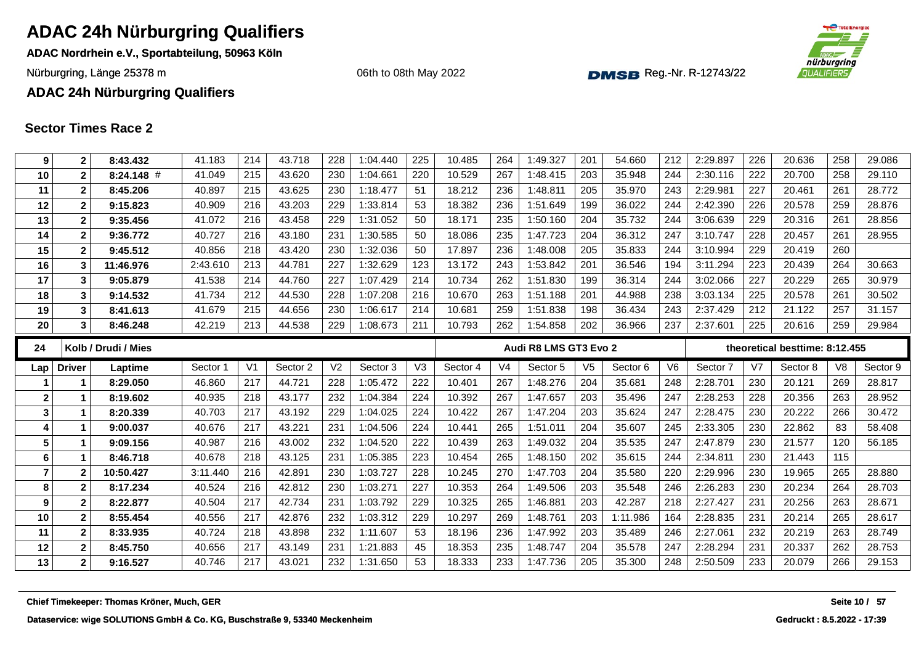**ADAC Nordrhein e.V., Sportabteilung, 50963 Köln**

Nürburgring, Länge 25378 m and the Communication of the Communication of the Communication of the Communication of the Communication of the Communication of the Communication of the Communication of the Communication of th

06th to 08th May 2022



**ADAC 24h Nürburgring Qualifiers**

| 9            | $\mathbf 2$             | 8:43.432                                   | 41.183   | 214            | 43.718   | 228            | 1:04.440 | 225 | 10.485   | 264            | 1:49.327              | 201            | 54.660   | 212 | 2:29.897 | 226            | 20.636                         | 258            | 29.086        |
|--------------|-------------------------|--------------------------------------------|----------|----------------|----------|----------------|----------|-----|----------|----------------|-----------------------|----------------|----------|-----|----------|----------------|--------------------------------|----------------|---------------|
| 10           | $\mathbf{2}$            | $8:24.148$ #                               | 41.049   | 215            | 43.620   | 230            | 1:04.661 | 220 | 10.529   | 267            | 1:48.415              | 203            | 35.948   | 244 | 2:30.116 | 222            | 20.700                         | 258            | 29.110        |
| 11           | $\mathbf{2}$            | 8:45.206                                   | 40.897   | 215            | 43.625   | 230            | 1:18.477 | 51  | 18.212   | 236            | 1:48.811              | 205            | 35.970   | 243 | 2:29.981 | 227            | 20.461                         | 261            | 28.772        |
| 12           | $\mathbf{2}$            | 9:15.823                                   | 40.909   | 216            | 43.203   | 229            | 1:33.814 | 53  | 18.382   | 236            | 1:51.649              | 199            | 36.022   | 244 | 2:42.390 | 226            | 20.578                         | 259            | 28.876        |
| 13           | $\mathbf{2}$            | 9:35.456                                   | 41.072   | 216            | 43.458   | 229            | 1:31.052 | 50  | 18.171   | 235            | 1:50.160              | 204            | 35.732   | 244 | 3:06.639 | 229            | 20.316                         | 261            | 28.856        |
| 14           | $\mathbf 2$             | 9:36.772                                   | 40.727   | 216            | 43.180   | 231            | 1:30.585 | 50  | 18.086   | 235            | 1:47.723              | 204            | 36.312   | 247 | 3:10.747 | 228            | 20.457                         | 261            | 28.955        |
| 15           | $\mathbf{2}$            | 9:45.512                                   | 40.856   | 218            | 43.420   | 230            | 1:32.036 | 50  | 17.897   | 236            | 1:48.008              | 205            | 35.833   | 244 | 3:10.994 | 229            | 20.419                         | 260            |               |
| 16           | 3                       | 11:46.976                                  | 2:43.610 | 213            | 44.781   | 227            | 1:32.629 | 123 | 13.172   | 243            | 1:53.842              | 201            | 36.546   | 194 | 3:11.294 | 223            | 20.439                         | 264            | 30.663        |
| 17           | 3                       | 9:05.879                                   | 41.538   | 214            | 44.760   | 227            | 1:07.429 | 214 | 10.734   | 262            | 1:51.830              | 199            | 36.314   | 244 | 3:02.066 | 227            | 20.229                         | 265            | 30.979        |
| 18           | 3                       | 9:14.532                                   | 41.734   | 212            | 44.530   | 228            | 1:07.208 | 216 | 10.670   | 263            | 1:51.188              | 201            | 44.988   | 238 | 3:03.134 | 225            | 20.578                         | 261            | 30.502        |
| 19           | 3                       | 8:41.613                                   | 41.679   | 215            | 44.656   | 230            | 1:06.617 | 214 | 10.681   | 259            | 1:51.838              | 198            | 36.434   | 243 | 2:37.429 | 212            | 21.122                         | 257            | 31.157        |
| 20           | 3                       | 8:46.248                                   | 42.219   | 213            | 44.538   | 229            | 1:08.673 | 211 | 10.793   | 262            | 1:54.858              | 202            | 36.966   | 237 | 2:37.601 | 225            | 20.616                         | 259            | 29.984        |
| 24           |                         | Kolb / Drudi / Mies                        |          |                |          |                |          |     |          |                | Audi R8 LMS GT3 Evo 2 |                |          |     |          |                | theoretical besttime: 8:12.455 |                |               |
|              |                         |                                            |          |                |          |                |          |     |          |                |                       |                |          |     |          |                |                                |                |               |
| Lap          | <b>Driver</b>           | Laptime                                    | Sector 1 | V <sub>1</sub> | Sector 2 | V <sub>2</sub> | Sector 3 | V3  | Sector 4 | V <sub>4</sub> | Sector 5              | V <sub>5</sub> | Sector 6 | V6  | Sector 7 | V <sub>7</sub> | Sector 8                       | V <sub>8</sub> | Sector 9      |
| 1            |                         | 8:29.050                                   | 46.860   | 217            | 44.721   | 228            | 1:05.472 | 222 | 10.401   | 267            | 1:48.276              | 204            | 35.681   | 248 | 2:28.701 | 230            | 20.121                         | 269            | 28.817        |
| $\mathbf{2}$ | 1                       | 8:19.602                                   | 40.935   | 218            | 43.177   | 232            | 1:04.384 | 224 | 10.392   | 267            | 1:47.657              | 203            | 35.496   | 247 | 2:28.253 | 228            | 20.356                         | 263            | 28.952        |
| 3            | -1                      | 8:20.339                                   | 40.703   | 217            | 43.192   | 229            | 1:04.025 | 224 | 10.422   | 267            | 1:47.204              | 203            | 35.624   | 247 | 2:28.475 | 230            | 20.222                         | 266            | 30.472        |
| 4            | 1                       | 9:00.037                                   | 40.676   | 217            | 43.221   | 231            | 1:04.506 | 224 | 10.441   | 265            | 1:51.011              | 204            | 35.607   | 245 | 2:33.305 | 230            | 22.862                         | 83             | 58.408        |
| 5            | 1                       | 9:09.156                                   | 40.987   | 216            | 43.002   | 232            | 1:04.520 | 222 | 10.439   | 263            | 1:49.032              | 204            | 35.535   | 247 | 2:47.879 | 230            | 21.577                         | 120            | 56.185        |
| 6            | -1                      | 8:46.718                                   | 40.678   | 218            | 43.125   | 231            | 1:05.385 | 223 | 10.454   | 265            | 1:48.150              | 202            | 35.615   | 244 | 2:34.811 | 230            | 21.443                         | 115            |               |
| 7            | $\overline{\mathbf{2}}$ | 10:50.427                                  | 3:11.440 | 216            | 42.891   | 230            | 1:03.727 | 228 | 10.245   | 270            | 1:47.703              | 204            | 35.580   | 220 | 2:29.996 | 230            | 19.965                         | 265            | 28,880        |
| 8            | $\overline{2}$          | 8:17.234                                   | 40.524   | 216            | 42.812   | 230            | 1:03.271 | 227 | 10.353   | 264            | 1:49.506              | 203            | 35.548   | 246 | 2:26.283 | 230            | 20.234                         | 264            | 28.703        |
| 9            | $\overline{\mathbf{2}}$ | 8:22.877                                   | 40.504   | 217            | 42.734   | 231            | 1:03.792 | 229 | 10.325   | 265            | 1:46.881              | 203            | 42.287   | 218 | 2:27.427 | 231            | 20.256                         | 263            | 28.671        |
| 10           | $\mathbf{2}$            | 8:55.454                                   | 40.556   | 217            | 42.876   | 232            | 1:03.312 | 229 | 10.297   | 269            | 1:48.761              | 203            | 1:11.986 | 164 | 2:28.835 | 231            | 20.214                         | 265            | 28.617        |
| 11           | $\mathbf{2}$            | 8:33.935                                   | 40.724   | 218            | 43.898   | 232            | 1:11.607 | 53  | 18.196   | 236            | 1:47.992              | 203            | 35.489   | 246 | 2:27.061 | 232            | 20.219                         | 263            | 28.749        |
| 12           | $\mathbf{2}$            | 8:45.750                                   | 40.656   | 217            | 43.149   | 231            | 1:21.883 | 45  | 18.353   | 235            | 1:48.747              | 204            | 35.578   | 247 | 2:28.294 | 231            | 20.337                         | 262            | 28.753        |
| 13           | $\mathbf{2}$            | 9:16.527                                   | 40.746   | 217            | 43.021   | 232            | 1:31.650 | 53  | 18.333   | 233            | 1:47.736              | 205            | 35.300   | 248 | 2:50.509 | 233            | 20.079                         | 266            | 29.153        |
|              |                         |                                            |          |                |          |                |          |     |          |                |                       |                |          |     |          |                |                                |                |               |
|              |                         |                                            |          |                |          |                |          |     |          |                |                       |                |          |     |          |                |                                |                |               |
|              |                         | Chief Timekeeper: Thomas Kröner, Much, GER |          |                |          |                |          |     |          |                |                       |                |          |     |          |                |                                |                | Seite 10 / 57 |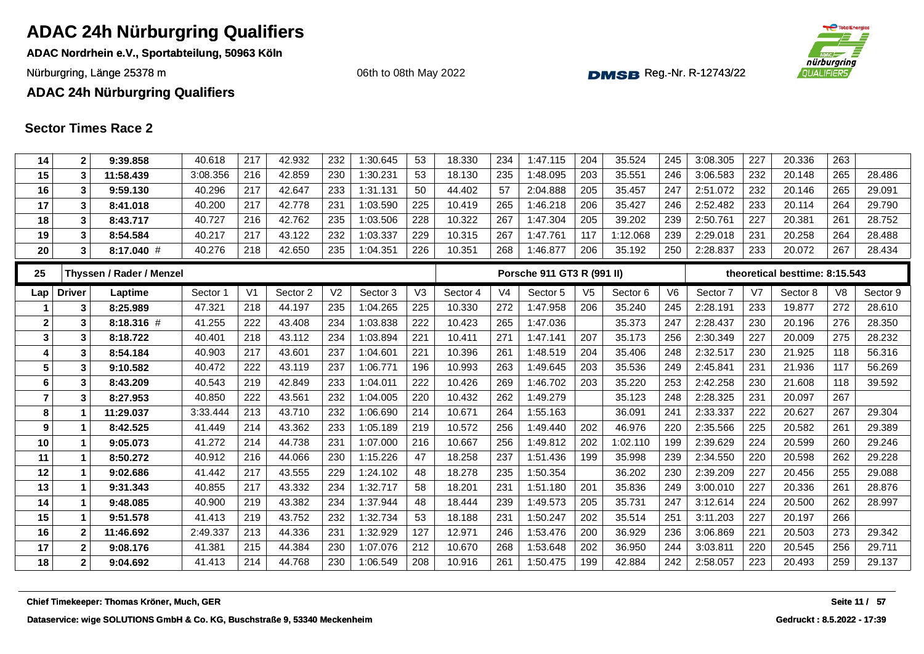**ADAC Nordrhein e.V., Sportabteilung, 50963 Köln**

Nürburgring, Länge 25378 m and the Communication of the Communication of the Communication of the Communication of the Communication of the Communication of the Communication of the Communication of the Communication of th

06th to 08th May 2022



**ADAC 24h Nürburgring Qualifiers**

| 14             | $\mathbf{2}$            | 9:39.858                                   | 40.618   | 217            | 42.932   | 232            | 1:30.645 | 53             | 18.330   | 234            | 1:47.115                   | 204            | 35.524   | 245            | 3:08.305 | 227            | 20.336                         | 263            |               |
|----------------|-------------------------|--------------------------------------------|----------|----------------|----------|----------------|----------|----------------|----------|----------------|----------------------------|----------------|----------|----------------|----------|----------------|--------------------------------|----------------|---------------|
| 15             | 3                       | 11:58.439                                  | 3:08.356 | 216            | 42.859   | 230            | 1:30.231 | 53             | 18.130   | 235            | 1:48.095                   | 203            | 35.551   | 246            | 3:06.583 | 232            | 20.148                         | 265            | 28.486        |
| 16             | 3                       | 9:59.130                                   | 40.296   | 217            | 42.647   | 233            | 1:31.131 | 50             | 44.402   | 57             | 2:04.888                   | 205            | 35.457   | 247            | 2:51.072 | 232            | 20.146                         | 265            | 29.091        |
| 17             | 3                       | 8:41.018                                   | 40.200   | 217            | 42.778   | 231            | 1:03.590 | 225            | 10.419   | 265            | 1:46.218                   | 206            | 35.427   | 246            | 2:52.482 | 233            | 20.114                         | 264            | 29.790        |
| 18             | 3                       | 8:43.717                                   | 40.727   | 216            | 42.762   | 235            | 1:03.506 | 228            | 10.322   | 267            | 1:47.304                   | 205            | 39.202   | 239            | 2:50.761 | 227            | 20.381                         | 261            | 28.752        |
| 19             | $\mathbf{3}$            | 8:54.584                                   | 40.217   | 217            | 43.122   | 232            | 1:03.337 | 229            | 10.315   | 267            | 1:47.761                   | 117            | 1:12.068 | 239            | 2:29.018 | 231            | 20.258                         | 264            | 28.488        |
| 20             | 3                       | $8:17.040$ #                               | 40.276   | 218            | 42.650   | 235            | 1:04.351 | 226            | 10.351   | 268            | 1:46.877                   | 206            | 35.192   | 250            | 2:28.837 | 233            | 20.072                         | 267            | 28.434        |
| 25             |                         | Thyssen / Rader / Menzel                   |          |                |          |                |          |                |          |                | Porsche 911 GT3 R (991 II) |                |          |                |          |                | theoretical besttime: 8:15.543 |                |               |
| Lap            | <b>Driver</b>           | Laptime                                    | Sector 1 | V <sub>1</sub> | Sector 2 | V <sub>2</sub> | Sector 3 | V <sub>3</sub> | Sector 4 | V <sub>4</sub> | Sector 5                   | V <sub>5</sub> | Sector 6 | V <sub>6</sub> | Sector 7 | V <sub>7</sub> | Sector 8                       | V <sub>8</sub> | Sector 9      |
|                | 3                       | 8:25.989                                   | 47.321   | 218            | 44.197   | 235            | 1:04.265 | 225            | 10.330   | 272            | 1:47.958                   | 206            | 35.240   | 245            | 2:28.191 | 233            | 19.877                         | 272            | 28.610        |
| $\mathbf 2$    | 3                       | $8:18.316$ #                               | 41.255   | 222            | 43.408   | 234            | 1:03.838 | 222            | 10.423   | 265            | 1:47.036                   |                | 35.373   | 247            | 2:28.437 | 230            | 20.196                         | 276            | 28.350        |
| 3              | $\mathbf{3}$            | 8:18.722                                   | 40.401   | 218            | 43.112   | 234            | 1:03.894 | 221            | 10.411   | 271            | 1:47.141                   | 207            | 35.173   | 256            | 2:30.349 | 227            | 20.009                         | 275            | 28.232        |
| 4              | 3                       | 8:54.184                                   | 40.903   | 217            | 43.601   | 237            | 1:04.601 | 221            | 10.396   | 261            | 1:48.519                   | 204            | 35.406   | 248            | 2:32.517 | 230            | 21.925                         | 118            | 56.316        |
| 5              | 3                       | 9:10.582                                   | 40.472   | 222            | 43.119   | 237            | 1:06.771 | 196            | 10.993   | 263            | 1:49.645                   | 203            | 35.536   | 249            | 2:45.841 | 231            | 21.936                         | 117            | 56.269        |
| 6              | 3                       | 8:43.209                                   | 40.543   | 219            | 42.849   | 233            | 1:04.011 | 222            | 10.426   | 269            | 1:46.702                   | 203            | 35.220   | 253            | 2:42.258 | 230            | 21.608                         | 118            | 39.592        |
| $\overline{7}$ | 3                       | 8:27.953                                   | 40.850   | 222            | 43.561   | 232            | 1:04.005 | 220            | 10.432   | 262            | 1:49.279                   |                | 35.123   | 248            | 2:28.325 | 231            | 20.097                         | 267            |               |
| 8              | $\overline{\mathbf{1}}$ | 11:29.037                                  | 3:33.444 | 213            | 43.710   | 232            | 1:06.690 | 214            | 10.671   | 264            | 1:55.163                   |                | 36.091   | 241            | 2:33.337 | 222            | 20.627                         | 267            | 29.304        |
| 9              | $\mathbf{1}$            | 8:42.525                                   | 41.449   | 214            | 43.362   | 233            | 1:05.189 | 219            | 10.572   | 256            | 1:49.440                   | 202            | 46.976   | 220            | 2:35.566 | 225            | 20.582                         | 261            | 29.389        |
| 10             | $\mathbf{1}$            | 9:05.073                                   | 41.272   | 214            | 44.738   | 231            | 1:07.000 | 216            | 10.667   | 256            | 1:49.812                   | 202            | 1:02.110 | 199            | 2:39.629 | 224            | 20.599                         | 260            | 29.246        |
| 11             | $\mathbf{1}$            | 8:50.272                                   | 40.912   | 216            | 44.066   | 230            | 1:15.226 | 47             | 18.258   | 237            | 1:51.436                   | 199            | 35.998   | 239            | 2:34.550 | 220            | 20.598                         | 262            | 29.228        |
| 12             | $\mathbf{1}$            | 9:02.686                                   | 41.442   | 217            | 43.555   | 229            | 1:24.102 | 48             | 18.278   | 235            | 1:50.354                   |                | 36.202   | 230            | 2:39.209 | 227            | 20.456                         | 255            | 29.088        |
| 13             | $\mathbf{1}$            | 9:31.343                                   | 40.855   | 217            | 43.332   | 234            | 1:32.717 | 58             | 18.201   | 231            | 1:51.180                   | 201            | 35.836   | 249            | 3:00.010 | 227            | 20.336                         | 261            | 28.876        |
| 14             | $\mathbf 1$             | 9:48.085                                   | 40.900   | 219            | 43.382   | 234            | 1:37.944 | 48             | 18.444   | 239            | 1:49.573                   | 205            | 35.731   | 247            | 3:12.614 | 224            | 20.500                         | 262            | 28.997        |
| 15             | $\mathbf{1}$            | 9:51.578                                   | 41.413   | 219            | 43.752   | 232            | 1:32.734 | 53             | 18.188   | 231            | 1:50.247                   | 202            | 35.514   | 251            | 3:11.203 | 227            | 20.197                         | 266            |               |
| 16             | $\overline{2}$          | 11:46.692                                  | 2:49.337 | 213            | 44.336   | 231            | 1:32.929 | 127            | 12.971   | 246            | 1:53.476                   | 200            | 36.929   | 236            | 3:06.869 | 221            | 20.503                         | 273            | 29.342        |
| 17             | $\mathbf{2}$            | 9:08.176                                   | 41.381   | 215            | 44.384   | 230            | 1:07.076 | 212            | 10.670   | 268            | 1:53.648                   | 202            | 36.950   | 244            | 3:03.811 | 220            | 20.545                         | 256            | 29.711        |
| 18             | $\mathbf{2}$            | 9:04.692                                   | 41.413   | 214            | 44.768   | 230            | 1:06.549 | 208            | 10.916   | 261            | 1:50.475                   | 199            | 42.884   | 242            | 2:58.057 | 223            | 20.493                         | 259            | 29.137        |
|                |                         | Chief Timekeeper: Thomas Kröner, Much, GER |          |                |          |                |          |                |          |                |                            |                |          |                |          |                |                                |                | Seite 11 / 57 |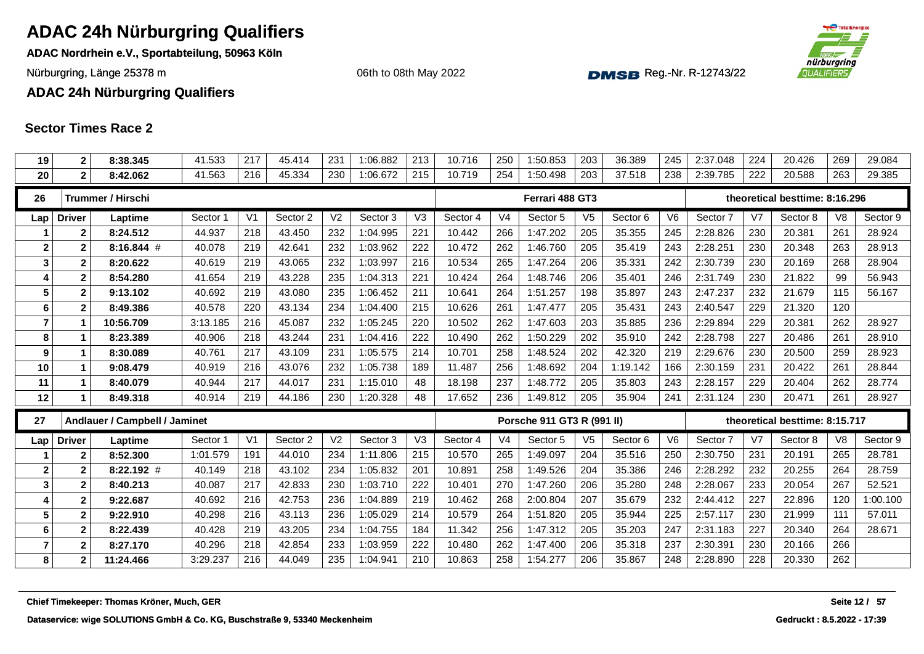**ADAC Nordrhein e.V., Sportabteilung, 50963 Köln**

Nürburgring, Länge 25378 m and the Communication of the Communication of the Communication of the Communication of the Communication of the Communication of the Communication of the Communication of the Communication of th



**ADAC 24h Nürburgring Qualifiers**

**Sector Times Race 2**

| 19               | $\mathbf 2$             | 8:38.345                                   | 41.533   | 217            | 45.414   | 231            | 1:06.882 | 213            | 10.716   | 250            | 1:50.853                   | 203            | 36.389   | 245            | 2:37.048 | 224            | 20.426                         | 269            | 29.084        |
|------------------|-------------------------|--------------------------------------------|----------|----------------|----------|----------------|----------|----------------|----------|----------------|----------------------------|----------------|----------|----------------|----------|----------------|--------------------------------|----------------|---------------|
| 20               | $\mathbf{2}$            | 8:42.062                                   | 41.563   | 216            | 45.334   | 230            | 1:06.672 | 215            | 10.719   | 254            | 1:50.498                   | 203            | 37.518   | 238            | 2:39.785 | 222            | 20.588                         | 263            | 29.385        |
| 26               |                         | Trummer / Hirschi                          |          |                |          |                |          |                |          |                | Ferrari 488 GT3            |                |          |                |          |                | theoretical besttime: 8:16.296 |                |               |
| Lap              | <b>Driver</b>           | Laptime                                    | Sector 1 | V <sub>1</sub> | Sector 2 | V <sub>2</sub> | Sector 3 | V <sub>3</sub> | Sector 4 | V <sub>4</sub> | Sector 5                   | V <sub>5</sub> | Sector 6 | V <sub>6</sub> | Sector 7 | V <sub>7</sub> | Sector 8                       | V8             | Sector 9      |
|                  | $\mathbf{2}$            | 8:24.512                                   | 44.937   | 218            | 43.450   | 232            | 1:04.995 | 221            | 10.442   | 266            | 1:47.202                   | 205            | 35.355   | 245            | 2:28.826 | 230            | 20.381                         | 261            | 28.924        |
| $\mathbf 2$      | $\mathbf{2}$            | 8:16.844#                                  | 40.078   | 219            | 42.641   | 232            | 1:03.962 | 222            | 10.472   | 262            | 1:46.760                   | 205            | 35.419   | 243            | 2:28.251 | 230            | 20.348                         | 263            | 28.913        |
| $\mathbf{3}$     | $\mathbf{2}$            | 8:20.622                                   | 40.619   | 219            | 43.065   | 232            | 1:03.997 | 216            | 10.534   | 265            | 1:47.264                   | 206            | 35.331   | 242            | 2:30.739 | 230            | 20.169                         | 268            | 28.904        |
| $\overline{4}$   | $\mathbf{2}$            | 8:54.280                                   | 41.654   | 219            | 43.228   | 235            | 1:04.313 | 221            | 10.424   | 264            | 1:48.746                   | 206            | 35.401   | 246            | 2:31.749 | 230            | 21.822                         | 99             | 56.943        |
| 5                | $\overline{\mathbf{2}}$ | 9:13.102                                   | 40.692   | 219            | 43.080   | 235            | 1:06.452 | 211            | 10.641   | 264            | 1:51.257                   | 198            | 35.897   | 243            | 2:47.237 | 232            | 21.679                         | 115            | 56.167        |
| $6\phantom{1}$   | $\overline{2}$          | 8:49.386                                   | 40.578   | 220            | 43.134   | 234            | 1:04.400 | 215            | 10.626   | 261            | 1:47.477                   | 205            | 35.431   | 243            | 2:40.547 | 229            | 21.320                         | 120            |               |
| $\overline{7}$   |                         | 10:56.709                                  | 3:13.185 | 216            | 45.087   | 232            | 1:05.245 | 220            | 10.502   | 262            | 1:47.603                   | 203            | 35.885   | 236            | 2:29.894 | 229            | 20.381                         | 262            | 28.927        |
| 8                | 1                       | 8:23.389                                   | 40.906   | 218            | 43.244   | 231            | 1:04.416 | 222            | 10.490   | 262            | 1:50.229                   | 202            | 35.910   | 242            | 2:28.798 | 227            | 20.486                         | 261            | 28.910        |
| $\boldsymbol{9}$ | 1                       | 8:30.089                                   | 40.761   | 217            | 43.109   | 231            | 1:05.575 | 214            | 10.701   | 258            | 1:48.524                   | 202            | 42.320   | 219            | 2:29.676 | 230            | 20.500                         | 259            | 28.923        |
| 10               |                         | 9:08.479                                   | 40.919   | 216            | 43.076   | 232            | 1:05.738 | 189            | 11.487   | 256            | 1:48.692                   | 204            | 1:19.142 | 166            | 2:30.159 | 231            | 20.422                         | 261            | 28.844        |
| 11               |                         | 8:40.079                                   | 40.944   | 217            | 44.017   | 231            | 1:15.010 | 48             | 18.198   | 237            | 1:48.772                   | 205            | 35.803   | 243            | 2:28.157 | 229            | 20.404                         | 262            | 28.774        |
| 12               |                         | 8:49.318                                   | 40.914   | 219            | 44.186   | 230            | 1:20.328 | 48             | 17.652   | 236            | 1:49.812                   | 205            | 35.904   | 241            | 2:31.124 | 230            | 20.471                         | 261            | 28.927        |
| 27               |                         | Andlauer / Campbell / Jaminet              |          |                |          |                |          |                |          |                | Porsche 911 GT3 R (991 II) |                |          |                |          |                | theoretical besttime: 8:15.717 |                |               |
| Lap              | <b>Driver</b>           | Laptime                                    | Sector 1 | V <sub>1</sub> | Sector 2 | V <sub>2</sub> | Sector 3 | V <sub>3</sub> | Sector 4 | V <sub>4</sub> | Sector 5                   | V <sub>5</sub> | Sector 6 | V6             | Sector 7 | V <sub>7</sub> | Sector 8                       | V <sub>8</sub> | Sector 9      |
| 1                | $\overline{\mathbf{2}}$ | 8:52.300                                   | 1:01.579 | 191            | 44.010   | 234            | 1:11.806 | 215            | 10.570   | 265            | 1:49.097                   | 204            | 35.516   | 250            | 2:30.750 | 231            | 20.191                         | 265            | 28.781        |
| $\mathbf{2}$     | $\mathbf{2}$            | $8:22.192$ #                               | 40.149   | 218            | 43.102   | 234            | 1:05.832 | 201            | 10.891   | 258            | 1:49.526                   | 204            | 35.386   | 246            | 2:28.292 | 232            | 20.255                         | 264            | 28.759        |
| $\mathbf{3}$     | $\overline{2}$          | 8:40.213                                   | 40.087   | 217            | 42.833   | 230            | 1:03.710 | 222            | 10.401   | 270            | 1:47.260                   | 206            | 35.280   | 248            | 2:28.067 | 233            | 20.054                         | 267            | 52.521        |
| 4                | $\mathbf{2}$            | 9:22.687                                   | 40.692   | 216            | 42.753   | 236            | 1:04.889 | 219            | 10.462   | 268            | 2:00.804                   | 207            | 35.679   | 232            | 2:44.412 | 227            | 22.896                         | 120            | 1:00.100      |
| 5                | $\overline{2}$          | 9:22.910                                   | 40.298   | 216            | 43.113   | 236            | 1:05.029 | 214            | 10.579   | 264            | 1:51.820                   | 205            | 35.944   | 225            | 2:57.117 | 230            | 21.999                         | 111            | 57.011        |
| 6                | $\mathbf{2}$            | 8:22.439                                   | 40.428   | 219            | 43.205   | 234            | 1:04.755 | 184            | 11.342   | 256            | 1:47.312                   | 205            | 35.203   | 247            | 2:31.183 | 227            | 20.340                         | 264            | 28.671        |
| 7                | $\overline{\mathbf{2}}$ | 8:27.170                                   | 40.296   | 218            | 42.854   | 233            | 1:03.959 | 222            | 10.480   | 262            | 1:47.400                   | 206            | 35.318   | 237            | 2:30.391 | 230            | 20.166                         | 266            |               |
| $\bf 8$          | $\mathbf{2}$            | 11:24.466                                  | 3:29.237 | 216            | 44.049   | 235            | 1:04.941 | 210            | 10.863   | 258            | 1:54.277                   | 206            | 35.867   | 248            | 2:28.890 | 228            | 20.330                         | 262            |               |
|                  |                         |                                            |          |                |          |                |          |                |          |                |                            |                |          |                |          |                |                                |                |               |
|                  |                         | Chief Timekeeper: Thomas Kröner, Much, GER |          |                |          |                |          |                |          |                |                            |                |          |                |          |                |                                |                | Seite 12 / 57 |

06th to 08th May 2022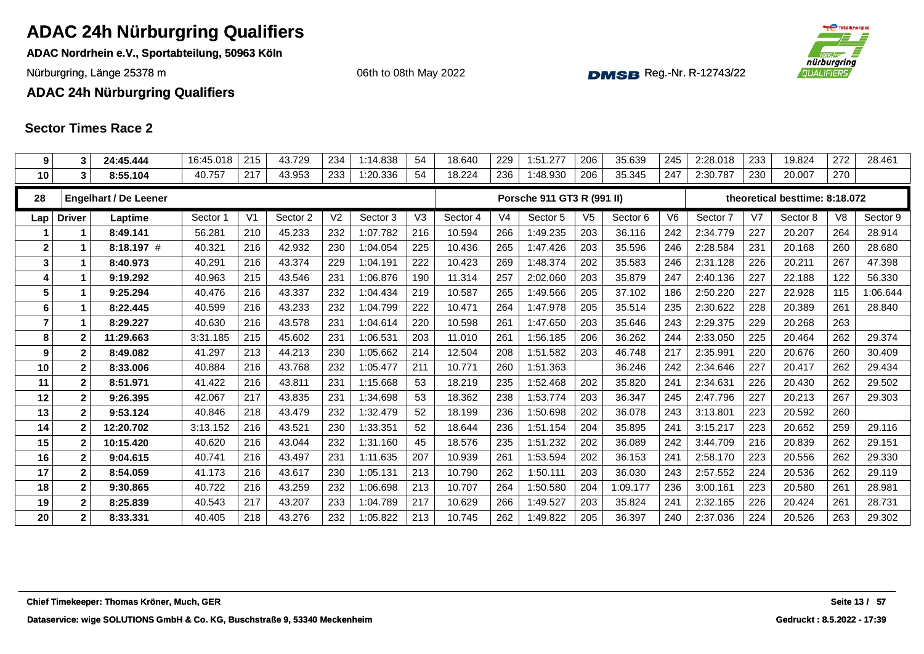**ADAC Nordrhein e.V., Sportabteilung, 50963 Köln**

Nürburgring, Länge 25378 m and the Communication of the Communication of the Communication of the Communication of the Communication of the Communication of the Communication of the Communication of the Communication of th

06th to 08th May 2022



**ADAC 24h Nürburgring Qualifiers**

| 9            | 3                       | 24:45.444                                  | 16:45.018 | 215            | 43.729   | 234            | 1:14.838 | 54             | 18.640   | 229            | 1:51.277                   | 206            | 35.639   | 245            | 2:28.018 | 233 | 19.824                         | 272            | 28.461        |
|--------------|-------------------------|--------------------------------------------|-----------|----------------|----------|----------------|----------|----------------|----------|----------------|----------------------------|----------------|----------|----------------|----------|-----|--------------------------------|----------------|---------------|
| 10           | 3                       | 8:55.104                                   | 40.757    | 217            | 43.953   | 233            | 1:20.336 | 54             | 18.224   | 236            | 1:48.930                   | 206            | 35.345   | 247            | 2:30.787 | 230 | 20.007                         | 270            |               |
| 28           |                         | <b>Engelhart / De Leener</b>               |           |                |          |                |          |                |          |                | Porsche 911 GT3 R (991 II) |                |          |                |          |     | theoretical besttime: 8:18.072 |                |               |
| Lap          | <b>Driver</b>           | Laptime                                    | Sector 1  | V <sub>1</sub> | Sector 2 | V <sub>2</sub> | Sector 3 | V <sub>3</sub> | Sector 4 | V <sub>4</sub> | Sector 5                   | V <sub>5</sub> | Sector 6 | V <sub>6</sub> | Sector 7 | V7  | Sector 8                       | V <sub>8</sub> | Sector 9      |
|              |                         | 8:49.141                                   | 56.281    | 210            | 45.233   | 232            | 1:07.782 | 216            | 10.594   | 266            | 1:49.235                   | 203            | 36.116   | 242            | 2:34.779 | 227 | 20.207                         | 264            | 28.914        |
| $\mathbf{2}$ | $\mathbf{1}$            | $8:18.197$ #                               | 40.321    | 216            | 42.932   | 230            | 1:04.054 | 225            | 10.436   | 265            | 1:47.426                   | 203            | 35.596   | 246            | 2:28.584 | 231 | 20.168                         | 260            | 28.680        |
| 3            | $\mathbf 1$             | 8:40.973                                   | 40.291    | 216            | 43.374   | 229            | 1:04.191 | 222            | 10.423   | 269            | 1:48.374                   | 202            | 35.583   | 246            | 2:31.128 | 226 | 20.211                         | 267            | 47.398        |
| 4            | $\overline{1}$          | 9:19.292                                   | 40.963    | 215            | 43.546   | 231            | 1:06.876 | 190            | 11.314   | 257            | 2:02.060                   | 203            | 35.879   | 247            | 2:40.136 | 227 | 22.188                         | 122            | 56.330        |
| 5            | $\mathbf 1$             | 9:25.294                                   | 40.476    | 216            | 43.337   | 232            | 1:04.434 | 219            | 10.587   | 265            | 1:49.566                   | 205            | 37.102   | 186            | 2:50.220 | 227 | 22.928                         | 115            | 1:06.644      |
| $\bf 6$      | $\mathbf 1$             | 8:22.445                                   | 40.599    | 216            | 43.233   | 232            | 1:04.799 | 222            | 10.471   | 264            | 1:47.978                   | 205            | 35.514   | 235            | 2:30.622 | 228 | 20.389                         | 261            | 28.840        |
| $\bf 7$      |                         | 8:29.227                                   | 40.630    | 216            | 43.578   | 231            | 1:04.614 | 220            | 10.598   | 261            | 1:47.650                   | 203            | 35.646   | 243            | 2:29.375 | 229 | 20.268                         | 263            |               |
| 8            | $\mathbf{2}$            | 11:29.663                                  | 3:31.185  | 215            | 45.602   | 231            | 1:06.531 | 203            | 11.010   | 261            | 1:56.185                   | 206            | 36.262   | 244            | 2:33.050 | 225 | 20.464                         | 262            | 29.374        |
| 9            | $\mathbf{2}$            | 8:49.082                                   | 41.297    | 213            | 44.213   | 230            | 1:05.662 | 214            | 12.504   | 208            | 1:51.582                   | 203            | 46.748   | 217            | 2:35.991 | 220 | 20.676                         | 260            | 30.409        |
| 10           | $\mathbf 2$             | 8:33.006                                   | 40.884    | 216            | 43.768   | 232            | 1:05.477 | 211            | 10.771   | 260            | 1:51.363                   |                | 36.246   | 242            | 2:34.646 | 227 | 20.417                         | 262            | 29.434        |
| 11           | $\overline{\mathbf{2}}$ | 8:51.971                                   | 41.422    | 216            | 43.811   | 231            | 1:15.668 | 53             | 18.219   | 235            | 1:52.468                   | 202            | 35.820   | 241            | 2:34.631 | 226 | 20.430                         | 262            | 29.502        |
| 12           | $\mathbf{2}$            | 9:26.395                                   | 42.067    | 217            | 43.835   | 231            | 1:34.698 | 53             | 18.362   | 238            | 1:53.774                   | 203            | 36.347   | 245            | 2:47.796 | 227 | 20.213                         | 267            | 29.303        |
| 13           | $\mathbf{2}$            | 9:53.124                                   | 40.846    | 218            | 43.479   | 232            | 1:32.479 | 52             | 18.199   | 236            | 1:50.698                   | 202            | 36.078   | 243            | 3:13.801 | 223 | 20.592                         | 260            |               |
| 14           | $\overline{2}$          | 12:20.702                                  | 3:13.152  | 216            | 43.521   | 230            | 1:33.351 | 52             | 18.644   | 236            | 1:51.154                   | 204            | 35.895   | 241            | 3:15.217 | 223 | 20.652                         | 259            | 29.116        |
| 15           | $\overline{2}$          | 10:15.420                                  | 40.620    | 216            | 43.044   | 232            | 1:31.160 | 45             | 18.576   | 235            | 1:51.232                   | 202            | 36.089   | 242            | 3:44.709 | 216 | 20.839                         | 262            | 29.151        |
| 16           | $\overline{2}$          | 9:04.615                                   | 40.741    | 216            | 43.497   | 231            | 1:11.635 | 207            | 10.939   | 261            | 1:53.594                   | 202            | 36.153   | 241            | 2:58.170 | 223 | 20.556                         | 262            | 29.330        |
| 17           | $\mathbf{2}$            | 8:54.059                                   | 41.173    | 216            | 43.617   | 230            | 1:05.131 | 213            | 10.790   | 262            | 1:50.111                   | 203            | 36.030   | 243            | 2:57.552 | 224 | 20.536                         | 262            | 29.119        |
| 18           | $\mathbf 2$             | 9:30.865                                   | 40.722    | 216            | 43.259   | 232            | 1:06.698 | 213            | 10.707   | 264            | 1:50.580                   | 204            | 1:09.177 | 236            | 3:00.161 | 223 | 20.580                         | 261            | 28.981        |
| 19           | $\mathbf 2$             | 8:25.839                                   | 40.543    | 217            | 43.207   | 233            | 1:04.789 | 217            | 10.629   | 266            | 1:49.527                   | 203            | 35.824   | 241            | 2:32.165 | 226 | 20.424                         | 261            | 28.731        |
| 20           | $\mathbf{2}$            | 8:33.331                                   | 40.405    | 218            | 43.276   | 232            | 1:05.822 | 213            | 10.745   | 262            | 1:49.822                   | 205            | 36.397   | 240            | 2:37.036 | 224 | 20.526                         | 263            | 29.302        |
|              |                         |                                            |           |                |          |                |          |                |          |                |                            |                |          |                |          |     |                                |                |               |
|              |                         | Chief Timekeeper: Thomas Kröner, Much, GER |           |                |          |                |          |                |          |                |                            |                |          |                |          |     |                                |                | Seite 13 / 57 |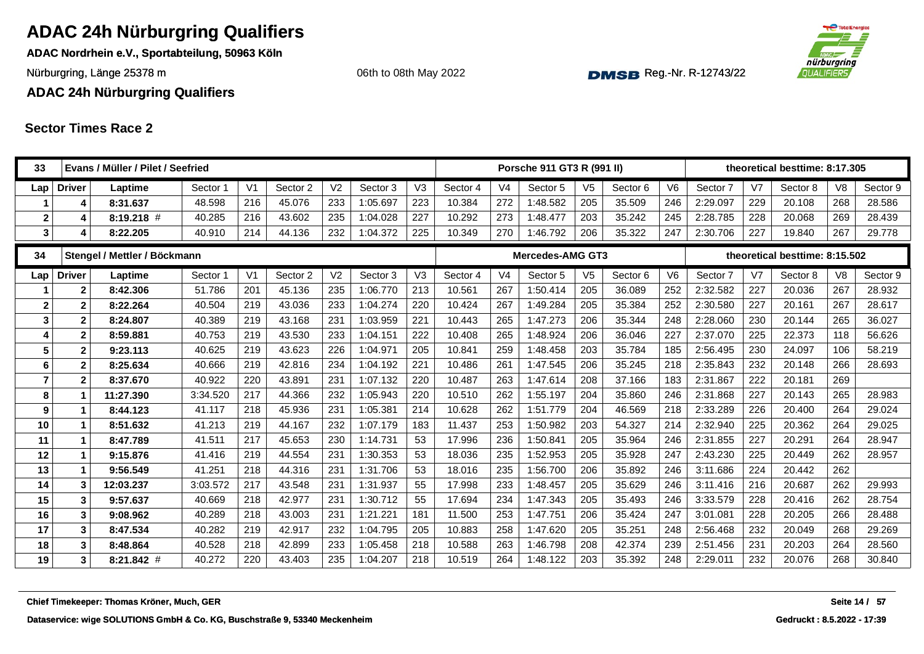**ADAC Nordrhein e.V., Sportabteilung, 50963 Köln**

Nürburgring, Länge 25378 m and the Communication of the Communication of the Communication of the Communication of the Communication of the Communication of the Communication of the Communication of the Communication of th

06th to 08th May 2022



**ADAC 24h Nürburgring Qualifiers**

| 33                      |               | Evans / Müller / Pilet / Seefried          |          |                |          |                |          |                |          |                | Porsche 911 GT3 R (991 II) |                |          |                |          |                | theoretical besttime: 8:17.305 |                |               |
|-------------------------|---------------|--------------------------------------------|----------|----------------|----------|----------------|----------|----------------|----------|----------------|----------------------------|----------------|----------|----------------|----------|----------------|--------------------------------|----------------|---------------|
| Lap                     | <b>Driver</b> | Laptime                                    | Sector 1 | V <sub>1</sub> | Sector 2 | V <sub>2</sub> | Sector 3 | V <sub>3</sub> | Sector 4 | V <sub>4</sub> | Sector 5                   | V <sub>5</sub> | Sector 6 | V <sub>6</sub> | Sector 7 | V7             | Sector 8                       | V <sub>8</sub> | Sector 9      |
|                         | 4             | 8:31.637                                   | 48.598   | 216            | 45.076   | 233            | 1:05.697 | 223            | 10.384   | 272            | 1:48.582                   | 205            | 35.509   | 246            | 2:29.097 | 229            | 20.108                         | 268            | 28.586        |
| $\mathbf{2}$            | 4             | $8:19.218$ #                               | 40.285   | 216            | 43.602   | 235            | 1:04.028 | 227            | 10.292   | 273            | 1:48.477                   | 203            | 35.242   | 245            | 2:28.785 | 228            | 20.068                         | 269            | 28.439        |
| $\mathbf{3}$            | 4             | 8:22.205                                   | 40.910   | 214            | 44.136   | 232            | 1:04.372 | 225            | 10.349   | 270            | 1:46.792                   | 206            | 35.322   | 247            | 2:30.706 | 227            | 19.840                         | 267            | 29.778        |
| 34                      |               | Stengel / Mettler / Böckmann               |          |                |          |                |          |                |          |                | <b>Mercedes-AMG GT3</b>    |                |          |                |          |                | theoretical besttime: 8:15.502 |                |               |
| Lap                     | <b>Driver</b> | Laptime                                    | Sector 1 | V <sub>1</sub> | Sector 2 | V <sub>2</sub> | Sector 3 | V3             | Sector 4 | V <sub>4</sub> | Sector 5                   | V <sub>5</sub> | Sector 6 | V <sub>6</sub> | Sector 7 | V <sub>7</sub> | Sector 8                       | V <sub>8</sub> | Sector 9      |
| $\mathbf 1$             | $\mathbf 2$   | 8:42.306                                   | 51.786   | 201            | 45.136   | 235            | 1:06.770 | 213            | 10.561   | 267            | 1:50.414                   | 205            | 36.089   | 252            | 2:32.582 | 227            | 20.036                         | 267            | 28.932        |
| $\overline{\mathbf{2}}$ | $\mathbf 2$   | 8:22.264                                   | 40.504   | 219            | 43.036   | 233            | 1:04.274 | 220            | 10.424   | 267            | 1:49.284                   | 205            | 35.384   | 252            | 2:30.580 | 227            | 20.161                         | 267            | 28.617        |
| 3                       | $\mathbf 2$   | 8:24.807                                   | 40.389   | 219            | 43.168   | 231            | 1:03.959 | 221            | 10.443   | 265            | 1:47.273                   | 206            | 35.344   | 248            | 2:28.060 | 230            | 20.144                         | 265            | 36.027        |
| 4                       | $\mathbf 2$   | 8:59.881                                   | 40.753   | 219            | 43.530   | 233            | 1:04.151 | 222            | 10.408   | 265            | 1:48.924                   | 206            | 36.046   | 227            | 2:37.070 | 225            | 22.373                         | 118            | 56.626        |
| 5                       | $\mathbf 2$   | 9:23.113                                   | 40.625   | 219            | 43.623   | 226            | 1:04.971 | 205            | 10.841   | 259            | 1:48.458                   | 203            | 35.784   | 185            | 2:56.495 | 230            | 24.097                         | 106            | 58.219        |
| 6                       | $\mathbf 2$   | 8:25.634                                   | 40.666   | 219            | 42.816   | 234            | 1:04.192 | 221            | 10.486   | 261            | 1:47.545                   | 206            | 35.245   | 218            | 2:35.843 | 232            | 20.148                         | 266            | 28.693        |
| $\overline{7}$          | $\mathbf 2$   | 8:37.670                                   | 40.922   | 220            | 43.891   | 231            | 1:07.132 | 220            | 10.487   | 263            | 1:47.614                   | 208            | 37.166   | 183            | 2:31.867 | 222            | 20.181                         | 269            |               |
| 8                       | 1             | 11:27.390                                  | 3:34.520 | 217            | 44.366   | 232            | 1:05.943 | 220            | 10.510   | 262            | 1:55.197                   | 204            | 35.860   | 246            | 2:31.868 | 227            | 20.143                         | 265            | 28.983        |
| 9                       | 1             | 8:44.123                                   | 41.117   | 218            | 45.936   | 231            | 1:05.381 | 214            | 10.628   | 262            | 1:51.779                   | 204            | 46.569   | 218            | 2:33.289 | 226            | 20.400                         | 264            | 29.024        |
| 10                      | 1             | 8:51.632                                   | 41.213   | 219            | 44.167   | 232            | 1:07.179 | 183            | 11.437   | 253            | 1:50.982                   | 203            | 54.327   | 214            | 2:32.940 | 225            | 20.362                         | 264            | 29.025        |
| 11                      | 1             | 8:47.789                                   | 41.511   | 217            | 45.653   | 230            | 1:14.731 | 53             | 17.996   | 236            | 1:50.841                   | 205            | 35.964   | 246            | 2:31.855 | 227            | 20.291                         | 264            | 28.947        |
| 12                      | 1             | 9:15.876                                   | 41.416   | 219            | 44.554   | 231            | 1:30.353 | 53             | 18.036   | 235            | 1:52.953                   | 205            | 35.928   | 247            | 2:43.230 | 225            | 20.449                         | 262            | 28.957        |
| 13                      | 1             | 9:56.549                                   | 41.251   | 218            | 44.316   | 231            | 1:31.706 | 53             | 18.016   | 235            | 1:56.700                   | 206            | 35.892   | 246            | 3:11.686 | 224            | 20.442                         | 262            |               |
| 14                      | 3             | 12:03.237                                  | 3:03.572 | 217            | 43.548   | 231            | 1:31.937 | 55             | 17.998   | 233            | 1:48.457                   | 205            | 35.629   | 246            | 3:11.416 | 216            | 20.687                         | 262            | 29.993        |
| 15                      | 3             | 9:57.637                                   | 40.669   | 218            | 42.977   | 231            | 1:30.712 | 55             | 17.694   | 234            | 1:47.343                   | 205            | 35.493   | 246            | 3:33.579 | 228            | 20.416                         | 262            | 28.754        |
| 16                      | 3             | 9:08.962                                   | 40.289   | 218            | 43.003   | 231            | 1:21.221 | 181            | 11.500   | 253            | 1:47.751                   | 206            | 35.424   | 247            | 3:01.081 | 228            | 20.205                         | 266            | 28.488        |
| 17                      | 3             | 8:47.534                                   | 40.282   | 219            | 42.917   | 232            | 1:04.795 | 205            | 10.883   | 258            | 1:47.620                   | 205            | 35.251   | 248            | 2:56.468 | 232            | 20.049                         | 268            | 29.269        |
| 18                      | 3             | 8:48.864                                   | 40.528   | 218            | 42.899   | 233            | 1:05.458 | 218            | 10.588   | 263            | 1:46.798                   | 208            | 42.374   | 239            | 2:51.456 | 231            | 20.203                         | 264            | 28.560        |
| 19                      | 3             | $8:21.842$ #                               | 40.272   | 220            | 43.403   | 235            | 1:04.207 | 218            | 10.519   | 264            | 1:48.122                   | 203            | 35.392   | 248            | 2:29.011 | 232            | 20.076                         | 268            | 30.840        |
|                         |               | Chief Timekeeper: Thomas Kröner, Much, GER |          |                |          |                |          |                |          |                |                            |                |          |                |          |                |                                |                | Seite 14 / 57 |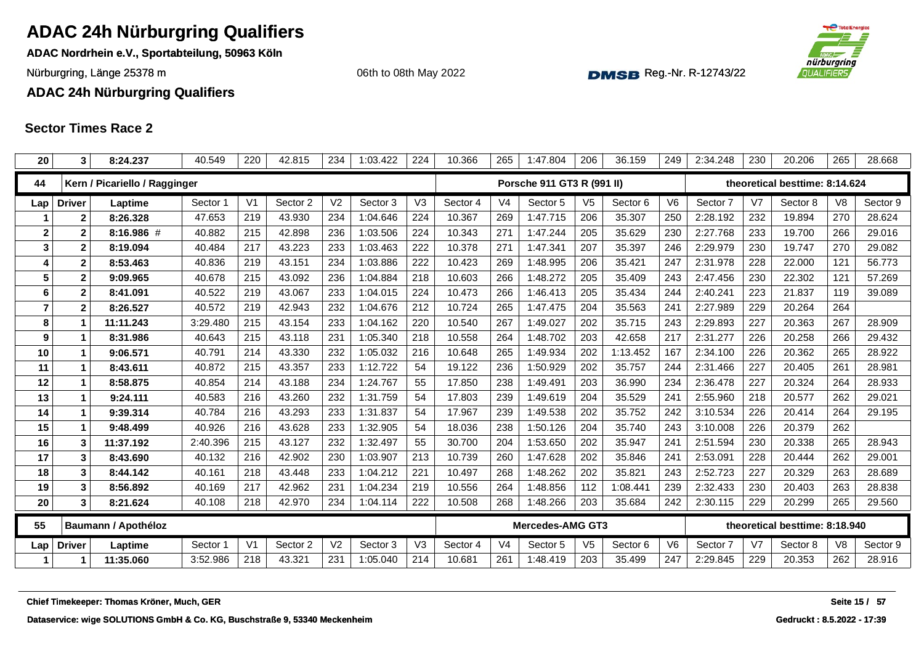**ADAC Nordrhein e.V., Sportabteilung, 50963 Köln**

Nürburgring, Länge 25378 m and the Communication of the Communication of the Communication of the Communication of the Communication of the Communication of the Communication of the Communication of the Communication of th

06th to 08th May 2022



**ADAC 24h Nürburgring Qualifiers**

| 20             | 3                    | 8:24.237                                   | 40.549   | 220            | 42.815   | 234            | 1:03.422 | 224 | 10.366   | 265            | 1:47.804                   | 206            | 36.159   | 249            | 2:34.248 | 230            | 20.206                         | 265            | 28.668        |
|----------------|----------------------|--------------------------------------------|----------|----------------|----------|----------------|----------|-----|----------|----------------|----------------------------|----------------|----------|----------------|----------|----------------|--------------------------------|----------------|---------------|
| 44             |                      | Kern / Picariello / Ragginger              |          |                |          |                |          |     |          |                | Porsche 911 GT3 R (991 II) |                |          |                |          |                | theoretical besttime: 8:14.624 |                |               |
| Lap            | <b>Driver</b>        | Laptime                                    | Sector 1 | V <sub>1</sub> | Sector 2 | V <sub>2</sub> | Sector 3 | V3  | Sector 4 | V <sub>4</sub> | Sector 5                   | V <sub>5</sub> | Sector 6 | V <sub>6</sub> | Sector 7 | V <sub>7</sub> | Sector 8                       | V <sub>8</sub> | Sector 9      |
|                | $\mathbf{2}$         | 8:26.328                                   | 47.653   | 219            | 43.930   | 234            | 1:04.646 | 224 | 10.367   | 269            | 1:47.715                   | 206            | 35.307   | 250            | 2:28.192 | 232            | 19.894                         | 270            | 28.624        |
| $\mathbf{2}$   | $\mathbf{2}$         | 8:16.986 #                                 | 40.882   | 215            | 42.898   | 236            | 1:03.506 | 224 | 10.343   | 271            | 1:47.244                   | 205            | 35.629   | 230            | 2:27.768 | 233            | 19.700                         | 266            | 29.016        |
| 3              | $\mathbf{2}$         | 8:19.094                                   | 40.484   | 217            | 43.223   | 233            | 1:03.463 | 222 | 10.378   | 271            | 1:47.341                   | 207            | 35.397   | 246            | 2:29.979 | 230            | 19.747                         | 270            | 29.082        |
| 4              | $\mathbf{2}$         | 8:53.463                                   | 40.836   | 219            | 43.151   | 234            | 1:03.886 | 222 | 10.423   | 269            | 1:48.995                   | 206            | 35.421   | 247            | 2:31.978 | 228            | 22.000                         | 121            | 56.773        |
| 5              | $\mathbf{2}$         | 9:09.965                                   | 40.678   | 215            | 43.092   | 236            | 1:04.884 | 218 | 10.603   | 266            | 1:48.272                   | 205            | 35.409   | 243            | 2:47.456 | 230            | 22.302                         | 121            | 57.269        |
| $\bf 6$        | $\mathbf 2$          | 8:41.091                                   | 40.522   | 219            | 43.067   | 233            | 1:04.015 | 224 | 10.473   | 266            | 1:46.413                   | 205            | 35.434   | 244            | 2:40.241 | 223            | 21.837                         | 119            | 39.089        |
| $\overline{7}$ | $\mathbf{2}$         | 8:26.527                                   | 40.572   | 219            | 42.943   | 232            | 1:04.676 | 212 | 10.724   | 265            | 1:47.475                   | 204            | 35.563   | 241            | 2:27.989 | 229            | 20.264                         | 264            |               |
| 8              |                      | 11:11.243                                  | 3:29.480 | 215            | 43.154   | 233            | 1:04.162 | 220 | 10.540   | 267            | 1:49.027                   | 202            | 35.715   | 243            | 2:29.893 | 227            | 20.363                         | 267            | 28.909        |
| 9              | $\blacktriangleleft$ | 8:31.986                                   | 40.643   | 215            | 43.118   | 231            | 1:05.340 | 218 | 10.558   | 264            | 1:48.702                   | 203            | 42.658   | 217            | 2:31.277 | 226            | 20.258                         | 266            | 29.432        |
| 10             | $\mathbf 1$          | 9:06.571                                   | 40.791   | 214            | 43.330   | 232            | 1:05.032 | 216 | 10.648   | 265            | 1:49.934                   | 202            | 1:13.452 | 167            | 2:34.100 | 226            | 20.362                         | 265            | 28.922        |
| 11             | 1                    | 8:43.611                                   | 40.872   | 215            | 43.357   | 233            | 1:12.722 | 54  | 19.122   | 236            | 1:50.929                   | 202            | 35.757   | 244            | 2:31.466 | 227            | 20.405                         | 261            | 28.981        |
| 12             | 1                    | 8:58.875                                   | 40.854   | 214            | 43.188   | 234            | 1:24.767 | 55  | 17.850   | 238            | 1:49.491                   | 203            | 36.990   | 234            | 2:36.478 | 227            | 20.324                         | 264            | 28.933        |
| 13             | 1                    | 9:24.111                                   | 40.583   | 216            | 43.260   | 232            | 1:31.759 | 54  | 17.803   | 239            | 1:49.619                   | 204            | 35.529   | 241            | 2:55.960 | 218            | 20.577                         | 262            | 29.021        |
| 14             | $\mathbf 1$          | 9:39.314                                   | 40.784   | 216            | 43.293   | 233            | 1:31.837 | 54  | 17.967   | 239            | 1:49.538                   | 202            | 35.752   | 242            | 3:10.534 | 226            | 20.414                         | 264            | 29.195        |
| 15             |                      | 9:48.499                                   | 40.926   | 216            | 43.628   | 233            | 1:32.905 | 54  | 18.036   | 238            | 1:50.126                   | 204            | 35.740   | 243            | 3:10.008 | 226            | 20.379                         | 262            |               |
| 16             | 3                    | 11:37.192                                  | 2:40.396 | 215            | 43.127   | 232            | 1:32.497 | 55  | 30.700   | 204            | 1:53.650                   | 202            | 35.947   | 241            | 2:51.594 | 230            | 20.338                         | 265            | 28.943        |
| 17             | 3                    | 8:43.690                                   | 40.132   | 216            | 42.902   | 230            | 1:03.907 | 213 | 10.739   | 260            | 1:47.628                   | 202            | 35.846   | 241            | 2:53.091 | 228            | 20.444                         | 262            | 29.001        |
| 18             | 3                    | 8:44.142                                   | 40.161   | 218            | 43.448   | 233            | 1:04.212 | 221 | 10.497   | 268            | 1:48.262                   | 202            | 35.821   | 243            | 2:52.723 | 227            | 20.329                         | 263            | 28.689        |
| 19             | 3                    | 8:56.892                                   | 40.169   | 217            | 42.962   | 231            | 1:04.234 | 219 | 10.556   | 264            | 1:48.856                   | 112            | 1:08.441 | 239            | 2:32.433 | 230            | 20.403                         | 263            | 28.838        |
| 20             | 3                    | 8:21.624                                   | 40.108   | 218            | 42.970   | 234            | 1:04.114 | 222 | 10.508   | 268            | 1:48.266                   | 203            | 35.684   | 242            | 2:30.115 | 229            | 20.299                         | 265            | 29.560        |
| 55             |                      | Baumann / Apothéloz                        |          |                |          |                |          |     |          |                | <b>Mercedes-AMG GT3</b>    |                |          |                |          |                | theoretical besttime: 8:18.940 |                |               |
| Lap            | <b>Driver</b>        | Laptime                                    | Sector 1 | V <sub>1</sub> | Sector 2 | V <sub>2</sub> | Sector 3 | V3  | Sector 4 | V <sub>4</sub> | Sector 5                   | V <sub>5</sub> | Sector 6 | V <sub>6</sub> | Sector 7 | V <sub>7</sub> | Sector 8                       | V <sub>8</sub> | Sector 9      |
|                |                      | 11:35.060                                  | 3:52.986 | 218            | 43.321   | 231            | 1:05.040 | 214 | 10.681   | 261            | 1:48.419                   | 203            | 35.499   | 247            | 2:29.845 | 229            | 20.353                         | 262            | 28.916        |
|                |                      |                                            |          |                |          |                |          |     |          |                |                            |                |          |                |          |                |                                |                |               |
|                |                      | Chief Timekeeper: Thomas Kröner, Much, GER |          |                |          |                |          |     |          |                |                            |                |          |                |          |                |                                |                | Seite 15 / 57 |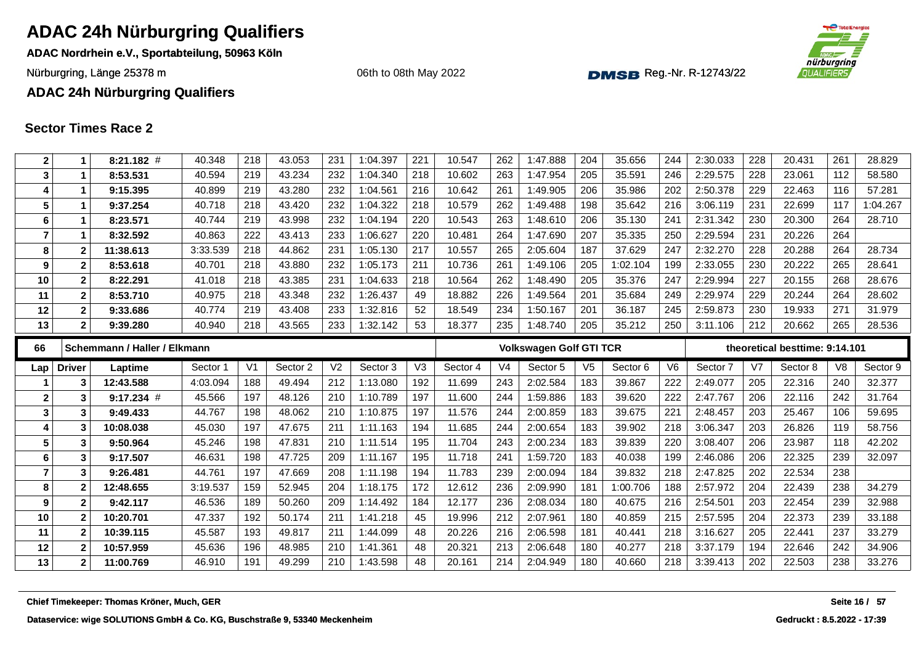**ADAC Nordrhein e.V., Sportabteilung, 50963 Köln**

Nürburgring, Länge 25378 m and the Communication of the Communication of the Communication of the Communication of the Communication of the Communication of the Communication of the Communication of the Communication of th

06th to 08th May 2022



**ADAC 24h Nürburgring Qualifiers**

| $\overline{\mathbf{2}}$ | 1              | $8:21.182$ #                               | 40.348   | 218            | 43.053   | 231            | 1:04.397 | 221            | 10.547   | 262            | 1:47.888                       | 204            | 35.656   | 244 | 2:30.033 | 228 | 20.431                         | 261            | 28.829        |
|-------------------------|----------------|--------------------------------------------|----------|----------------|----------|----------------|----------|----------------|----------|----------------|--------------------------------|----------------|----------|-----|----------|-----|--------------------------------|----------------|---------------|
| $\mathbf{3}$            | 1              | 8:53.531                                   | 40.594   | 219            | 43.234   | 232            | 1:04.340 | 218            | 10.602   | 263            | 1:47.954                       | 205            | 35.591   | 246 | 2:29.575 | 228 | 23.061                         | 112            | 58.580        |
| 4                       | 1              | 9:15.395                                   | 40.899   | 219            | 43.280   | 232            | 1:04.561 | 216            | 10.642   | 261            | 1:49.905                       | 206            | 35.986   | 202 | 2:50.378 | 229 | 22.463                         | 116            | 57.281        |
| 5                       | 1              | 9:37.254                                   | 40.718   | 218            | 43.420   | 232            | 1:04.322 | 218            | 10.579   | 262            | 1:49.488                       | 198            | 35.642   | 216 | 3:06.119 | 231 | 22.699                         | 117            | 1:04.267      |
| $6\phantom{1}6$         | 1              | 8:23.571                                   | 40.744   | 219            | 43.998   | 232            | 1:04.194 | 220            | 10.543   | 263            | 1:48.610                       | 206            | 35.130   | 241 | 2:31.342 | 230 | 20.300                         | 264            | 28.710        |
| $\overline{7}$          | 1              | 8:32.592                                   | 40.863   | 222            | 43.413   | 233            | 1:06.627 | 220            | 10.481   | 264            | 1:47.690                       | 207            | 35.335   | 250 | 2:29.594 | 231 | 20.226                         | 264            |               |
| 8                       | $\overline{2}$ | 11:38.613                                  | 3:33.539 | 218            | 44.862   | 231            | 1:05.130 | 217            | 10.557   | 265            | 2:05.604                       | 187            | 37.629   | 247 | 2:32.270 | 228 | 20.288                         | 264            | 28.734        |
| 9                       | $\mathbf{2}$   | 8:53.618                                   | 40.701   | 218            | 43.880   | 232            | 1:05.173 | 211            | 10.736   | 261            | 1:49.106                       | 205            | 1:02.104 | 199 | 2:33.055 | 230 | 20.222                         | 265            | 28.641        |
| 10                      | $\mathbf{2}$   | 8:22.291                                   | 41.018   | 218            | 43.385   | 231            | 1:04.633 | 218            | 10.564   | 262            | 1:48.490                       | 205            | 35.376   | 247 | 2:29.994 | 227 | 20.155                         | 268            | 28.676        |
| 11                      | $\mathbf{2}$   | 8:53.710                                   | 40.975   | 218            | 43.348   | 232            | 1:26.437 | 49             | 18.882   | 226            | 1:49.564                       | 201            | 35.684   | 249 | 2:29.974 | 229 | 20.244                         | 264            | 28.602        |
| 12                      | $\mathbf{2}$   | 9:33.686                                   | 40.774   | 219            | 43.408   | 233            | 1:32.816 | 52             | 18.549   | 234            | 1:50.167                       | 201            | 36.187   | 245 | 2:59.873 | 230 | 19.933                         | 271            | 31.979        |
| 13                      | $\mathbf{2}$   | 9:39.280                                   | 40.940   | 218            | 43.565   | 233            | 1:32.142 | 53             | 18.377   | 235            | 1:48.740                       | 205            | 35.212   | 250 | 3:11.106 | 212 | 20.662                         | 265            | 28.536        |
| 66                      |                | Schemmann / Haller / Elkmann               |          |                |          |                |          |                |          |                | <b>Volkswagen Golf GTI TCR</b> |                |          |     |          |     | theoretical besttime: 9:14.101 |                |               |
| Lap                     | <b>Driver</b>  | Laptime                                    | Sector 1 | V <sub>1</sub> | Sector 2 | V <sub>2</sub> | Sector 3 | V <sub>3</sub> | Sector 4 | V <sub>4</sub> | Sector 5                       | V <sub>5</sub> | Sector 6 | V6  | Sector 7 | V7  | Sector 8                       | V <sub>8</sub> | Sector 9      |
|                         | 3              | 12:43.588                                  | 4:03.094 | 188            | 49.494   | 212            | 1:13.080 | 192            | 11.699   | 243            | 2:02.584                       | 183            | 39.867   | 222 | 2:49.077 | 205 | 22.316                         | 240            | 32.377        |
| $\overline{2}$          | 3              | $9:17.234$ #                               | 45.566   | 197            | 48.126   | 210            | 1:10.789 | 197            | 11.600   | 244            | 1:59.886                       | 183            | 39.620   | 222 | 2:47.767 | 206 | 22.116                         | 242            | 31.764        |
| 3                       | 3              | 9:49.433                                   | 44.767   | 198            | 48.062   | 210            | 1:10.875 | 197            | 11.576   | 244            | 2:00.859                       | 183            | 39.675   | 221 | 2:48.457 | 203 | 25.467                         | 106            | 59.695        |
| 4                       | 3              | 10:08.038                                  | 45.030   | 197            | 47.675   | 211            | 1:11.163 | 194            | 11.685   | 244            | 2:00.654                       | 183            | 39.902   | 218 | 3:06.347 | 203 | 26.826                         | 119            | 58.756        |
| 5                       | 3              | 9:50.964                                   | 45.246   | 198            | 47.831   | 210            | 1:11.514 | 195            | 11.704   | 243            | 2:00.234                       | 183            | 39.839   | 220 | 3:08.407 | 206 | 23.987                         | 118            | 42.202        |
| $6\phantom{a}$          | 3              | 9:17.507                                   | 46.631   | 198            | 47.725   | 209            | 1:11.167 | 195            | 11.718   | 241            | 1:59.720                       | 183            | 40.038   | 199 | 2:46.086 | 206 | 22.325                         | 239            | 32.097        |
| $\overline{7}$          | 3              | 9:26.481                                   | 44.761   | 197            | 47.669   | 208            | 1:11.198 | 194            | 11.783   | 239            | 2:00.094                       | 184            | 39.832   | 218 | 2:47.825 | 202 | 22.534                         | 238            |               |
| 8                       | $\overline{2}$ | 12:48.655                                  | 3:19.537 | 159            | 52.945   | 204            | 1:18.175 | 172            | 12.612   | 236            | 2:09.990                       | 181            | 1:00.706 | 188 | 2:57.972 | 204 | 22.439                         | 238            | 34.279        |
| 9                       | $\mathbf 2$    | 9:42.117                                   | 46.536   | 189            | 50.260   | 209            | 1:14.492 | 184            | 12.177   | 236            | 2:08.034                       | 180            | 40.675   | 216 | 2:54.501 | 203 | 22.454                         | 239            | 32.988        |
| 10                      | $\mathbf{2}$   | 10:20.701                                  | 47.337   | 192            | 50.174   | 211            | 1:41.218 | 45             | 19.996   | 212            | 2:07.961                       | 180            | 40.859   | 215 | 2:57.595 | 204 | 22.373                         | 239            | 33.188        |
| 11                      | $\mathbf{2}$   | 10:39.115                                  | 45.587   | 193            | 49.817   | 211            | 1:44.099 | 48             | 20.226   | 216            | 2:06.598                       | 181            | 40.441   | 218 | 3:16.627 | 205 | 22.441                         | 237            | 33.279        |
| 12                      | $\overline{2}$ | 10:57.959                                  | 45.636   | 196            | 48.985   | 210            | 1:41.361 | 48             | 20.321   | 213            | 2:06.648                       | 180            | 40.277   | 218 | 3:37.179 | 194 | 22.646                         | 242            | 34.906        |
| 13                      | $\mathbf{2}$   | 11:00.769                                  | 46.910   | 191            | 49.299   | 210            | 1:43.598 | 48             | 20.161   | 214            | 2:04.949                       | 180            | 40.660   | 218 | 3:39.413 | 202 | 22.503                         | 238            | 33.276        |
|                         |                | Chief Timekeeper: Thomas Kröner, Much, GER |          |                |          |                |          |                |          |                |                                |                |          |     |          |     |                                |                | Seite 16 / 57 |
|                         |                |                                            |          |                |          |                |          |                |          |                |                                |                |          |     |          |     |                                |                |               |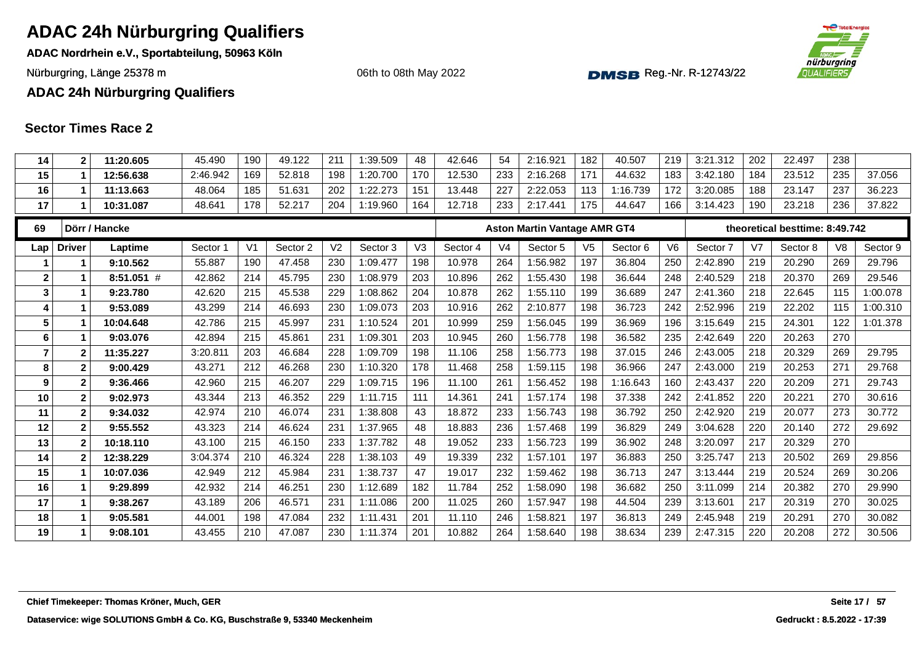**ADAC Nordrhein e.V., Sportabteilung, 50963 Köln**

Nürburgring, Länge 25378 m and the Communication of the Communication of the Communication of the Communication of the Communication of the Communication of the Communication of the Communication of the Communication of th

06th to 08th May 2022



**ADAC 24h Nürburgring Qualifiers**

| 14               | $\mathbf{2}$            | 11:20.605                                  | 45.490   | 190            | 49.122   | 211            | 1:39.509 | 48             | 42.646   | 54             | 2:16.921                            | 182            | 40.507   | 219            | 3:21.312 | 202            | 22.497                         | 238 |               |
|------------------|-------------------------|--------------------------------------------|----------|----------------|----------|----------------|----------|----------------|----------|----------------|-------------------------------------|----------------|----------|----------------|----------|----------------|--------------------------------|-----|---------------|
| 15               | -1                      | 12:56.638                                  | 2:46.942 | 169            | 52.818   | 198            | 1:20.700 | 170            | 12.530   | 233            | 2:16.268                            | 171            | 44.632   | 183            | 3:42.180 | 184            | 23.512                         | 235 | 37.056        |
| 16               | -1                      | 11:13.663                                  | 48.064   | 185            | 51.631   | 202            | 1:22.273 | 151            | 13.448   | 227            | 2:22.053                            | 113            | 1:16.739 | 172            | 3:20.085 | 188            | 23.147                         | 237 | 36.223        |
| 17               |                         | 10:31.087                                  | 48.641   | 178            | 52.217   | 204            | 1:19.960 | 164            | 12.718   | 233            | 2:17.441                            | 175            | 44.647   | 166            | 3:14.423 | 190            | 23.218                         | 236 | 37.822        |
| 69               |                         | Dörr / Hancke                              |          |                |          |                |          |                |          |                | <b>Aston Martin Vantage AMR GT4</b> |                |          |                |          |                | theoretical besttime: 8:49.742 |     |               |
| Lap              | <b>Driver</b>           | Laptime                                    | Sector 1 | V <sub>1</sub> | Sector 2 | V <sub>2</sub> | Sector 3 | V <sub>3</sub> | Sector 4 | V <sub>4</sub> | Sector 5                            | V <sub>5</sub> | Sector 6 | V <sub>6</sub> | Sector 7 | V <sub>7</sub> | Sector 8                       | V8  | Sector 9      |
| 1                | -1                      | 9:10.562                                   | 55.887   | 190            | 47.458   | 230            | 1:09.477 | 198            | 10.978   | 264            | 1:56.982                            | 197            | 36.804   | 250            | 2:42.890 | 219            | 20.290                         | 269 | 29.796        |
| $\bf{2}$         | 1                       | $8:51.051$ #                               | 42.862   | 214            | 45.795   | 230            | 1:08.979 | 203            | 10.896   | 262            | 1:55.430                            | 198            | 36.644   | 248            | 2:40.529 | 218            | 20.370                         | 269 | 29.546        |
| $\mathbf{3}$     | -1                      | 9:23.780                                   | 42.620   | 215            | 45.538   | 229            | 1:08.862 | 204            | 10.878   | 262            | 1:55.110                            | 199            | 36.689   | 247            | 2:41.360 | 218            | 22.645                         | 115 | 1:00.078      |
| 4                | $\mathbf{1}$            | 9:53.089                                   | 43.299   | 214            | 46.693   | 230            | 1:09.073 | 203            | 10.916   | 262            | 2:10.877                            | 198            | 36.723   | 242            | 2:52.996 | 219            | 22.202                         | 115 | 1:00.310      |
| 5                | -1                      | 10:04.648                                  | 42.786   | 215            | 45.997   | 231            | 1:10.524 | 201            | 10.999   | 259            | 1:56.045                            | 199            | 36.969   | 196            | 3:15.649 | 215            | 24.301                         | 122 | 1:01.378      |
| 6                | $\mathbf{1}$            | 9:03.076                                   | 42.894   | 215            | 45.861   | 231            | 1:09.301 | 203            | 10.945   | 260            | 1:56.778                            | 198            | 36.582   | 235            | 2:42.649 | 220            | 20.263                         | 270 |               |
| 7                | $\overline{2}$          | 11:35.227                                  | 3:20.811 | 203            | 46.684   | 228            | 1:09.709 | 198            | 11.106   | 258            | 1:56.773                            | 198            | 37.015   | 246            | 2:43.005 | 218            | 20.329                         | 269 | 29.795        |
| 8                | $\overline{\mathbf{2}}$ | 9:00.429                                   | 43.271   | 212            | 46.268   | 230            | 1:10.320 | 178            | 11.468   | 258            | 1:59.115                            | 198            | 36.966   | 247            | 2:43.000 | 219            | 20.253                         | 271 | 29.768        |
| $\boldsymbol{9}$ | $\mathbf{2}$            | 9:36.466                                   | 42.960   | 215            | 46.207   | 229            | 1:09.715 | 196            | 11.100   | 261            | 1:56.452                            | 198            | 1:16.643 | 160            | 2:43.437 | 220            | 20.209                         | 271 | 29.743        |
| 10               | $\mathbf{2}$            | 9:02.973                                   | 43.344   | 213            | 46.352   | 229            | 1:11.715 | 111            | 14.361   | 241            | 1:57.174                            | 198            | 37.338   | 242            | 2:41.852 | 220            | 20.221                         | 270 | 30.616        |
| 11               | $\mathbf{2}$            | 9:34.032                                   | 42.974   | 210            | 46.074   | 231            | 1:38.808 | 43             | 18.872   | 233            | 1:56.743                            | 198            | 36.792   | 250            | 2:42.920 | 219            | 20.077                         | 273 | 30.772        |
| 12               | $\mathbf{2}$            | 9:55.552                                   | 43.323   | 214            | 46.624   | 231            | 1:37.965 | 48             | 18.883   | 236            | 1:57.468                            | 199            | 36.829   | 249            | 3:04.628 | 220            | 20.140                         | 272 | 29.692        |
| 13               | $\mathbf{2}$            | 10:18.110                                  | 43.100   | 215            | 46.150   | 233            | 1:37.782 | 48             | 19.052   | 233            | 1:56.723                            | 199            | 36.902   | 248            | 3:20.097 | 217            | 20.329                         | 270 |               |
| 14               | $\mathbf{2}$            | 12:38.229                                  | 3:04.374 | 210            | 46.324   | 228            | 1:38.103 | 49             | 19.339   | 232            | 1:57.101                            | 197            | 36.883   | 250            | 3:25.747 | 213            | 20.502                         | 269 | 29.856        |
| 15               |                         | 10:07.036                                  | 42.949   | 212            | 45.984   | 231            | 1:38.737 | 47             | 19.017   | 232            | 1:59.462                            | 198            | 36.713   | 247            | 3:13.444 | 219            | 20.524                         | 269 | 30.206        |
| 16               | 1                       | 9:29.899                                   | 42.932   | 214            | 46.251   | 230            | 1:12.689 | 182            | 11.784   | 252            | 1:58.090                            | 198            | 36.682   | 250            | 3:11.099 | 214            | 20.382                         | 270 | 29.990        |
| 17               |                         | 9:38.267                                   | 43.189   | 206            | 46.571   | 231            | 1:11.086 | 200            | 11.025   | 260            | 1:57.947                            | 198            | 44.504   | 239            | 3:13.601 | 217            | 20.319                         | 270 | 30.025        |
| 18               | 1                       | 9:05.581                                   | 44.001   | 198            | 47.084   | 232            | 1:11.431 | 201            | 11.110   | 246            | 1:58.821                            | 197            | 36.813   | 249            | 2:45.948 | 219            | 20.291                         | 270 | 30.082        |
| 19               | -1                      | 9:08.101                                   | 43.455   | 210            | 47.087   | 230            | 1:11.374 | 201            | 10.882   | 264            | 1:58.640                            | 198            | 38.634   | 239            | 2:47.315 | 220            | 20.208                         | 272 | 30.506        |
|                  |                         |                                            |          |                |          |                |          |                |          |                |                                     |                |          |                |          |                |                                |     |               |
|                  |                         | Chief Timekeeper: Thomas Kröner, Much, GER |          |                |          |                |          |                |          |                |                                     |                |          |                |          |                |                                |     | Seite 17 / 57 |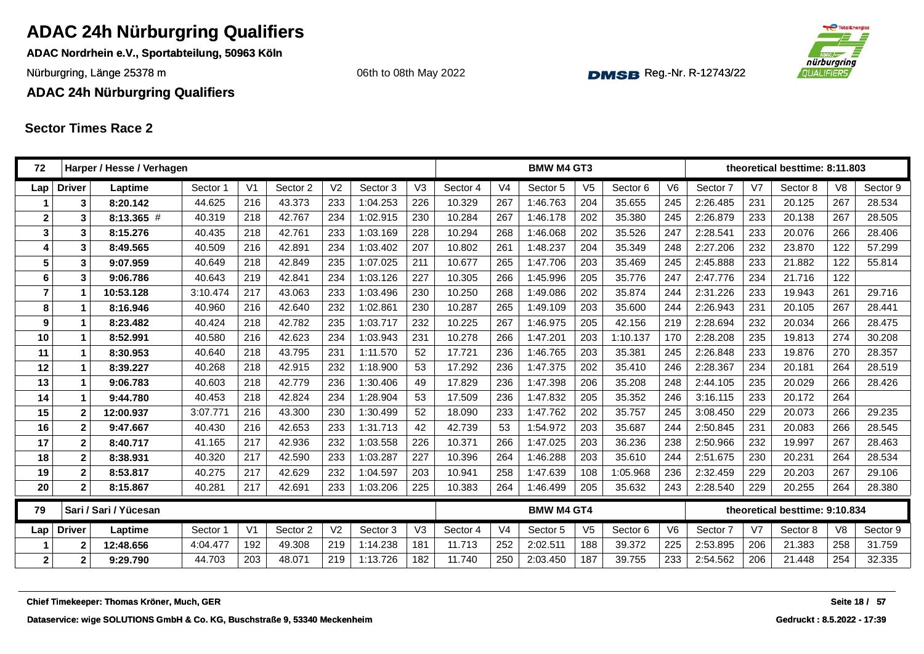**ADAC Nordrhein e.V., Sportabteilung, 50963 Köln**

Nürburgring, Länge 25378 m and the Communication of the Communication of the Communication of the Communication of the Communication of the Communication of the Communication of the Communication of the Communication of th

06th to 08th May 2022



**ADAC 24h Nürburgring Qualifiers**

| 72                      |               | Harper / Hesse / Verhagen                  |          |                |          |                |          |                |          |                | <b>BMW M4 GT3</b> |                |          |                |          |                | theoretical besttime: 8:11.803 |                |               |
|-------------------------|---------------|--------------------------------------------|----------|----------------|----------|----------------|----------|----------------|----------|----------------|-------------------|----------------|----------|----------------|----------|----------------|--------------------------------|----------------|---------------|
| Lap                     | <b>Driver</b> | Laptime                                    | Sector 1 | V <sub>1</sub> | Sector 2 | V <sub>2</sub> | Sector 3 | V <sub>3</sub> | Sector 4 | V <sub>4</sub> | Sector 5          | V <sub>5</sub> | Sector 6 | V <sub>6</sub> | Sector 7 | V <sub>7</sub> | Sector 8                       | V <sub>8</sub> | Sector 9      |
|                         | 3             | 8:20.142                                   | 44.625   | 216            | 43.373   | 233            | 1:04.253 | 226            | 10.329   | 267            | 1:46.763          | 204            | 35.655   | 245            | 2:26.485 | 231            | 20.125                         | 267            | 28.534        |
| $\mathbf{2}$            | 3             | $8:13.365$ #                               | 40.319   | 218            | 42.767   | 234            | 1:02.915 | 230            | 10.284   | 267            | 1:46.178          | 202            | 35.380   | 245            | 2:26.879 | 233            | 20.138                         | 267            | 28.505        |
| 3                       | $\mathbf{3}$  | 8:15.276                                   | 40.435   | 218            | 42.761   | 233            | 1:03.169 | 228            | 10.294   | 268            | 1:46.068          | 202            | 35.526   | 247            | 2:28.541 | 233            | 20.076                         | 266            | 28.406        |
| $\overline{\mathbf{4}}$ | 3             | 8:49.565                                   | 40.509   | 216            | 42.891   | 234            | 1:03.402 | 207            | 10.802   | 261            | 1:48.237          | 204            | 35.349   | 248            | 2:27.206 | 232            | 23.870                         | 122            | 57.299        |
| $5\phantom{1}$          | $\mathbf{3}$  | 9:07.959                                   | 40.649   | 218            | 42.849   | 235            | 1:07.025 | 211            | 10.677   | 265            | 1:47.706          | 203            | 35.469   | 245            | 2:45.888 | 233            | 21.882                         | 122            | 55.814        |
| 6                       | 3             | 9:06.786                                   | 40.643   | 219            | 42.841   | 234            | 1:03.126 | 227            | 10.305   | 266            | 1:45.996          | 205            | 35.776   | 247            | 2:47.776 | 234            | 21.716                         | 122            |               |
| $\overline{7}$          | 1             | 10:53.128                                  | 3:10.474 | 217            | 43.063   | 233            | 1:03.496 | 230            | 10.250   | 268            | 1:49.086          | 202            | 35.874   | 244            | 2:31.226 | 233            | 19.943                         | 261            | 29.716        |
| 8                       | 1             | 8:16.946                                   | 40.960   | 216            | 42.640   | 232            | 1:02.861 | 230            | 10.287   | 265            | 1:49.109          | 203            | 35.600   | 244            | 2:26.943 | 231            | 20.105                         | 267            | 28.441        |
| 9                       | 1             | 8:23.482                                   | 40.424   | 218            | 42.782   | 235            | 1:03.717 | 232            | 10.225   | 267            | 1:46.975          | 205            | 42.156   | 219            | 2:28.694 | 232            | 20.034                         | 266            | 28.475        |
| 10                      | 1             | 8:52.991                                   | 40.580   | 216            | 42.623   | 234            | 1:03.943 | 231            | 10.278   | 266            | 1:47.201          | 203            | 1:10.137 | 170            | 2:28.208 | 235            | 19.813                         | 274            | 30.208        |
| 11                      | 1             | 8:30.953                                   | 40.640   | 218            | 43.795   | 231            | 1:11.570 | 52             | 17.721   | 236            | 1:46.765          | 203            | 35.381   | 245            | 2:26.848 | 233            | 19.876                         | 270            | 28.357        |
| 12                      | 1             | 8:39.227                                   | 40.268   | 218            | 42.915   | 232            | 1:18.900 | 53             | 17.292   | 236            | 1:47.375          | 202            | 35.410   | 246            | 2:28.367 | 234            | 20.181                         | 264            | 28.519        |
| 13                      | 1             | 9:06.783                                   | 40.603   | 218            | 42.779   | 236            | 1:30.406 | 49             | 17.829   | 236            | 1:47.398          | 206            | 35.208   | 248            | 2:44.105 | 235            | 20.029                         | 266            | 28.426        |
| 14                      | 1             | 9:44.780                                   | 40.453   | 218            | 42.824   | 234            | 1:28.904 | 53             | 17.509   | 236            | 1:47.832          | 205            | 35.352   | 246            | 3:16.115 | 233            | 20.172                         | 264            |               |
| 15                      | $\mathbf 2$   | 12:00.937                                  | 3:07.771 | 216            | 43.300   | 230            | 1:30.499 | 52             | 18.090   | 233            | 1:47.762          | 202            | 35.757   | 245            | 3:08.450 | 229            | 20.073                         | 266            | 29.235        |
| 16                      | $\mathbf{2}$  | 9:47.667                                   | 40.430   | 216            | 42.653   | 233            | 1:31.713 | 42             | 42.739   | 53             | 1:54.972          | 203            | 35.687   | 244            | 2:50.845 | 231            | 20.083                         | 266            | 28.545        |
| 17                      | $\mathbf{2}$  | 8:40.717                                   | 41.165   | 217            | 42.936   | 232            | 1:03.558 | 226            | 10.371   | 266            | 1:47.025          | 203            | 36.236   | 238            | 2:50.966 | 232            | 19.997                         | 267            | 28.463        |
| 18                      | $\mathbf{2}$  | 8:38.931                                   | 40.320   | 217            | 42.590   | 233            | 1:03.287 | 227            | 10.396   | 264            | 1:46.288          | 203            | 35.610   | 244            | 2:51.675 | 230            | 20.231                         | 264            | 28.534        |
| 19                      | $\mathbf{2}$  | 8:53.817                                   | 40.275   | 217            | 42.629   | 232            | 1:04.597 | 203            | 10.941   | 258            | 1:47.639          | 108            | 1:05.968 | 236            | 2:32.459 | 229            | 20.203                         | 267            | 29.106        |
| 20                      | $\mathbf{2}$  | 8:15.867                                   | 40.281   | 217            | 42.691   | 233            | 1:03.206 | 225            | 10.383   | 264            | 1:46.499          | 205            | 35.632   | 243            | 2:28.540 | 229            | 20.255                         | 264            | 28.380        |
| 79                      |               | Sari / Sari / Yücesan                      |          |                |          |                |          |                |          |                | <b>BMW M4 GT4</b> |                |          |                |          |                | theoretical besttime: 9:10.834 |                |               |
| Lap                     | <b>Driver</b> | Laptime                                    | Sector 1 | V <sub>1</sub> | Sector 2 | V <sub>2</sub> | Sector 3 | V <sub>3</sub> | Sector 4 | V <sub>4</sub> | Sector 5          | V <sub>5</sub> | Sector 6 | V <sub>6</sub> | Sector 7 | V <sub>7</sub> | Sector 8                       | V <sub>8</sub> | Sector 9      |
|                         | 2             | 12:48.656                                  | 4:04.477 | 192            | 49.308   | 219            | 1:14.238 | 181            | 11.713   | 252            | 2:02.511          | 188            | 39.372   | 225            | 2:53.895 | 206            | 21.383                         | 258            | 31.759        |
| $\mathbf{2}$            | $\mathbf{2}$  | 9:29.790                                   | 44.703   | 203            | 48.071   | 219            | 1:13.726 | 182            | 11.740   | 250            | 2:03.450          | 187            | 39.755   | 233            | 2:54.562 | 206            | 21.448                         | 254            | 32.335        |
|                         |               | Chief Timekeeper: Thomas Kröner, Much, GER |          |                |          |                |          |                |          |                |                   |                |          |                |          |                |                                |                | Seite 18 / 57 |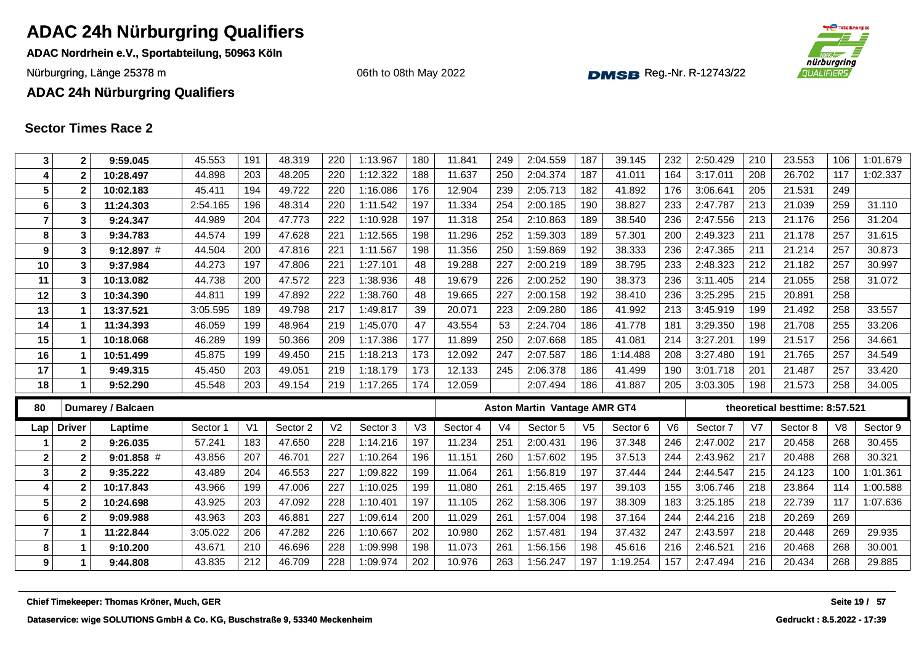**ADAC Nordrhein e.V., Sportabteilung, 50963 Köln**

Nürburgring, Länge 25378 m and the Communication of the Communication of the Communication of the Communication of the Communication of the Communication of the Communication of the Communication of the Communication of th

06th to 08th May 2022



**ADAC 24h Nürburgring Qualifiers**

| 3                | $\mathbf 2$             | 9:59.045                                   | 45.553   | 191            | 48.319   | 220            | 1:13.967 | 180            | 11.841   | 249            | 2:04.559                            | 187            | 39.145   | 232 | 2:50.429 | 210 | 23.553                         | 106            | 1:01.679      |
|------------------|-------------------------|--------------------------------------------|----------|----------------|----------|----------------|----------|----------------|----------|----------------|-------------------------------------|----------------|----------|-----|----------|-----|--------------------------------|----------------|---------------|
| 4                | $\mathbf{2}$            | 10:28.497                                  | 44.898   | 203            | 48.205   | 220            | 1:12.322 | 188            | 11.637   | 250            | 2:04.374                            | 187            | 41.011   | 164 | 3:17.011 | 208 | 26.702                         | 117            | 1:02.337      |
| 5                | $\mathbf{2}$            | 10:02.183                                  | 45.411   | 194            | 49.722   | 220            | 1:16.086 | 176            | 12.904   | 239            | 2:05.713                            | 182            | 41.892   | 176 | 3:06.641 | 205 | 21.531                         | 249            |               |
| 6                | 3                       | 11:24.303                                  | 2:54.165 | 196            | 48.314   | 220            | 1:11.542 | 197            | 11.334   | 254            | 2:00.185                            | 190            | 38.827   | 233 | 2:47.787 | 213 | 21.039                         | 259            | 31.110        |
| $\overline{7}$   | 3                       | 9:24.347                                   | 44.989   | 204            | 47.773   | 222            | 1:10.928 | 197            | 11.318   | 254            | 2:10.863                            | 189            | 38.540   | 236 | 2:47.556 | 213 | 21.176                         | 256            | 31.204        |
| 8                | $\mathbf{3}$            | 9:34.783                                   | 44.574   | 199            | 47.628   | 221            | 1:12.565 | 198            | 11.296   | 252            | 1:59.303                            | 189            | 57.301   | 200 | 2:49.323 | 211 | 21.178                         | 257            | 31.615        |
| 9                | 3                       | $9:12.897$ #                               | 44.504   | 200            | 47.816   | 221            | 1:11.567 | 198            | 11.356   | 250            | 1:59.869                            | 192            | 38.333   | 236 | 2:47.365 | 211 | 21.214                         | 257            | 30.873        |
| 10               | 3                       | 9:37.984                                   | 44.273   | 197            | 47.806   | 221            | 1:27.101 | 48             | 19.288   | 227            | 2:00.219                            | 189            | 38.795   | 233 | 2:48.323 | 212 | 21.182                         | 257            | 30.997        |
| 11               | 3                       | 10:13.082                                  | 44.738   | 200            | 47.572   | 223            | 1:38.936 | 48             | 19.679   | 226            | 2:00.252                            | 190            | 38.373   | 236 | 3:11.405 | 214 | 21.055                         | 258            | 31.072        |
| 12               | 3                       | 10:34.390                                  | 44.811   | 199            | 47.892   | 222            | 1:38.760 | 48             | 19.665   | 227            | 2:00.158                            | 192            | 38.410   | 236 | 3:25.295 | 215 | 20.891                         | 258            |               |
| 13               |                         | 13:37.521                                  | 3:05.595 | 189            | 49.798   | 217            | 1:49.817 | 39             | 20.071   | 223            | 2:09.280                            | 186            | 41.992   | 213 | 3:45.919 | 199 | 21.492                         | 258            | 33.557        |
| 14               | -1                      | 11:34.393                                  | 46.059   | 199            | 48.964   | 219            | 1:45.070 | 47             | 43.554   | 53             | 2:24.704                            | 186            | 41.778   | 181 | 3:29.350 | 198 | 21.708                         | 255            | 33.206        |
| 15               |                         | 10:18.068                                  | 46.289   | 199            | 50.366   | 209            | 1:17.386 | 177            | 11.899   | 250            | 2:07.668                            | 185            | 41.081   | 214 | 3:27.201 | 199 | 21.517                         | 256            | 34.661        |
| 16               | -1                      | 10:51.499                                  | 45.875   | 199            | 49.450   | 215            | 1:18.213 | 173            | 12.092   | 247            | 2:07.587                            | 186            | 1:14.488 | 208 | 3:27.480 | 191 | 21.765                         | 257            | 34.549        |
| 17               |                         | 9:49.315                                   | 45.450   | 203            | 49.051   | 219            | 1:18.179 | 173            | 12.133   | 245            | 2:06.378                            | 186            | 41.499   | 190 | 3:01.718 | 201 | 21.487                         | 257            | 33.420        |
|                  |                         |                                            |          |                |          |                |          |                |          |                |                                     |                |          |     |          |     |                                |                |               |
| 18               |                         | 9:52.290                                   | 45.548   | 203            | 49.154   | 219            | 1:17.265 | 174            | 12.059   |                | 2:07.494                            | 186            | 41.887   | 205 | 3:03.305 | 198 | 21.573                         | 258            | 34.005        |
| 80               |                         | <b>Dumarey / Balcaen</b>                   |          |                |          |                |          |                |          |                | <b>Aston Martin Vantage AMR GT4</b> |                |          |     |          |     | theoretical besttime: 8:57.521 |                |               |
| Lap              | <b>Driver</b>           | Laptime                                    | Sector 1 | V <sub>1</sub> | Sector 2 | V <sub>2</sub> | Sector 3 | V <sub>3</sub> | Sector 4 | V <sub>4</sub> | Sector 5                            | V <sub>5</sub> | Sector 6 | V6  | Sector 7 | V7  | Sector 8                       | V <sub>8</sub> | Sector 9      |
| 1                | $\mathbf 2$             | 9:26.035                                   | 57.241   | 183            | 47.650   | 228            | 1:14.216 | 197            | 11.234   | 251            | 2:00.431                            | 196            | 37.348   | 246 | 2:47.002 | 217 | 20.458                         | 268            | 30.455        |
| $\overline{2}$   | $\mathbf{2}$            | $9:01.858$ #                               | 43.856   | 207            | 46.701   | 227            | 1:10.264 | 196            | 11.151   | 260            | 1:57.602                            | 195            | 37.513   | 244 | 2:43.962 | 217 | 20.488                         | 268            | 30.321        |
| $\mathbf 3$      | $\mathbf{2}$            | 9:35.222                                   | 43.489   | 204            | 46.553   | 227            | 1:09.822 | 199            | 11.064   | 261            | 1:56.819                            | 197            | 37.444   | 244 | 2:44.547 | 215 | 24.123                         | 100            | 1:01.361      |
| 4                | $\overline{2}$          | 10:17.843                                  | 43.966   | 199            | 47.006   | 227            | 1:10.025 | 199            | 11.080   | 261            | 2:15.465                            | 197            | 39.103   | 155 | 3:06.746 | 218 | 23.864                         | 114            | 1:00.588      |
| 5                | $\overline{2}$          | 10:24.698                                  | 43.925   | 203            | 47.092   | 228            | 1:10.401 | 197            | 11.105   | 262            | 1:58.306                            | 197            | 38.309   | 183 | 3:25.185 | 218 | 22.739                         | 117            | 1:07.636      |
| $\bf 6$          | $\overline{\mathbf{2}}$ | 9:09.988                                   | 43.963   | 203            | 46.881   | 227            | 1:09.614 | 200            | 11.029   | 261            | 1:57.004                            | 198            | 37.164   | 244 | 2:44.216 | 218 | 20.269                         | 269            |               |
| $\overline{7}$   | 1                       | 11:22.844                                  | 3:05.022 | 206            | 47.282   | 226            | 1:10.667 | 202            | 10.980   | 262            | 1:57.481                            | 194            | 37.432   | 247 | 2:43.597 | 218 | 20.448                         | 269            | 29.935        |
| 8                |                         | 9:10.200                                   | 43.671   | 210            | 46.696   | 228            | 1:09.998 | 198            | 11.073   | 261            | 1:56.156                            | 198            | 45.616   | 216 | 2:46.521 | 216 | 20.468                         | 268            | 30.001        |
| $\boldsymbol{9}$ | $\blacktriangleleft$    | 9:44.808                                   | 43.835   | 212            | 46.709   | 228            | 1:09.974 | 202            | 10.976   | 263            | 1:56.247                            | 197            | 1:19.254 | 157 | 2:47.494 | 216 | 20.434                         | 268            | 29.885        |
|                  |                         |                                            |          |                |          |                |          |                |          |                |                                     |                |          |     |          |     |                                |                |               |
|                  |                         | Chief Timekeeper: Thomas Kröner, Much, GER |          |                |          |                |          |                |          |                |                                     |                |          |     |          |     |                                |                | Seite 19 / 57 |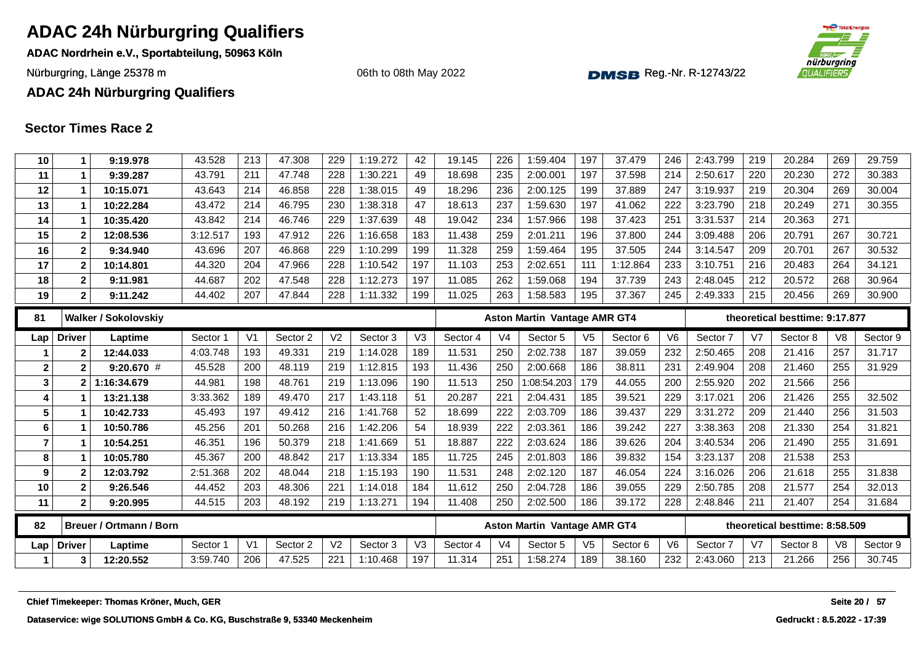**ADAC Nordrhein e.V., Sportabteilung, 50963 Köln**

Nürburgring, Länge 25378 m and the Communication of the Communication of the Communication of the Communication of the Communication of the Communication of the Communication of the Communication of the Communication of th

06th to 08th May 2022



**ADAC 24h Nürburgring Qualifiers**

| 10                      | 1                       | 9:19.978                                   | 43.528   | 213            | 47.308   | 229            | 1:19.272 | 42  | 19.145   | 226            | 1:59.404                            | 197            | 37.479   | 246            | 2:43.799 | 219            | 20.284                         | 269            | 29.759        |
|-------------------------|-------------------------|--------------------------------------------|----------|----------------|----------|----------------|----------|-----|----------|----------------|-------------------------------------|----------------|----------|----------------|----------|----------------|--------------------------------|----------------|---------------|
| 11                      | 1                       | 9:39.287                                   | 43.791   | 211            | 47.748   | 228            | 1:30.221 | 49  | 18.698   | 235            | 2:00.001                            | 197            | 37.598   | 214            | 2:50.617 | 220            | 20.230                         | 272            | 30.383        |
| 12                      | 1                       | 10:15.071                                  | 43.643   | 214            | 46.858   | 228            | 1:38.015 | 49  | 18.296   | 236            | 2:00.125                            | 199            | 37.889   | 247            | 3:19.937 | 219            | 20.304                         | 269            | 30.004        |
| 13                      | 1                       | 10:22.284                                  | 43.472   | 214            | 46.795   | 230            | 1:38.318 | 47  | 18.613   | 237            | 1:59.630                            | 197            | 41.062   | 222            | 3:23.790 | 218            | 20.249                         | 271            | 30.355        |
| 14                      | $\overline{\mathbf{1}}$ | 10:35.420                                  | 43.842   | 214            | 46.746   | 229            | 1:37.639 | 48  | 19.042   | 234            | 1:57.966                            | 198            | 37.423   | 251            | 3:31.537 | 214            | 20.363                         | 271            |               |
| 15                      | $\mathbf 2$             | 12:08.536                                  | 3:12.517 | 193            | 47.912   | 226            | 1:16.658 | 183 | 11.438   | 259            | 2:01.211                            | 196            | 37.800   | 244            | 3:09.488 | 206            | 20.791                         | 267            | 30.721        |
| 16                      | $\mathbf{2}$            | 9:34.940                                   | 43.696   | 207            | 46.868   | 229            | 1:10.299 | 199 | 11.328   | 259            | 1:59.464                            | 195            | 37.505   | 244            | 3:14.547 | 209            | 20.701                         | 267            | 30.532        |
| 17                      | $\mathbf 2$             | 10:14.801                                  | 44.320   | 204            | 47.966   | 228            | 1:10.542 | 197 | 11.103   | 253            | 2:02.651                            | 111            | 1:12.864 | 233            | 3:10.751 | 216            | 20.483                         | 264            | 34.121        |
| 18                      | $\mathbf{2}$            | 9:11.981                                   | 44.687   | 202            | 47.548   | 228            | 1:12.273 | 197 | 11.085   | 262            | 1:59.068                            | 194            | 37.739   | 243            | 2:48.045 | 212            | 20.572                         | 268            | 30.964        |
| 19                      | $\mathbf{2}$            | 9:11.242                                   | 44.402   | 207            | 47.844   | 228            | 1:11.332 | 199 | 11.025   | 263            | 1:58.583                            | 195            | 37.367   | 245            | 2:49.333 | 215            | 20.456                         | 269            | 30.900        |
| 81                      |                         | <b>Walker / Sokolovskiy</b>                |          |                |          |                |          |     |          |                | <b>Aston Martin Vantage AMR GT4</b> |                |          |                |          |                | theoretical besttime: 9:17.877 |                |               |
| Lap                     | <b>Driver</b>           | Laptime                                    | Sector 1 | V <sub>1</sub> | Sector 2 | V <sub>2</sub> | Sector 3 | V3  | Sector 4 | V <sub>4</sub> | Sector 5                            | V <sub>5</sub> | Sector 6 | V6             | Sector 7 | V <sub>7</sub> | Sector 8                       | V <sub>8</sub> | Sector 9      |
|                         | 2                       | 12:44.033                                  | 4:03.748 | 193            | 49.331   | 219            | 1:14.028 | 189 | 11.531   | 250            | 2:02.738                            | 187            | 39.059   | 232            | 2:50.465 | 208            | 21.416                         | 257            | 31.717        |
| $\overline{\mathbf{2}}$ | $\mathbf{2}$            | $9:20.670$ #                               | 45.528   | 200            | 48.119   | 219            | 1:12.815 | 193 | 11.436   | 250            | 2:00.668                            | 186            | 38.811   | 231            | 2:49.904 | 208            | 21.460                         | 255            | 31.929        |
| $\mathbf{3}$            | $\mathbf{2}$            | 1:16:34.679                                | 44.981   | 198            | 48.761   | 219            | 1:13.096 | 190 | 11.513   | 250            | 1:08:54.203                         | 179            | 44.055   | 200            | 2:55.920 | 202            | 21.566                         | 256            |               |
| 4                       | 1                       | 13:21.138                                  | 3:33.362 | 189            | 49.470   | 217            | 1:43.118 | 51  | 20.287   | 221            | 2:04.431                            | 185            | 39.521   | 229            | 3:17.021 | 206            | 21.426                         | 255            | 32.502        |
| 5                       | 1                       | 10:42.733                                  | 45.493   | 197            | 49.412   | 216            | 1:41.768 | 52  | 18.699   | 222            | 2:03.709                            | 186            | 39.437   | 229            | 3:31.272 | 209            | 21.440                         | 256            | 31.503        |
| $\bf 6$                 | 1                       | 10:50.786                                  | 45.256   | 201            | 50.268   | 216            | 1:42.206 | 54  | 18.939   | 222            | 2:03.361                            | 186            | 39.242   | 227            | 3:38.363 | 208            | 21.330                         | 254            | 31.821        |
| $\overline{7}$          | 1                       | 10:54.251                                  | 46.351   | 196            | 50.379   | 218            | 1:41.669 | 51  | 18.887   | 222            | 2:03.624                            | 186            | 39.626   | 204            | 3:40.534 | 206            | 21.490                         | 255            | 31.691        |
| 8                       | 1                       | 10:05.780                                  | 45.367   | 200            | 48.842   | 217            | 1:13.334 | 185 | 11.725   | 245            | 2:01.803                            | 186            | 39.832   | 154            | 3:23.137 | 208            | 21.538                         | 253            |               |
| $\boldsymbol{9}$        | $\overline{2}$          | 12:03.792                                  | 2:51.368 | 202            | 48.044   | 218            | 1:15.193 | 190 | 11.531   | 248            | 2:02.120                            | 187            | 46.054   | 224            | 3:16.026 | 206            | 21.618                         | 255            | 31.838        |
| 10                      | $\mathbf 2$             | 9:26.546                                   | 44.452   | 203            | 48.306   | 221            | 1:14.018 | 184 | 11.612   | 250            | 2:04.728                            | 186            | 39.055   | 229            | 2:50.785 | 208            | 21.577                         | 254            | 32.013        |
| 11                      | $\mathbf 2$             | 9:20.995                                   | 44.515   | 203            | 48.192   | 219            | 1:13.271 | 194 | 11.408   | 250            | 2:02.500                            | 186            | 39.172   | 228            | 2:48.846 | 211            | 21.407                         | 254            | 31.684        |
| 82                      |                         | <b>Breuer / Ortmann / Born</b>             |          |                |          |                |          |     |          |                | <b>Aston Martin Vantage AMR GT4</b> |                |          |                |          |                | theoretical besttime: 8:58.509 |                |               |
| Lap                     | <b>Driver</b>           | Laptime                                    | Sector 1 | V <sub>1</sub> | Sector 2 | V <sub>2</sub> | Sector 3 | V3  | Sector 4 | V <sub>4</sub> | Sector 5                            | V <sub>5</sub> | Sector 6 | V <sub>6</sub> | Sector 7 | V <sub>7</sub> | Sector 8                       | V <sub>8</sub> | Sector 9      |
| -1                      | 3                       | 12:20.552                                  | 3:59.740 | 206            | 47.525   | 221            | 1:10.468 | 197 | 11.314   | 251            | 1:58.274                            | 189            | 38.160   | 232            | 2:43.060 | 213            | 21.266                         | 256            | 30.745        |
|                         |                         | Chief Timekeeper: Thomas Kröner, Much, GER |          |                |          |                |          |     |          |                |                                     |                |          |                |          |                |                                |                | Seite 20 / 57 |
|                         |                         |                                            |          |                |          |                |          |     |          |                |                                     |                |          |                |          |                |                                |                |               |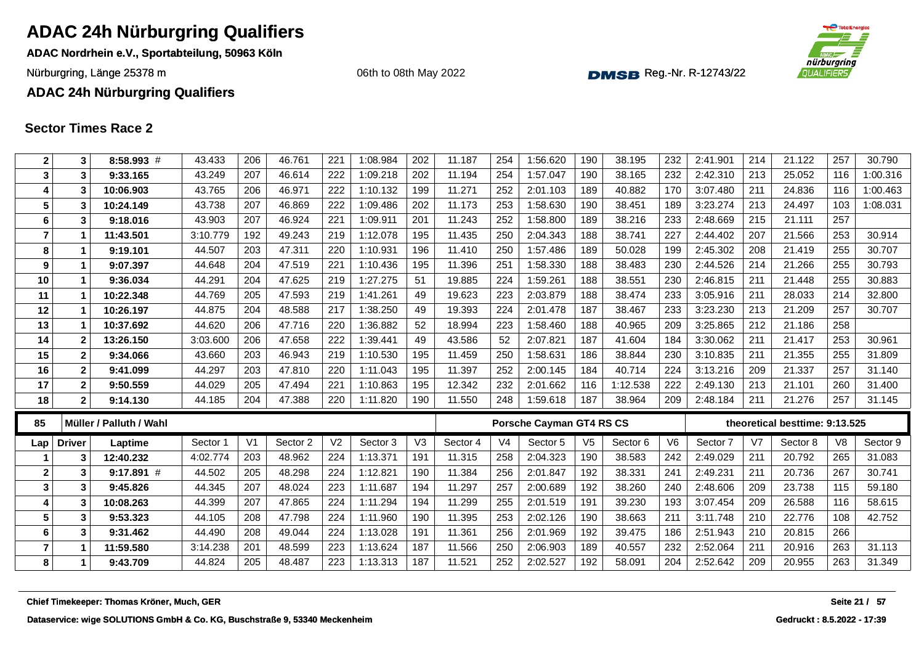**ADAC Nordrhein e.V., Sportabteilung, 50963 Köln**

Nürburgring, Länge 25378 m and the Communication of the Communication of the Communication of the Communication of the Communication of the Communication of the Communication of the Communication of the Communication of th

nürburgring **OUALIFIERS** 

06th to 08th May 2022

#### **ADAC 24h Nürburgring Qualifiers**

| $\mathbf{2}$            | 3                       | 8:58.993 #              | 43.433   | 206            | 46.761   | 221            | 1:08.984 | 202 | 11.187   | 254            | 1:56.620                 | 190            | 38.195   | 232 | 2:41.901 | 214 | 21.122                         | 257            | 30.790   |
|-------------------------|-------------------------|-------------------------|----------|----------------|----------|----------------|----------|-----|----------|----------------|--------------------------|----------------|----------|-----|----------|-----|--------------------------------|----------------|----------|
| 3                       | 3                       | 9:33.165                | 43.249   | 207            | 46.614   | 222            | 1:09.218 | 202 | 11.194   | 254            | 1:57.047                 | 190            | 38.165   | 232 | 2:42.310 | 213 | 25.052                         | 116            | 1:00.316 |
| 4                       | 3                       | 10:06.903               | 43.765   | 206            | 46.971   | 222            | 1:10.132 | 199 | 11.271   | 252            | 2:01.103                 | 189            | 40.882   | 170 | 3:07.480 | 211 | 24.836                         | 116            | 1:00.463 |
| 5                       | 3                       | 10:24.149               | 43.738   | 207            | 46.869   | 222            | 1:09.486 | 202 | 11.173   | 253            | 1:58.630                 | 190            | 38.451   | 189 | 3:23.274 | 213 | 24.497                         | 103            | 1:08.031 |
| 6                       | 3                       | 9:18.016                | 43.903   | 207            | 46.924   | 221            | 1:09.911 | 201 | 11.243   | 252            | 1:58.800                 | 189            | 38.216   | 233 | 2:48.669 | 215 | 21.111                         | 257            |          |
| $\overline{7}$          | 1                       | 11:43.501               | 3:10.779 | 192            | 49.243   | 219            | 1:12.078 | 195 | 11.435   | 250            | 2:04.343                 | 188            | 38.741   | 227 | 2:44.402 | 207 | 21.566                         | 253            | 30.914   |
| 8                       | $\overline{\mathbf{1}}$ | 9:19.101                | 44.507   | 203            | 47.311   | 220            | 1:10.931 | 196 | 11.410   | 250            | 1:57.486                 | 189            | 50.028   | 199 | 2:45.302 | 208 | 21.419                         | 255            | 30.707   |
| 9                       | $\mathbf{1}$            | 9:07.397                | 44.648   | 204            | 47.519   | 221            | 1:10.436 | 195 | 11.396   | 251            | 1:58.330                 | 188            | 38.483   | 230 | 2:44.526 | 214 | 21.266                         | 255            | 30.793   |
| 10                      | 1                       | 9:36.034                | 44.291   | 204            | 47.625   | 219            | 1:27.275 | 51  | 19.885   | 224            | 1:59.261                 | 188            | 38.551   | 230 | 2:46.815 | 211 | 21.448                         | 255            | 30.883   |
| 11                      | $\mathbf 1$             | 10:22.348               | 44.769   | 205            | 47.593   | 219            | 1:41.261 | 49  | 19.623   | 223            | 2:03.879                 | 188            | 38.474   | 233 | 3:05.916 | 211 | 28.033                         | 214            | 32.800   |
| 12                      | 1                       | 10:26.197               | 44.875   | 204            | 48.588   | 217            | 1:38.250 | 49  | 19.393   | 224            | 2:01.478                 | 187            | 38.467   | 233 | 3:23.230 | 213 | 21.209                         | 257            | 30.707   |
| 13                      | -1                      | 10:37.692               | 44.620   | 206            | 47.716   | 220            | 1:36.882 | 52  | 18.994   | 223            | 1:58.460                 | 188            | 40.965   | 209 | 3:25.865 | 212 | 21.186                         | 258            |          |
| 14                      | $\mathbf{2}$            | 13:26.150               | 3:03.600 | 206            | 47.658   | 222            | 1:39.441 | 49  | 43.586   | 52             | 2:07.821                 | 187            | 41.604   | 184 | 3:30.062 | 211 | 21.417                         | 253            | 30.961   |
| 15                      | $\mathbf{2}$            | 9:34.066                | 43.660   | 203            | 46.943   | 219            | 1:10.530 | 195 | 11.459   | 250            | 1:58.631                 | 186            | 38.844   | 230 | 3:10.835 | 211 | 21.355                         | 255            | 31.809   |
| 16                      | 2                       | 9:41.099                | 44.297   | 203            | 47.810   | 220            | 1:11.043 | 195 | 11.397   | 252            | 2:00.145                 | 184            | 40.714   | 224 | 3:13.216 | 209 | 21.337                         | 257            | 31.140   |
| 17                      | $\mathbf{2}$            | 9:50.559                | 44.029   | 205            | 47.494   | 221            | 1:10.863 | 195 | 12.342   | 232            | 2:01.662                 | 116            | 1:12.538 | 222 | 2:49.130 | 213 | 21.101                         | 260            | 31.400   |
| 18                      | $\mathbf{2}$            | 9:14.130                | 44.185   | 204            | 47.388   | 220            | 1:11.820 | 190 | 11.550   | 248            | 1:59.618                 | 187            | 38.964   | 209 | 2:48.184 | 211 | 21.276                         | 257            | 31.145   |
|                         |                         |                         |          |                |          |                |          |     |          |                |                          |                |          |     |          |     |                                |                |          |
|                         |                         |                         |          |                |          |                |          |     |          |                |                          |                |          |     |          |     |                                |                |          |
| 85                      |                         | Müller / Palluth / Wahl |          |                |          |                |          |     |          |                | Porsche Cayman GT4 RS CS |                |          |     |          |     | theoretical besttime: 9:13.525 |                |          |
| Lap                     | <b>Driver</b>           | Laptime                 | Sector 1 | V <sub>1</sub> | Sector 2 | V <sub>2</sub> | Sector 3 | V3  | Sector 4 | V <sub>4</sub> | Sector 5                 | V <sub>5</sub> | Sector 6 | V6  | Sector 7 | V7  | Sector 8                       | V <sub>8</sub> | Sector 9 |
| 1                       | 3                       | 12:40.232               | 4:02.774 | 203            | 48.962   | 224            | 1:13.371 | 191 | 11.315   | 258            | 2:04.323                 | 190            | 38.583   | 242 | 2:49.029 | 211 | 20.792                         | 265            | 31.083   |
| $\overline{\mathbf{2}}$ | 3                       | $9:17.891$ #            | 44.502   | 205            | 48.298   | 224            | 1:12.821 | 190 | 11.384   | 256            | 2:01.847                 | 192            | 38.331   | 241 | 2:49.231 | 211 | 20.736                         | 267            | 30.741   |
| $\mathbf{3}$            | 3                       | 9:45.826                | 44.345   | 207            | 48.024   | 223            | 1:11.687 | 194 | 11.297   | 257            | 2:00.689                 | 192            | 38.260   | 240 | 2:48.606 | 209 | 23.738                         | 115            | 59.180   |
| 4                       | 3                       | 10:08.263               | 44.399   | 207            | 47.865   | 224            | 1:11.294 | 194 | 11.299   | 255            | 2:01.519                 | 191            | 39.230   | 193 | 3:07.454 | 209 | 26.588                         | 116            | 58.615   |
| 5                       | 3                       | 9:53.323                | 44.105   | 208            | 47.798   | 224            | 1:11.960 | 190 | 11.395   | 253            | 2:02.126                 | 190            | 38.663   | 211 | 3:11.748 | 210 | 22.776                         | 108            | 42.752   |
| 6                       | 3                       | 9:31.462                | 44.490   | 208            | 49.044   | 224            | 1:13.028 | 191 | 11.361   | 256            | 2:01.969                 | 192            | 39.475   | 186 | 2:51.943 | 210 | 20.815                         | 266            |          |
| $\overline{7}$          | 1                       | 11:59.580               | 3:14.238 | 201            | 48.599   | 223            | 1:13.624 | 187 | 11.566   | 250            | 2:06.903                 | 189            | 40.557   | 232 | 2:52.064 | 211 | 20.916                         | 263            | 31.113   |
| 8                       | $\mathbf{1}$            | 9:43.709                | 44.824   | 205            | 48.487   | 223            | 1:13.313 | 187 | 11.521   | 252            | 2:02.527                 | 192            | 58.091   | 204 | 2:52.642 | 209 | 20.955                         | 263            | 31.349   |
|                         |                         |                         |          |                |          |                |          |     |          |                |                          |                |          |     |          |     |                                |                |          |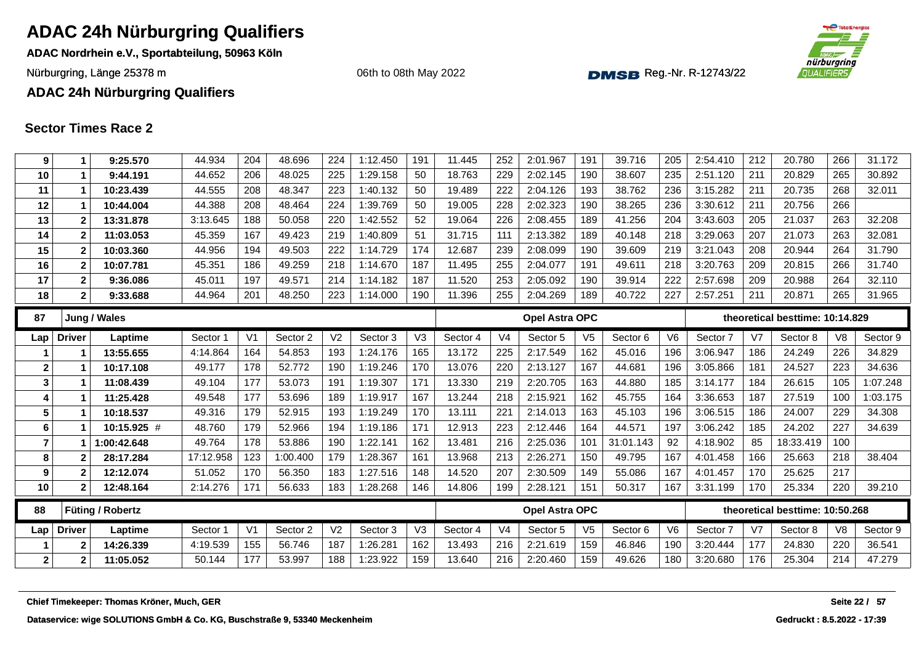**ADAC Nordrhein e.V., Sportabteilung, 50963 Köln**

Nürburgring, Länge 25378 m and the Communication of the Communication of the Communication of the Communication of the Communication of the Communication of the Communication of the Communication of the Communication of th

06th to 08th May 2022



**ADAC 24h Nürburgring Qualifiers**

| 9              | 1              | 9:25.570                                   | 44.934    | 204            | 48.696   | 224            | 1:12.450 | 191            | 11.445   | 252            | 2:01.967       | 191            | 39.716    | 205            | 2:54.410 | 212            | 20.780                          | 266            | 31.172        |
|----------------|----------------|--------------------------------------------|-----------|----------------|----------|----------------|----------|----------------|----------|----------------|----------------|----------------|-----------|----------------|----------|----------------|---------------------------------|----------------|---------------|
| 10             | 1              | 9:44.191                                   | 44.652    | 206            | 48.025   | 225            | 1:29.158 | 50             | 18.763   | 229            | 2:02.145       | 190            | 38.607    | 235            | 2:51.120 | 211            | 20.829                          | 265            | 30.892        |
| 11             | 1              | 10:23.439                                  | 44.555    | 208            | 48.347   | 223            | 1:40.132 | 50             | 19.489   | 222            | 2:04.126       | 193            | 38.762    | 236            | 3:15.282 | 211            | 20.735                          | 268            | 32.011        |
| 12             | 1              | 10:44.004                                  | 44.388    | 208            | 48.464   | 224            | 1:39.769 | 50             | 19.005   | 228            | 2:02.323       | 190            | 38.265    | 236            | 3:30.612 | 211            | 20.756                          | 266            |               |
| 13             | $\mathbf{2}$   | 13:31.878                                  | 3:13.645  | 188            | 50.058   | 220            | 1:42.552 | 52             | 19.064   | 226            | 2:08.455       | 189            | 41.256    | 204            | 3:43.603 | 205            | 21.037                          | 263            | 32.208        |
| 14             | $\overline{2}$ | 11:03.053                                  | 45.359    | 167            | 49.423   | 219            | 1:40.809 | 51             | 31.715   | 111            | 2:13.382       | 189            | 40.148    | 218            | 3:29.063 | 207            | 21.073                          | 263            | 32.081        |
| 15             | $\mathbf{2}$   | 10:03.360                                  | 44.956    | 194            | 49.503   | 222            | 1:14.729 | 174            | 12.687   | 239            | 2:08.099       | 190            | 39.609    | 219            | 3:21.043 | 208            | 20.944                          | 264            | 31.790        |
| 16             | $\mathbf 2$    | 10:07.781                                  | 45.351    | 186            | 49.259   | 218            | 1:14.670 | 187            | 11.495   | 255            | 2:04.077       | 191            | 49.611    | 218            | 3:20.763 | 209            | 20.815                          | 266            | 31.740        |
| 17             | $\mathbf{2}$   | 9:36.086                                   | 45.011    | 197            | 49.571   | 214            | 1:14.182 | 187            | 11.520   | 253            | 2:05.092       | 190            | 39.914    | 222            | 2:57.698 | 209            | 20.988                          | 264            | 32.110        |
| 18             | $\mathbf{2}$   | 9:33.688                                   | 44.964    | 201            | 48.250   | 223            | 1:14.000 | 190            | 11.396   | 255            | 2:04.269       | 189            | 40.722    | 227            | 2:57.251 | 211            | 20.871                          | 265            | 31.965        |
| 87             |                | <b>Jung / Wales</b>                        |           |                |          |                |          |                |          |                | Opel Astra OPC |                |           |                |          |                | theoretical besttime: 10:14.829 |                |               |
| Lap            | <b>Driver</b>  | Laptime                                    | Sector 1  | V <sub>1</sub> | Sector 2 | V <sub>2</sub> | Sector 3 | V3             | Sector 4 | V <sub>4</sub> | Sector 5       | V <sub>5</sub> | Sector 6  | V <sub>6</sub> | Sector 7 | V7             | Sector 8                        | V8             | Sector 9      |
|                | 1              | 13:55.655                                  | 4:14.864  | 164            | 54.853   | 193            | 1:24.176 | 165            | 13.172   | 225            | 2:17.549       | 162            | 45.016    | 196            | 3:06.947 | 186            | 24.249                          | 226            | 34.829        |
| $\mathbf{2}$   | -1             | 10:17.108                                  | 49.177    | 178            | 52.772   | 190            | 1:19.246 | 170            | 13.076   | 220            | 2:13.127       | 167            | 44.681    | 196            | 3:05.866 | 181            | 24.527                          | 223            | 34.636        |
| 3              | -1             | 11:08.439                                  | 49.104    | 177            | 53.073   | 191            | 1:19.307 | 171            | 13.330   | 219            | 2:20.705       | 163            | 44.880    | 185            | 3:14.177 | 184            | 26.615                          | 105            | 1:07.248      |
| 4              | 1              | 11:25.428                                  | 49.548    | 177            | 53.696   | 189            | 1:19.917 | 167            | 13.244   | 218            | 2:15.921       | 162            | 45.755    | 164            | 3:36.653 | 187            | 27.519                          | 100            | 1:03.175      |
| 5              | 1              | 10:18.537                                  | 49.316    | 179            | 52.915   | 193            | 1:19.249 | 170            | 13.111   | 221            | 2:14.013       | 163            | 45.103    | 196            | 3:06.515 | 186            | 24.007                          | 229            | 34.308        |
| 6              | 1              | 10:15.925 #                                | 48.760    | 179            | 52.966   | 194            | 1:19.186 | 171            | 12.913   | 223            | 2:12.446       | 164            | 44.571    | 197            | 3:06.242 | 185            | 24.202                          | 227            | 34.639        |
| $\overline{7}$ |                | 1:00:42.648                                | 49.764    | 178            | 53.886   | 190            | 1:22.141 | 162            | 13.481   | 216            | 2:25.036       | 101            | 31:01.143 | 92             | 4:18.902 | 85             | 18:33.419                       | 100            |               |
| 8              | $\mathbf{2}$   | 28:17.284                                  | 17:12.958 | 123            | 1:00.400 | 179            | 1:28.367 | 161            | 13.968   | 213            | 2:26.271       | 150            | 49.795    | 167            | 4:01.458 | 166            | 25.663                          | 218            | 38.404        |
| 9              | $\overline{2}$ | 12:12.074                                  | 51.052    | 170            | 56.350   | 183            | 1:27.516 | 148            | 14.520   | 207            | 2:30.509       | 149            | 55.086    | 167            | 4:01.457 | 170            | 25.625                          | 217            |               |
| 10             | $\mathbf{2}$   | 12:48.164                                  | 2:14.276  | 171            | 56.633   | 183            | 1:28.268 | 146            | 14.806   | 199            | 2:28.121       | 151            | 50.317    | 167            | 3:31.199 | 170            | 25.334                          | 220            | 39.210        |
| 88             |                | <b>Füting / Robertz</b>                    |           |                |          |                |          |                |          |                | Opel Astra OPC |                |           |                |          |                | theoretical besttime: 10:50.268 |                |               |
| Lap            | <b>Driver</b>  | Laptime                                    | Sector 1  | V <sub>1</sub> | Sector 2 | V <sub>2</sub> | Sector 3 | V <sub>3</sub> | Sector 4 | V <sub>4</sub> | Sector 5       | V <sub>5</sub> | Sector 6  | V <sub>6</sub> | Sector 7 | V <sub>7</sub> | Sector 8                        | V <sub>8</sub> | Sector 9      |
| -1             | $\mathbf 2$    | 14:26.339                                  | 4:19.539  | 155            | 56.746   | 187            | 1:26.281 | 162            | 13.493   | 216            | 2:21.619       | 159            | 46.846    | 190            | 3:20.444 | 177            | 24.830                          | 220            | 36.541        |
| $\mathbf{2}$   | $\mathbf{2}$   | 11:05.052                                  | 50.144    | 177            | 53.997   | 188            | 1:23.922 | 159            | 13.640   | 216            | 2:20.460       | 159            | 49.626    | 180            | 3:20.680 | 176            | 25.304                          | 214            | 47.279        |
|                |                |                                            |           |                |          |                |          |                |          |                |                |                |           |                |          |                |                                 |                |               |
|                |                | Chief Timekeeper: Thomas Kröner, Much, GER |           |                |          |                |          |                |          |                |                |                |           |                |          |                |                                 |                | Seite 22 / 57 |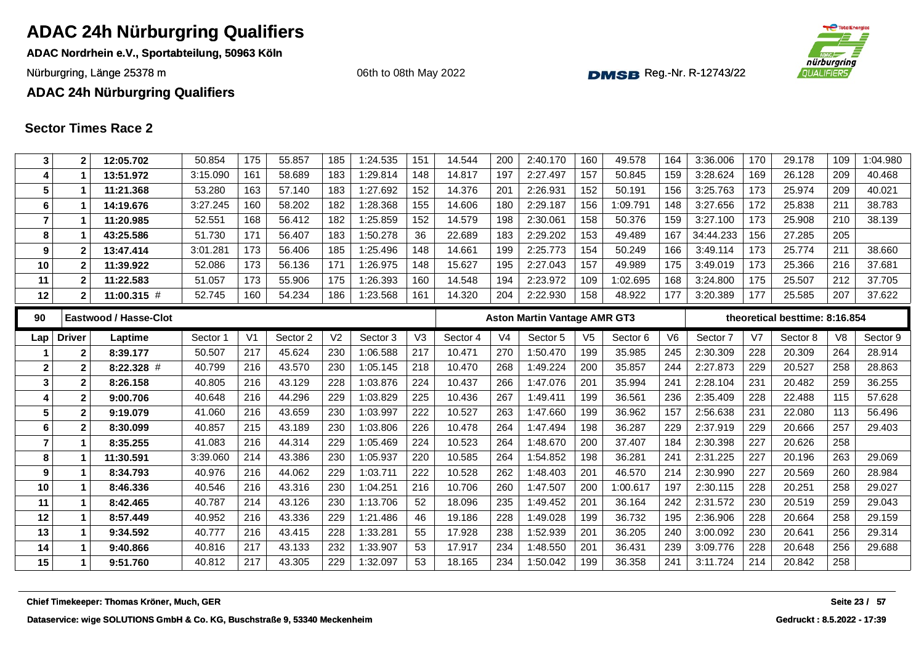**ADAC Nordrhein e.V., Sportabteilung, 50963 Köln**

Nürburgring, Länge 25378 m and the Communication of the Communication of the Communication of the Communication of the Communication of the Communication of the Communication of the Communication of the Communication of th

06th to 08th May 2022



**ADAC 24h Nürburgring Qualifiers**

| 3                | $\overline{2}$ | 12:05.702                                  | 50.854   | 175            | 55.857   | 185            | 1:24.535 | 151 | 14.544   | 200            | 2:40.170                            | 160            | 49.578   | 164 | 3:36.006  | 170            | 29.178                         | 109            | 1:04.980      |
|------------------|----------------|--------------------------------------------|----------|----------------|----------|----------------|----------|-----|----------|----------------|-------------------------------------|----------------|----------|-----|-----------|----------------|--------------------------------|----------------|---------------|
| 4                | -1             | 13:51.972                                  | 3:15.090 | 161            | 58.689   | 183            | 1:29.814 | 148 | 14.817   | 197            | 2:27.497                            | 157            | 50.845   | 159 | 3:28.624  | 169            | 26.128                         | 209            | 40.468        |
| 5                | -1             | 11:21.368                                  | 53.280   | 163            | 57.140   | 183            | 1:27.692 | 152 | 14.376   | 201            | 2:26.931                            | 152            | 50.191   | 156 | 3:25.763  | 173            | 25.974                         | 209            | 40.021        |
| 6                | -1             | 14:19.676                                  | 3:27.245 | 160            | 58.202   | 182            | 1:28.368 | 155 | 14.606   | 180            | 2:29.187                            | 156            | 1:09.791 | 148 | 3:27.656  | 172            | 25.838                         | 211            | 38.783        |
| 7                | -1             | 11:20.985                                  | 52.551   | 168            | 56.412   | 182            | 1:25.859 | 152 | 14.579   | 198            | 2:30.061                            | 158            | 50.376   | 159 | 3:27.100  | 173            | 25.908                         | 210            | 38.139        |
| 8                | 1              | 43:25.586                                  | 51.730   | 171            | 56.407   | 183            | 1:50.278 | 36  | 22.689   | 183            | 2:29.202                            | 153            | 49.489   | 167 | 34:44.233 | 156            | 27.285                         | 205            |               |
| $\boldsymbol{9}$ | $\overline{2}$ | 13:47.414                                  | 3:01.281 | 173            | 56.406   | 185            | 1:25.496 | 148 | 14.661   | 199            | 2:25.773                            | 154            | 50.249   | 166 | 3:49.114  | 173            | 25.774                         | 211            | 38.660        |
| 10               | $\mathbf{2}$   | 11:39.922                                  | 52.086   | 173            | 56.136   | 171            | 1:26.975 | 148 | 15.627   | 195            | 2:27.043                            | 157            | 49.989   | 175 | 3:49.019  | 173            | 25.366                         | 216            | 37.681        |
| 11               | $\overline{2}$ | 11:22.583                                  | 51.057   | 173            | 55.906   | 175            | 1:26.393 | 160 | 14.548   | 194            | 2:23.972                            | 109            | 1:02.695 | 168 | 3:24.800  | 175            | 25.507                         | 212            | 37.705        |
| 12               | $\overline{2}$ | 11:00.315 #                                | 52.745   | 160            | 54.234   | 186            | 1:23.568 | 161 | 14.320   | 204            | 2:22.930                            | 158            | 48.922   | 177 | 3:20.389  | 177            | 25.585                         | 207            | 37.622        |
| 90               |                | Eastwood / Hasse-Clot                      |          |                |          |                |          |     |          |                | <b>Aston Martin Vantage AMR GT3</b> |                |          |     |           |                | theoretical besttime: 8:16.854 |                |               |
| Lap              | <b>Driver</b>  | Laptime                                    | Sector 1 | V <sub>1</sub> | Sector 2 | V <sub>2</sub> | Sector 3 | V3  | Sector 4 | V <sub>4</sub> | Sector 5                            | V <sub>5</sub> | Sector 6 | V6  | Sector 7  | V <sub>7</sub> | Sector 8                       | V <sub>8</sub> | Sector 9      |
|                  | $\mathbf{2}$   | 8:39.177                                   | 50.507   | 217            | 45.624   | 230            | 1:06.588 | 217 | 10.471   | 270            | 1:50.470                            | 199            | 35.985   | 245 | 2:30.309  | 228            | 20.309                         | 264            | 28.914        |
| $\mathbf 2$      | $\mathbf{2}$   | 8:22.328 #                                 | 40.799   | 216            | 43.570   | 230            | 1:05.145 | 218 | 10.470   | 268            | 1:49.224                            | 200            | 35.857   | 244 | 2:27.873  | 229            | 20.527                         | 258            | 28.863        |
| $\mathbf 3$      | $\mathbf 2$    | 8:26.158                                   | 40.805   | 216            | 43.129   | 228            | 1:03.876 | 224 | 10.437   | 266            | 1:47.076                            | 201            | 35.994   | 241 | 2:28.104  | 231            | 20.482                         | 259            | 36.255        |
| 4                | $\mathbf{2}$   | 9:00.706                                   | 40.648   | 216            | 44.296   | 229            | 1:03.829 | 225 | 10.436   | 267            | 1:49.411                            | 199            | 36.561   | 236 | 2:35.409  | 228            | 22.488                         | 115            | 57.628        |
| 5                | $\mathbf{2}$   | 9:19.079                                   | 41.060   | 216            | 43.659   | 230            | 1:03.997 | 222 | 10.527   | 263            | 1:47.660                            | 199            | 36.962   | 157 | 2:56.638  | 231            | 22.080                         | 113            | 56.496        |
| 6                | $\mathbf{2}$   | 8:30.099                                   | 40.857   | 215            | 43.189   | 230            | 1:03.806 | 226 | 10.478   | 264            | 1:47.494                            | 198            | 36.287   | 229 | 2:37.919  | 229            | 20.666                         | 257            | 29.403        |
| $\overline{7}$   | 1              | 8:35.255                                   | 41.083   | 216            | 44.314   | 229            | 1:05.469 | 224 | 10.523   | 264            | 1:48.670                            | 200            | 37.407   | 184 | 2:30.398  | 227            | 20.626                         | 258            |               |
| 8                | -1             | 11:30.591                                  | 3:39.060 | 214            | 43.386   | 230            | 1:05.937 | 220 | 10.585   | 264            | 1:54.852                            | 198            | 36.281   | 241 | 2:31.225  | 227            | 20.196                         | 263            | 29.069        |
| $\boldsymbol{9}$ | 1              | 8:34.793                                   | 40.976   | 216            | 44.062   | 229            | 1:03.711 | 222 | 10.528   | 262            | 1:48.403                            | 201            | 46.570   | 214 | 2:30.990  | 227            | 20.569                         | 260            | 28.984        |
| 10               | 1              | 8:46.336                                   | 40.546   | 216            | 43.316   | 230            | 1:04.251 | 216 | 10.706   | 260            | 1:47.507                            | 200            | 1:00.617 | 197 | 2:30.115  | 228            | 20.251                         | 258            | 29.027        |
| 11               | 1              | 8:42.465                                   | 40.787   | 214            | 43.126   | 230            | 1:13.706 | 52  | 18.096   | 235            | 1:49.452                            | 201            | 36.164   | 242 | 2:31.572  | 230            | 20.519                         | 259            | 29.043        |
| 12               | $\mathbf 1$    | 8:57.449                                   | 40.952   | 216            | 43.336   | 229            | 1:21.486 | 46  | 19.186   | 228            | 1:49.028                            | 199            | 36.732   | 195 | 2:36.906  | 228            | 20.664                         | 258            | 29.159        |
| 13               | $\mathbf{1}$   | 9:34.592                                   | 40.777   | 216            | 43.415   | 228            | 1:33.281 | 55  | 17.928   | 238            | 1:52.939                            | 201            | 36.205   | 240 | 3:00.092  | 230            | 20.641                         | 256            | 29.314        |
| 14               |                | 9:40.866                                   | 40.816   | 217            | 43.133   | 232            | 1:33.907 | 53  | 17.917   | 234            | 1:48.550                            | 201            | 36.431   | 239 | 3:09.776  | 228            | 20.648                         | 256            | 29.688        |
| 15               | 1              | 9:51.760                                   | 40.812   | 217            | 43.305   | 229            | 1:32.097 | 53  | 18.165   | 234            | 1:50.042                            | 199            | 36.358   | 241 | 3:11.724  | 214            | 20.842                         | 258            |               |
|                  |                | Chief Timekeeper: Thomas Kröner, Much, GER |          |                |          |                |          |     |          |                |                                     |                |          |     |           |                |                                |                | Seite 23 / 57 |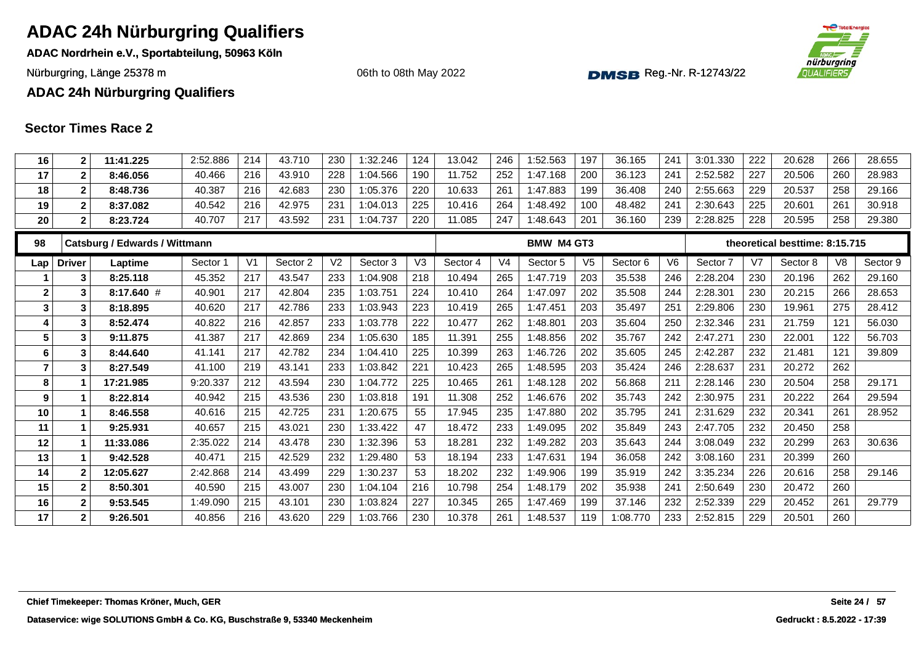**ADAC Nordrhein e.V., Sportabteilung, 50963 Köln**

Nürburgring, Länge 25378 m and the Communication of the Communication of the Communication of the Communication of the Communication of the Communication of the Communication of the Communication of the Communication of th

nürburgring *OUALIFIERS* 

06th to 08th May 2022

#### **ADAC 24h Nürburgring Qualifiers**

| 16               | $\mathbf{2}$            | 11:41.225                                  | 2:52.886 | 214            | 43.710   | 230            | 1:32.246 | 124            | 13.042   | 246            | 1:52.563          | 197            | 36.165              | 241            | 3:01.330 | 222            | 20.628                         | 266 | 28.655        |
|------------------|-------------------------|--------------------------------------------|----------|----------------|----------|----------------|----------|----------------|----------|----------------|-------------------|----------------|---------------------|----------------|----------|----------------|--------------------------------|-----|---------------|
| 17               | $\mathbf{2}$            | 8:46.056                                   | 40.466   | 216            | 43.910   | 228            | 1:04.566 | 190            | 11.752   | 252            | 1:47.168          | 200            | 36.123              | 241            | 2:52.582 | 227            | 20.506                         | 260 | 28.983        |
| 18               | $\overline{\mathbf{2}}$ | 8:48.736                                   | 40.387   | 216            | 42.683   | 230            | 1:05.376 | 220            | 10.633   | 261            | 1:47.883          | 199            | 36.408              | 240            | 2:55.663 | 229            | 20.537                         | 258 | 29.166        |
| 19               | $\mathbf{2}$            | 8:37.082                                   | 40.542   | 216            | 42.975   | 231            | 1:04.013 | 225            | 10.416   | 264            | 1:48.492          | 100            | 48.482              | 241            | 2:30.643 | 225            | 20.601                         | 261 | 30.918        |
| 20               | $\overline{2}$          | 8:23.724                                   | 40.707   | 217            | 43.592   | 231            | 1:04.737 | 220            | 11.085   | 247            | 1:48.643          | 201            | 36.160              | 239            | 2:28.825 | 228            | 20.595                         | 258 | 29.380        |
| 98               |                         | <b>Catsburg / Edwards / Wittmann</b>       |          |                |          |                |          |                |          |                | <b>BMW M4 GT3</b> |                |                     |                |          |                | theoretical besttime: 8:15.715 |     |               |
| Lap              | <b>Driver</b>           | Laptime                                    | Sector 1 | V <sub>1</sub> | Sector 2 | V <sub>2</sub> | Sector 3 | V <sub>3</sub> | Sector 4 | V <sub>4</sub> | Sector 5          | V <sub>5</sub> | Sector <sub>6</sub> | V <sub>6</sub> | Sector 7 | V <sub>7</sub> | Sector 8                       | V8  | Sector 9      |
| 1                | 3                       | 8:25.118                                   | 45.352   | 217            | 43.547   | 233            | 1:04.908 | 218            | 10.494   | 265            | 1:47.719          | 203            | 35.538              | 246            | 2:28.204 | 230            | 20.196                         | 262 | 29.160        |
| $\boldsymbol{2}$ | 3                       | $8:17.640$ #                               | 40.901   | 217            | 42.804   | 235            | 1:03.751 | 224            | 10.410   | 264            | 1:47.097          | 202            | 35.508              | 244            | 2:28.301 | 230            | 20.215                         | 266 | 28.653        |
| 3                | 3                       | 8:18.895                                   | 40.620   | 217            | 42.786   | 233            | 1:03.943 | 223            | 10.419   | 265            | 1:47.451          | 203            | 35.497              | 251            | 2:29.806 | 230            | 19.961                         | 275 | 28.412        |
| 4                | 3                       | 8:52.474                                   | 40.822   | 216            | 42.857   | 233            | 1:03.778 | 222            | 10.477   | 262            | 1:48.801          | 203            | 35.604              | 250            | 2:32.346 | 231            | 21.759                         | 121 | 56.030        |
| 5                | $\mathbf{3}$            | 9:11.875                                   | 41.387   | 217            | 42.869   | 234            | 1:05.630 | 185            | 11.391   | 255            | 1:48.856          | 202            | 35.767              | 242            | 2:47.271 | 230            | 22.001                         | 122 | 56.703        |
| 6                | 3                       | 8:44.640                                   | 41.141   | 217            | 42.782   | 234            | 1:04.410 | 225            | 10.399   | 263            | 1:46.726          | 202            | 35.605              | 245            | 2:42.287 | 232            | 21.481                         | 121 | 39.809        |
| $\overline{7}$   | 3                       | 8:27.549                                   | 41.100   | 219            | 43.141   | 233            | 1:03.842 | 221            | 10.423   | 265            | 1:48.595          | 203            | 35.424              | 246            | 2:28.637 | 231            | 20.272                         | 262 |               |
| 8                | 1                       | 17:21.985                                  | 9:20.337 | 212            | 43.594   | 230            | 1:04.772 | 225            | 10.465   | 261            | 1:48.128          | 202            | 56.868              | 211            | 2:28.146 | 230            | 20.504                         | 258 | 29.171        |
| 9                | $\mathbf{1}$            | 8:22.814                                   | 40.942   | 215            | 43.536   | 230            | 1:03.818 | 191            | 11.308   | 252            | 1:46.676          | 202            | 35.743              | 242            | 2:30.975 | 231            | 20.222                         | 264 | 29.594        |
| 10               | 1                       | 8:46.558                                   | 40.616   | 215            | 42.725   | 231            | 1:20.675 | 55             | 17.945   | 235            | 1:47.880          | 202            | 35.795              | 241            | 2:31.629 | 232            | 20.341                         | 261 | 28.952        |
| 11               | $\mathbf{1}$            | 9:25.931                                   | 40.657   | 215            | 43.021   | 230            | 1:33.422 | 47             | 18.472   | 233            | 1:49.095          | 202            | 35.849              | 243            | 2:47.705 | 232            | 20.450                         | 258 |               |
| 12               | $\mathbf 1$             | 11:33.086                                  | 2:35.022 | 214            | 43.478   | 230            | 1:32.396 | 53             | 18.281   | 232            | 1:49.282          | 203            | 35.643              | 244            | 3:08.049 | 232            | 20.299                         | 263 | 30.636        |
| 13               | $\mathbf{1}$            | 9:42.528                                   | 40.471   | 215            | 42.529   | 232            | 1:29.480 | 53             | 18.194   | 233            | 1:47.631          | 194            | 36.058              | 242            | 3:08.160 | 231            | 20.399                         | 260 |               |
| 14               | $\overline{\mathbf{2}}$ | 12:05.627                                  | 2:42.868 | 214            | 43.499   | 229            | 1:30.237 | 53             | 18.202   | 232            | 1:49.906          | 199            | 35.919              | 242            | 3:35.234 | 226            | 20.616                         | 258 | 29.146        |
| 15               | $\overline{2}$          | 8:50.301                                   | 40.590   | 215            | 43.007   | 230            | 1:04.104 | 216            | 10.798   | 254            | 1:48.179          | 202            | 35.938              | 241            | 2:50.649 | 230            | 20.472                         | 260 |               |
| 16               | $\mathbf{2}$            | 9:53.545                                   | 1:49.090 | 215            | 43.101   | 230            | 1:03.824 | 227            | 10.345   | 265            | 1:47.469          | 199            | 37.146              | 232            | 2:52.339 | 229            | 20.452                         | 261 | 29.779        |
| 17               | $\mathbf{2}$            | 9:26.501                                   | 40.856   | 216            | 43.620   | 229            | 1:03.766 | 230            | 10.378   | 261            | 1:48.537          | 119            | 1:08.770            | 233            | 2:52.815 | 229            | 20.501                         | 260 |               |
|                  |                         |                                            |          |                |          |                |          |                |          |                |                   |                |                     |                |          |                |                                |     |               |
|                  |                         | Chief Timekeeper: Thomas Kröner, Much, GER |          |                |          |                |          |                |          |                |                   |                |                     |                |          |                |                                |     | Seite 24 / 57 |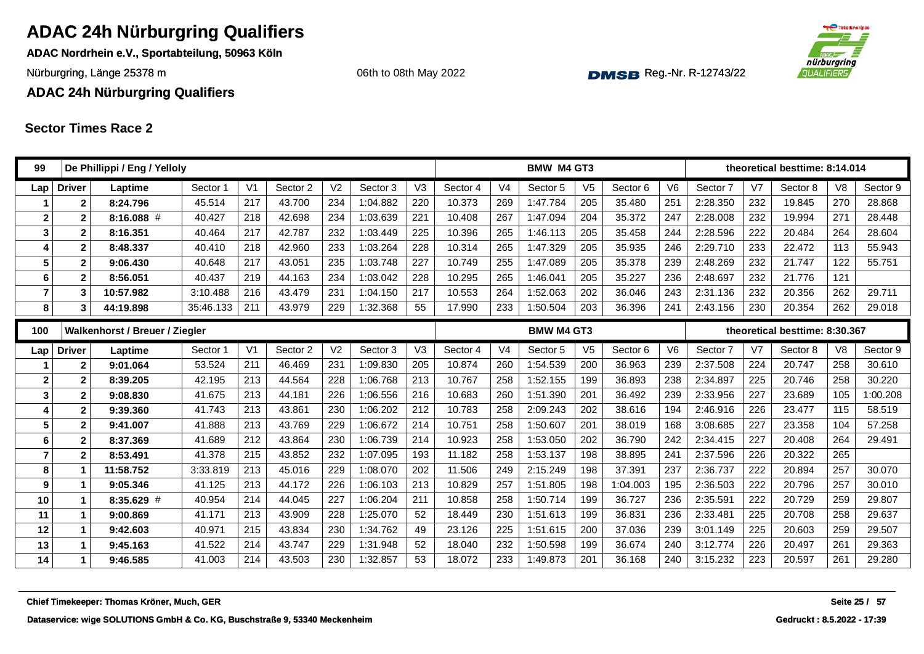**ADAC Nordrhein e.V., Sportabteilung, 50963 Köln**

Nürburgring, Länge 25378 m and the Communication of the Communication of the Communication of the Communication of the Communication of the Communication of the Communication of the Communication of the Communication of th

06th to 08th May 2022



**ADAC 24h Nürburgring Qualifiers**

| 99                      |                         | De Phillippi / Eng / Yelloly               |           |                |          |                |          |                |          |                | BMW M4 GT3        |                |                     |                |          |                | theoretical besttime: 8:14.014 |                |               |
|-------------------------|-------------------------|--------------------------------------------|-----------|----------------|----------|----------------|----------|----------------|----------|----------------|-------------------|----------------|---------------------|----------------|----------|----------------|--------------------------------|----------------|---------------|
| Lap                     | <b>Driver</b>           | Laptime                                    | Sector 1  | V <sub>1</sub> | Sector 2 | V <sub>2</sub> | Sector 3 | V <sub>3</sub> | Sector 4 | V <sub>4</sub> | Sector 5          | V <sub>5</sub> | Sector 6            | V <sub>6</sub> | Sector 7 | V <sub>7</sub> | Sector 8                       | V <sub>8</sub> | Sector 9      |
|                         | 2                       | 8:24.796                                   | 45.514    | 217            | 43.700   | 234            | 1:04.882 | 220            | 10.373   | 269            | 1:47.784          | 205            | 35.480              | 251            | 2:28.350 | 232            | 19.845                         | 270            | 28.868        |
| $\mathbf{2}$            | $\mathbf{2}$            | $8:16.088$ #                               | 40.427    | 218            | 42.698   | 234            | 1:03.639 | 221            | 10.408   | 267            | 1:47.094          | 204            | 35.372              | 247            | 2:28.008 | 232            | 19.994                         | 271            | 28.448        |
| $\mathbf{3}$            | $\mathbf 2$             | 8:16.351                                   | 40.464    | 217            | 42.787   | 232            | 1:03.449 | 225            | 10.396   | 265            | 1:46.113          | 205            | 35.458              | 244            | 2:28.596 | 222            | 20.484                         | 264            | 28.604        |
| $\overline{\mathbf{4}}$ | $\mathbf{2}$            | 8:48.337                                   | 40.410    | 218            | 42.960   | 233            | 1:03.264 | 228            | 10.314   | 265            | 1:47.329          | 205            | 35.935              | 246            | 2:29.710 | 233            | 22.472                         | 113            | 55.943        |
| $5\phantom{1}$          | $\mathbf 2$             | 9:06.430                                   | 40.648    | 217            | 43.051   | 235            | 1:03.748 | 227            | 10.749   | 255            | 1:47.089          | 205            | 35.378              | 239            | 2:48.269 | 232            | 21.747                         | 122            | 55.751        |
| 6                       | $\mathbf{2}$            | 8:56.051                                   | 40.437    | 219            | 44.163   | 234            | 1:03.042 | 228            | 10.295   | 265            | 1:46.041          | 205            | 35.227              | 236            | 2:48.697 | 232            | 21.776                         | 121            |               |
| $\overline{7}$          | 3                       | 10:57.982                                  | 3:10.488  | 216            | 43.479   | 231            | 1:04.150 | 217            | 10.553   | 264            | 1:52.063          | 202            | 36.046              | 243            | 2:31.136 | 232            | 20.356                         | 262            | 29.711        |
| 8                       | 3                       | 44:19.898                                  | 35:46.133 | 211            | 43.979   | 229            | 1:32.368 | 55             | 17.990   | 233            | 1:50.504          | 203            | 36.396              | 241            | 2:43.156 | 230            | 20.354                         | 262            | 29.018        |
| 100                     |                         | Walkenhorst / Breuer / Ziegler             |           |                |          |                |          |                |          |                | <b>BMW M4 GT3</b> |                |                     |                |          |                | theoretical besttime: 8:30.367 |                |               |
| Lap                     | <b>Driver</b>           | Laptime                                    | Sector 1  | V <sub>1</sub> | Sector 2 | V <sub>2</sub> | Sector 3 | V <sub>3</sub> | Sector 4 | V <sub>4</sub> | Sector 5          | V <sub>5</sub> | Sector <sub>6</sub> | V <sub>6</sub> | Sector 7 | V <sub>7</sub> | Sector 8                       | V <sub>8</sub> | Sector 9      |
|                         | 2                       | 9:01.064                                   | 53.524    | 211            | 46.469   | 231            | 1:09.830 | 205            | 10.874   | 260            | 1:54.539          | 200            | 36.963              | 239            | 2:37.508 | 224            | 20.747                         | 258            | 30.610        |
| $\overline{2}$          | 2                       | 8:39.205                                   | 42.195    | 213            | 44.564   | 228            | 1:06.768 | 213            | 10.767   | 258            | 1:52.155          | 199            | 36.893              | 238            | 2:34.897 | 225            | 20.746                         | 258            | 30.220        |
| $\mathbf{3}$            | $\overline{\mathbf{2}}$ | 9:08.830                                   | 41.675    | 213            | 44.181   | 226            | 1:06.556 | 216            | 10.683   | 260            | 1:51.390          | 201            | 36.492              | 239            | 2:33.956 | 227            | 23.689                         | 105            | 1:00.208      |
| $\overline{4}$          | $\overline{\mathbf{2}}$ | 9:39.360                                   | 41.743    | 213            | 43.861   | 230            | 1:06.202 | 212            | 10.783   | 258            | 2:09.243          | 202            | 38.616              | 194            | 2:46.916 | 226            | 23.477                         | 115            | 58.519        |
| $5\phantom{1}$          | $\mathbf 2$             | 9:41.007                                   | 41.888    | 213            | 43.769   | 229            | 1:06.672 | 214            | 10.751   | 258            | 1:50.607          | 201            | 38.019              | 168            | 3:08.685 | 227            | 23.358                         | 104            | 57.258        |
| 6                       | $\overline{\mathbf{2}}$ | 8:37.369                                   | 41.689    | 212            | 43.864   | 230            | 1:06.739 | 214            | 10.923   | 258            | 1:53.050          | 202            | 36.790              | 242            | 2:34.415 | 227            | 20.408                         | 264            | 29.491        |
| $\overline{7}$          | $\overline{\mathbf{2}}$ | 8:53.491                                   | 41.378    | 215            | 43.852   | 232            | 1:07.095 | 193            | 11.182   | 258            | 1:53.137          | 198            | 38.895              | 241            | 2:37.596 | 226            | 20.322                         | 265            |               |
| 8                       | 1                       | 11:58.752                                  | 3:33.819  | 213            | 45.016   | 229            | 1:08.070 | 202            | 11.506   | 249            | 2:15.249          | 198            | 37.391              | 237            | 2:36.737 | 222            | 20.894                         | 257            | 30.070        |
| 9                       | $\mathbf{1}$            | 9:05.346                                   | 41.125    | 213            | 44.172   | 226            | 1:06.103 | 213            | 10.829   | 257            | 1:51.805          | 198            | 1:04.003            | 195            | 2:36.503 | 222            | 20.796                         | 257            | 30.010        |
| 10                      | 1                       | 8:35.629 #                                 | 40.954    | 214            | 44.045   | 227            | 1:06.204 | 211            | 10.858   | 258            | 1:50.714          | 199            | 36.727              | 236            | 2:35.591 | 222            | 20.729                         | 259            | 29.807        |
| 11                      | 1                       | 9:00.869                                   | 41.171    | 213            | 43.909   | 228            | 1:25.070 | 52             | 18.449   | 230            | 1:51.613          | 199            | 36.831              | 236            | 2:33.481 | 225            | 20.708                         | 258            | 29.637        |
| 12                      | 1                       | 9:42.603                                   | 40.971    | 215            | 43.834   | 230            | 1:34.762 | 49             | 23.126   | 225            | 1:51.615          | 200            | 37.036              | 239            | 3:01.149 | 225            | 20.603                         | 259            | 29.507        |
| 13                      | 1                       | 9:45.163                                   | 41.522    | 214            | 43.747   | 229            | 1:31.948 | 52             | 18.040   | 232            | 1:50.598          | 199            | 36.674              | 240            | 3:12.774 | 226            | 20.497                         | 261            | 29.363        |
| 14                      | 1                       | 9:46.585                                   | 41.003    | 214            | 43.503   | 230            | 1:32.857 | 53             | 18.072   | 233            | 1:49.873          | 201            | 36.168              | 240            | 3:15.232 | 223            | 20.597                         | 261            | 29.280        |
|                         |                         | Chief Timekeeper: Thomas Kröner, Much, GER |           |                |          |                |          |                |          |                |                   |                |                     |                |          |                |                                |                | Seite 25 / 57 |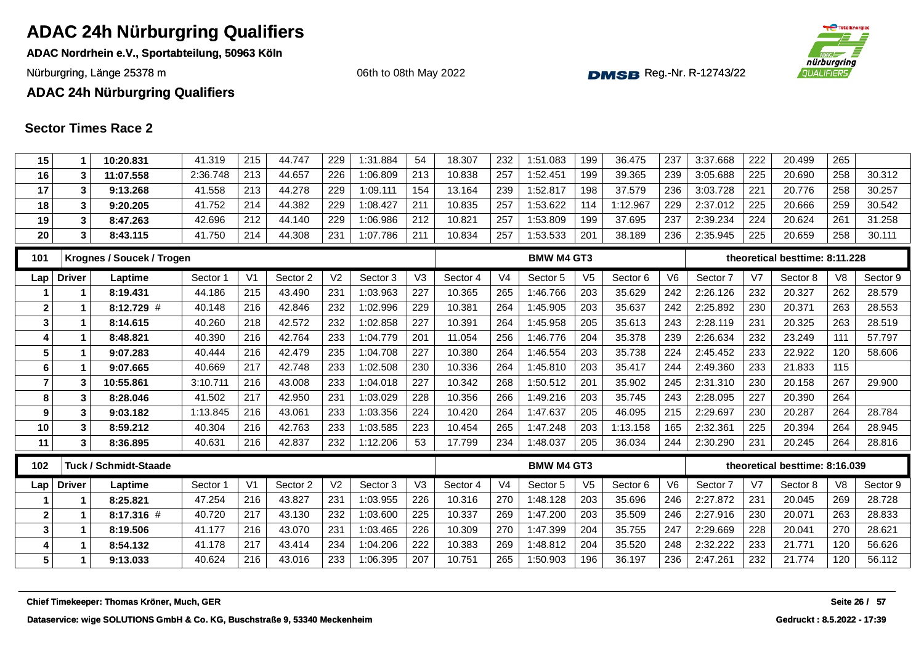**ADAC Nordrhein e.V., Sportabteilung, 50963 Köln**

Nürburgring, Länge 25378 m and the Communication of the Communication of the Communication of the Communication of the Communication of the Communication of the Communication of the Communication of the Communication of th

06th to 08th May 2022



#### **ADAC 24h Nürburgring Qualifiers**

| 15             | 1             | 10:20.831                                  | 41.319   | 215            | 44.747   | 229            | 1:31.884 | 54  | 18.307   | 232            | 1:51.083          | 199            | 36.475   | 237            | 3:37.668 | 222            | 20.499                         | 265            |               |
|----------------|---------------|--------------------------------------------|----------|----------------|----------|----------------|----------|-----|----------|----------------|-------------------|----------------|----------|----------------|----------|----------------|--------------------------------|----------------|---------------|
| 16             | 3             | 11:07.558                                  | 2:36.748 | 213            | 44.657   | 226            | 1:06.809 | 213 | 10.838   | 257            | 1:52.451          | 199            | 39.365   | 239            | 3:05.688 | 225            | 20.690                         | 258            | 30.312        |
| 17             | 3             | 9:13.268                                   | 41.558   | 213            | 44.278   | 229            | 1:09.111 | 154 | 13.164   | 239            | 1:52.817          | 198            | 37.579   | 236            | 3:03.728 | 221            | 20.776                         | 258            | 30.257        |
| 18             | 3             | 9:20.205                                   | 41.752   | 214            | 44.382   | 229            | 1:08.427 | 211 | 10.835   | 257            | 1:53.622          | 114            | 1:12.967 | 229            | 2:37.012 | 225            | 20.666                         | 259            | 30.542        |
| 19             | 3             | 8:47.263                                   | 42.696   | 212            | 44.140   | 229            | 1:06.986 | 212 | 10.821   | 257            | 1:53.809          | 199            | 37.695   | 237            | 2:39.234 | 224            | 20.624                         | 261            | 31.258        |
| 20             | 3             | 8:43.115                                   | 41.750   | 214            | 44.308   | 231            | 1:07.786 | 211 | 10.834   | 257            | 1:53.533          | 201            | 38.189   | 236            | 2:35.945 | 225            | 20.659                         | 258            | 30.111        |
| 101            |               | Krognes / Soucek / Trogen                  |          |                |          |                |          |     |          |                | <b>BMW M4 GT3</b> |                |          |                |          |                | theoretical besttime: 8:11.228 |                |               |
| Lap            | <b>Driver</b> | Laptime                                    | Sector 1 | V <sub>1</sub> | Sector 2 | V <sub>2</sub> | Sector 3 | V3  | Sector 4 | V <sub>4</sub> | Sector 5          | V <sub>5</sub> | Sector 6 | V <sub>6</sub> | Sector 7 | V <sub>7</sub> | Sector 8                       | V <sub>8</sub> | Sector 9      |
|                | 1.            | 8:19.431                                   | 44.186   | 215            | 43.490   | 231            | 1:03.963 | 227 | 10.365   | 265            | 1:46.766          | 203            | 35.629   | 242            | 2:26.126 | 232            | 20.327                         | 262            | 28.579        |
| $\mathbf{2}$   | 1             | $8:12.729$ #                               | 40.148   | 216            | 42.846   | 232            | 1:02.996 | 229 | 10.381   | 264            | 1:45.905          | 203            | 35.637   | 242            | 2:25.892 | 230            | 20.371                         | 263            | 28.553        |
| 3              | 1             | 8:14.615                                   | 40.260   | 218            | 42.572   | 232            | 1:02.858 | 227 | 10.391   | 264            | 1:45.958          | 205            | 35.613   | 243            | 2:28.119 | 231            | 20.325                         | 263            | 28.519        |
| $\overline{4}$ | $\mathbf{1}$  | 8:48.821                                   | 40.390   | 216            | 42.764   | 233            | 1:04.779 | 201 | 11.054   | 256            | 1:46.776          | 204            | 35.378   | 239            | 2:26.634 | 232            | 23.249                         | 111            | 57.797        |
| 5              | 1             | 9:07.283                                   | 40.444   | 216            | 42.479   | 235            | 1:04.708 | 227 | 10.380   | 264            | 1:46.554          | 203            | 35.738   | 224            | 2:45.452 | 233            | 22.922                         | 120            | 58.606        |
| 6              | 1             | 9:07.665                                   | 40.669   | 217            | 42.748   | 233            | 1:02.508 | 230 | 10.336   | 264            | 1:45.810          | 203            | 35.417   | 244            | 2:49.360 | 233            | 21.833                         | 115            |               |
| $\overline{7}$ | 3             | 10:55.861                                  | 3:10.711 | 216            | 43.008   | 233            | 1:04.018 | 227 | 10.342   | 268            | 1:50.512          | 201            | 35.902   | 245            | 2:31.310 | 230            | 20.158                         | 267            | 29,900        |
| 8              | 3             | 8:28.046                                   | 41.502   | 217            | 42.950   | 231            | 1:03.029 | 228 | 10.356   | 266            | 1:49.216          | 203            | 35.745   | 243            | 2:28.095 | 227            | 20.390                         | 264            |               |
| 9              | 3             | 9:03.182                                   | 1:13.845 | 216            | 43.061   | 233            | 1:03.356 | 224 | 10.420   | 264            | 1:47.637          | 205            | 46.095   | 215            | 2:29.697 | 230            | 20.287                         | 264            | 28.784        |
| 10             | 3             | 8:59.212                                   | 40.304   | 216            | 42.763   | 233            | 1:03.585 | 223 | 10.454   | 265            | 1:47.248          | 203            | 1:13.158 | 165            | 2:32.361 | 225            | 20.394                         | 264            | 28.945        |
| 11             | 3             | 8:36.895                                   | 40.631   | 216            | 42.837   | 232            | 1:12.206 | 53  | 17.799   | 234            | 1:48.037          | 205            | 36.034   | 244            | 2:30.290 | 231            | 20.245                         | 264            | 28.816        |
| 102            |               | <b>Tuck / Schmidt-Staade</b>               |          |                |          |                |          |     |          |                | <b>BMW M4 GT3</b> |                |          |                |          |                | theoretical besttime: 8:16.039 |                |               |
| Lap            | <b>Driver</b> | Laptime                                    | Sector 1 | V <sub>1</sub> | Sector 2 | V <sub>2</sub> | Sector 3 | V3  | Sector 4 | V <sub>4</sub> | Sector 5          | V <sub>5</sub> | Sector 6 | V <sub>6</sub> | Sector 7 | V7             | Sector 8                       | V <sub>8</sub> | Sector 9      |
|                | 1             | 8:25.821                                   | 47.254   | 216            | 43.827   | 231            | 1:03.955 | 226 | 10.316   | 270            | 1:48.128          | 203            | 35.696   | 246            | 2:27.872 | 231            | 20.045                         | 269            | 28.728        |
| $\mathbf{2}$   | 1             | 8:17.316 #                                 | 40.720   | 217            | 43.130   | 232            | 1:03.600 | 225 | 10.337   | 269            | 1:47.200          | 203            | 35.509   | 246            | 2:27.916 | 230            | 20.071                         | 263            | 28.833        |
| 3              | 1             | 8:19.506                                   | 41.177   | 216            | 43.070   | 231            | 1:03.465 | 226 | 10.309   | 270            | 1:47.399          | 204            | 35.755   | 247            | 2:29.669 | 228            | 20.041                         | 270            | 28.621        |
| 4              | 1             | 8:54.132                                   | 41.178   | 217            | 43.414   | 234            | 1:04.206 | 222 | 10.383   | 269            | 1:48.812          | 204            | 35.520   | 248            | 2:32.222 | 233            | 21.771                         | 120            | 56.626        |
| 5              | $\mathbf 1$   | 9:13.033                                   | 40.624   | 216            | 43.016   | 233            | 1:06.395 | 207 | 10.751   | 265            | 1:50.903          | 196            | 36.197   | 236            | 2:47.261 | 232            | 21.774                         | 120            | 56.112        |
|                |               | Chief Timekeeper: Thomas Kröner, Much, GER |          |                |          |                |          |     |          |                |                   |                |          |                |          |                |                                |                | Seite 26 / 57 |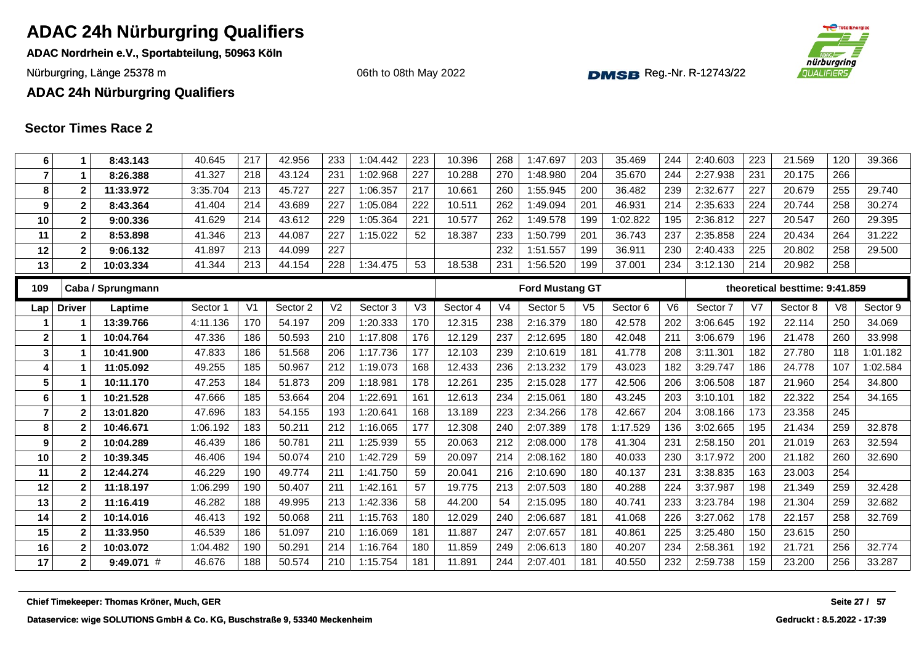**ADAC Nordrhein e.V., Sportabteilung, 50963 Köln**

Nürburgring, Länge 25378 m and the Communication of the Communication of the Communication of the Communication of the Communication of the Communication of the Communication of the Communication of the Communication of th

nürburgring *OUALIFIERS* 

06th to 08th May 2022

#### **ADAC 24h Nürburgring Qualifiers**

| 6              | 1                       | 8:43.143                                   | 40.645   | 217            | 42.956   | 233            | 1:04.442 | 223 | 10.396   | 268            | 1:47.697               | 203            | 35.469   | 244            | 2:40.603 | 223            | 21.569                         | 120            | 39.366        |
|----------------|-------------------------|--------------------------------------------|----------|----------------|----------|----------------|----------|-----|----------|----------------|------------------------|----------------|----------|----------------|----------|----------------|--------------------------------|----------------|---------------|
| $\overline{7}$ | $\overline{1}$          | 8:26.388                                   | 41.327   | 218            | 43.124   | 231            | 1:02.968 | 227 | 10.288   | 270            | 1:48.980               | 204            | 35.670   | 244            | 2:27.938 | 231            | 20.175                         | 266            |               |
| 8              | $\overline{2}$          | 11:33.972                                  | 3:35.704 | 213            | 45.727   | 227            | 1:06.357 | 217 | 10.661   | 260            | 1:55.945               | 200            | 36.482   | 239            | 2:32.677 | 227            | 20.679                         | 255            | 29.740        |
| 9              | $\mathbf{2}$            | 8:43.364                                   | 41.404   | 214            | 43.689   | 227            | 1:05.084 | 222 | 10.511   | 262            | 1:49.094               | 201            | 46.931   | 214            | 2:35.633 | 224            | 20.744                         | 258            | 30.274        |
| 10             | $\mathbf{2}$            | 9:00.336                                   | 41.629   | 214            | 43.612   | 229            | 1:05.364 | 221 | 10.577   | 262            | 1:49.578               | 199            | 1:02.822 | 195            | 2:36.812 | 227            | 20.547                         | 260            | 29.395        |
| 11             | $\overline{2}$          | 8:53.898                                   | 41.346   | 213            | 44.087   | 227            | 1:15.022 | 52  | 18.387   | 233            | 1:50.799               | 201            | 36.743   | 237            | 2:35.858 | 224            | 20.434                         | 264            | 31.222        |
| 12             | $\mathbf{2}$            | 9:06.132                                   | 41.897   | 213            | 44.099   | 227            |          |     |          | 232            | 1:51.557               | 199            | 36.911   | 230            | 2:40.433 | 225            | 20.802                         | 258            | 29.500        |
| 13             | $\overline{2}$          | 10:03.334                                  | 41.344   | 213            | 44.154   | 228            | 1:34.475 | 53  | 18.538   | 231            | 1:56.520               | 199            | 37.001   | 234            | 3:12.130 | 214            | 20.982                         | 258            |               |
| 109            |                         | Caba / Sprungmann                          |          |                |          |                |          |     |          |                | <b>Ford Mustang GT</b> |                |          |                |          |                | theoretical besttime: 9:41.859 |                |               |
|                |                         |                                            |          |                |          |                |          |     |          |                |                        |                |          |                |          |                |                                |                |               |
| Lap            | <b>Driver</b>           | Laptime                                    | Sector 1 | V <sub>1</sub> | Sector 2 | V <sub>2</sub> | Sector 3 | V3  | Sector 4 | V <sub>4</sub> | Sector 5               | V <sub>5</sub> | Sector 6 | V <sub>6</sub> | Sector 7 | V <sub>7</sub> | Sector 8                       | V <sub>8</sub> | Sector 9      |
|                |                         | 13:39.766                                  | 4:11.136 | 170            | 54.197   | 209            | 1:20.333 | 170 | 12.315   | 238            | 2:16.379               | 180            | 42.578   | 202            | 3:06.645 | 192            | 22.114                         | 250            | 34.069        |
| $\mathbf 2$    | $\mathbf 1$             | 10:04.764                                  | 47.336   | 186            | 50.593   | 210            | 1:17.808 | 176 | 12.129   | 237            | 2:12.695               | 180            | 42.048   | 211            | 3:06.679 | 196            | 21.478                         | 260            | 33.998        |
| 3              |                         | 10:41.900                                  | 47.833   | 186            | 51.568   | 206            | 1:17.736 | 177 | 12.103   | 239            | 2:10.619               | 181            | 41.778   | 208            | 3:11.301 | 182            | 27.780                         | 118            | 1:01.182      |
| 4              | $\overline{\mathbf{1}}$ | 11:05.092                                  | 49.255   | 185            | 50.967   | 212            | 1:19.073 | 168 | 12.433   | 236            | 2:13.232               | 179            | 43.023   | 182            | 3:29.747 | 186            | 24.778                         | 107            | 1:02.584      |
| 5              |                         | 10:11.170                                  | 47.253   | 184            | 51.873   | 209            | 1:18.981 | 178 | 12.261   | 235            | 2:15.028               | 177            | 42.506   | 206            | 3:06.508 | 187            | 21.960                         | 254            | 34.800        |
| 6              | -1                      | 10:21.528                                  | 47.666   | 185            | 53.664   | 204            | 1:22.691 | 161 | 12.613   | 234            | 2:15.061               | 180            | 43.245   | 203            | 3:10.101 | 182            | 22.322                         | 254            | 34.165        |
| $\overline{7}$ | 2                       | 13:01.820                                  | 47.696   | 183            | 54.155   | 193            | 1:20.641 | 168 | 13.189   | 223            | 2:34.266               | 178            | 42.667   | 204            | 3:08.166 | 173            | 23.358                         | 245            |               |
| 8              | $\overline{\mathbf{2}}$ | 10:46.671                                  | 1:06.192 | 183            | 50.211   | 212            | 1:16.065 | 177 | 12.308   | 240            | 2:07.389               | 178            | 1:17.529 | 136            | 3:02.665 | 195            | 21.434                         | 259            | 32.878        |
| 9              | $\overline{2}$          | 10:04.289                                  | 46.439   | 186            | 50.781   | 211            | 1:25.939 | 55  | 20.063   | 212            | 2:08.000               | 178            | 41.304   | 231            | 2:58.150 | 201            | 21.019                         | 263            | 32.594        |
| 10             | $\overline{2}$          | 10:39.345                                  | 46.406   | 194            | 50.074   | 210            | 1:42.729 | 59  | 20.097   | 214            | 2:08.162               | 180            | 40.033   | 230            | 3:17.972 | 200            | 21.182                         | 260            | 32.690        |
| 11             | $\overline{2}$          | 12:44.274                                  | 46.229   | 190            | 49.774   | 211            | 1:41.750 | 59  | 20.041   | 216            | 2:10.690               | 180            | 40.137   | 231            | 3:38.835 | 163            | 23.003                         | 254            |               |
| 12             | $\overline{2}$          | 11:18.197                                  | 1:06.299 | 190            | 50.407   | 211            | 1:42.161 | 57  | 19.775   | 213            | 2:07.503               | 180            | 40.288   | 224            | 3:37.987 | 198            | 21.349                         | 259            | 32.428        |
| 13             | $\overline{2}$          | 11:16.419                                  | 46.282   | 188            | 49.995   | 213            | 1:42.336 | 58  | 44.200   | 54             | 2:15.095               | 180            | 40.741   | 233            | 3:23.784 | 198            | 21.304                         | 259            | 32.682        |
| 14             | $\overline{2}$          | 10:14.016                                  | 46.413   | 192            | 50.068   | 211            | 1:15.763 | 180 | 12.029   | 240            | 2:06.687               | 181            | 41.068   | 226            | 3:27.062 | 178            | 22.157                         | 258            | 32.769        |
| 15             | $\overline{2}$          | 11:33.950                                  | 46.539   | 186            | 51.097   | 210            | 1:16.069 | 181 | 11.887   | 247            | 2:07.657               | 181            | 40.861   | 225            | 3:25.480 | 150            | 23.615                         | 250            |               |
| 16             | $\mathbf{2}$            | 10:03.072                                  | 1:04.482 | 190            | 50.291   | 214            | 1:16.764 | 180 | 11.859   | 249            | 2:06.613               | 180            | 40.207   | 234            | 2:58.361 | 192            | 21.721                         | 256            | 32.774        |
| 17             | $\mathbf{2}$            | $9:49.071$ #                               | 46.676   | 188            | 50.574   | 210            | 1:15.754 | 181 | 11.891   | 244            | 2:07.401               | 181            | 40.550   | 232            | 2:59.738 | 159            | 23.200                         | 256            | 33.287        |
|                |                         |                                            |          |                |          |                |          |     |          |                |                        |                |          |                |          |                |                                |                |               |
|                |                         |                                            |          |                |          |                |          |     |          |                |                        |                |          |                |          |                |                                |                |               |
|                |                         | Chief Timekeeper: Thomas Kröner, Much, GER |          |                |          |                |          |     |          |                |                        |                |          |                |          |                |                                |                | Seite 27 / 57 |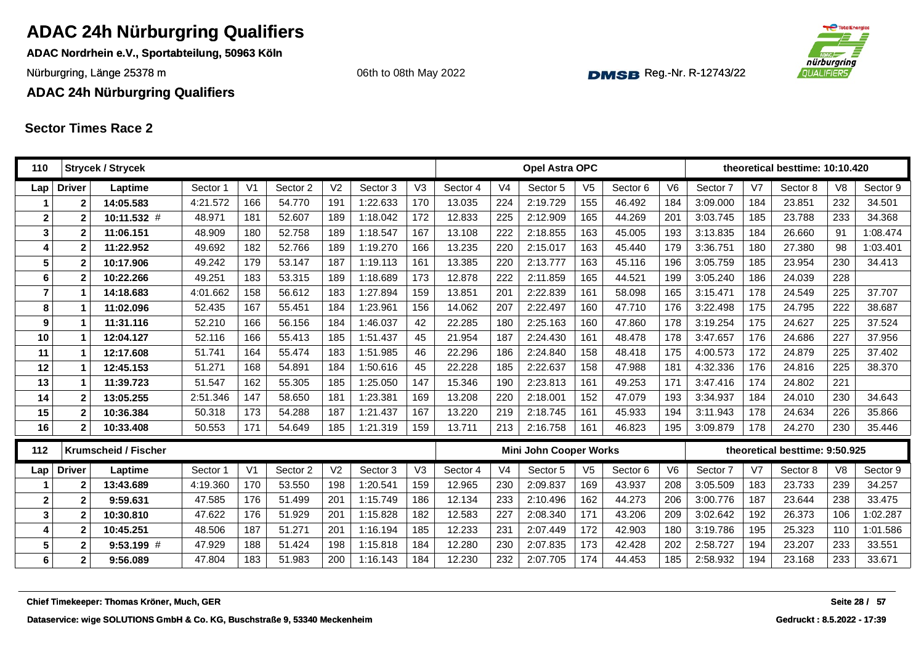**ADAC Nordrhein e.V., Sportabteilung, 50963 Köln**

Nürburgring, Länge 25378 m and the Communication of the Communication of the Communication of the Communication of the Communication of the Communication of the Communication of the Communication of the Communication of th

06th to 08th May 2022



**ADAC 24h Nürburgring Qualifiers**

| 110            |                | <b>Strycek / Strycek</b>                   |          |                |          |                |          |                |          |                | Opel Astra OPC                |                |          |                |          |                | theoretical besttime: 10:10.420 |                |               |
|----------------|----------------|--------------------------------------------|----------|----------------|----------|----------------|----------|----------------|----------|----------------|-------------------------------|----------------|----------|----------------|----------|----------------|---------------------------------|----------------|---------------|
| Lap            | <b>Driver</b>  | Laptime                                    | Sector 1 | V <sub>1</sub> | Sector 2 | V <sub>2</sub> | Sector 3 | V <sub>3</sub> | Sector 4 | V <sub>4</sub> | Sector 5                      | V <sub>5</sub> | Sector 6 | V <sub>6</sub> | Sector 7 | V7             | Sector 8                        | V8             | Sector 9      |
|                | $\mathbf{2}$   | 14:05.583                                  | 4:21.572 | 166            | 54.770   | 191            | 1:22.633 | 170            | 13.035   | 224            | 2:19.729                      | 155            | 46.492   | 184            | 3:09.000 | 184            | 23.851                          | 232            | 34.501        |
| $\mathbf{2}$   | $\overline{2}$ | $10:11.532$ #                              | 48.971   | 181            | 52.607   | 189            | 1:18.042 | 172            | 12.833   | 225            | 2:12.909                      | 165            | 44.269   | 201            | 3:03.745 | 185            | 23.788                          | 233            | 34.368        |
| 3              | $\mathbf{2}$   | 11:06.151                                  | 48.909   | 180            | 52.758   | 189            | 1:18.547 | 167            | 13.108   | 222            | 2:18.855                      | 163            | 45.005   | 193            | 3:13.835 | 184            | 26.660                          | 91             | 1:08.474      |
| 4              | $\overline{2}$ | 11:22.952                                  | 49.692   | 182            | 52.766   | 189            | 1:19.270 | 166            | 13.235   | 220            | 2:15.017                      | 163            | 45.440   | 179            | 3:36.751 | 180            | 27.380                          | 98             | 1:03.401      |
| 5              | $\mathbf{2}$   | 10:17.906                                  | 49.242   | 179            | 53.147   | 187            | 1:19.113 | 161            | 13.385   | 220            | 2:13.777                      | 163            | 45.116   | 196            | 3:05.759 | 185            | 23.954                          | 230            | 34.413        |
| 6              | $\overline{2}$ | 10:22.266                                  | 49.251   | 183            | 53.315   | 189            | 1:18.689 | 173            | 12.878   | 222            | 2:11.859                      | 165            | 44.521   | 199            | 3:05.240 | 186            | 24.039                          | 228            |               |
| $\overline{7}$ | 1              | 14:18.683                                  | 4:01.662 | 158            | 56.612   | 183            | 1:27.894 | 159            | 13.851   | 201            | 2:22.839                      | 161            | 58.098   | 165            | 3:15.471 | 178            | 24.549                          | 225            | 37.707        |
| 8              |                | 11:02.096                                  | 52.435   | 167            | 55.451   | 184            | 1:23.961 | 156            | 14.062   | 207            | 2:22.497                      | 160            | 47.710   | 176            | 3:22.498 | 175            | 24.795                          | 222            | 38.687        |
| 9              | 1              | 11:31.116                                  | 52.210   | 166            | 56.156   | 184            | 1:46.037 | 42             | 22.285   | 180            | 2:25.163                      | 160            | 47.860   | 178            | 3:19.254 | 175            | 24.627                          | 225            | 37.524        |
| 10             | 1              | 12:04.127                                  | 52.116   | 166            | 55.413   | 185            | 1:51.437 | 45             | 21.954   | 187            | 2:24.430                      | 161            | 48.478   | 178            | 3:47.657 | 176            | 24.686                          | 227            | 37.956        |
| 11             | 1              | 12:17.608                                  | 51.741   | 164            | 55.474   | 183            | 1:51.985 | 46             | 22.296   | 186            | 2:24.840                      | 158            | 48.418   | 175            | 4:00.573 | 172            | 24.879                          | 225            | 37.402        |
| 12             | 1              | 12:45.153                                  | 51.271   | 168            | 54.891   | 184            | 1:50.616 | 45             | 22.228   | 185            | 2:22.637                      | 158            | 47.988   | 181            | 4:32.336 | 176            | 24.816                          | 225            | 38.370        |
| 13             | 1              | 11:39.723                                  | 51.547   | 162            | 55.305   | 185            | 1:25.050 | 147            | 15.346   | 190            | 2:23.813                      | 161            | 49.253   | 171            | 3:47.416 | 174            | 24.802                          | 221            |               |
| 14             | $\mathbf{2}$   | 13:05.255                                  | 2:51.346 | 147            | 58.650   | 181            | 1:23.381 | 169            | 13.208   | 220            | 2:18.001                      | 152            | 47.079   | 193            | 3:34.937 | 184            | 24.010                          | 230            | 34.643        |
| 15             | $\mathbf{2}$   | 10:36.384                                  | 50.318   | 173            | 54.288   | 187            | 1:21.437 | 167            | 13.220   | 219            | 2:18.745                      | 161            | 45.933   | 194            | 3:11.943 | 178            | 24.634                          | 226            | 35.866        |
| 16             | $\mathbf{2}$   | 10:33.408                                  | 50.553   | 171            | 54.649   | 185            | 1:21.319 | 159            | 13.711   | 213            | 2:16.758                      | 161            | 46.823   | 195            | 3:09.879 | 178            | 24.270                          | 230            | 35.446        |
| 112            |                | Krumscheid / Fischer                       |          |                |          |                |          |                |          |                | <b>Mini John Cooper Works</b> |                |          |                |          |                | theoretical besttime: 9:50.925  |                |               |
| Lap            | <b>Driver</b>  | Laptime                                    | Sector 1 | V <sub>1</sub> | Sector 2 | V <sub>2</sub> | Sector 3 | V <sub>3</sub> | Sector 4 | V <sub>4</sub> | Sector 5                      | V <sub>5</sub> | Sector 6 | V <sub>6</sub> | Sector 7 | V <sub>7</sub> | Sector 8                        | V <sub>8</sub> | Sector 9      |
|                | 2              | 13:43.689                                  | 4:19.360 | 170            | 53.550   | 198            | 1:20.541 | 159            | 12.965   | 230            | 2:09.837                      | 169            | 43.937   | 208            | 3:05.509 | 183            | 23.733                          | 239            | 34.257        |
| $\overline{2}$ | $\overline{2}$ | 9:59.631                                   | 47.585   | 176            | 51.499   | 201            | 1:15.749 | 186            | 12.134   | 233            | 2:10.496                      | 162            | 44.273   | 206            | 3:00.776 | 187            | 23.644                          | 238            | 33.475        |
| $\mathbf{3}$   | $\overline{2}$ | 10:30.810                                  | 47.622   | 176            | 51.929   | 201            | 1:15.828 | 182            | 12.583   | 227            | 2:08.340                      | 171            | 43.206   | 209            | 3:02.642 | 192            | 26.373                          | 106            | 1:02.287      |
| 4              | $\mathbf 2$    | 10:45.251                                  | 48.506   | 187            | 51.271   | 201            | 1:16.194 | 185            | 12.233   | 231            | 2:07.449                      | 172            | 42.903   | 180            | 3:19.786 | 195            | 25.323                          | 110            | 1:01.586      |
| 5              | $\mathbf 2$    | $9:53.199$ #                               | 47.929   | 188            | 51.424   | 198            | 1:15.818 | 184            | 12.280   | 230            | 2:07.835                      | 173            | 42.428   | 202            | 2:58.727 | 194            | 23.207                          | 233            | 33.551        |
| $\bf 6$        | $\mathbf{2}$   | 9:56.089                                   | 47.804   | 183            | 51.983   | 200            | 1:16.143 | 184            | 12.230   | 232            | 2:07.705                      | 174            | 44.453   | 185            | 2:58.932 | 194            | 23.168                          | 233            | 33.671        |
|                |                | Chief Timekeeper: Thomas Kröner, Much, GER |          |                |          |                |          |                |          |                |                               |                |          |                |          |                |                                 |                | Seite 28 / 57 |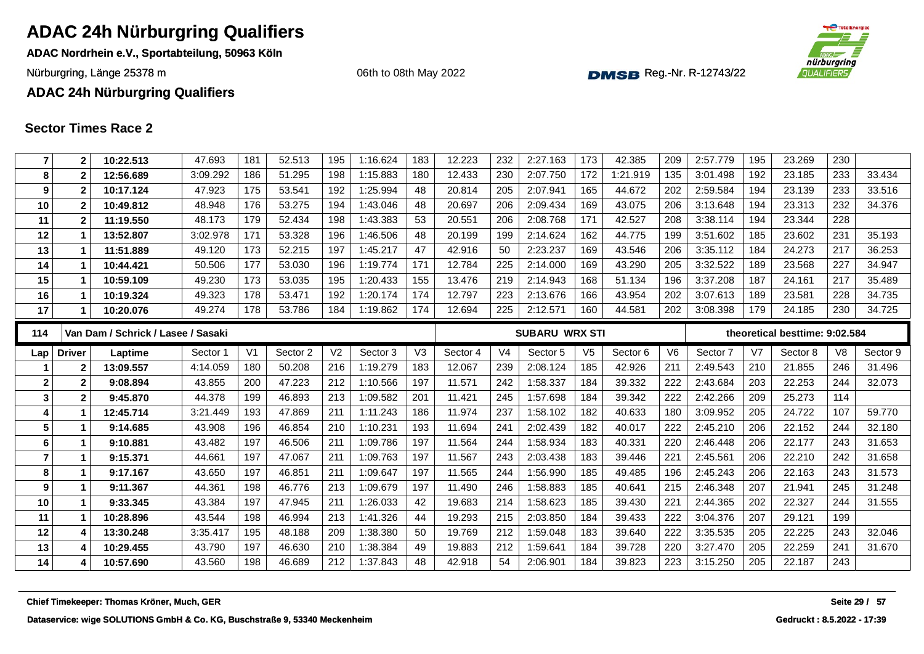**ADAC Nordrhein e.V., Sportabteilung, 50963 Köln**

Nürburgring, Länge 25378 m and the Communication of the Communication of the Communication of the Communication of the Communication of the Communication of the Communication of the Communication of the Communication of th

06th to 08th May 2022



**ADAC 24h Nürburgring Qualifiers**

| 7              | $\overline{2}$          | 10:22.513                                  | 47.693   | 181            | 52.513   | 195            | 1:16.624 | 183 | 12.223   | 232            | 2:27.163              | 173            | 42.385   | 209            | 2:57.779 | 195            | 23.269                         | 230 |               |
|----------------|-------------------------|--------------------------------------------|----------|----------------|----------|----------------|----------|-----|----------|----------------|-----------------------|----------------|----------|----------------|----------|----------------|--------------------------------|-----|---------------|
| 8              | $\mathbf{2}$            | 12:56.689                                  | 3:09.292 | 186            | 51.295   | 198            | 1:15.883 | 180 | 12.433   | 230            | 2:07.750              | 172            | 1:21.919 | 135            | 3:01.498 | 192            | 23.185                         | 233 | 33.434        |
| 9              | $\overline{\mathbf{2}}$ | 10:17.124                                  | 47.923   | 175            | 53.541   | 192            | 1:25.994 | 48  | 20.814   | 205            | 2:07.941              | 165            | 44.672   | 202            | 2:59.584 | 194            | 23.139                         | 233 | 33.516        |
| 10             | $\mathbf{2}$            | 10:49.812                                  | 48.948   | 176            | 53.275   | 194            | 1:43.046 | 48  | 20.697   | 206            | 2:09.434              | 169            | 43.075   | 206            | 3:13.648 | 194            | 23.313                         | 232 | 34.376        |
| 11             | $\overline{2}$          | 11:19.550                                  | 48.173   | 179            | 52.434   | 198            | 1:43.383 | 53  | 20.551   | 206            | 2:08.768              | 171            | 42.527   | 208            | 3:38.114 | 194            | 23.344                         | 228 |               |
| 12             | 1                       | 13:52.807                                  | 3:02.978 | 171            | 53.328   | 196            | 1:46.506 | 48  | 20.199   | 199            | 2:14.624              | 162            | 44.775   | 199            | 3:51.602 | 185            | 23.602                         | 231 | 35.193        |
| 13             |                         | 11:51.889                                  | 49.120   | 173            | 52.215   | 197            | 1:45.217 | 47  | 42.916   | 50             | 2:23.237              | 169            | 43.546   | 206            | 3:35.112 | 184            | 24.273                         | 217 | 36.253        |
| 14             | $\mathbf 1$             | 10:44.421                                  | 50.506   | 177            | 53.030   | 196            | 1:19.774 | 171 | 12.784   | 225            | 2:14.000              | 169            | 43.290   | 205            | 3:32.522 | 189            | 23.568                         | 227 | 34.947        |
| 15             |                         | 10:59.109                                  | 49.230   | 173            | 53.035   | 195            | 1:20.433 | 155 | 13.476   | 219            | 2:14.943              | 168            | 51.134   | 196            | 3:37.208 | 187            | 24.161                         | 217 | 35.489        |
| 16             | -1                      | 10:19.324                                  | 49.323   | 178            | 53.471   | 192            | 1:20.174 | 174 | 12.797   | 223            | 2:13.676              | 166            | 43.954   | 202            | 3:07.613 | 189            | 23.581                         | 228 | 34.735        |
| 17             |                         | 10:20.076                                  | 49.274   | 178            | 53.786   | 184            | 1:19.862 | 174 | 12.694   | 225            | 2:12.571              | 160            | 44.581   | 202            | 3:08.398 | 179            | 24.185                         | 230 | 34.725        |
| 114            |                         | Van Dam / Schrick / Lasee / Sasaki         |          |                |          |                |          |     |          |                | <b>SUBARU WRX STI</b> |                |          |                |          |                | theoretical besttime: 9:02.584 |     |               |
| Lap            | <b>Driver</b>           | Laptime                                    | Sector 1 | V <sub>1</sub> | Sector 2 | V <sub>2</sub> | Sector 3 | V3  | Sector 4 | V <sub>4</sub> | Sector 5              | V <sub>5</sub> | Sector 6 | V <sub>6</sub> | Sector 7 | V <sub>7</sub> | Sector 8                       | V8  | Sector 9      |
| 1              | $\mathbf{2}$            | 13:09.557                                  | 4:14.059 | 180            | 50.208   | 216            | 1:19.279 | 183 | 12.067   | 239            | 2:08.124              | 185            | 42.926   | 211            | 2:49.543 | 210            | 21.855                         | 246 | 31.496        |
| $\bf{2}$       | $\mathbf{2}$            | 9:08.894                                   | 43.855   | 200            | 47.223   | 212            | 1:10.566 | 197 | 11.571   | 242            | 1:58.337              | 184            | 39.332   | 222            | 2:43.684 | 203            | 22.253                         | 244 | 32.073        |
| 3              | $\mathbf{2}$            | 9:45.870                                   | 44.378   | 199            | 46.893   | 213            | 1:09.582 | 201 | 11.421   | 245            | 1:57.698              | 184            | 39.342   | 222            | 2:42.266 | 209            | 25.273                         | 114 |               |
| 4              | -1                      | 12:45.714                                  | 3:21.449 | 193            | 47.869   | 211            | 1:11.243 | 186 | 11.974   | 237            | 1:58.102              | 182            | 40.633   | 180            | 3:09.952 | 205            | 24.722                         | 107 | 59.770        |
| 5              | -1                      | 9:14.685                                   | 43.908   | 196            | 46.854   | 210            | 1:10.231 | 193 | 11.694   | 241            | 2:02.439              | 182            | 40.017   | 222            | 2:45.210 | 206            | 22.152                         | 244 | 32.180        |
| $\bf 6$        | 1                       | 9:10.881                                   | 43.482   | 197            | 46.506   | 211            | 1:09.786 | 197 | 11.564   | 244            | 1:58.934              | 183            | 40.331   | 220            | 2:46.448 | 206            | 22.177                         | 243 | 31.653        |
| $\overline{7}$ | 1                       | 9:15.371                                   | 44.661   | 197            | 47.067   | 211            | 1:09.763 | 197 | 11.567   | 243            | 2:03.438              | 183            | 39.446   | 221            | 2:45.561 | 206            | 22.210                         | 242 | 31.658        |
| 8              | 1                       | 9:17.167                                   | 43.650   | 197            | 46.851   | 211            | 1:09.647 | 197 | 11.565   | 244            | 1:56.990              | 185            | 49.485   | 196            | 2:45.243 | 206            | 22.163                         | 243 | 31.573        |
| 9              | -1                      | 9:11.367                                   | 44.361   | 198            | 46.776   | 213            | 1:09.679 | 197 | 11.490   | 246            | 1:58.883              | 185            | 40.641   | 215            | 2:46.348 | 207            | 21.941                         | 245 | 31.248        |
| 10             | 1                       | 9:33.345                                   | 43.384   | 197            | 47.945   | 211            | 1:26.033 | 42  | 19.683   | 214            | 1:58.623              | 185            | 39.430   | 221            | 2:44.365 | 202            | 22.327                         | 244 | 31.555        |
| 11             | -1                      | 10:28.896                                  | 43.544   | 198            | 46.994   | 213            | 1:41.326 | 44  | 19.293   | 215            | 2:03.850              | 184            | 39.433   | 222            | 3:04.376 | 207            | 29.121                         | 199 |               |
| 12             | 4                       | 13:30.248                                  | 3:35.417 | 195            | 48.188   | 209            | 1:38.380 | 50  | 19.769   | 212            | 1:59.048              | 183            | 39.640   | 222            | 3:35.535 | 205            | 22.225                         | 243 | 32.046        |
| 13             | Δ                       | 10:29.455                                  | 43.790   | 197            | 46.630   | 210            | 1:38.384 | 49  | 19.883   | 212            | 1:59.641              | 184            | 39.728   | 220            | 3:27.470 | 205            | 22.259                         | 241 | 31.670        |
| 14             | Δ                       | 10:57.690                                  | 43.560   | 198            | 46.689   | 212            | 1:37.843 | 48  | 42.918   | 54             | 2:06.901              | 184            | 39.823   | 223            | 3:15.250 | 205            | 22.187                         | 243 |               |
|                |                         |                                            |          |                |          |                |          |     |          |                |                       |                |          |                |          |                |                                |     |               |
|                |                         | Chief Timekeeper: Thomas Kröner, Much, GER |          |                |          |                |          |     |          |                |                       |                |          |                |          |                |                                |     | Seite 29 / 57 |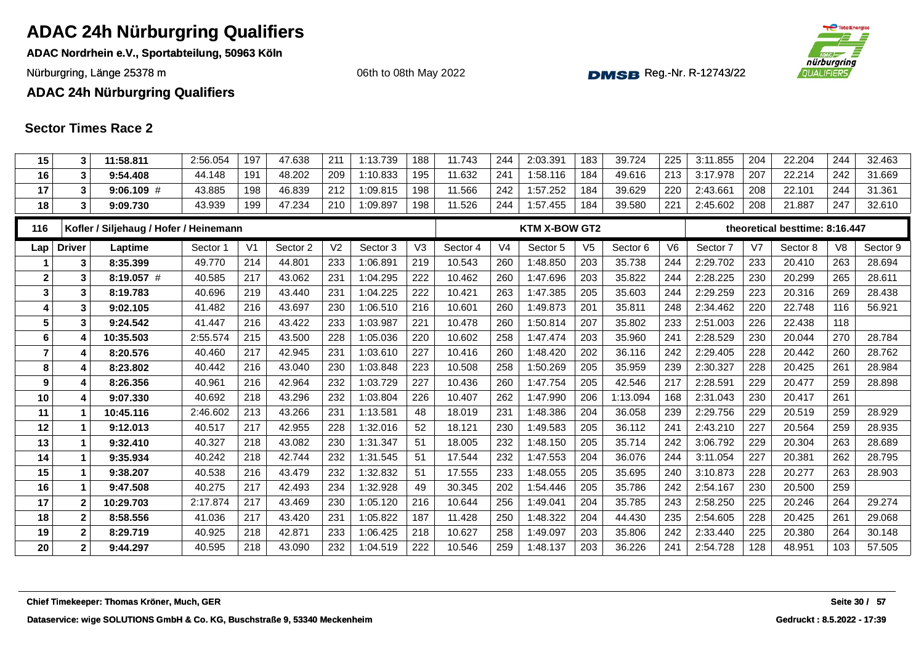**ADAC Nordrhein e.V., Sportabteilung, 50963 Köln**

Nürburgring, Länge 25378 m and the Communication of the Communication of the Communication of the Communication of the Communication of the Communication of the Communication of the Communication of the Communication of th

06th to 08th May 2022



#### **ADAC 24h Nürburgring Qualifiers**

| 15               | 3                | 11:58.811                                  | 2:56.054 | 197            | 47.638   | 211            | 1:13.739 | 188            | 11.743   | 244            | 2:03.391             | 183            | 39.724   | 225            | 3:11.855 | 204            | 22.204                         | 244 | 32.463        |
|------------------|------------------|--------------------------------------------|----------|----------------|----------|----------------|----------|----------------|----------|----------------|----------------------|----------------|----------|----------------|----------|----------------|--------------------------------|-----|---------------|
| 16               | $\mathbf{3}$     | 9:54.408                                   | 44.148   | 191            | 48.202   | 209            | 1:10.833 | 195            | 11.632   | 241            | 1:58.116             | 184            | 49.616   | 213            | 3:17.978 | 207            | 22.214                         | 242 | 31.669        |
| 17               | 3                | $9:06.109$ #                               | 43.885   | 198            | 46.839   | 212            | 1:09.815 | 198            | 11.566   | 242            | 1:57.252             | 184            | 39.629   | 220            | 2:43.661 | 208            | 22.101                         | 244 | 31.361        |
| 18               | 3                | 9:09.730                                   | 43.939   | 199            | 47.234   | 210            | 1:09.897 | 198            | 11.526   | 244            | 1:57.455             | 184            | 39.580   | 221            | 2:45.602 | 208            | 21.887                         | 247 | 32.610        |
| 116              |                  | Kofler / Siljehaug / Hofer / Heinemann     |          |                |          |                |          |                |          |                | <b>KTM X-BOW GT2</b> |                |          |                |          |                | theoretical besttime: 8:16.447 |     |               |
| Lap              | <b>Driver</b>    | Laptime                                    | Sector 1 | V <sub>1</sub> | Sector 2 | V <sub>2</sub> | Sector 3 | V <sub>3</sub> | Sector 4 | V <sub>4</sub> | Sector 5             | V <sub>5</sub> | Sector 6 | V <sub>6</sub> | Sector 7 | V <sub>7</sub> | Sector 8                       | V8  | Sector 9      |
| 1                | 3                | 8:35.399                                   | 49.770   | 214            | 44.801   | 233            | 1:06.891 | 219            | 10.543   | 260            | 1:48.850             | 203            | 35.738   | 244            | 2:29.702 | 233            | 20.410                         | 263 | 28.694        |
| $\boldsymbol{2}$ | 3                | $8:19.057$ #                               | 40.585   | 217            | 43.062   | 231            | 1:04.295 | 222            | 10.462   | 260            | 1:47.696             | 203            | 35.822   | 244            | 2:28.225 | 230            | 20.299                         | 265 | 28.611        |
| $\mathbf 3$      | 3                | 8:19.783                                   | 40.696   | 219            | 43.440   | 231            | 1:04.225 | 222            | 10.421   | 263            | 1:47.385             | 205            | 35.603   | 244            | 2:29.259 | 223            | 20.316                         | 269 | 28.438        |
| 4                | 3                | 9:02.105                                   | 41.482   | 216            | 43.697   | 230            | 1:06.510 | 216            | 10.601   | 260            | 1:49.873             | 201            | 35.811   | 248            | 2:34.462 | 220            | 22.748                         | 116 | 56.921        |
| 5                | 3                | 9:24.542                                   | 41.447   | 216            | 43.422   | 233            | 1:03.987 | 221            | 10.478   | 260            | 1:50.814             | 207            | 35.802   | 233            | 2:51.003 | 226            | 22.438                         | 118 |               |
| 6                | 4                | 10:35.503                                  | 2:55.574 | 215            | 43.500   | 228            | 1:05.036 | 220            | 10.602   | 258            | 1:47.474             | 203            | 35.960   | 241            | 2:28.529 | 230            | 20.044                         | 270 | 28.784        |
| $\overline{7}$   | 4                | 8:20.576                                   | 40.460   | 217            | 42.945   | 231            | 1:03.610 | 227            | 10.416   | 260            | 1:48.420             | 202            | 36.116   | 242            | 2:29.405 | 228            | 20.442                         | 260 | 28.762        |
| 8                | 4                | 8:23.802                                   | 40.442   | 216            | 43.040   | 230            | 1:03.848 | 223            | 10.508   | 258            | 1:50.269             | 205            | 35.959   | 239            | 2:30.327 | 228            | 20.425                         | 261 | 28.984        |
| $\boldsymbol{9}$ | 4                | 8:26.356                                   | 40.961   | 216            | 42.964   | 232            | 1:03.729 | 227            | 10.436   | 260            | 1:47.754             | 205            | 42.546   | 217            | 2:28.591 | 229            | 20.477                         | 259 | 28.898        |
| 10               | 4                | 9:07.330                                   | 40.692   | 218            | 43.296   | 232            | 1:03.804 | 226            | 10.407   | 262            | 1:47.990             | 206            | 1:13.094 | 168            | 2:31.043 | 230            | 20.417                         | 261 |               |
| 11               | $\mathbf 1$      | 10:45.116                                  | 2:46.602 | 213            | 43.266   | 231            | 1:13.581 | 48             | 18.019   | 231            | 1:48.386             | 204            | 36.058   | 239            | 2:29.756 | 229            | 20.519                         | 259 | 28.929        |
| 12               | $\mathbf 1$      | 9:12.013                                   | 40.517   | 217            | 42.955   | 228            | 1:32.016 | 52             | 18.121   | 230            | 1:49.583             | 205            | 36.112   | 241            | 2:43.210 | 227            | 20.564                         | 259 | 28.935        |
| 13               |                  | 9:32.410                                   | 40.327   | 218            | 43.082   | 230            | 1:31.347 | 51             | 18.005   | 232            | 1:48.150             | 205            | 35.714   | 242            | 3:06.792 | 229            | 20.304                         | 263 | 28.689        |
| 14               | $\mathbf 1$      | 9:35.934                                   | 40.242   | 218            | 42.744   | 232            | 1:31.545 | 51             | 17.544   | 232            | 1:47.553             | 204            | 36.076   | 244            | 3:11.054 | 227            | 20.381                         | 262 | 28.795        |
| 15               |                  | 9:38.207                                   | 40.538   | 216            | 43.479   | 232            | 1:32.832 | 51             | 17.555   | 233            | 1:48.055             | 205            | 35.695   | 240            | 3:10.873 | 228            | 20.277                         | 263 | 28.903        |
| 16               |                  | 9:47.508                                   | 40.275   | 217            | 42.493   | 234            | 1:32.928 | 49             | 30.345   | 202            | 1:54.446             | 205            | 35.786   | 242            | 2:54.167 | 230            | 20.500                         | 259 |               |
| 17               | $\overline{2}$   | 10:29.703                                  | 2:17.874 | 217            | 43.469   | 230            | 1:05.120 | 216            | 10.644   | 256            | 1:49.041             | 204            | 35.785   | 243            | 2:58.250 | 225            | 20.246                         | 264 | 29.274        |
| 18               | $\mathbf{2}$     | 8:58.556                                   | 41.036   | 217            | 43.420   | 231            | 1:05.822 | 187            | 11.428   | 250            | 1:48.322             | 204            | 44.430   | 235            | 2:54.605 | 228            | 20.425                         | 261 | 29.068        |
| 19               | $\boldsymbol{2}$ | 8:29.719                                   | 40.925   | 218            | 42.871   | 233            | 1:06.425 | 218            | 10.627   | 258            | 1:49.097             | 203            | 35.806   | 242            | 2:33.440 | 225            | 20.380                         | 264 | 30.148        |
| 20               | $\mathbf{2}$     | 9:44.297                                   | 40.595   | 218            | 43.090   | 232            | 1:04.519 | 222            | 10.546   | 259            | 1:48.137             | 203            | 36.226   | 241            | 2:54.728 | 128            | 48.951                         | 103 | 57.505        |
|                  |                  | Chief Timekeeper: Thomas Kröner, Much, GER |          |                |          |                |          |                |          |                |                      |                |          |                |          |                |                                |     | Seite 30 / 57 |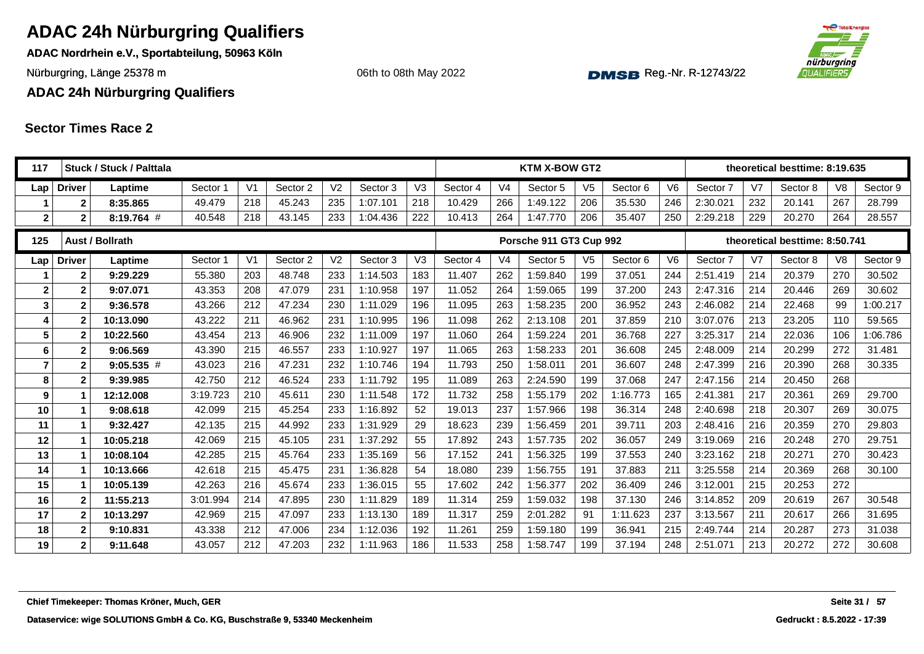**ADAC Nordrhein e.V., Sportabteilung, 50963 Köln**

Nürburgring, Länge 25378 m and the Communication of the Communication of the Communication of the Communication of the Communication of the Communication of the Communication of the Communication of the Communication of th

06th to 08th May 2022



**ADAC 24h Nürburgring Qualifiers**

| 117              |                          | <b>Stuck / Stuck / Palttala</b>            |          |                |          |                |          |                |          |                | <b>KTM X-BOW GT2</b>    |                |          |                |          |     | theoretical besttime: 8:19.635 |                |               |
|------------------|--------------------------|--------------------------------------------|----------|----------------|----------|----------------|----------|----------------|----------|----------------|-------------------------|----------------|----------|----------------|----------|-----|--------------------------------|----------------|---------------|
| Lap              | <b>Driver</b>            | Laptime                                    | Sector 1 | V <sub>1</sub> | Sector 2 | V <sub>2</sub> | Sector 3 | V <sub>3</sub> | Sector 4 | V <sub>4</sub> | Sector 5                | V <sub>5</sub> | Sector 6 | V6             | Sector 7 | V7  | Sector 8                       | V <sub>8</sub> | Sector 9      |
| 1                | $\boldsymbol{2}$         | 8:35.865                                   | 49.479   | 218            | 45.243   | 235            | 1:07.101 | 218            | 10.429   | 266            | 1:49.122                | 206            | 35.530   | 246            | 2:30.021 | 232 | 20.141                         | 267            | 28.799        |
| $\mathbf 2$      | $\mathbf{2}$             | $8:19.764$ #                               | 40.548   | 218            | 43.145   | 233            | 1:04.436 | 222            | 10.413   | 264            | 1:47.770                | 206            | 35.407   | 250            | 2:29.218 | 229 | 20.270                         | 264            | 28.557        |
| 125              |                          | Aust / Bollrath                            |          |                |          |                |          |                |          |                | Porsche 911 GT3 Cup 992 |                |          |                |          |     | theoretical besttime: 8:50.741 |                |               |
| Lap              | <b>Driver</b>            | Laptime                                    | Sector 1 | V <sub>1</sub> | Sector 2 | V <sub>2</sub> | Sector 3 | V3             | Sector 4 | V <sub>4</sub> | Sector 5                | V <sub>5</sub> | Sector 6 | V <sub>6</sub> | Sector 7 | V7  | Sector 8                       | V <sub>8</sub> | Sector 9      |
| 1                | $\mathbf{2}$             | 9:29.229                                   | 55.380   | 203            | 48.748   | 233            | 1:14.503 | 183            | 11.407   | 262            | 1:59.840                | 199            | 37.051   | 244            | 2:51.419 | 214 | 20.379                         | 270            | 30.502        |
| $\mathbf{2}$     | $\mathbf{2}$             | 9:07.071                                   | 43.353   | 208            | 47.079   | 231            | 1:10.958 | 197            | 11.052   | 264            | 1:59.065                | 199            | 37.200   | 243            | 2:47.316 | 214 | 20.446                         | 269            | 30.602        |
| $\mathbf{3}$     | $\mathbf{2}$             | 9:36.578                                   | 43.266   | 212            | 47.234   | 230            | 1:11.029 | 196            | 11.095   | 263            | 1:58.235                | 200            | 36.952   | 243            | 2:46.082 | 214 | 22.468                         | 99             | 1:00.217      |
| 4                | $\overline{2}$           | 10:13.090                                  | 43.222   | 211            | 46.962   | 231            | 1:10.995 | 196            | 11.098   | 262            | 2:13.108                | 201            | 37.859   | 210            | 3:07.076 | 213 | 23.205                         | 110            | 59.565        |
| 5                | $\overline{2}$           | 10:22.560                                  | 43.454   | 213            | 46.906   | 232            | 1:11.009 | 197            | 11.060   | 264            | 1:59.224                | 201            | 36.768   | 227            | 3:25.317 | 214 | 22.036                         | 106            | 1:06.786      |
| 6                | $\mathbf{2}$             | 9:06.569                                   | 43.390   | 215            | 46.557   | 233            | 1:10.927 | 197            | 11.065   | 263            | 1:58.233                | 201            | 36.608   | 245            | 2:48.009 | 214 | 20.299                         | 272            | 31.481        |
| $\overline{7}$   | $\overline{\mathbf{2}}$  | $9:05.535$ #                               | 43.023   | 216            | 47.231   | 232            | 1:10.746 | 194            | 11.793   | 250            | 1:58.011                | 201            | 36.607   | 248            | 2:47.399 | 216 | 20.390                         | 268            | 30.335        |
| $\pmb{8}$        | $\mathbf{2}$             | 9:39.985                                   | 42.750   | 212            | 46.524   | 233            | 1:11.792 | 195            | 11.089   | 263            | 2:24.590                | 199            | 37.068   | 247            | 2:47.156 | 214 | 20.450                         | 268            |               |
| $\boldsymbol{9}$ | 1                        | 12:12.008                                  | 3:19.723 | 210            | 45.611   | 230            | 1:11.548 | 172            | 11.732   | 258            | 1:55.179                | 202            | 1:16.773 | 165            | 2:41.381 | 217 | 20.361                         | 269            | 29.700        |
| 10               | 1                        | 9:08.618                                   | 42.099   | 215            | 45.254   | 233            | 1:16.892 | 52             | 19.013   | 237            | 1:57.966                | 198            | 36.314   | 248            | 2:40.698 | 218 | 20.307                         | 269            | 30.075        |
| 11               | $\mathbf{1}$             | 9:32.427                                   | 42.135   | 215            | 44.992   | 233            | 1:31.929 | 29             | 18.623   | 239            | 1:56.459                | 201            | 39.711   | 203            | 2:48.416 | 216 | 20.359                         | 270            | 29.803        |
| 12               | -1                       | 10:05.218                                  | 42.069   | 215            | 45.105   | 231            | 1:37.292 | 55             | 17.892   | 243            | 1:57.735                | 202            | 36.057   | 249            | 3:19.069 | 216 | 20.248                         | 270            | 29.751        |
| 13               | $\overline{\phantom{a}}$ | 10:08.104                                  | 42.285   | 215            | 45.764   | 233            | 1:35.169 | 56             | 17.152   | 241            | 1:56.325                | 199            | 37.553   | 240            | 3:23.162 | 218 | 20.271                         | 270            | 30.423        |
| 14               | -1                       | 10:13.666                                  | 42.618   | 215            | 45.475   | 231            | 1:36.828 | 54             | 18.080   | 239            | 1:56.755                | 191            | 37.883   | 211            | 3:25.558 | 214 | 20.369                         | 268            | 30.100        |
| 15               | $\overline{\phantom{a}}$ | 10:05.139                                  | 42.263   | 216            | 45.674   | 233            | 1:36.015 | 55             | 17.602   | 242            | 1:56.377                | 202            | 36.409   | 246            | 3:12.001 | 215 | 20.253                         | 272            |               |
| 16               | $\overline{2}$           | 11:55.213                                  | 3:01.994 | 214            | 47.895   | 230            | 1:11.829 | 189            | 11.314   | 259            | 1:59.032                | 198            | 37.130   | 246            | 3:14.852 | 209 | 20.619                         | 267            | 30.548        |
| 17               | $\overline{\mathbf{2}}$  | 10:13.297                                  | 42.969   | 215            | 47.097   | 233            | 1:13.130 | 189            | 11.317   | 259            | 2:01.282                | 91             | 1:11.623 | 237            | 3:13.567 | 211 | 20.617                         | 266            | 31.695        |
| 18               | $\mathbf 2$              | 9:10.831                                   | 43.338   | 212            | 47.006   | 234            | 1:12.036 | 192            | 11.261   | 259            | 1:59.180                | 199            | 36.941   | 215            | 2:49.744 | 214 | 20.287                         | 273            | 31.038        |
| 19               | $\mathbf 2$              | 9:11.648                                   | 43.057   | 212            | 47.203   | 232            | 1:11.963 | 186            | 11.533   | 258            | 1:58.747                | 199            | 37.194   | 248            | 2:51.071 | 213 | 20.272                         | 272            | 30.608        |
|                  |                          | Chief Timekeeper: Thomas Kröner, Much, GER |          |                |          |                |          |                |          |                |                         |                |          |                |          |     |                                |                | Seite 31 / 57 |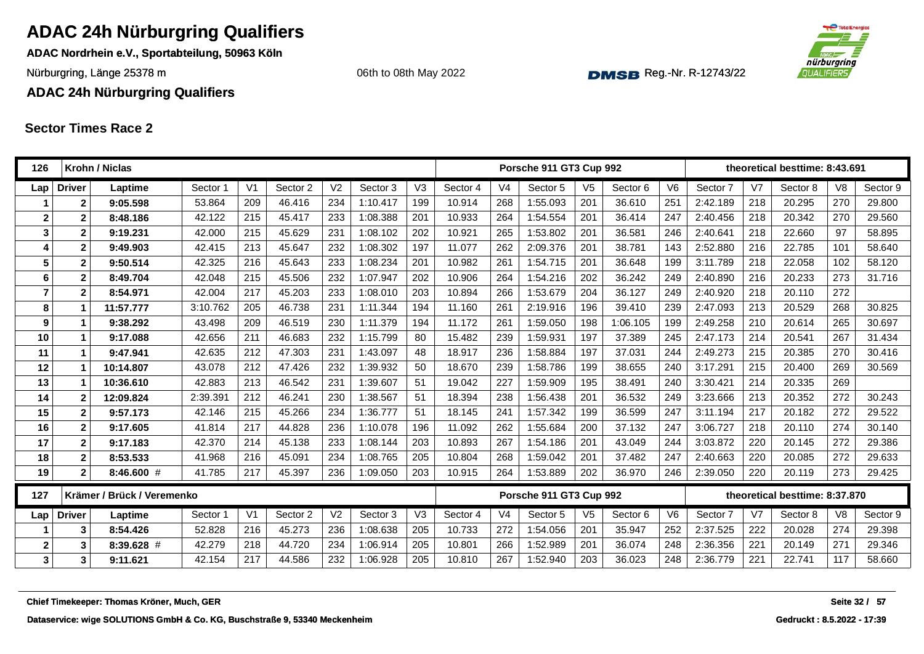**ADAC Nordrhein e.V., Sportabteilung, 50963 Köln**

Nürburgring, Länge 25378 m and the Communication of the Communication of the Communication of the Communication of the Communication of the Communication of the Communication of the Communication of the Communication of th

06th to 08th May 2022



**ADAC 24h Nürburgring Qualifiers**

| 126            |                         | Krohn / Niclas                             |          |                |          |                |          |                |          |                | Porsche 911 GT3 Cup 992 |                |          |                |          |                | theoretical besttime: 8:43.691 |                |               |
|----------------|-------------------------|--------------------------------------------|----------|----------------|----------|----------------|----------|----------------|----------|----------------|-------------------------|----------------|----------|----------------|----------|----------------|--------------------------------|----------------|---------------|
| Lap            | <b>Driver</b>           | Laptime                                    | Sector 1 | V <sub>1</sub> | Sector 2 | V <sub>2</sub> | Sector 3 | V <sub>3</sub> | Sector 4 | V <sub>4</sub> | Sector 5                | V <sub>5</sub> | Sector 6 | V <sub>6</sub> | Sector 7 | V7             | Sector 8                       | V8             | Sector 9      |
|                | $\mathbf{2}$            | 9:05.598                                   | 53.864   | 209            | 46.416   | 234            | 1:10.417 | 199            | 10.914   | 268            | 1:55.093                | 201            | 36.610   | 251            | 2:42.189 | 218            | 20.295                         | 270            | 29.800        |
| $\bf{2}$       | $\mathbf{2}$            | 8:48.186                                   | 42.122   | 215            | 45.417   | 233            | 1:08.388 | 201            | 10.933   | 264            | 1:54.554                | 201            | 36.414   | 247            | 2:40.456 | 218            | 20.342                         | 270            | 29.560        |
| $\mathbf{3}$   | $\mathbf{2}$            | 9:19.231                                   | 42.000   | 215            | 45.629   | 231            | 1:08.102 | 202            | 10.921   | 265            | 1:53.802                | 201            | 36.581   | 246            | 2:40.641 | 218            | 22.660                         | 97             | 58.895        |
| 4              | $\mathbf{2}$            | 9:49.903                                   | 42.415   | 213            | 45.647   | 232            | 1:08.302 | 197            | 11.077   | 262            | 2:09.376                | 201            | 38.781   | 143            | 2:52.880 | 216            | 22.785                         | 101            | 58.640        |
| 5              | $\overline{2}$          | 9:50.514                                   | 42.325   | 216            | 45.643   | 233            | 1:08.234 | 201            | 10.982   | 261            | 1:54.715                | 201            | 36.648   | 199            | 3:11.789 | 218            | 22.058                         | 102            | 58.120        |
| $\bf 6$        | $\overline{2}$          | 8:49.704                                   | 42.048   | 215            | 45.506   | 232            | 1:07.947 | 202            | 10.906   | 264            | 1:54.216                | 202            | 36.242   | 249            | 2:40.890 | 216            | 20.233                         | 273            | 31.716        |
| $\overline{7}$ | $\mathbf{2}$            | 8:54.971                                   | 42.004   | 217            | 45.203   | 233            | 1:08.010 | 203            | 10.894   | 266            | 1:53.679                | 204            | 36.127   | 249            | 2:40.920 | 218            | 20.110                         | 272            |               |
| 8              |                         | 11:57.777                                  | 3:10.762 | 205            | 46.738   | 231            | 1:11.344 | 194            | 11.160   | 261            | 2:19.916                | 196            | 39.410   | 239            | 2:47.093 | 213            | 20.529                         | 268            | 30.825        |
| 9              | 1                       | 9:38.292                                   | 43.498   | 209            | 46.519   | 230            | 1:11.379 | 194            | 11.172   | 261            | 1:59.050                | 198            | 1:06.105 | 199            | 2:49.258 | 210            | 20.614                         | 265            | 30.697        |
| 10             |                         | 9:17.088                                   | 42.656   | 211            | 46.683   | 232            | 1:15.799 | 80             | 15.482   | 239            | 1:59.931                | 197            | 37.389   | 245            | 2:47.173 | 214            | 20.541                         | 267            | 31.434        |
| 11             | $\mathbf{1}$            | 9:47.941                                   | 42.635   | 212            | 47.303   | 231            | 1:43.097 | 48             | 18.917   | 236            | 1:58.884                | 197            | 37.031   | 244            | 2:49.273 | 215            | 20.385                         | 270            | 30.416        |
| 12             | -1                      | 10:14.807                                  | 43.078   | 212            | 47.426   | 232            | 1:39.932 | 50             | 18.670   | 239            | 1:58.786                | 199            | 38.655   | 240            | 3:17.291 | 215            | 20.400                         | 269            | 30.569        |
| 13             | $\overline{\mathbf{1}}$ | 10:36.610                                  | 42.883   | 213            | 46.542   | 231            | 1:39.607 | 51             | 19.042   | 227            | 1:59.909                | 195            | 38.491   | 240            | 3:30.421 | 214            | 20.335                         | 269            |               |
| 14             | $\mathbf{2}$            | 12:09.824                                  | 2:39.391 | 212            | 46.241   | 230            | 1:38.567 | 51             | 18.394   | 238            | 1:56.438                | 201            | 36.532   | 249            | 3:23.666 | 213            | 20.352                         | 272            | 30.243        |
| 15             | $\mathbf{2}$            | 9:57.173                                   | 42.146   | 215            | 45.266   | 234            | 1:36.777 | 51             | 18.145   | 241            | 1:57.342                | 199            | 36.599   | 247            | 3:11.194 | 217            | 20.182                         | 272            | 29.522        |
| 16             | $\mathbf{2}$            | 9:17.605                                   | 41.814   | 217            | 44.828   | 236            | 1:10.078 | 196            | 11.092   | 262            | 1:55.684                | 200            | 37.132   | 247            | 3:06.727 | 218            | 20.110                         | 274            | 30.140        |
| 17             | $\mathbf{2}$            | 9:17.183                                   | 42.370   | 214            | 45.138   | 233            | 1:08.144 | 203            | 10.893   | 267            | 1:54.186                | 201            | 43.049   | 244            | 3:03.872 | 220            | 20.145                         | 272            | 29.386        |
| 18             | $\mathbf{2}$            | 8:53.533                                   | 41.968   | 216            | 45.091   | 234            | 1:08.765 | 205            | 10.804   | 268            | 1:59.042                | 201            | 37.482   | 247            | 2:40.663 | 220            | 20.085                         | 272            | 29.633        |
| 19             | $\mathbf{2}$            | 8:46.600#                                  | 41.785   | 217            | 45.397   | 236            | 1:09.050 | 203            | 10.915   | 264            | 1:53.889                | 202            | 36.970   | 246            | 2:39.050 | 220            | 20.119                         | 273            | 29.425        |
| 127            |                         | Krämer / Brück / Veremenko                 |          |                |          |                |          |                |          |                | Porsche 911 GT3 Cup 992 |                |          |                |          |                | theoretical besttime: 8:37.870 |                |               |
| Lap            | <b>Driver</b>           | Laptime                                    | Sector 1 | V <sub>1</sub> | Sector 2 | V <sub>2</sub> | Sector 3 | V3             | Sector 4 | V <sub>4</sub> | Sector 5                | V <sub>5</sub> | Sector 6 | V <sub>6</sub> | Sector 7 | V <sub>7</sub> | Sector 8                       | V <sub>8</sub> | Sector 9      |
| 1              | 3                       | 8:54.426                                   | 52.828   | 216            | 45.273   | 236            | 1:08.638 | 205            | 10.733   | 272            | 1:54.056                | 201            | 35.947   | 252            | 2:37.525 | 222            | 20.028                         | 274            | 29.398        |
| $\bf{2}$       | 3                       | 8:39.628 #                                 | 42.279   | 218            | 44.720   | 234            | 1:06.914 | 205            | 10.801   | 266            | 1:52.989                | 201            | 36.074   | 248            | 2:36.356 | 221            | 20.149                         | 271            | 29.346        |
| 3              | 3                       | 9:11.621                                   | 42.154   | 217            | 44.586   | 232            | 1:06.928 | 205            | 10.810   | 267            | 1:52.940                | 203            | 36.023   | 248            | 2:36.779 | 221            | 22.741                         | 117            | 58.660        |
|                |                         |                                            |          |                |          |                |          |                |          |                |                         |                |          |                |          |                |                                |                |               |
|                |                         | Chief Timekeeper: Thomas Kröner, Much, GER |          |                |          |                |          |                |          |                |                         |                |          |                |          |                |                                |                | Seite 32 / 57 |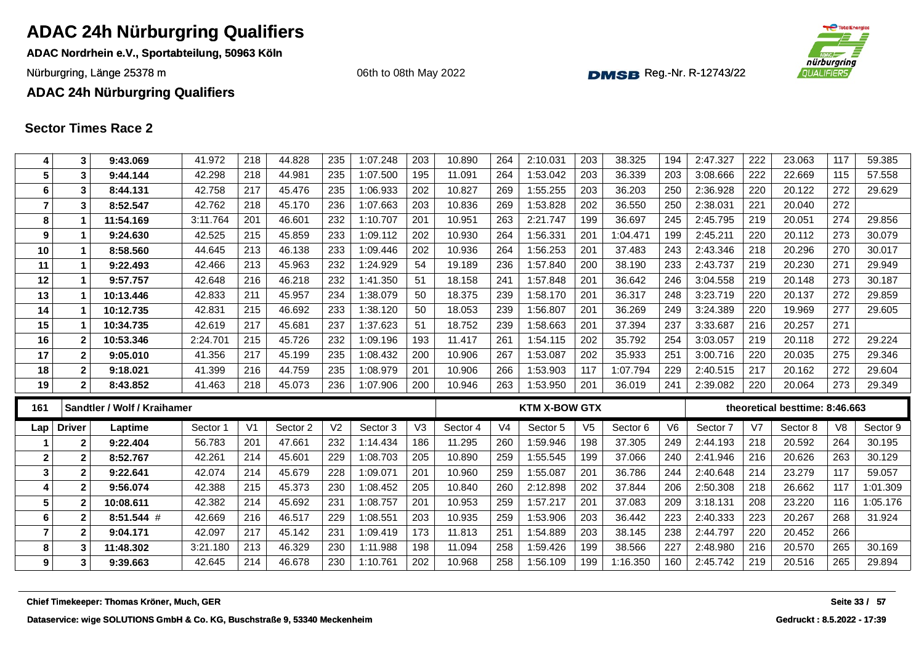**ADAC Nordrhein e.V., Sportabteilung, 50963 Köln**

Nürburgring, Länge 25378 m and the Communication of the Communication of the Communication of the Communication of the Communication of the Communication of the Communication of the Communication of the Communication of th

nürburgring *OUALIFIERS* 

06th to 08th May 2022

#### **ADAC 24h Nürburgring Qualifiers**

| 4                | 3                       | 9:43.069                                   | 41.972   | 218            | 44.828   | 235            | 1:07.248 | 203            | 10.890   | 264            | 2:10.031             | 203            | 38.325   | 194            | 2:47.327 | 222 | 23.063                         | 117            | 59.385        |
|------------------|-------------------------|--------------------------------------------|----------|----------------|----------|----------------|----------|----------------|----------|----------------|----------------------|----------------|----------|----------------|----------|-----|--------------------------------|----------------|---------------|
| 5                | 3                       | 9:44.144                                   | 42.298   | 218            | 44.981   | 235            | 1:07.500 | 195            | 11.091   | 264            | 1:53.042             | 203            | 36.339   | 203            | 3:08.666 | 222 | 22.669                         | 115            | 57.558        |
| 6                | 3                       | 8:44.131                                   | 42.758   | 217            | 45.476   | 235            | 1:06.933 | 202            | 10.827   | 269            | 1:55.255             | 203            | 36.203   | 250            | 2:36.928 | 220 | 20.122                         | 272            | 29.629        |
| $\overline{7}$   | 3                       | 8:52.547                                   | 42.762   | 218            | 45.170   | 236            | 1:07.663 | 203            | 10.836   | 269            | 1:53.828             | 202            | 36.550   | 250            | 2:38.031 | 221 | 20.040                         | 272            |               |
| 8                | -1                      | 11:54.169                                  | 3:11.764 | 201            | 46.601   | 232            | 1:10.707 | 201            | 10.951   | 263            | 2:21.747             | 199            | 36.697   | 245            | 2:45.795 | 219 | 20.051                         | 274            | 29.856        |
| 9                | $\mathbf{1}$            | 9:24.630                                   | 42.525   | 215            | 45.859   | 233            | 1:09.112 | 202            | 10.930   | 264            | 1:56.331             | 201            | 1:04.471 | 199            | 2:45.211 | 220 | 20.112                         | 273            | 30.079        |
| 10               | -1                      | 8:58.560                                   | 44.645   | 213            | 46.138   | 233            | 1:09.446 | 202            | 10.936   | 264            | 1:56.253             | 201            | 37.483   | 243            | 2:43.346 | 218 | 20.296                         | 270            | 30.017        |
| 11               | $\mathbf{1}$            | 9:22.493                                   | 42.466   | 213            | 45.963   | 232            | 1:24.929 | 54             | 19.189   | 236            | 1:57.840             | 200            | 38.190   | 233            | 2:43.737 | 219 | 20.230                         | 271            | 29.949        |
| 12               | -1                      | 9:57.757                                   | 42.648   | 216            | 46.218   | 232            | 1:41.350 | 51             | 18.158   | 241            | 1:57.848             | 201            | 36.642   | 246            | 3:04.558 | 219 | 20.148                         | 273            | 30.187        |
| 13               | -1                      | 10:13.446                                  | 42.833   | 211            | 45.957   | 234            | 1:38.079 | 50             | 18.375   | 239            | 1:58.170             | 201            | 36.317   | 248            | 3:23.719 | 220 | 20.137                         | 272            | 29.859        |
| 14               |                         | 10:12.735                                  | 42.831   | 215            | 46.692   | 233            | 1:38.120 | 50             | 18.053   | 239            | 1:56.807             | 201            | 36.269   | 249            | 3:24.389 | 220 | 19.969                         | 277            | 29.605        |
| 15               | -1                      | 10:34.735                                  | 42.619   | 217            | 45.681   | 237            | 1:37.623 | 51             | 18.752   | 239            | 1:58.663             | 201            | 37.394   | 237            | 3:33.687 | 216 | 20.257                         | 271            |               |
| 16               | $\overline{2}$          | 10:53.346                                  | 2:24.701 | 215            | 45.726   | 232            | 1:09.196 | 193            | 11.417   | 261            | 1:54.115             | 202            | 35.792   | 254            | 3:03.057 | 219 | 20.118                         | 272            | 29.224        |
| 17               | $\mathbf{2}$            | 9:05.010                                   | 41.356   | 217            | 45.199   | 235            | 1:08.432 | 200            | 10.906   | 267            | 1:53.087             | 202            | 35.933   | 251            | 3:00.716 | 220 | 20.035                         | 275            | 29.346        |
| 18               | $\mathbf{2}$            | 9:18.021                                   | 41.399   | 216            | 44.759   | 235            | 1:08.979 | 201            | 10.906   | 266            | 1:53.903             | 117            | 1:07.794 | 229            | 2:40.515 | 217 | 20.162                         | 272            | 29.604        |
|                  |                         |                                            |          |                |          |                |          |                |          |                |                      |                |          |                |          |     |                                |                |               |
| 19               | $\mathbf{2}$            | 8:43.852                                   | 41.463   | 218            | 45.073   | 236            | 1:07.906 | 200            | 10.946   | 263            | 1:53.950             | 201            | 36.019   | 241            | 2:39.082 | 220 | 20.064                         | 273            | 29.349        |
| 161              |                         | Sandtler / Wolf / Kraihamer                |          |                |          |                |          |                |          |                | <b>KTM X-BOW GTX</b> |                |          |                |          |     | theoretical besttime: 8:46.663 |                |               |
| Lap              | <b>Driver</b>           | Laptime                                    | Sector 1 | V <sub>1</sub> | Sector 2 | V <sub>2</sub> | Sector 3 | V <sub>3</sub> | Sector 4 | V <sub>4</sub> | Sector 5             | V <sub>5</sub> | Sector 6 | V <sub>6</sub> | Sector 7 | V7  | Sector 8                       | V <sub>8</sub> | Sector 9      |
| 1                | $\mathbf 2$             | 9:22.404                                   | 56.783   | 201            | 47.661   | 232            | 1:14.434 | 186            | 11.295   | 260            | 1:59.946             | 198            | 37.305   | 249            | 2:44.193 | 218 | 20.592                         | 264            | 30.195        |
| $\mathbf 2$      | $\mathbf{2}$            | 8:52.767                                   | 42.261   | 214            | 45.601   | 229            | 1:08.703 | 205            | 10.890   | 259            | 1:55.545             | 199            | 37.066   | 240            | 2:41.946 | 216 | 20.626                         | 263            | 30.129        |
| $\mathbf{3}$     | $\mathbf{2}$            | 9:22.641                                   | 42.074   | 214            | 45.679   | 228            | 1:09.071 | 201            | 10.960   | 259            | 1:55.087             | 201            | 36.786   | 244            | 2:40.648 | 214 | 23.279                         | 117            | 59.057        |
| 4                | $\mathbf{2}$            | 9:56.074                                   | 42.388   | 215            | 45.373   | 230            | 1:08.452 | 205            | 10.840   | 260            | 2:12.898             | 202            | 37.844   | 206            | 2:50.308 | 218 | 26.662                         | 117            | 1:01.309      |
| 5                | $\overline{\mathbf{2}}$ | 10:08.611                                  | 42.382   | 214            | 45.692   | 231            | 1:08.757 | 201            | 10.953   | 259            | 1:57.217             | 201            | 37.083   | 209            | 3:18.131 | 208 | 23.220                         | 116            | 1:05.176      |
| $\bf 6$          | $\mathbf{2}$            | $8:51.544$ #                               | 42.669   | 216            | 46.517   | 229            | 1:08.551 | 203            | 10.935   | 259            | 1:53.906             | 203            | 36.442   | 223            | 2:40.333 | 223 | 20.267                         | 268            | 31.924        |
| $\overline{7}$   | $\overline{\mathbf{2}}$ | 9:04.171                                   | 42.097   | 217            | 45.142   | 231            | 1:09.419 | 173            | 11.813   | 251            | 1:54.889             | 203            | 38.145   | 238            | 2:44.797 | 220 | 20.452                         | 266            |               |
| 8                | 3                       | 11:48.302                                  | 3:21.180 | 213            | 46.329   | 230            | 1:11.988 | 198            | 11.094   | 258            | 1:59.426             | 199            | 38.566   | 227            | 2:48.980 | 216 | 20.570                         | 265            | 30.169        |
| $\boldsymbol{9}$ | 3                       | 9:39.663                                   | 42.645   | 214            | 46.678   | 230            | 1:10.761 | 202            | 10.968   | 258            | 1:56.109             | 199            | 1:16.350 | 160            | 2:45.742 | 219 | 20.516                         | 265            | 29.894        |
|                  |                         |                                            |          |                |          |                |          |                |          |                |                      |                |          |                |          |     |                                |                |               |
|                  |                         | Chief Timekeeper: Thomas Kröner, Much, GER |          |                |          |                |          |                |          |                |                      |                |          |                |          |     |                                |                | Seite 33 / 57 |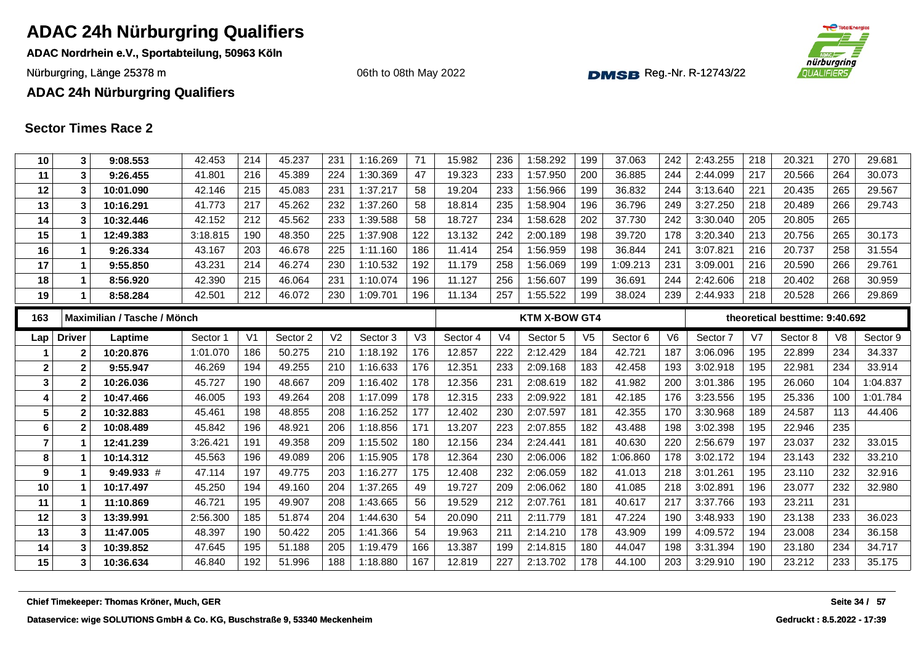**ADAC Nordrhein e.V., Sportabteilung, 50963 Köln**

Nürburgring, Länge 25378 m and the Communication of the Communication of the Communication of the Communication of the Communication of the Communication of the Communication of the Communication of the Communication of th

06th to 08th May 2022



**ADAC 24h Nürburgring Qualifiers**

| 10                      | 3                       | 9:08.553                                   | 42.453   | 214            | 45.237   | 231            | 1:16.269 | 71  | 15.982   | 236            | 1:58.292             | 199            | 37.063   | 242 | 2:43.255 | 218 | 20.321                         | 270            | 29.681        |
|-------------------------|-------------------------|--------------------------------------------|----------|----------------|----------|----------------|----------|-----|----------|----------------|----------------------|----------------|----------|-----|----------|-----|--------------------------------|----------------|---------------|
| 11                      | 3                       | 9:26.455                                   | 41.801   | 216            | 45.389   | 224            | 1:30.369 | 47  | 19.323   | 233            | 1:57.950             | 200            | 36.885   | 244 | 2:44.099 | 217 | 20.566                         | 264            | 30.073        |
| 12                      | 3                       | 10:01.090                                  | 42.146   | 215            | 45.083   | 231            | 1:37.217 | 58  | 19.204   | 233            | 1:56.966             | 199            | 36.832   | 244 | 3:13.640 | 221 | 20.435                         | 265            | 29.567        |
| 13                      | 3                       | 10:16.291                                  | 41.773   | 217            | 45.262   | 232            | 1:37.260 | 58  | 18.814   | 235            | 1:58.904             | 196            | 36.796   | 249 | 3:27.250 | 218 | 20.489                         | 266            | 29.743        |
| 14                      | 3                       | 10:32.446                                  | 42.152   | 212            | 45.562   | 233            | 1:39.588 | 58  | 18.727   | 234            | 1:58.628             | 202            | 37.730   | 242 | 3:30.040 | 205 | 20.805                         | 265            |               |
| 15                      | $\mathbf 1$             | 12:49.383                                  | 3:18.815 | 190            | 48.350   | 225            | 1:37.908 | 122 | 13.132   | 242            | 2:00.189             | 198            | 39.720   | 178 | 3:20.340 | 213 | 20.756                         | 265            | 30.173        |
| 16                      | 1                       | 9:26.334                                   | 43.167   | 203            | 46.678   | 225            | 1:11.160 | 186 | 11.414   | 254            | 1:56.959             | 198            | 36.844   | 241 | 3:07.821 | 216 | 20.737                         | 258            | 31.554        |
| 17                      | $\mathbf{1}$            | 9:55.850                                   | 43.231   | 214            | 46.274   | 230            | 1:10.532 | 192 | 11.179   | 258            | 1:56.069             | 199            | 1:09.213 | 231 | 3:09.001 | 216 | 20.590                         | 266            | 29.761        |
| 18                      | 1                       | 8:56.920                                   | 42.390   | 215            | 46.064   | 231            | 1:10.074 | 196 | 11.127   | 256            | 1:56.607             | 199            | 36.691   | 244 | 2:42.606 | 218 | 20.402                         | 268            | 30.959        |
| 19                      | 1                       | 8:58.284                                   | 42.501   | 212            | 46.072   | 230            | 1:09.701 | 196 | 11.134   | 257            | 1:55.522             | 199            | 38.024   | 239 | 2:44.933 | 218 | 20.528                         | 266            | 29.869        |
| 163                     |                         | Maximilian / Tasche / Mönch                |          |                |          |                |          |     |          |                | <b>KTM X-BOW GT4</b> |                |          |     |          |     | theoretical besttime: 9:40.692 |                |               |
| Lap                     | <b>Driver</b>           | Laptime                                    | Sector 1 | V <sub>1</sub> | Sector 2 | V <sub>2</sub> | Sector 3 | V3  | Sector 4 | V <sub>4</sub> | Sector 5             | V <sub>5</sub> | Sector 6 | V6  | Sector 7 | V7  | Sector 8                       | V <sub>8</sub> | Sector 9      |
|                         | $\mathbf{2}$            | 10:20.876                                  | 1:01.070 | 186            | 50.275   | 210            | 1:18.192 | 176 | 12.857   | 222            | 2:12.429             | 184            | 42.721   | 187 | 3:06.096 | 195 | 22.899                         | 234            | 34.337        |
| $\mathbf{2}$            | $\mathbf{2}$            | 9:55.947                                   | 46.269   | 194            | 49.255   | 210            | 1:16.633 | 176 | 12.351   | 233            | 2:09.168             | 183            | 42.458   | 193 | 3:02.918 | 195 | 22.981                         | 234            | 33.914        |
| 3                       | $\mathbf{2}$            | 10:26.036                                  | 45.727   | 190            | 48.667   | 209            | 1:16.402 | 178 | 12.356   | 231            | 2:08.619             | 182            | 41.982   | 200 | 3:01.386 | 195 | 26.060                         | 104            | 1:04.837      |
| 4                       | $\mathbf{2}$            | 10:47.466                                  | 46.005   | 193            | 49.264   | 208            | 1:17.099 | 178 | 12.315   | 233            | 2:09.922             | 181            | 42.185   | 176 | 3:23.556 | 195 | 25.336                         | 100            | 1:01.784      |
| 5                       | $\overline{\mathbf{2}}$ | 10:32.883                                  | 45.461   | 198            | 48.855   | 208            | 1:16.252 | 177 | 12.402   | 230            | 2:07.597             | 181            | 42.355   | 170 | 3:30.968 | 189 | 24.587                         | 113            | 44.406        |
| 6                       | $\mathbf{2}$            | 10:08.489                                  | 45.842   | 196            | 48.921   | 206            | 1:18.856 | 171 | 13.207   | 223            | 2:07.855             | 182            | 43.488   | 198 | 3:02.398 | 195 | 22.946                         | 235            |               |
| $\overline{\mathbf{r}}$ |                         | 12:41.239                                  | 3:26.421 | 191            | 49.358   | 209            | 1:15.502 | 180 | 12.156   | 234            | 2:24.441             | 181            | 40.630   | 220 | 2:56.679 | 197 | 23.037                         | 232            | 33.015        |
| 8                       | $\mathbf 1$             | 10:14.312                                  | 45.563   | 196            | 49.089   | 206            | 1:15.905 | 178 | 12.364   | 230            | 2:06.006             | 182            | 1:06.860 | 178 | 3:02.172 | 194 | 23.143                         | 232            | 33.210        |
| 9                       | $\mathbf{1}$            | 9:49.933#                                  | 47.114   | 197            | 49.775   | 203            | 1:16.277 | 175 | 12.408   | 232            | 2:06.059             | 182            | 41.013   | 218 | 3:01.261 | 195 | 23.110                         | 232            | 32.916        |
| 10                      | $\mathbf 1$             | 10:17.497                                  | 45.250   | 194            | 49.160   | 204            | 1:37.265 | 49  | 19.727   | 209            | 2:06.062             | 180            | 41.085   | 218 | 3:02.891 | 196 | 23.077                         | 232            | 32.980        |
| 11                      | $\mathbf 1$             | 11:10.869                                  | 46.721   | 195            | 49.907   | 208            | 1:43.665 | 56  | 19.529   | 212            | 2:07.761             | 181            | 40.617   | 217 | 3:37.766 | 193 | 23.211                         | 231            |               |
| 12                      | 3                       | 13:39.991                                  | 2:56.300 | 185            | 51.874   | 204            | 1:44.630 | 54  | 20.090   | 211            | 2:11.779             | 181            | 47.224   | 190 | 3:48.933 | 190 | 23.138                         | 233            | 36.023        |
| 13                      | 3                       | 11:47.005                                  | 48.397   | 190            | 50.422   | 205            | 1:41.366 | 54  | 19.963   | 211            | 2:14.210             | 178            | 43.909   | 199 | 4:09.572 | 194 | 23.008                         | 234            | 36.158        |
| 14                      | 3                       | 10:39.852                                  | 47.645   | 195            | 51.188   | 205            | 1:19.479 | 166 | 13.387   | 199            | 2:14.815             | 180            | 44.047   | 198 | 3:31.394 | 190 | 23.180                         | 234            | 34.717        |
| 15                      | 3                       | 10:36.634                                  | 46.840   | 192            | 51.996   | 188            | 1:18.880 | 167 | 12.819   | 227            | 2:13.702             | 178            | 44.100   | 203 | 3:29.910 | 190 | 23.212                         | 233            | 35.175        |
|                         |                         | Chief Timekeeper: Thomas Kröner, Much, GER |          |                |          |                |          |     |          |                |                      |                |          |     |          |     |                                |                | Seite 34 / 57 |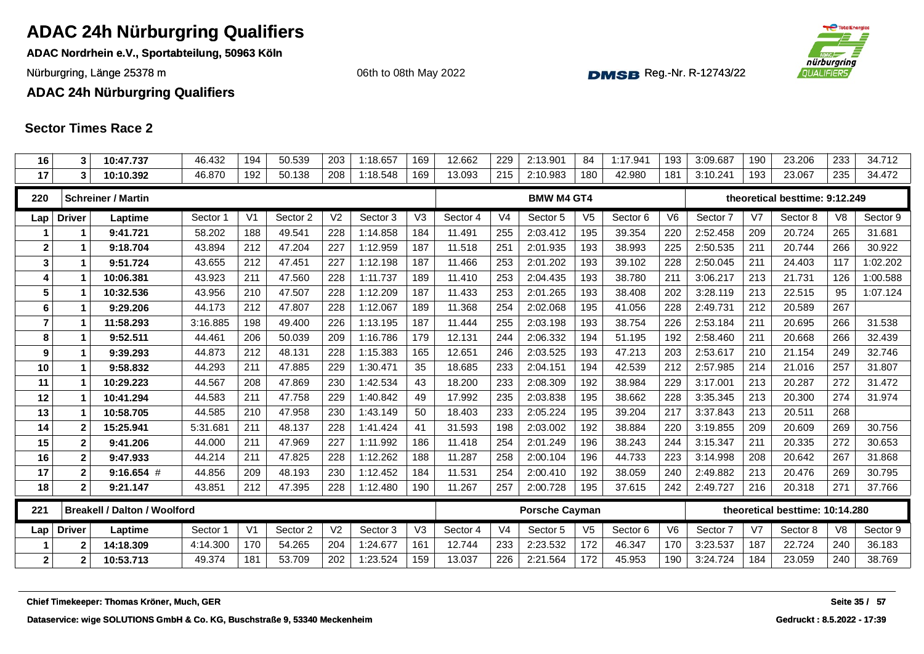**ADAC Nordrhein e.V., Sportabteilung, 50963 Köln**

Nürburgring, Länge 25378 m and the Communication of the Communication of the Communication of the Communication of the Communication of the Communication of the Communication of the Communication of the Communication of th



**ADAC 24h Nürburgring Qualifiers**

## **Sector Times Race 2**

| 16             | 3             | 10:47.737                                  | 46.432   | 194            | 50.539   | 203            | 1:18.657 | 169            | 12.662   | 229            | 2:13.901              | 84             | 1:17.941            | 193 | 3:09.687 | 190            | 23.206                          | 233            | 34.712        |
|----------------|---------------|--------------------------------------------|----------|----------------|----------|----------------|----------|----------------|----------|----------------|-----------------------|----------------|---------------------|-----|----------|----------------|---------------------------------|----------------|---------------|
| 17             | 3             | 10:10.392                                  | 46.870   | 192            | 50.138   | 208            | 1:18.548 | 169            | 13.093   | 215            | 2:10.983              | 180            | 42.980              | 181 | 3:10.241 | 193            | 23.067                          | 235            | 34.472        |
| 220            |               | <b>Schreiner / Martin</b>                  |          |                |          |                |          |                |          |                | <b>BMW M4 GT4</b>     |                |                     |     |          |                | theoretical besttime: 9:12.249  |                |               |
| Lap            | <b>Driver</b> | Laptime                                    | Sector 1 | V <sub>1</sub> | Sector 2 | V <sub>2</sub> | Sector 3 | V <sub>3</sub> | Sector 4 | V <sub>4</sub> | Sector 5              | V <sub>5</sub> | Sector <sub>6</sub> | V6  | Sector 7 | V <sub>7</sub> | Sector 8                        | V8             | Sector 9      |
|                | 1             | 9:41.721                                   | 58.202   | 188            | 49.541   | 228            | 1:14.858 | 184            | 11.491   | 255            | 2:03.412              | 195            | 39.354              | 220 | 2:52.458 | 209            | 20.724                          | 265            | 31.681        |
| $\mathbf{2}$   |               | 9:18.704                                   | 43.894   | 212            | 47.204   | 227            | 1:12.959 | 187            | 11.518   | 251            | 2:01.935              | 193            | 38.993              | 225 | 2:50.535 | 211            | 20.744                          | 266            | 30.922        |
| 3              | 1             | 9:51.724                                   | 43.655   | 212            | 47.451   | 227            | 1:12.198 | 187            | 11.466   | 253            | 2:01.202              | 193            | 39.102              | 228 | 2:50.045 | 211            | 24.403                          | 117            | 1:02.202      |
| 4              |               | 10:06.381                                  | 43.923   | 211            | 47.560   | 228            | 1:11.737 | 189            | 11.410   | 253            | 2:04.435              | 193            | 38.780              | 211 | 3:06.217 | 213            | 21.731                          | 126            | 1:00.588      |
| 5              |               | 10:32.536                                  | 43.956   | 210            | 47.507   | 228            | 1:12.209 | 187            | 11.433   | 253            | 2:01.265              | 193            | 38.408              | 202 | 3:28.119 | 213            | 22.515                          | 95             | 1:07.124      |
| 6              |               | 9:29.206                                   | 44.173   | 212            | 47.807   | 228            | 1:12.067 | 189            | 11.368   | 254            | 2:02.068              | 195            | 41.056              | 228 | 2:49.731 | 212            | 20.589                          | 267            |               |
| $\overline{7}$ |               | 11:58.293                                  | 3:16.885 | 198            | 49.400   | 226            | 1:13.195 | 187            | 11.444   | 255            | 2:03.198              | 193            | 38.754              | 226 | 2:53.184 | 211            | 20.695                          | 266            | 31.538        |
| 8              | 1             | 9:52.511                                   | 44.461   | 206            | 50.039   | 209            | 1:16.786 | 179            | 12.131   | 244            | 2:06.332              | 194            | 51.195              | 192 | 2:58.460 | 211            | 20.668                          | 266            | 32.439        |
| 9              | 1             | 9:39.293                                   | 44.873   | 212            | 48.131   | 228            | 1:15.383 | 165            | 12.651   | 246            | 2:03.525              | 193            | 47.213              | 203 | 2:53.617 | 210            | 21.154                          | 249            | 32.746        |
| 10             | 1             | 9:58.832                                   | 44.293   | 211            | 47.885   | 229            | 1:30.471 | 35             | 18.685   | 233            | 2:04.151              | 194            | 42.539              | 212 | 2:57.985 | 214            | 21.016                          | 257            | 31.807        |
| 11             |               | 10:29.223                                  | 44.567   | 208            | 47.869   | 230            | 1:42.534 | 43             | 18.200   | 233            | 2:08.309              | 192            | 38.984              | 229 | 3:17.001 | 213            | 20.287                          | 272            | 31.472        |
| 12             |               | 10:41.294                                  | 44.583   | 211            | 47.758   | 229            | 1:40.842 | 49             | 17.992   | 235            | 2:03.838              | 195            | 38.662              | 228 | 3:35.345 | 213            | 20.300                          | 274            | 31.974        |
| 13             | 1             | 10:58.705                                  | 44.585   | 210            | 47.958   | 230            | 1:43.149 | 50             | 18.403   | 233            | 2:05.224              | 195            | 39.204              | 217 | 3:37.843 | 213            | 20.511                          | 268            |               |
| 14             | $\mathbf{2}$  | 15:25.941                                  | 5:31.681 | 211            | 48.137   | 228            | 1:41.424 | 41             | 31.593   | 198            | 2:03.002              | 192            | 38.884              | 220 | 3:19.855 | 209            | 20.609                          | 269            | 30.756        |
| 15             | $\mathbf 2$   | 9:41.206                                   | 44.000   | 211            | 47.969   | 227            | 1:11.992 | 186            | 11.418   | 254            | 2:01.249              | 196            | 38.243              | 244 | 3:15.347 | 211            | 20.335                          | 272            | 30.653        |
| 16             | $\mathbf{2}$  | 9:47.933                                   | 44.214   | 211            | 47.825   | 228            | 1:12.262 | 188            | 11.287   | 258            | 2:00.104              | 196            | 44.733              | 223 | 3:14.998 | 208            | 20.642                          | 267            | 31.868        |
| 17             | $\mathbf{2}$  | $9:16.654$ #                               | 44.856   | 209            | 48.193   | 230            | 1:12.452 | 184            | 11.531   | 254            | 2:00.410              | 192            | 38.059              | 240 | 2:49.882 | 213            | 20.476                          | 269            | 30.795        |
| 18             | $\mathbf{2}$  | 9:21.147                                   | 43.851   | 212            | 47.395   | 228            | 1:12.480 | 190            | 11.267   | 257            | 2:00.728              | 195            | 37.615              | 242 | 2:49.727 | 216            | 20.318                          | 271            | 37.766        |
| 221            |               | <b>Breakell / Dalton / Woolford</b>        |          |                |          |                |          |                |          |                | <b>Porsche Cayman</b> |                |                     |     |          |                | theoretical besttime: 10:14.280 |                |               |
| Lap            | <b>Driver</b> | Laptime                                    | Sector 1 | V <sub>1</sub> | Sector 2 | V <sub>2</sub> | Sector 3 | V <sub>3</sub> | Sector 4 | V <sub>4</sub> | Sector 5              | V <sub>5</sub> | Sector <sub>6</sub> | V6  | Sector 7 | V <sub>7</sub> | Sector 8                        | V <sub>8</sub> | Sector 9      |
|                | $\mathbf{2}$  | 14:18.309                                  | 4:14.300 | 170            | 54.265   | 204            | 1:24.677 | 161            | 12.744   | 233            | 2:23.532              | 172            | 46.347              | 170 | 3:23.537 | 187            | 22.724                          | 240            | 36.183        |
| $\mathbf{2}$   | 2             | 10:53.713                                  | 49.374   | 181            | 53.709   | 202            | 1:23.524 | 159            | 13.037   | 226            | 2:21.564              | 172            | 45.953              | 190 | 3:24.724 | 184            | 23.059                          | 240            | 38.769        |
|                |               |                                            |          |                |          |                |          |                |          |                |                       |                |                     |     |          |                |                                 |                |               |
|                |               | Chief Timekeeper: Thomas Kröner, Much, GER |          |                |          |                |          |                |          |                |                       |                |                     |     |          |                |                                 |                | Seite 35 / 57 |

06th to 08th May 2022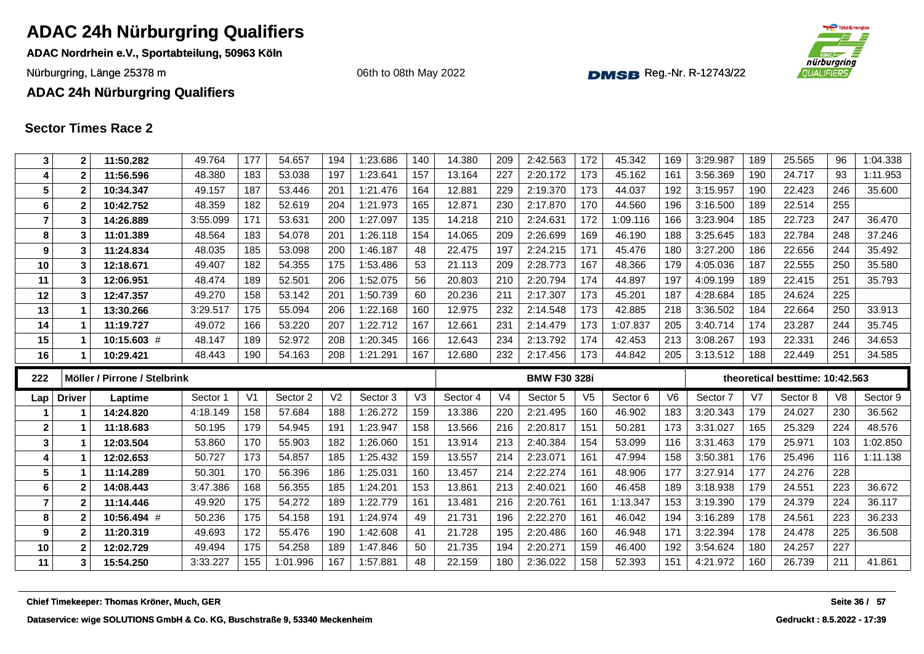**ADAC Nordrhein e.V., Sportabteilung, 50963 Köln**

Nürburgring, Länge 25378 m and the Communication of the Communication of the Communication of the Communication of the Communication of the Communication of the Communication of the Communication of the Communication of th

06th to 08th May 2022



**ADAC 24h Nürburgring Qualifiers**

| 3               |                |                              |          |                |          |                |          |     |          |                |                     |                |          |                |          |     |                                 |                |          |
|-----------------|----------------|------------------------------|----------|----------------|----------|----------------|----------|-----|----------|----------------|---------------------|----------------|----------|----------------|----------|-----|---------------------------------|----------------|----------|
|                 | $\mathbf{2}$   | 11:50.282                    | 49.764   | 177            | 54.657   | 194            | 1:23.686 | 140 | 14.380   | 209            | 2:42.563            | 172            | 45.342   | 169            | 3:29.987 | 189 | 25.565                          | 96             | 1:04.338 |
| 4               | $\overline{2}$ | 11:56.596                    | 48.380   | 183            | 53.038   | 197            | 1:23.641 | 157 | 13.164   | 227            | 2:20.172            | 173            | 45.162   | 161            | 3:56.369 | 190 | 24.717                          | 93             | 1:11.953 |
| 5               | $\mathbf{2}$   | 10:34.347                    | 49.157   | 187            | 53.446   | 201            | 1:21.476 | 164 | 12.881   | 229            | 2:19.370            | 173            | 44.037   | 192            | 3:15.957 | 190 | 22.423                          | 246            | 35.600   |
| 6               | $\mathbf{2}$   | 10:42.752                    | 48.359   | 182            | 52.619   | 204            | 1:21.973 | 165 | 12.871   | 230            | 2:17.870            | 170            | 44.560   | 196            | 3:16.500 | 189 | 22.514                          | 255            |          |
| $\overline{7}$  | 3              | 14:26.889                    | 3:55.099 | 171            | 53.631   | 200            | 1:27.097 | 135 | 14.218   | 210            | 2:24.631            | 172            | 1:09.116 | 166            | 3:23.904 | 185 | 22.723                          | 247            | 36.470   |
| 8               | 3              | 11:01.389                    | 48.564   | 183            | 54.078   | 201            | 1:26.118 | 154 | 14.065   | 209            | 2:26.699            | 169            | 46.190   | 188            | 3:25.645 | 183 | 22.784                          | 248            | 37.246   |
| 9               | 3              | 11:24.834                    | 48.035   | 185            | 53.098   | 200            | 1:46.187 | 48  | 22.475   | 197            | 2:24.215            | 171            | 45.476   | 180            | 3:27.200 | 186 | 22.656                          | 244            | 35.492   |
| 10              | 3              | 12:18.671                    | 49.407   | 182            | 54.355   | 175            | 1:53.486 | 53  | 21.113   | 209            | 2:28.773            | 167            | 48.366   | 179            | 4:05.036 | 187 | 22.555                          | 250            | 35.580   |
| 11              | 3              | 12:06.951                    | 48.474   | 189            | 52.501   | 206            | 1:52.075 | 56  | 20.803   | 210            | 2:20.794            | 174            | 44.897   | 197            | 4:09.199 | 189 | 22.415                          | 251            | 35.793   |
| 12              | 3              | 12:47.357                    | 49.270   | 158            | 53.142   | 201            | 1:50.739 | 60  | 20.236   | 211            | 2:17.307            | 173            | 45.201   | 187            | 4:28.684 | 185 | 24.624                          | 225            |          |
| 13              | -1             | 13:30.266                    | 3:29.517 | 175            | 55.094   | 206            | 1:22.168 | 160 | 12.975   | 232            | 2:14.548            | 173            | 42.885   | 218            | 3:36.502 | 184 | 22.664                          | 250            | 33.913   |
| 14              | $\mathbf 1$    | 11:19.727                    | 49.072   | 166            | 53.220   | 207            | 1:22.712 | 167 | 12.661   | 231            | 2:14.479            | 173            | 1:07.837 | 205            | 3:40.714 | 174 | 23.287                          | 244            | 35.745   |
| 15              | 1              | $10:15.603$ #                | 48.147   | 189            | 52.972   | 208            | 1:20.345 | 166 | 12.643   | 234            | 2:13.792            | 174            | 42.453   | 213            | 3:08.267 | 193 | 22.331                          | 246            | 34.653   |
| 16              | -1             | 10:29.421                    | 48.443   | 190            | 54.163   | 208            | 1:21.291 | 167 | 12.680   | 232            | 2:17.456            | 173            | 44.842   | 205            | 3:13.512 | 188 | 22.449                          | 251            | 34.585   |
| 222             |                | Möller / Pirrone / Stelbrink |          |                |          |                |          |     |          |                | <b>BMW F30 328i</b> |                |          |                |          |     | theoretical besttime: 10:42.563 |                |          |
|                 |                |                              |          |                |          |                |          |     |          |                |                     | V <sub>5</sub> | Sector 6 | V <sub>6</sub> |          |     |                                 |                | Sector 9 |
| Lap             | <b>Driver</b>  | Laptime                      | Sector 1 | V <sub>1</sub> | Sector 2 | V <sub>2</sub> | Sector 3 | V3  | Sector 4 | V <sub>4</sub> | Sector 5            |                |          |                | Sector 7 | V7  | Sector 8                        | V <sub>8</sub> |          |
|                 | 1              | 14:24.820                    | 4:18.149 | 158            | 57.684   | 188            | 1:26.272 | 159 | 13.386   | 220            | 2:21.495            | 160            | 46.902   | 183            | 3:20.343 | 179 | 24.027                          | 230            | 36.562   |
| $\mathbf{2}$    | 1              | 11:18.683                    | 50.195   | 179            | 54.945   | 191            | 1:23.947 | 158 | 13.566   | 216            | 2:20.817            | 151            | 50.281   | 173            | 3:31.027 | 165 | 25.329                          | 224            | 48.576   |
| $\mathbf{3}$    | -1             | 12:03.504                    | 53.860   | 170            | 55.903   | 182            | 1:26.060 | 151 | 13.914   | 213            | 2:40.384            | 154            | 53.099   | 116            | 3:31.463 | 179 | 25.971                          | 103            | 1:02.850 |
| 4               | 1              | 12:02.653                    | 50.727   | 173            | 54.857   | 185            | 1:25.432 | 159 | 13.557   | 214            | 2:23.071            | 161            | 47.994   | 158            | 3:50.381 | 176 | 25.496                          | 116            | 1:11.138 |
| 5               | 1              | 11:14.289                    | 50.301   | 170            | 56.396   | 186            | 1:25.031 | 160 | 13.457   | 214            | 2:22.274            | 161            | 48.906   | 177            | 3:27.914 | 177 | 24.276                          | 228            |          |
| $6\phantom{1}6$ | $\overline{2}$ | 14:08.443                    | 3:47.386 | 168            | 56.355   | 185            | 1:24.201 | 153 | 13.861   | 213            | 2:40.021            | 160            | 46.458   | 189            | 3:18.938 | 179 | 24.551                          | 223            | 36.672   |
| $\overline{7}$  | $\overline{2}$ | 11:14.446                    | 49.920   | 175            | 54.272   | 189            | 1:22.779 | 161 | 13.481   | 216            | 2:20.761            | 161            | 1:13.347 | 153            | 3:19.390 | 179 | 24.379                          | 224            | 36.117   |
| 8               | $\mathbf{2}$   | $10:56.494$ #                | 50.236   | 175            | 54.158   | 191            | 1:24.974 | 49  | 21.731   | 196            | 2:22.270            | 161            | 46.042   | 194            | 3:16.289 | 178 | 24.561                          | 223            | 36.233   |
| 9               | $\mathbf{2}$   | 11:20.319                    | 49.693   | 172            | 55.476   | 190            | 1:42.608 | 41  | 21.728   | 195            | 2:20.486            | 160            | 46.948   | 171            | 3:22.394 | 178 | 24.478                          | 225            | 36.508   |
| 10              | $\mathbf{2}$   | 12:02.729                    | 49.494   | 175            | 54.258   | 189            | 1:47.846 | 50  | 21.735   | 194            | 2:20.271            | 159            | 46.400   | 192            | 3:54.624 | 180 | 24.257                          | 227            |          |
| 11              | 3              | 15:54.250                    | 3:33.227 | 155            | 1:01.996 | 167            | 1:57.881 | 48  | 22.159   | 180            | 2:36.022            | 158            | 52.393   | 151            | 4:21.972 | 160 | 26.739                          | 211            | 41.861   |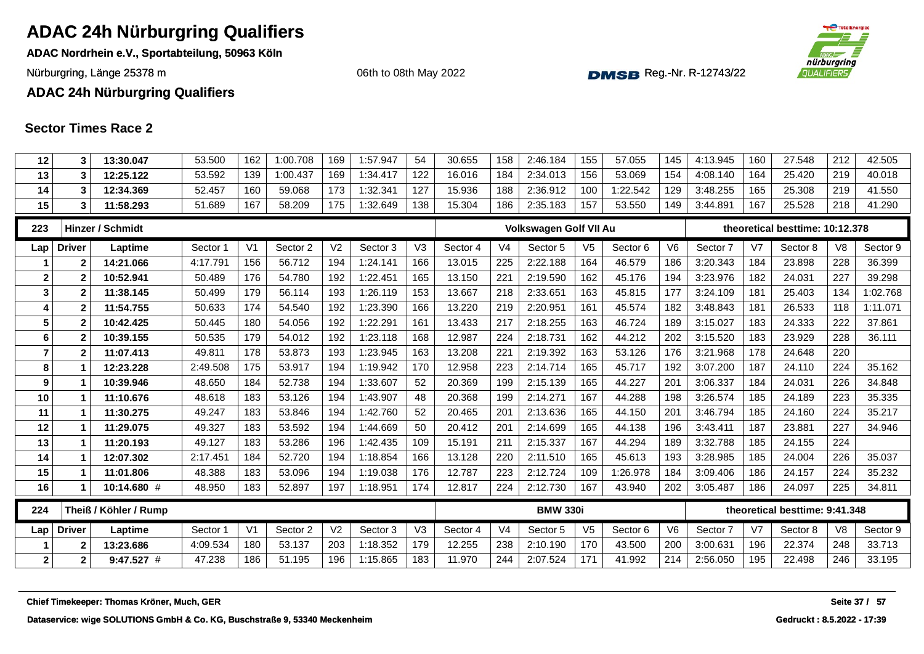**ADAC Nordrhein e.V., Sportabteilung, 50963 Köln**

Nürburgring, Länge 25378 m and the Communication of the Communication of the Communication of the Communication of the Communication of the Communication of the Communication of the Communication of the Communication of th

06th to 08th May 2022



**ADAC 24h Nürburgring Qualifiers**

| 12                      | 3                       | 13:30.047                                  | 53.500   | 162            | 1:00.708 | 169            | 1:57.947 | 54             | 30.655   | 158            | 2:46.184               | 155            | 57.055   | 145            | 4:13.945 | 160            | 27.548                          | 212            | 42.505        |
|-------------------------|-------------------------|--------------------------------------------|----------|----------------|----------|----------------|----------|----------------|----------|----------------|------------------------|----------------|----------|----------------|----------|----------------|---------------------------------|----------------|---------------|
| 13                      | 3                       | 12:25.122                                  | 53.592   | 139            | 1:00.437 | 169            | 1:34.417 | 122            | 16.016   | 184            | 2:34.013               | 156            | 53.069   | 154            | 4:08.140 | 164            | 25.420                          | 219            | 40.018        |
| 14                      | 3                       | 12:34.369                                  | 52.457   | 160            | 59.068   | 173            | 1:32.341 | 127            | 15.936   | 188            | 2:36.912               | 100            | 1:22.542 | 129            | 3:48.255 | 165            | 25.308                          | 219            | 41.550        |
| 15                      | 3                       | 11:58.293                                  | 51.689   | 167            | 58.209   | 175            | 1:32.649 | 138            | 15.304   | 186            | 2:35.183               | 157            | 53.550   | 149            | 3:44.891 | 167            | 25.528                          | 218            | 41.290        |
| 223                     |                         | Hinzer / Schmidt                           |          |                |          |                |          |                |          |                | Volkswagen Golf VII Au |                |          |                |          |                | theoretical besttime: 10:12.378 |                |               |
| Lap                     | <b>Driver</b>           | Laptime                                    | Sector 1 | V <sub>1</sub> | Sector 2 | V <sub>2</sub> | Sector 3 | V <sub>3</sub> | Sector 4 | V <sub>4</sub> | Sector 5               | V <sub>5</sub> | Sector 6 | V <sub>6</sub> | Sector 7 | V <sub>7</sub> | Sector 8                        | V <sub>8</sub> | Sector 9      |
| -1                      | $\overline{2}$          | 14:21.066                                  | 4:17.791 | 156            | 56.712   | 194            | 1:24.141 | 166            | 13.015   | 225            | 2:22.188               | 164            | 46.579   | 186            | 3:20.343 | 184            | 23.898                          | 228            | 36.399        |
| $\overline{\mathbf{2}}$ | $\overline{\mathbf{2}}$ | 10:52.941                                  | 50.489   | 176            | 54.780   | 192            | 1:22.451 | 165            | 13.150   | 221            | 2:19.590               | 162            | 45.176   | 194            | 3:23.976 | 182            | 24.031                          | 227            | 39.298        |
| $\mathbf{3}$            | $\overline{2}$          | 11:38.145                                  | 50.499   | 179            | 56.114   | 193            | 1:26.119 | 153            | 13.667   | 218            | 2:33.651               | 163            | 45.815   | 177            | 3:24.109 | 181            | 25.403                          | 134            | 1:02.768      |
| 4                       | $\mathbf{2}$            | 11:54.755                                  | 50.633   | 174            | 54.540   | 192            | 1:23.390 | 166            | 13.220   | 219            | 2:20.951               | 161            | 45.574   | 182            | 3:48.843 | 181            | 26.533                          | 118            | 1:11.071      |
| 5                       | $\mathbf{2}$            | 10:42.425                                  | 50.445   | 180            | 54.056   | 192            | 1:22.291 | 161            | 13.433   | 217            | 2:18.255               | 163            | 46.724   | 189            | 3:15.027 | 183            | 24.333                          | 222            | 37.861        |
| 6                       | $\mathbf{2}$            | 10:39.155                                  | 50.535   | 179            | 54.012   | 192            | 1:23.118 | 168            | 12.987   | 224            | 2:18.731               | 162            | 44.212   | 202            | 3:15.520 | 183            | 23.929                          | 228            | 36.111        |
| $\overline{7}$          | 2                       | 11:07.413                                  | 49.811   | 178            | 53.873   | 193            | 1:23.945 | 163            | 13.208   | 221            | 2:19.392               | 163            | 53.126   | 176            | 3:21.968 | 178            | 24.648                          | 220            |               |
| $\bf 8$                 | 1                       | 12:23.228                                  | 2:49.508 | 175            | 53.917   | 194            | 1:19.942 | 170            | 12.958   | 223            | 2:14.714               | 165            | 45.717   | 192            | 3:07.200 | 187            | 24.110                          | 224            | 35.162        |
| $\boldsymbol{9}$        | 1                       | 10:39.946                                  | 48.650   | 184            | 52.738   | 194            | 1:33.607 | 52             | 20.369   | 199            | 2:15.139               | 165            | 44.227   | 201            | 3:06.337 | 184            | 24.031                          | 226            | 34.848        |
| 10                      | $\overline{\mathbf{1}}$ | 11:10.676                                  | 48.618   | 183            | 53.126   | 194            | 1:43.907 | 48             | 20.368   | 199            | 2:14.271               | 167            | 44.288   | 198            | 3:26.574 | 185            | 24.189                          | 223            | 35.335        |
| 11                      | -1                      | 11:30.275                                  | 49.247   | 183            | 53.846   | 194            | 1:42.760 | 52             | 20.465   | 201            | 2:13.636               | 165            | 44.150   | 201            | 3:46.794 | 185            | 24.160                          | 224            | 35.217        |
| 12                      | 1                       | 11:29.075                                  | 49.327   | 183            | 53.592   | 194            | 1:44.669 | 50             | 20.412   | 201            | 2:14.699               | 165            | 44.138   | 196            | 3:43.411 | 187            | 23.881                          | 227            | 34.946        |
| 13                      |                         | 11:20.193                                  | 49.127   | 183            | 53.286   | 196            | 1:42.435 | 109            | 15.191   | 211            | 2:15.337               | 167            | 44.294   | 189            | 3:32.788 | 185            | 24.155                          | 224            |               |
| 14                      | -1                      | 12:07.302                                  | 2:17.451 | 184            | 52.720   | 194            | 1:18.854 | 166            | 13.128   | 220            | 2:11.510               | 165            | 45.613   | 193            | 3:28.985 | 185            | 24.004                          | 226            | 35.037        |
| 15                      |                         | 11:01.806                                  | 48.388   | 183            | 53.096   | 194            | 1:19.038 | 176            | 12.787   | 223            | 2:12.724               | 109            | 1:26.978 | 184            | 3:09.406 | 186            | 24.157                          | 224            | 35.232        |
| 16                      | 1                       | 10:14.680 #                                | 48.950   | 183            | 52.897   | 197            | 1:18.951 | 174            | 12.817   | 224            | 2:12.730               | 167            | 43.940   | 202            | 3:05.487 | 186            | 24.097                          | 225            | 34.811        |
| 224                     |                         | Theiß / Köhler / Rump                      |          |                |          |                |          |                |          |                | <b>BMW 330i</b>        |                |          |                |          |                | theoretical besttime: 9:41.348  |                |               |
| Lap                     | <b>Driver</b>           | Laptime                                    | Sector 1 | V <sub>1</sub> | Sector 2 | V <sub>2</sub> | Sector 3 | V <sub>3</sub> | Sector 4 | V <sub>4</sub> | Sector 5               | V <sub>5</sub> | Sector 6 | V <sub>6</sub> | Sector 7 | V <sub>7</sub> | Sector 8                        | V <sub>8</sub> | Sector 9      |
|                         | 2                       | 13:23.686                                  | 4:09.534 | 180            | 53.137   | 203            | 1:18.352 | 179            | 12.255   | 238            | 2:10.190               | 170            | 43.500   | 200            | 3:00.631 | 196            | 22.374                          | 248            | 33.713        |
| $\boldsymbol{2}$        | $\mathbf 2$             | $9:47.527$ #                               | 47.238   | 186            | 51.195   | 196            | 1:15.865 | 183            | 11.970   | 244            | 2:07.524               | 171            | 41.992   | 214            | 2:56.050 | 195            | 22.498                          | 246            | 33.195        |
|                         |                         |                                            |          |                |          |                |          |                |          |                |                        |                |          |                |          |                |                                 |                |               |
|                         |                         | Chief Timekeeper: Thomas Kröner, Much, GER |          |                |          |                |          |                |          |                |                        |                |          |                |          |                |                                 |                | Seite 37 / 57 |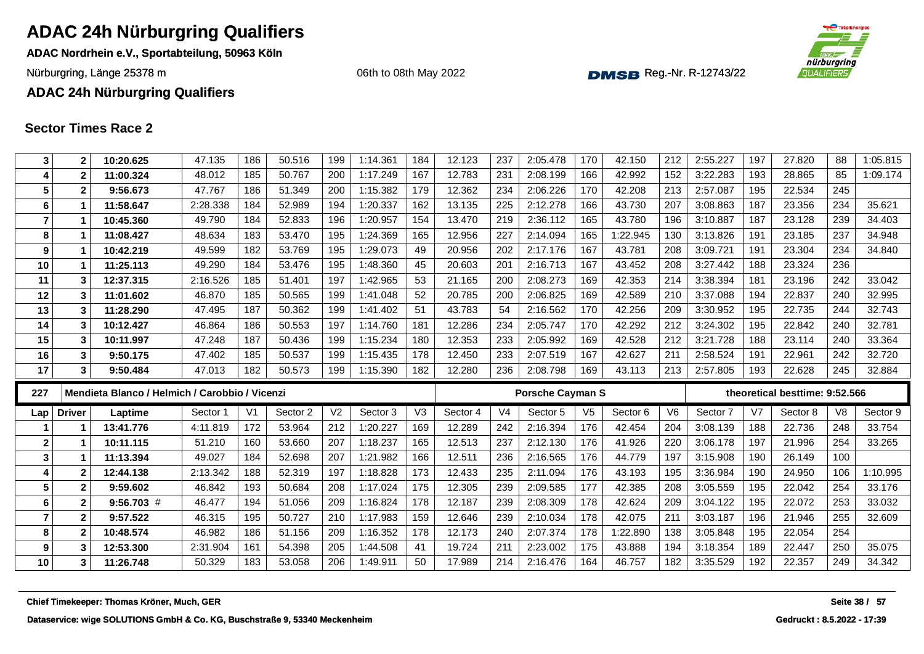**ADAC Nordrhein e.V., Sportabteilung, 50963 Köln**

Nürburgring, Länge 25378 m and the Communication of the Communication of the Communication of the Communication of the Communication of the Communication of the Communication of the Communication of the Communication of th

06th to 08th May 2022



**ADAC 24h Nürburgring Qualifiers**

| 185<br>50.767<br>1:17.249<br>12.783<br>2:08.199<br>3:22.283<br>28.865<br>48.012<br>200<br>167<br>231<br>166<br>42.992<br>152<br>193<br>85<br>$\mathbf{2}$<br>11:00.324<br>4<br>5<br>186<br>51.349<br>1:15.382<br>12.362<br>2:06.226<br>42.208<br>2:57.087<br>22.534<br>$\mathbf{2}$<br>9:56.673<br>47.767<br>200<br>179<br>234<br>170<br>213<br>195<br>245<br>184<br>52.989<br>1:20.337<br>13.135<br>225<br>2:12.278<br>3:08.863<br>187<br>23.356<br>6<br>$\overline{\mathbf{1}}$<br>11:58.647<br>2:28.338<br>194<br>162<br>166<br>43.730<br>207<br>234<br>7<br>2:36.112<br>10:45.360<br>49.790<br>184<br>52.833<br>196<br>1:20.957<br>154<br>13.470<br>165<br>43.780<br>3:10.887<br>187<br>23.128<br>239<br>219<br>196<br>2:14.094<br>3:13.826<br>48.634<br>183<br>53.470<br>195<br>1:24.369<br>165<br>12.956<br>227<br>165<br>1:22.945<br>191<br>23.185<br>8<br>$\overline{\mathbf{1}}$<br>11:08.427<br>130<br>237<br>$\boldsymbol{9}$<br>53.769<br>1:29.073<br>2:17.176<br>3:09.721<br>10:42.219<br>49.599<br>182<br>195<br>49<br>20.956<br>202<br>167<br>43.781<br>208<br>191<br>23.304<br>234<br>49.290<br>184<br>53.476<br>195<br>1:48.360<br>45<br>20.603<br>201<br>2:16.713<br>167<br>43.452<br>208<br>3:27.442<br>188<br>23.324<br>236<br>10<br>11:25.113<br>$\overline{\mathbf{1}}$<br>11<br>2:08.273<br>185<br>51.401<br>197<br>1:42.965<br>21.165<br>42.353<br>3:38.394<br>23.196<br>242<br>3<br>12:37.315<br>2:16.526<br>53<br>200<br>169<br>214<br>181<br>12<br>185<br>50.565<br>1:41.048<br>20.785<br>2:06.825<br>3:37.088<br>3<br>11:01.602<br>46.870<br>199<br>52<br>200<br>169<br>42.589<br>194<br>22.837<br>240<br>210<br>187<br>50.362<br>43.783<br>2:16.562<br>42.256<br>209<br>3:30.952<br>13<br>47.495<br>199<br>1:41.402<br>51<br>54<br>170<br>195<br>22.735<br>244<br>3<br>11:28.290<br>186<br>197<br>1:14.760<br>2:05.747<br>42.292<br>3:24.302<br>14<br>46.864<br>50.553<br>181<br>12.286<br>234<br>170<br>212<br>195<br>22.842<br>240<br>3<br>10:12.427<br>2:05.992<br>3:21.728<br>15<br>47.248<br>187<br>50.436<br>199<br>1:15.234<br>12.353<br>233<br>169<br>42.528<br>212<br>188<br>23.114<br>240<br>10:11.997<br>180<br>3<br>16<br>185<br>50.537<br>199<br>1:15.435<br>12.450<br>233<br>2:07.519<br>167<br>42.627<br>211<br>2:58.524<br>191<br>22.961<br>242<br>3<br>9:50.175<br>47.402<br>178<br>17<br>3<br>182<br>2:08.798<br>9:50.484<br>47.013<br>50.573<br>199<br>1:15.390<br>182<br>12.280<br>236<br>169<br>43.113<br>2:57.805<br>193<br>22.628<br>245<br>213<br><b>Porsche Cayman S</b><br>227<br>Mendieta Blanco / Helmich / Carobbio / Vicenzi<br>theoretical besttime: 9:52.566<br>V <sub>2</sub><br>V <sub>3</sub><br>V <sub>4</sub><br>V <sub>5</sub><br>Sector 6<br>V <sub>6</sub><br>V <sub>7</sub><br>V <sub>1</sub><br>Sector 2<br>Sector 3<br>Sector 4<br>Sector 5<br>Sector 8<br>V <sub>8</sub><br>Laptime<br>Sector 1<br>Sector 7<br><b>Driver</b><br>Lap<br>53.964<br>2:16.394<br>3:08.139<br>4:11.819<br>172<br>212<br>1:20.227<br>169<br>12.289<br>242<br>176<br>42.454<br>204<br>188<br>22.736<br>248<br>13:41.776<br>$\mathbf 2$<br>10:11.115<br>53.660<br>207<br>1:18.237<br>12.513<br>2:12.130<br>41.926<br>3:06.178<br>197<br>21.996<br>-1<br>51.210<br>160<br>165<br>237<br>176<br>220<br>254<br>$\mathbf{3}$<br>207<br>236<br>2:16.565<br>3:15.908<br>49.027<br>184<br>52.698<br>1:21.982<br>166<br>12.511<br>176<br>44.779<br>197<br>190<br>26.149<br>-1<br>11:13.394<br>100<br>2:11.094<br>3:36.984<br>$\overline{2}$<br>2:13.342<br>188<br>52.319<br>197<br>1:18.828<br>173<br>12.433<br>235<br>176<br>43.193<br>190<br>24.950<br>4<br>12:44.138<br>195<br>106<br>5<br>$\overline{2}$<br>193<br>50.684<br>1:17.024<br>12.305<br>2:09.585<br>177<br>42.385<br>3:05.559<br>195<br>9:59.602<br>46.842<br>208<br>175<br>239<br>208<br>22.042<br>254<br>1:16.824<br>12.187<br>2:08.309<br>3:04.122<br>6<br>$\mathbf{2}$<br>46.477<br>194<br>51.056<br>209<br>178<br>239<br>178<br>42.624<br>209<br>195<br>22.072<br>253<br>$9:56.703$ #<br>$\overline{7}$<br>$\mathbf{2}$<br>50.727<br>1:17.983<br>9:57.522<br>46.315<br>195<br>210<br>159<br>12.646<br>239<br>2:10.034<br>178<br>42.075<br>211<br>3:03.187<br>196<br>21.946<br>255<br>8<br>$\overline{2}$<br>46.982<br>186<br>51.156<br>209<br>1:16.352<br>12.173<br>2:07.374<br>1:22.890<br>3:05.848<br>195<br>22.054<br>254<br>10:48.574<br>178<br>240<br>178<br>138<br>161<br>54.398<br>3:18.354<br>9<br>3<br>12:53.300<br>2:31.904<br>205<br>1:44.508<br>41<br>19.724<br>211<br>2:23.002<br>175<br>43.888<br>189<br>22.447<br>250<br>194<br>10<br>50.329<br>183<br>53.058<br>206<br>50<br>17.989<br>214<br>2:16.476<br>164<br>46.757<br>3:35.529<br>192<br>22.357<br>249<br>3<br>11:26.748<br>1:49.911<br>182 | 3 | $\overline{2}$ | 10:20.625 | 47.135 | 186 | 50.516 | 199 | 1:14.361 | 184 | 12.123 | 237 | 2:05.478 | 170 | 42.150 | 212 | 2:55.227 | 197 | 27.820 | 88 | 1:05.815 |
|-------------------------------------------------------------------------------------------------------------------------------------------------------------------------------------------------------------------------------------------------------------------------------------------------------------------------------------------------------------------------------------------------------------------------------------------------------------------------------------------------------------------------------------------------------------------------------------------------------------------------------------------------------------------------------------------------------------------------------------------------------------------------------------------------------------------------------------------------------------------------------------------------------------------------------------------------------------------------------------------------------------------------------------------------------------------------------------------------------------------------------------------------------------------------------------------------------------------------------------------------------------------------------------------------------------------------------------------------------------------------------------------------------------------------------------------------------------------------------------------------------------------------------------------------------------------------------------------------------------------------------------------------------------------------------------------------------------------------------------------------------------------------------------------------------------------------------------------------------------------------------------------------------------------------------------------------------------------------------------------------------------------------------------------------------------------------------------------------------------------------------------------------------------------------------------------------------------------------------------------------------------------------------------------------------------------------------------------------------------------------------------------------------------------------------------------------------------------------------------------------------------------------------------------------------------------------------------------------------------------------------------------------------------------------------------------------------------------------------------------------------------------------------------------------------------------------------------------------------------------------------------------------------------------------------------------------------------------------------------------------------------------------------------------------------------------------------------------------------------------------------------------------------------------------------------------------------------------------------------------------------------------------------------------------------------------------------------------------------------------------------------------------------------------------------------------------------------------------------------------------------------------------------------------------------------------------------------------------------------------------------------------------------------------------------------------------------------------------------------------------------------------------------------------------------------------------------------------------------------------------------------------------------------------------------------------------------------------------------------------------------------------------------------------------------------------------------------------------------------------------------------------------------------------------------------------------------------------------------------------------------------------------------------------------------------------------------------------------------------------------------------------------------------------------------------------------------------------------------------------------------------------------------------------------------------------------------------------------------------------------------------------------------------------------------------------------------------------------------|---|----------------|-----------|--------|-----|--------|-----|----------|-----|--------|-----|----------|-----|--------|-----|----------|-----|--------|----|----------|
|                                                                                                                                                                                                                                                                                                                                                                                                                                                                                                                                                                                                                                                                                                                                                                                                                                                                                                                                                                                                                                                                                                                                                                                                                                                                                                                                                                                                                                                                                                                                                                                                                                                                                                                                                                                                                                                                                                                                                                                                                                                                                                                                                                                                                                                                                                                                                                                                                                                                                                                                                                                                                                                                                                                                                                                                                                                                                                                                                                                                                                                                                                                                                                                                                                                                                                                                                                                                                                                                                                                                                                                                                                                                                                                                                                                                                                                                                                                                                                                                                                                                                                                                                                                                                                                                                                                                                                                                                                                                                                                                                                                                                                                                                                                               |   |                |           |        |     |        |     |          |     |        |     |          |     |        |     |          |     |        |    | 1:09.174 |
|                                                                                                                                                                                                                                                                                                                                                                                                                                                                                                                                                                                                                                                                                                                                                                                                                                                                                                                                                                                                                                                                                                                                                                                                                                                                                                                                                                                                                                                                                                                                                                                                                                                                                                                                                                                                                                                                                                                                                                                                                                                                                                                                                                                                                                                                                                                                                                                                                                                                                                                                                                                                                                                                                                                                                                                                                                                                                                                                                                                                                                                                                                                                                                                                                                                                                                                                                                                                                                                                                                                                                                                                                                                                                                                                                                                                                                                                                                                                                                                                                                                                                                                                                                                                                                                                                                                                                                                                                                                                                                                                                                                                                                                                                                                               |   |                |           |        |     |        |     |          |     |        |     |          |     |        |     |          |     |        |    |          |
|                                                                                                                                                                                                                                                                                                                                                                                                                                                                                                                                                                                                                                                                                                                                                                                                                                                                                                                                                                                                                                                                                                                                                                                                                                                                                                                                                                                                                                                                                                                                                                                                                                                                                                                                                                                                                                                                                                                                                                                                                                                                                                                                                                                                                                                                                                                                                                                                                                                                                                                                                                                                                                                                                                                                                                                                                                                                                                                                                                                                                                                                                                                                                                                                                                                                                                                                                                                                                                                                                                                                                                                                                                                                                                                                                                                                                                                                                                                                                                                                                                                                                                                                                                                                                                                                                                                                                                                                                                                                                                                                                                                                                                                                                                                               |   |                |           |        |     |        |     |          |     |        |     |          |     |        |     |          |     |        |    | 35.621   |
|                                                                                                                                                                                                                                                                                                                                                                                                                                                                                                                                                                                                                                                                                                                                                                                                                                                                                                                                                                                                                                                                                                                                                                                                                                                                                                                                                                                                                                                                                                                                                                                                                                                                                                                                                                                                                                                                                                                                                                                                                                                                                                                                                                                                                                                                                                                                                                                                                                                                                                                                                                                                                                                                                                                                                                                                                                                                                                                                                                                                                                                                                                                                                                                                                                                                                                                                                                                                                                                                                                                                                                                                                                                                                                                                                                                                                                                                                                                                                                                                                                                                                                                                                                                                                                                                                                                                                                                                                                                                                                                                                                                                                                                                                                                               |   |                |           |        |     |        |     |          |     |        |     |          |     |        |     |          |     |        |    | 34.403   |
|                                                                                                                                                                                                                                                                                                                                                                                                                                                                                                                                                                                                                                                                                                                                                                                                                                                                                                                                                                                                                                                                                                                                                                                                                                                                                                                                                                                                                                                                                                                                                                                                                                                                                                                                                                                                                                                                                                                                                                                                                                                                                                                                                                                                                                                                                                                                                                                                                                                                                                                                                                                                                                                                                                                                                                                                                                                                                                                                                                                                                                                                                                                                                                                                                                                                                                                                                                                                                                                                                                                                                                                                                                                                                                                                                                                                                                                                                                                                                                                                                                                                                                                                                                                                                                                                                                                                                                                                                                                                                                                                                                                                                                                                                                                               |   |                |           |        |     |        |     |          |     |        |     |          |     |        |     |          |     |        |    | 34.948   |
|                                                                                                                                                                                                                                                                                                                                                                                                                                                                                                                                                                                                                                                                                                                                                                                                                                                                                                                                                                                                                                                                                                                                                                                                                                                                                                                                                                                                                                                                                                                                                                                                                                                                                                                                                                                                                                                                                                                                                                                                                                                                                                                                                                                                                                                                                                                                                                                                                                                                                                                                                                                                                                                                                                                                                                                                                                                                                                                                                                                                                                                                                                                                                                                                                                                                                                                                                                                                                                                                                                                                                                                                                                                                                                                                                                                                                                                                                                                                                                                                                                                                                                                                                                                                                                                                                                                                                                                                                                                                                                                                                                                                                                                                                                                               |   |                |           |        |     |        |     |          |     |        |     |          |     |        |     |          |     |        |    | 34.840   |
|                                                                                                                                                                                                                                                                                                                                                                                                                                                                                                                                                                                                                                                                                                                                                                                                                                                                                                                                                                                                                                                                                                                                                                                                                                                                                                                                                                                                                                                                                                                                                                                                                                                                                                                                                                                                                                                                                                                                                                                                                                                                                                                                                                                                                                                                                                                                                                                                                                                                                                                                                                                                                                                                                                                                                                                                                                                                                                                                                                                                                                                                                                                                                                                                                                                                                                                                                                                                                                                                                                                                                                                                                                                                                                                                                                                                                                                                                                                                                                                                                                                                                                                                                                                                                                                                                                                                                                                                                                                                                                                                                                                                                                                                                                                               |   |                |           |        |     |        |     |          |     |        |     |          |     |        |     |          |     |        |    |          |
|                                                                                                                                                                                                                                                                                                                                                                                                                                                                                                                                                                                                                                                                                                                                                                                                                                                                                                                                                                                                                                                                                                                                                                                                                                                                                                                                                                                                                                                                                                                                                                                                                                                                                                                                                                                                                                                                                                                                                                                                                                                                                                                                                                                                                                                                                                                                                                                                                                                                                                                                                                                                                                                                                                                                                                                                                                                                                                                                                                                                                                                                                                                                                                                                                                                                                                                                                                                                                                                                                                                                                                                                                                                                                                                                                                                                                                                                                                                                                                                                                                                                                                                                                                                                                                                                                                                                                                                                                                                                                                                                                                                                                                                                                                                               |   |                |           |        |     |        |     |          |     |        |     |          |     |        |     |          |     |        |    | 33.042   |
|                                                                                                                                                                                                                                                                                                                                                                                                                                                                                                                                                                                                                                                                                                                                                                                                                                                                                                                                                                                                                                                                                                                                                                                                                                                                                                                                                                                                                                                                                                                                                                                                                                                                                                                                                                                                                                                                                                                                                                                                                                                                                                                                                                                                                                                                                                                                                                                                                                                                                                                                                                                                                                                                                                                                                                                                                                                                                                                                                                                                                                                                                                                                                                                                                                                                                                                                                                                                                                                                                                                                                                                                                                                                                                                                                                                                                                                                                                                                                                                                                                                                                                                                                                                                                                                                                                                                                                                                                                                                                                                                                                                                                                                                                                                               |   |                |           |        |     |        |     |          |     |        |     |          |     |        |     |          |     |        |    | 32.995   |
|                                                                                                                                                                                                                                                                                                                                                                                                                                                                                                                                                                                                                                                                                                                                                                                                                                                                                                                                                                                                                                                                                                                                                                                                                                                                                                                                                                                                                                                                                                                                                                                                                                                                                                                                                                                                                                                                                                                                                                                                                                                                                                                                                                                                                                                                                                                                                                                                                                                                                                                                                                                                                                                                                                                                                                                                                                                                                                                                                                                                                                                                                                                                                                                                                                                                                                                                                                                                                                                                                                                                                                                                                                                                                                                                                                                                                                                                                                                                                                                                                                                                                                                                                                                                                                                                                                                                                                                                                                                                                                                                                                                                                                                                                                                               |   |                |           |        |     |        |     |          |     |        |     |          |     |        |     |          |     |        |    | 32.743   |
|                                                                                                                                                                                                                                                                                                                                                                                                                                                                                                                                                                                                                                                                                                                                                                                                                                                                                                                                                                                                                                                                                                                                                                                                                                                                                                                                                                                                                                                                                                                                                                                                                                                                                                                                                                                                                                                                                                                                                                                                                                                                                                                                                                                                                                                                                                                                                                                                                                                                                                                                                                                                                                                                                                                                                                                                                                                                                                                                                                                                                                                                                                                                                                                                                                                                                                                                                                                                                                                                                                                                                                                                                                                                                                                                                                                                                                                                                                                                                                                                                                                                                                                                                                                                                                                                                                                                                                                                                                                                                                                                                                                                                                                                                                                               |   |                |           |        |     |        |     |          |     |        |     |          |     |        |     |          |     |        |    | 32.781   |
|                                                                                                                                                                                                                                                                                                                                                                                                                                                                                                                                                                                                                                                                                                                                                                                                                                                                                                                                                                                                                                                                                                                                                                                                                                                                                                                                                                                                                                                                                                                                                                                                                                                                                                                                                                                                                                                                                                                                                                                                                                                                                                                                                                                                                                                                                                                                                                                                                                                                                                                                                                                                                                                                                                                                                                                                                                                                                                                                                                                                                                                                                                                                                                                                                                                                                                                                                                                                                                                                                                                                                                                                                                                                                                                                                                                                                                                                                                                                                                                                                                                                                                                                                                                                                                                                                                                                                                                                                                                                                                                                                                                                                                                                                                                               |   |                |           |        |     |        |     |          |     |        |     |          |     |        |     |          |     |        |    | 33.364   |
|                                                                                                                                                                                                                                                                                                                                                                                                                                                                                                                                                                                                                                                                                                                                                                                                                                                                                                                                                                                                                                                                                                                                                                                                                                                                                                                                                                                                                                                                                                                                                                                                                                                                                                                                                                                                                                                                                                                                                                                                                                                                                                                                                                                                                                                                                                                                                                                                                                                                                                                                                                                                                                                                                                                                                                                                                                                                                                                                                                                                                                                                                                                                                                                                                                                                                                                                                                                                                                                                                                                                                                                                                                                                                                                                                                                                                                                                                                                                                                                                                                                                                                                                                                                                                                                                                                                                                                                                                                                                                                                                                                                                                                                                                                                               |   |                |           |        |     |        |     |          |     |        |     |          |     |        |     |          |     |        |    | 32.720   |
|                                                                                                                                                                                                                                                                                                                                                                                                                                                                                                                                                                                                                                                                                                                                                                                                                                                                                                                                                                                                                                                                                                                                                                                                                                                                                                                                                                                                                                                                                                                                                                                                                                                                                                                                                                                                                                                                                                                                                                                                                                                                                                                                                                                                                                                                                                                                                                                                                                                                                                                                                                                                                                                                                                                                                                                                                                                                                                                                                                                                                                                                                                                                                                                                                                                                                                                                                                                                                                                                                                                                                                                                                                                                                                                                                                                                                                                                                                                                                                                                                                                                                                                                                                                                                                                                                                                                                                                                                                                                                                                                                                                                                                                                                                                               |   |                |           |        |     |        |     |          |     |        |     |          |     |        |     |          |     |        |    | 32.884   |
|                                                                                                                                                                                                                                                                                                                                                                                                                                                                                                                                                                                                                                                                                                                                                                                                                                                                                                                                                                                                                                                                                                                                                                                                                                                                                                                                                                                                                                                                                                                                                                                                                                                                                                                                                                                                                                                                                                                                                                                                                                                                                                                                                                                                                                                                                                                                                                                                                                                                                                                                                                                                                                                                                                                                                                                                                                                                                                                                                                                                                                                                                                                                                                                                                                                                                                                                                                                                                                                                                                                                                                                                                                                                                                                                                                                                                                                                                                                                                                                                                                                                                                                                                                                                                                                                                                                                                                                                                                                                                                                                                                                                                                                                                                                               |   |                |           |        |     |        |     |          |     |        |     |          |     |        |     |          |     |        |    |          |
|                                                                                                                                                                                                                                                                                                                                                                                                                                                                                                                                                                                                                                                                                                                                                                                                                                                                                                                                                                                                                                                                                                                                                                                                                                                                                                                                                                                                                                                                                                                                                                                                                                                                                                                                                                                                                                                                                                                                                                                                                                                                                                                                                                                                                                                                                                                                                                                                                                                                                                                                                                                                                                                                                                                                                                                                                                                                                                                                                                                                                                                                                                                                                                                                                                                                                                                                                                                                                                                                                                                                                                                                                                                                                                                                                                                                                                                                                                                                                                                                                                                                                                                                                                                                                                                                                                                                                                                                                                                                                                                                                                                                                                                                                                                               |   |                |           |        |     |        |     |          |     |        |     |          |     |        |     |          |     |        |    |          |
|                                                                                                                                                                                                                                                                                                                                                                                                                                                                                                                                                                                                                                                                                                                                                                                                                                                                                                                                                                                                                                                                                                                                                                                                                                                                                                                                                                                                                                                                                                                                                                                                                                                                                                                                                                                                                                                                                                                                                                                                                                                                                                                                                                                                                                                                                                                                                                                                                                                                                                                                                                                                                                                                                                                                                                                                                                                                                                                                                                                                                                                                                                                                                                                                                                                                                                                                                                                                                                                                                                                                                                                                                                                                                                                                                                                                                                                                                                                                                                                                                                                                                                                                                                                                                                                                                                                                                                                                                                                                                                                                                                                                                                                                                                                               |   |                |           |        |     |        |     |          |     |        |     |          |     |        |     |          |     |        |    | Sector 9 |
|                                                                                                                                                                                                                                                                                                                                                                                                                                                                                                                                                                                                                                                                                                                                                                                                                                                                                                                                                                                                                                                                                                                                                                                                                                                                                                                                                                                                                                                                                                                                                                                                                                                                                                                                                                                                                                                                                                                                                                                                                                                                                                                                                                                                                                                                                                                                                                                                                                                                                                                                                                                                                                                                                                                                                                                                                                                                                                                                                                                                                                                                                                                                                                                                                                                                                                                                                                                                                                                                                                                                                                                                                                                                                                                                                                                                                                                                                                                                                                                                                                                                                                                                                                                                                                                                                                                                                                                                                                                                                                                                                                                                                                                                                                                               |   |                |           |        |     |        |     |          |     |        |     |          |     |        |     |          |     |        |    | 33.754   |
|                                                                                                                                                                                                                                                                                                                                                                                                                                                                                                                                                                                                                                                                                                                                                                                                                                                                                                                                                                                                                                                                                                                                                                                                                                                                                                                                                                                                                                                                                                                                                                                                                                                                                                                                                                                                                                                                                                                                                                                                                                                                                                                                                                                                                                                                                                                                                                                                                                                                                                                                                                                                                                                                                                                                                                                                                                                                                                                                                                                                                                                                                                                                                                                                                                                                                                                                                                                                                                                                                                                                                                                                                                                                                                                                                                                                                                                                                                                                                                                                                                                                                                                                                                                                                                                                                                                                                                                                                                                                                                                                                                                                                                                                                                                               |   |                |           |        |     |        |     |          |     |        |     |          |     |        |     |          |     |        |    | 33.265   |
|                                                                                                                                                                                                                                                                                                                                                                                                                                                                                                                                                                                                                                                                                                                                                                                                                                                                                                                                                                                                                                                                                                                                                                                                                                                                                                                                                                                                                                                                                                                                                                                                                                                                                                                                                                                                                                                                                                                                                                                                                                                                                                                                                                                                                                                                                                                                                                                                                                                                                                                                                                                                                                                                                                                                                                                                                                                                                                                                                                                                                                                                                                                                                                                                                                                                                                                                                                                                                                                                                                                                                                                                                                                                                                                                                                                                                                                                                                                                                                                                                                                                                                                                                                                                                                                                                                                                                                                                                                                                                                                                                                                                                                                                                                                               |   |                |           |        |     |        |     |          |     |        |     |          |     |        |     |          |     |        |    |          |
|                                                                                                                                                                                                                                                                                                                                                                                                                                                                                                                                                                                                                                                                                                                                                                                                                                                                                                                                                                                                                                                                                                                                                                                                                                                                                                                                                                                                                                                                                                                                                                                                                                                                                                                                                                                                                                                                                                                                                                                                                                                                                                                                                                                                                                                                                                                                                                                                                                                                                                                                                                                                                                                                                                                                                                                                                                                                                                                                                                                                                                                                                                                                                                                                                                                                                                                                                                                                                                                                                                                                                                                                                                                                                                                                                                                                                                                                                                                                                                                                                                                                                                                                                                                                                                                                                                                                                                                                                                                                                                                                                                                                                                                                                                                               |   |                |           |        |     |        |     |          |     |        |     |          |     |        |     |          |     |        |    | 1:10.995 |
|                                                                                                                                                                                                                                                                                                                                                                                                                                                                                                                                                                                                                                                                                                                                                                                                                                                                                                                                                                                                                                                                                                                                                                                                                                                                                                                                                                                                                                                                                                                                                                                                                                                                                                                                                                                                                                                                                                                                                                                                                                                                                                                                                                                                                                                                                                                                                                                                                                                                                                                                                                                                                                                                                                                                                                                                                                                                                                                                                                                                                                                                                                                                                                                                                                                                                                                                                                                                                                                                                                                                                                                                                                                                                                                                                                                                                                                                                                                                                                                                                                                                                                                                                                                                                                                                                                                                                                                                                                                                                                                                                                                                                                                                                                                               |   |                |           |        |     |        |     |          |     |        |     |          |     |        |     |          |     |        |    | 33.176   |
|                                                                                                                                                                                                                                                                                                                                                                                                                                                                                                                                                                                                                                                                                                                                                                                                                                                                                                                                                                                                                                                                                                                                                                                                                                                                                                                                                                                                                                                                                                                                                                                                                                                                                                                                                                                                                                                                                                                                                                                                                                                                                                                                                                                                                                                                                                                                                                                                                                                                                                                                                                                                                                                                                                                                                                                                                                                                                                                                                                                                                                                                                                                                                                                                                                                                                                                                                                                                                                                                                                                                                                                                                                                                                                                                                                                                                                                                                                                                                                                                                                                                                                                                                                                                                                                                                                                                                                                                                                                                                                                                                                                                                                                                                                                               |   |                |           |        |     |        |     |          |     |        |     |          |     |        |     |          |     |        |    | 33.032   |
|                                                                                                                                                                                                                                                                                                                                                                                                                                                                                                                                                                                                                                                                                                                                                                                                                                                                                                                                                                                                                                                                                                                                                                                                                                                                                                                                                                                                                                                                                                                                                                                                                                                                                                                                                                                                                                                                                                                                                                                                                                                                                                                                                                                                                                                                                                                                                                                                                                                                                                                                                                                                                                                                                                                                                                                                                                                                                                                                                                                                                                                                                                                                                                                                                                                                                                                                                                                                                                                                                                                                                                                                                                                                                                                                                                                                                                                                                                                                                                                                                                                                                                                                                                                                                                                                                                                                                                                                                                                                                                                                                                                                                                                                                                                               |   |                |           |        |     |        |     |          |     |        |     |          |     |        |     |          |     |        |    | 32.609   |
|                                                                                                                                                                                                                                                                                                                                                                                                                                                                                                                                                                                                                                                                                                                                                                                                                                                                                                                                                                                                                                                                                                                                                                                                                                                                                                                                                                                                                                                                                                                                                                                                                                                                                                                                                                                                                                                                                                                                                                                                                                                                                                                                                                                                                                                                                                                                                                                                                                                                                                                                                                                                                                                                                                                                                                                                                                                                                                                                                                                                                                                                                                                                                                                                                                                                                                                                                                                                                                                                                                                                                                                                                                                                                                                                                                                                                                                                                                                                                                                                                                                                                                                                                                                                                                                                                                                                                                                                                                                                                                                                                                                                                                                                                                                               |   |                |           |        |     |        |     |          |     |        |     |          |     |        |     |          |     |        |    |          |
|                                                                                                                                                                                                                                                                                                                                                                                                                                                                                                                                                                                                                                                                                                                                                                                                                                                                                                                                                                                                                                                                                                                                                                                                                                                                                                                                                                                                                                                                                                                                                                                                                                                                                                                                                                                                                                                                                                                                                                                                                                                                                                                                                                                                                                                                                                                                                                                                                                                                                                                                                                                                                                                                                                                                                                                                                                                                                                                                                                                                                                                                                                                                                                                                                                                                                                                                                                                                                                                                                                                                                                                                                                                                                                                                                                                                                                                                                                                                                                                                                                                                                                                                                                                                                                                                                                                                                                                                                                                                                                                                                                                                                                                                                                                               |   |                |           |        |     |        |     |          |     |        |     |          |     |        |     |          |     |        |    | 35.075   |
| Chief Timekeeper: Thomas Kröner, Much, GER<br>Seite 38 / 57                                                                                                                                                                                                                                                                                                                                                                                                                                                                                                                                                                                                                                                                                                                                                                                                                                                                                                                                                                                                                                                                                                                                                                                                                                                                                                                                                                                                                                                                                                                                                                                                                                                                                                                                                                                                                                                                                                                                                                                                                                                                                                                                                                                                                                                                                                                                                                                                                                                                                                                                                                                                                                                                                                                                                                                                                                                                                                                                                                                                                                                                                                                                                                                                                                                                                                                                                                                                                                                                                                                                                                                                                                                                                                                                                                                                                                                                                                                                                                                                                                                                                                                                                                                                                                                                                                                                                                                                                                                                                                                                                                                                                                                                   |   |                |           |        |     |        |     |          |     |        |     |          |     |        |     |          |     |        |    | 34.342   |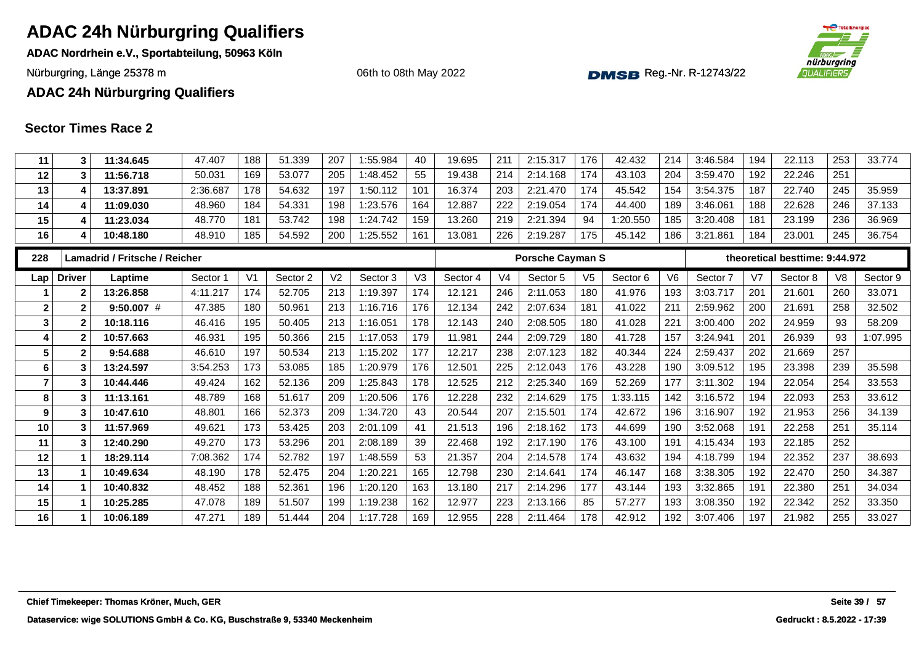**ADAC Nordrhein e.V., Sportabteilung, 50963 Köln**

Nürburgring, Länge 25378 m and the Communication of the Communication of the Communication of the Communication of the Communication of the Communication of the Communication of the Communication of the Communication of th

06th to 08th May 2022



#### **ADAC 24h Nürburgring Qualifiers**

| 11               | 3                       | 11:34.645                                  | 47.407   | 188            | 51.339   | 207            | 1:55.984 | 40             | 19.695   | 211            | 2:15.317                | 176            | 42.432   | 214 | 3:46.584 | 194            | 22.113                         | 253 | 33.774        |
|------------------|-------------------------|--------------------------------------------|----------|----------------|----------|----------------|----------|----------------|----------|----------------|-------------------------|----------------|----------|-----|----------|----------------|--------------------------------|-----|---------------|
| 12               | 3                       | 11:56.718                                  | 50.031   | 169            | 53.077   | 205            | 1:48.452 | 55             | 19.438   | 214            | 2:14.168                | 174            | 43.103   | 204 | 3:59.470 | 192            | 22.246                         | 251 |               |
| 13               | 4                       | 13:37.891                                  | 2:36.687 | 178            | 54.632   | 197            | 1:50.112 | 101            | 16.374   | 203            | 2:21.470                | 174            | 45.542   | 154 | 3:54.375 | 187            | 22.740                         | 245 | 35.959        |
| 14               | 4                       | 11:09.030                                  | 48.960   | 184            | 54.331   | 198            | 1:23.576 | 164            | 12.887   | 222            | 2:19.054                | 174            | 44.400   | 189 | 3:46.061 | 188            | 22.628                         | 246 | 37.133        |
| 15               | 4                       | 11:23.034                                  | 48.770   | 181            | 53.742   | 198            | 1:24.742 | 159            | 13.260   | 219            | 2:21.394                | 94             | 1:20.550 | 185 | 3:20.408 | 181            | 23.199                         | 236 | 36.969        |
| 16               | 4                       | 10:48.180                                  | 48.910   | 185            | 54.592   | 200            | 1:25.552 | 161            | 13.081   | 226            | 2:19.287                | 175            | 45.142   | 186 | 3:21.861 | 184            | 23.001                         | 245 | 36.754        |
| 228              |                         | Lamadrid / Fritsche / Reicher              |          |                |          |                |          |                |          |                | <b>Porsche Cayman S</b> |                |          |     |          |                | theoretical besttime: 9:44.972 |     |               |
| Lap              | <b>Driver</b>           | Laptime                                    | Sector 1 | V <sub>1</sub> | Sector 2 | V <sub>2</sub> | Sector 3 | V <sub>3</sub> | Sector 4 | V <sub>4</sub> | Sector 5                | V <sub>5</sub> | Sector 6 | V6  | Sector 7 | V <sub>7</sub> | Sector 8                       | V8  | Sector 9      |
|                  | 2                       | 13:26.858                                  | 4:11.217 | 174            | 52.705   | 213            | 1:19.397 | 174            | 12.121   | 246            | 2:11.053                | 180            | 41.976   | 193 | 3:03.717 | 201            | 21.601                         | 260 | 33.071        |
| $\boldsymbol{2}$ | $\mathbf 2$             | $9:50.007$ #                               | 47.385   | 180            | 50.961   | 213            | 1:16.716 | 176            | 12.134   | 242            | 2:07.634                | 181            | 41.022   | 211 | 2:59.962 | 200            | 21.691                         | 258 | 32.502        |
| 3                | $\mathbf{2}$            | 10:18.116                                  | 46.416   | 195            | 50.405   | 213            | 1:16.051 | 178            | 12.143   | 240            | 2:08.505                | 180            | 41.028   | 221 | 3:00.400 | 202            | 24.959                         | 93  | 58.209        |
| 4                | $\mathbf{2}$            | 10:57.663                                  | 46.931   | 195            | 50.366   | 215            | 1:17.053 | 179            | 11.981   | 244            | 2:09.729                | 180            | 41.728   | 157 | 3:24.941 | 201            | 26.939                         | 93  | 1:07.995      |
| 5                | $\mathbf{2}$            | 9:54.688                                   | 46.610   | 197            | 50.534   | 213            | 1:15.202 | 177            | 12.217   | 238            | 2:07.123                | 182            | 40.344   | 224 | 2:59.437 | 202            | 21.669                         | 257 |               |
| 6                | 3                       | 13:24.597                                  | 3:54.253 | 173            | 53.085   | 185            | 1:20.979 | 176            | 12.501   | 225            | 2:12.043                | 176            | 43.228   | 190 | 3:09.512 | 195            | 23.398                         | 239 | 35.598        |
| $\overline{7}$   | 3                       | 10:44.446                                  | 49.424   | 162            | 52.136   | 209            | 1:25.843 | 178            | 12.525   | 212            | 2:25.340                | 169            | 52.269   | 177 | 3:11.302 | 194            | 22.054                         | 254 | 33.553        |
| 8                | 3                       | 11:13.161                                  | 48.789   | 168            | 51.617   | 209            | 1:20.506 | 176            | 12.228   | 232            | 2:14.629                | 175            | 1:33.115 | 142 | 3:16.572 | 194            | 22.093                         | 253 | 33.612        |
| 9                | 3                       | 10:47.610                                  | 48.801   | 166            | 52.373   | 209            | 1:34.720 | 43             | 20.544   | 207            | 2:15.501                | 174            | 42.672   | 196 | 3:16.907 | 192            | 21.953                         | 256 | 34.139        |
| 10               | 3                       | 11:57.969                                  | 49.621   | 173            | 53.425   | 203            | 2:01.109 | 41             | 21.513   | 196            | 2:18.162                | 173            | 44.699   | 190 | 3:52.068 | 191            | 22.258                         | 251 | 35.114        |
| 11               | 3                       | 12:40.290                                  | 49.270   | 173            | 53.296   | 201            | 2:08.189 | 39             | 22.468   | 192            | 2:17.190                | 176            | 43.100   | 191 | 4:15.434 | 193            | 22.185                         | 252 |               |
| 12               | 1                       | 18:29.114                                  | 7:08.362 | 174            | 52.782   | 197            | 1:48.559 | 53             | 21.357   | 204            | 2:14.578                | 174            | 43.632   | 194 | 4:18.799 | 194            | 22.352                         | 237 | 38.693        |
| 13               | 1                       | 10:49.634                                  | 48.190   | 178            | 52.475   | 204            | 1:20.221 | 165            | 12.798   | 230            | 2:14.641                | 174            | 46.147   | 168 | 3:38.305 | 192            | 22.470                         | 250 | 34.387        |
| 14               | 1                       | 10:40.832                                  | 48.452   | 188            | 52.361   | 196            | 1:20.120 | 163            | 13.180   | 217            | 2:14.296                | 177            | 43.144   | 193 | 3:32.865 | 191            | 22.380                         | 251 | 34.034        |
| 15               | $\overline{\mathbf{1}}$ | 10:25.285                                  | 47.078   | 189            | 51.507   | 199            | 1:19.238 | 162            | 12.977   | 223            | 2:13.166                | 85             | 57.277   | 193 | 3:08.350 | 192            | 22.342                         | 252 | 33.350        |
| 16               | 1                       | 10:06.189                                  | 47.271   | 189            | 51.444   | 204            | 1:17.728 | 169            | 12.955   | 228            | 2:11.464                | 178            | 42.912   | 192 | 3:07.406 | 197            | 21.982                         | 255 | 33.027        |
|                  |                         |                                            |          |                |          |                |          |                |          |                |                         |                |          |     |          |                |                                |     |               |
|                  |                         | Chief Timekeeper: Thomas Kröner, Much, GER |          |                |          |                |          |                |          |                |                         |                |          |     |          |                |                                |     | Seite 39 / 57 |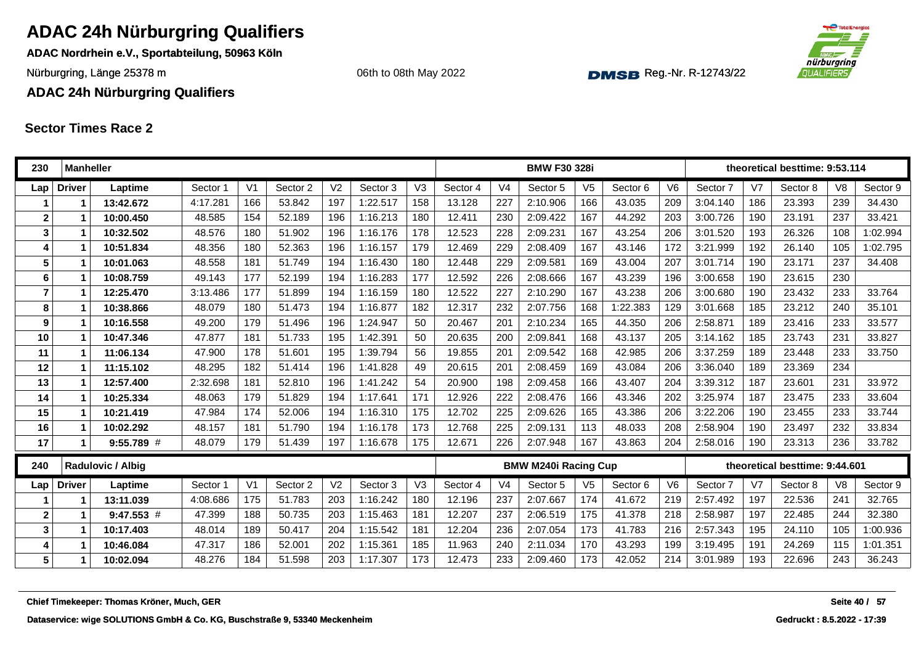**ADAC Nordrhein e.V., Sportabteilung, 50963 Köln**

Nürburgring, Länge 25378 m and the Communication of the Communication of the Communication of the Communication of the Communication of the Communication of the Communication of the Communication of the Communication of th

06th to 08th May 2022



**ADAC 24h Nürburgring Qualifiers**

| 230                     | <b>Manheller</b>        |                                            |          |                |          |                |          |                |          |                | <b>BMW F30 328i</b>         |                |          |                |          |                | theoretical besttime: 9:53.114 |                |               |
|-------------------------|-------------------------|--------------------------------------------|----------|----------------|----------|----------------|----------|----------------|----------|----------------|-----------------------------|----------------|----------|----------------|----------|----------------|--------------------------------|----------------|---------------|
| Lap                     | <b>Driver</b>           | Laptime                                    | Sector 1 | V <sub>1</sub> | Sector 2 | V <sub>2</sub> | Sector 3 | V <sub>3</sub> | Sector 4 | V <sub>4</sub> | Sector 5                    | V <sub>5</sub> | Sector 6 | V6             | Sector 7 | V <sub>7</sub> | Sector 8                       | V <sub>8</sub> | Sector 9      |
|                         | -1                      | 13:42.672                                  | 4:17.281 | 166            | 53.842   | 197            | 1:22.517 | 158            | 13.128   | 227            | 2:10.906                    | 166            | 43.035   | 209            | 3:04.140 | 186            | 23.393                         | 239            | 34.430        |
| $\boldsymbol{2}$        |                         | 10:00.450                                  | 48.585   | 154            | 52.189   | 196            | 1:16.213 | 180            | 12.411   | 230            | 2:09.422                    | 167            | 44.292   | 203            | 3:00.726 | 190            | 23.191                         | 237            | 33.421        |
| $\mathbf{3}$            | -1                      | 10:32.502                                  | 48.576   | 180            | 51.902   | 196            | 1:16.176 | 178            | 12.523   | 228            | 2:09.231                    | 167            | 43.254   | 206            | 3:01.520 | 193            | 26.326                         | 108            | 1:02.994      |
| 4                       |                         | 10:51.834                                  | 48.356   | 180            | 52.363   | 196            | 1:16.157 | 179            | 12.469   | 229            | 2:08.409                    | 167            | 43.146   | 172            | 3:21.999 | 192            | 26.140                         | 105            | 1:02.795      |
| 5                       | -1                      | 10:01.063                                  | 48.558   | 181            | 51.749   | 194            | 1:16.430 | 180            | 12.448   | 229            | 2:09.581                    | 169            | 43.004   | 207            | 3:01.714 | 190            | 23.171                         | 237            | 34.408        |
| 6                       | -1                      | 10:08.759                                  | 49.143   | 177            | 52.199   | 194            | 1:16.283 | 177            | 12.592   | 226            | 2:08.666                    | 167            | 43.239   | 196            | 3:00.658 | 190            | 23.615                         | 230            |               |
| $\overline{\mathbf{r}}$ | $\overline{1}$          | 12:25.470                                  | 3:13.486 | 177            | 51.899   | 194            | 1:16.159 | 180            | 12.522   | 227            | 2:10.290                    | 167            | 43.238   | 206            | 3:00.680 | 190            | 23.432                         | 233            | 33.764        |
| 8                       | -1                      | 10:38.866                                  | 48.079   | 180            | 51.473   | 194            | 1:16.877 | 182            | 12.317   | 232            | 2:07.756                    | 168            | 1:22.383 | 129            | 3:01.668 | 185            | 23.212                         | 240            | 35.101        |
| 9                       | $\overline{\mathbf{1}}$ | 10:16.558                                  | 49.200   | 179            | 51.496   | 196            | 1:24.947 | 50             | 20.467   | 201            | 2:10.234                    | 165            | 44.350   | 206            | 2:58.871 | 189            | 23.416                         | 233            | 33.577        |
| 10                      |                         | 10:47.346                                  | 47.877   | 181            | 51.733   | 195            | 1:42.391 | 50             | 20.635   | 200            | 2:09.841                    | 168            | 43.137   | 205            | 3:14.162 | 185            | 23.743                         | 231            | 33.827        |
| 11                      | $\overline{\mathbf{1}}$ | 11:06.134                                  | 47.900   | 178            | 51.601   | 195            | 1:39.794 | 56             | 19.855   | 201            | 2:09.542                    | 168            | 42.985   | 206            | 3:37.259 | 189            | 23.448                         | 233            | 33.750        |
| 12                      | -1                      | 11:15.102                                  | 48.295   | 182            | 51.414   | 196            | 1:41.828 | 49             | 20.615   | 201            | 2:08.459                    | 169            | 43.084   | 206            | 3:36.040 | 189            | 23.369                         | 234            |               |
| 13                      | 1                       | 12:57.400                                  | 2:32.698 | 181            | 52.810   | 196            | 1:41.242 | 54             | 20.900   | 198            | 2:09.458                    | 166            | 43.407   | 204            | 3:39.312 | 187            | 23.601                         | 231            | 33.972        |
| 14                      |                         | 10:25.334                                  | 48.063   | 179            | 51.829   | 194            | 1:17.641 | 171            | 12.926   | 222            | 2:08.476                    | 166            | 43.346   | 202            | 3:25.974 | 187            | 23.475                         | 233            | 33.604        |
| 15                      | 1                       | 10:21.419                                  | 47.984   | 174            | 52.006   | 194            | 1:16.310 | 175            | 12.702   | 225            | 2:09.626                    | 165            | 43.386   | 206            | 3:22.206 | 190            | 23.455                         | 233            | 33.744        |
| 16                      |                         | 10:02.292                                  | 48.157   | 181            | 51.790   | 194            | 1:16.178 | 173            | 12.768   | 225            | 2:09.131                    | 113            | 48.033   | 208            | 2:58.904 | 190            | 23.497                         | 232            | 33.834        |
| 17                      | $\blacktriangleleft$    | $9:55.789$ #                               | 48.079   | 179            | 51.439   | 197            | 1:16.678 | 175            | 12.671   | 226            | 2:07.948                    | 167            | 43.863   | 204            | 2:58.016 | 190            | 23.313                         | 236            | 33.782        |
| 240                     |                         | Radulovic / Albig                          |          |                |          |                |          |                |          |                | <b>BMW M240i Racing Cup</b> |                |          |                |          |                | theoretical besttime: 9:44.601 |                |               |
| Lap                     | <b>Driver</b>           | Laptime                                    | Sector 1 | V <sub>1</sub> | Sector 2 | V <sub>2</sub> | Sector 3 | V3             | Sector 4 | V <sub>4</sub> | Sector 5                    | V <sub>5</sub> | Sector 6 | V <sub>6</sub> | Sector 7 | V <sub>7</sub> | Sector 8                       | V <sub>8</sub> | Sector 9      |
|                         | -1                      | 13:11.039                                  | 4:08.686 | 175            | 51.783   | 203            | 1:16.242 | 180            | 12.196   | 237            | 2:07.667                    | 174            | 41.672   | 219            | 2:57.492 | 197            | 22.536                         | 241            | 32.765        |
| $\mathbf{2}$            | $\mathbf{1}$            | $9:47.553$ #                               | 47.399   | 188            | 50.735   | 203            | 1:15.463 | 181            | 12.207   | 237            | 2:06.519                    | 175            | 41.378   | 218            | 2:58.987 | 197            | 22.485                         | 244            | 32.380        |
| $\mathbf{3}$            | -1                      | 10:17.403                                  | 48.014   | 189            | 50.417   | 204            | 1:15.542 | 181            | 12.204   | 236            | 2:07.054                    | 173            | 41.783   | 216            | 2:57.343 | 195            | 24.110                         | 105            | 1:00.936      |
| 4                       | -1                      | 10:46.084                                  | 47.317   | 186            | 52.001   | 202            | 1:15.361 | 185            | 11.963   | 240            | 2:11.034                    | 170            | 43.293   | 199            | 3:19.495 | 191            | 24.269                         | 115            | 1:01.351      |
| 5                       |                         | 10:02.094                                  | 48.276   | 184            | 51.598   | 203            | 1:17.307 | 173            | 12.473   | 233            | 2:09.460                    | 173            | 42.052   | 214            | 3:01.989 | 193            | 22.696                         | 243            | 36.243        |
|                         |                         | Chief Timekeeper: Thomas Kröner, Much, GER |          |                |          |                |          |                |          |                |                             |                |          |                |          |                |                                |                | Seite 40 / 57 |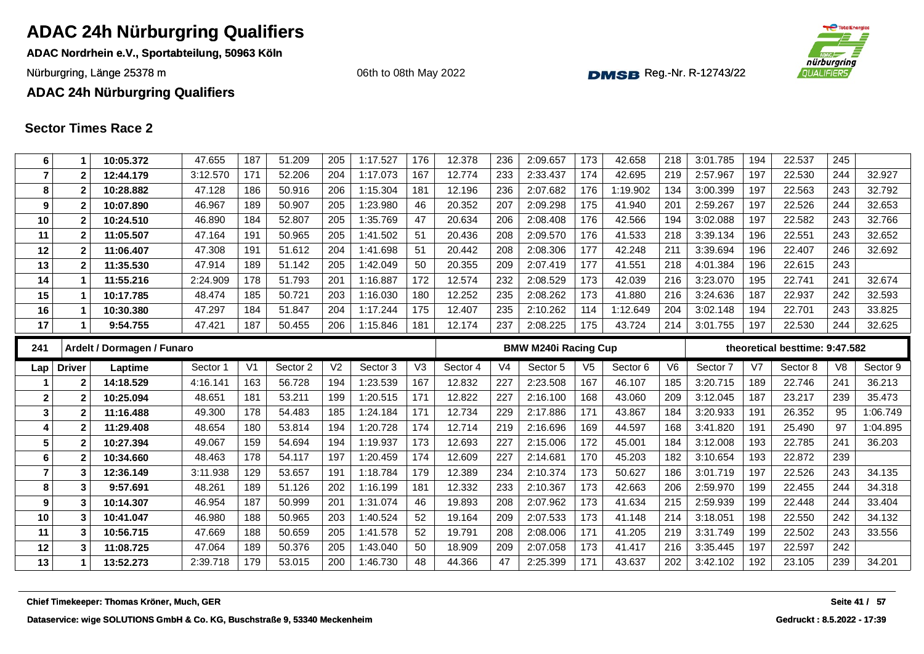**ADAC Nordrhein e.V., Sportabteilung, 50963 Köln**

Nürburgring, Länge 25378 m and the Communication of the Communication of the Communication of the Communication of the Communication of the Communication of the Communication of the Communication of the Communication of th

06th to 08th May 2022



**ADAC 24h Nürburgring Qualifiers**

| 6                       | 1                       | 10:05.372                  | 47.655   | 187            | 51.209   | 205            | 1:17.527             | 176            | 12.378           | 236            | 2:09.657                    | 173            | 42.658           | 218            | 3:01.785             | 194        | 22.537                         | 245            |          |
|-------------------------|-------------------------|----------------------------|----------|----------------|----------|----------------|----------------------|----------------|------------------|----------------|-----------------------------|----------------|------------------|----------------|----------------------|------------|--------------------------------|----------------|----------|
| $\overline{7}$          | $\overline{\mathbf{2}}$ | 12:44.179                  | 3:12.570 | 171            | 52.206   | 204            | 1:17.073             | 167            | 12.774           | 233            | 2:33.437                    | 174            | 42.695           | 219            | 2:57.967             | 197        | 22.530                         | 244            | 32.927   |
| 8                       | $\overline{2}$          | 10:28.882                  | 47.128   | 186            | 50.916   | 206            | 1:15.304             | 181            | 12.196           | 236            | 2:07.682                    | 176            | 1:19.902         | 134            | 3:00.399             | 197        | 22.563                         | 243            | 32.792   |
| 9                       | $\overline{2}$          | 10:07.890                  | 46.967   | 189            | 50.907   | 205            | 1:23.980             | 46             | 20.352           | 207            | 2:09.298                    | 175            | 41.940           | 201            | 2:59.267             | 197        | 22.526                         | 244            | 32.653   |
| 10                      | $\overline{2}$          | 10:24.510                  | 46.890   | 184            | 52.807   | 205            | 1:35.769             | 47             | 20.634           | 206            | 2:08.408                    | 176            | 42.566           | 194            | 3:02.088             | 197        | 22.582                         | 243            | 32.766   |
| 11                      | $\overline{2}$          | 11:05.507                  | 47.164   | 191            | 50.965   | 205            | 1:41.502             | 51             | 20.436           | 208            | 2:09.570                    | 176            | 41.533           | 218            | 3:39.134             | 196        | 22.551                         | 243            | 32.652   |
| 12                      | $\overline{2}$          | 11:06.407                  | 47.308   | 191            | 51.612   | 204            | 1:41.698             | 51             | 20.442           | 208            | 2:08.306                    | 177            | 42.248           | 211            | 3:39.694             | 196        | 22.407                         | 246            | 32.692   |
| 13                      | $\overline{2}$          | 11:35.530                  | 47.914   | 189            | 51.142   | 205            | 1:42.049             | 50             | 20.355           | 209            | 2:07.419                    | 177            | 41.551           | 218            | 4:01.384             | 196        | 22.615                         | 243            |          |
| 14                      | 1                       | 11:55.216                  | 2:24.909 | 178            | 51.793   | 201            | 1:16.887             | 172            | 12.574           | 232            | 2:08.529                    | 173            | 42.039           | 216            | 3:23.070             | 195        | 22.741                         | 241            | 32.674   |
| 15                      | $\mathbf{1}$            | 10:17.785                  | 48.474   | 185            | 50.721   | 203            | 1:16.030             | 180            | 12.252           | 235            | 2:08.262                    | 173            | 41.880           | 216            | 3:24.636             | 187        | 22.937                         | 242            | 32.593   |
| 16                      | -1                      | 10:30.380                  | 47.297   | 184            | 51.847   | 204            | 1:17.244             | 175            | 12.407           | 235            | 2:10.262                    | 114            | 1:12.649         | 204            | 3:02.148             | 194        | 22.701                         | 243            | 33.825   |
| 17                      | $\mathbf{1}$            | 9:54.755                   | 47.421   | 187            | 50.455   | 206            | 1:15.846             | 181            | 12.174           | 237            | 2:08.225                    | 175            | 43.724           | 214            | 3:01.755             | 197        | 22.530                         | 244            | 32.625   |
| 241                     |                         | Ardelt / Dormagen / Funaro |          |                |          |                |                      |                |                  |                | <b>BMW M240i Racing Cup</b> |                |                  |                |                      |            | theoretical besttime: 9:47.582 |                |          |
| Lap                     | <b>Driver</b>           | Laptime                    | Sector 1 | V <sub>1</sub> | Sector 2 | V <sub>2</sub> | Sector 3             | V <sub>3</sub> | Sector 4         | V <sub>4</sub> | Sector 5                    | V <sub>5</sub> | Sector 6         | V <sub>6</sub> | Sector 7             | V7         | Sector 8                       | V <sub>8</sub> | Sector 9 |
|                         | 2                       | 14:18.529                  | 4:16.141 | 163            | 56.728   | 194            | 1:23.539             | 167            | 12.832           | 227            | 2:23.508                    | 167            | 46.107           | 185            | 3:20.715             | 189        | 22.746                         | 241            | 36.213   |
| $\mathbf 2$             | $\overline{2}$          | 10:25.094                  | 48.651   | 181            | 53.211   | 199            | 1:20.515             | 171            | 12.822           | 227            | 2:16.100                    | 168            | 43.060           | 209            | 3:12.045             | 187        | 23.217                         | 239            | 35.473   |
| 3                       | $\overline{2}$          | 11:16.488                  | 49.300   | 178            | 54.483   | 185            | 1:24.184             | 171            | 12.734           | 229            | 2:17.886                    | 171            | 43.867           | 184            | 3:20.933             | 191        | 26.352                         | 95             | 1:06.749 |
| $\overline{\mathbf{4}}$ | $\overline{\mathbf{2}}$ | 11:29.408                  | 48.654   | 180            | 53.814   | 194            | 1:20.728             | 174            | 12.714           | 219            | 2:16.696                    | 169            | 44.597           | 168            | 3:41.820             | 191        | 25.490                         | 97             | 1:04.895 |
| 5                       | $\overline{2}$          | 10:27.394                  | 49.067   | 159            | 54.694   |                |                      |                |                  |                |                             |                |                  |                |                      |            |                                | 241            | 36.203   |
| $\bf 6$                 |                         |                            |          |                |          |                |                      |                |                  |                |                             |                |                  |                |                      |            |                                |                |          |
|                         |                         | 10:34.660                  | 48.463   | 178            | 54.117   | 194<br>197     | 1:19.937<br>1:20.459 | 173<br>174     | 12.693<br>12.609 | 227<br>227     | 2:15.006<br>2:14.681        | 172<br>170     | 45.001<br>45.203 | 184<br>182     | 3:12.008<br>3:10.654 | 193<br>193 | 22.785<br>22.872               | 239            |          |
| $\overline{7}$          | $\mathbf{2}$<br>3       | 12:36.149                  | 3:11.938 | 129            | 53.657   | 191            | 1:18.784             | 179            | 12.389           | 234            | 2:10.374                    | 173            | 50.627           | 186            | 3:01.719             | 197        | 22.526                         | 243            | 34.135   |
| 8                       | $\mathbf{3}$            | 9:57.691                   | 48.261   | 189            | 51.126   | 202            | 1:16.199             | 181            | 12.332           | 233            | 2:10.367                    | 173            | 42.663           | 206            | 2:59.970             | 199        | 22.455                         | 244            | 34.318   |
| 9                       | 3                       | 10:14.307                  | 46.954   | 187            | 50.999   | 201            | 1:31.074             | 46             | 19.893           | 208            | 2:07.962                    | 173            | 41.634           | 215            | 2:59.939             | 199        | 22.448                         | 244            | 33.404   |
| 10                      | 3                       | 10:41.047                  | 46.980   | 188            | 50.965   | 203            | 1:40.524             | 52             | 19.164           | 209            | 2:07.533                    | 173            | 41.148           | 214            | 3:18.051             | 198        | 22.550                         | 242            | 34.132   |
| 11                      | 3                       | 10:56.715                  | 47.669   | 188            | 50.659   | 205            | 1:41.578             | 52             | 19.791           | 208            | 2:08.006                    | 171            | 41.205           | 219            | 3:31.749             | 199        | 22.502                         | 243            | 33.556   |
| 12                      | 3                       | 11:08.725                  | 47.064   | 189            | 50.376   | 205            | 1:43.040             | 50             | 18.909           | 209            | 2:07.058                    | 173            | 41.417           | 216            | 3:35.445             | 197        | 22.597                         | 242            |          |
| 13                      | 1                       | 13:52.273                  | 2:39.718 | 179            | 53.015   | 200            | 1:46.730             | 48             | 44.366           | 47             | 2:25.399                    | 171            | 43.637           | 202            | 3:42.102             | 192        | 23.105                         | 239            | 34.201   |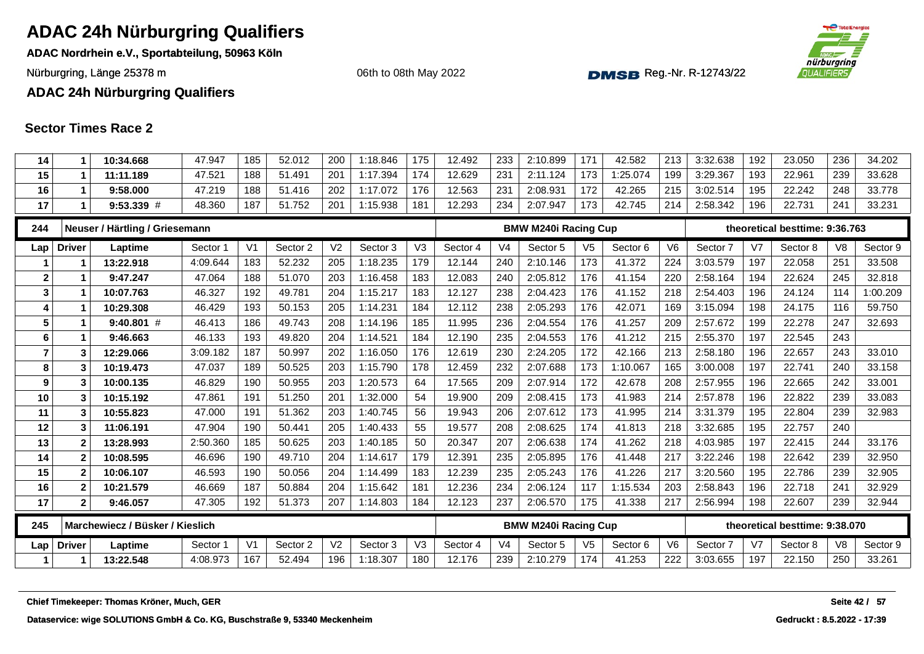**ADAC Nordrhein e.V., Sportabteilung, 50963 Köln**

Nürburgring, Länge 25378 m and the Communication of the Communication of the Communication of the Communication of the Communication of the Communication of the Communication of the Communication of the Communication of th

06th to 08th May 2022



**ADAC 24h Nürburgring Qualifiers**

| 14               | $\mathbf{1}$            | 10:34.668                                  | 47.947   | 185            | 52.012   | 200            | 1:18.846 | 175            | 12.492   | 233            | 2:10.899                    | 171            | 42.582   | 213            | 3:32.638 | 192            | 23.050                         | 236            | 34.202        |
|------------------|-------------------------|--------------------------------------------|----------|----------------|----------|----------------|----------|----------------|----------|----------------|-----------------------------|----------------|----------|----------------|----------|----------------|--------------------------------|----------------|---------------|
| 15               | $\overline{\mathbf{1}}$ | 11:11.189                                  | 47.521   | 188            | 51.491   | 201            | 1:17.394 | 174            | 12.629   | 231            | 2:11.124                    | 173            | 1:25.074 | 199            | 3:29.367 | 193            | 22.961                         | 239            | 33.628        |
| 16               | $\mathbf{1}$            | 9:58.000                                   | 47.219   | 188            | 51.416   | 202            | 1:17.072 | 176            | 12.563   | 231            | 2:08.931                    | 172            | 42.265   | 215            | 3:02.514 | 195            | 22.242                         | 248            | 33.778        |
| 17               | -1                      | $9:53.339$ #                               | 48.360   | 187            | 51.752   | 201            | 1:15.938 | 181            | 12.293   | 234            | 2:07.947                    | 173            | 42.745   | 214            | 2:58.342 | 196            | 22.731                         | 241            | 33.231        |
| 244              |                         | Neuser / Härtling / Griesemann             |          |                |          |                |          |                |          |                | <b>BMW M240i Racing Cup</b> |                |          |                |          |                | theoretical besttime: 9:36.763 |                |               |
| Lap              | <b>Driver</b>           | Laptime                                    | Sector 1 | V <sub>1</sub> | Sector 2 | V <sub>2</sub> | Sector 3 | V <sub>3</sub> | Sector 4 | V <sub>4</sub> | Sector 5                    | V <sub>5</sub> | Sector 6 | V <sub>6</sub> | Sector 7 | V7             | Sector 8                       | V <sub>8</sub> | Sector 9      |
| 1                | $\mathbf{1}$            | 13:22.918                                  | 4:09.644 | 183            | 52.232   | 205            | 1:18.235 | 179            | 12.144   | 240            | 2:10.146                    | 173            | 41.372   | 224            | 3:03.579 | 197            | 22.058                         | 251            | 33.508        |
| $\boldsymbol{2}$ | $\mathbf{1}$            | 9:47.247                                   | 47.064   | 188            | 51.070   | 203            | 1:16.458 | 183            | 12.083   | 240            | 2:05.812                    | 176            | 41.154   | 220            | 2:58.164 | 194            | 22.624                         | 245            | 32.818        |
| $\mathbf 3$      | $\mathbf{1}$            | 10:07.763                                  | 46.327   | 192            | 49.781   | 204            | 1:15.217 | 183            | 12.127   | 238            | 2:04.423                    | 176            | 41.152   | 218            | 2:54.403 | 196            | 24.124                         | 114            | 1:00.209      |
| 4                | $\mathbf{1}$            | 10:29.308                                  | 46.429   | 193            | 50.153   | 205            | 1:14.231 | 184            | 12.112   | 238            | 2:05.293                    | 176            | 42.071   | 169            | 3:15.094 | 198            | 24.175                         | 116            | 59.750        |
| 5                | $\mathbf{1}$            | $9:40.801$ #                               | 46.413   | 186            | 49.743   | 208            | 1:14.196 | 185            | 11.995   | 236            | 2:04.554                    | 176            | 41.257   | 209            | 2:57.672 | 199            | 22.278                         | 247            | 32.693        |
| 6                | $\mathbf{1}$            | 9:46.663                                   | 46.133   | 193            | 49.820   | 204            | 1:14.521 | 184            | 12.190   | 235            | 2:04.553                    | 176            | 41.212   | 215            | 2:55.370 | 197            | 22.545                         | 243            |               |
| $\overline{7}$   | 3                       | 12:29.066                                  | 3:09.182 | 187            | 50.997   | 202            | 1:16.050 | 176            | 12.619   | 230            | 2:24.205                    | 172            | 42.166   | 213            | 2:58.180 | 196            | 22.657                         | 243            | 33.010        |
| 8                | $\overline{\mathbf{3}}$ | 10:19.473                                  | 47.037   | 189            | 50.525   | 203            | 1:15.790 | 178            | 12.459   | 232            | 2:07.688                    | 173            | 1:10.067 | 165            | 3:00.008 | 197            | 22.741                         | 240            | 33.158        |
| $\boldsymbol{9}$ | 3                       | 10:00.135                                  | 46.829   | 190            | 50.955   | 203            | 1:20.573 | 64             | 17.565   | 209            | 2:07.914                    | 172            | 42.678   | 208            | 2:57.955 | 196            | 22.665                         | 242            | 33.001        |
| 10               | $\mathbf{3}$            | 10:15.192                                  | 47.861   | 191            | 51.250   | 201            | 1:32.000 | 54             | 19.900   | 209            | 2:08.415                    | 173            | 41.983   | 214            | 2:57.878 | 196            | 22.822                         | 239            | 33.083        |
| 11               | 3                       | 10:55.823                                  | 47.000   | 191            | 51.362   | 203            | 1:40.745 | 56             | 19.943   | 206            | 2:07.612                    | 173            | 41.995   | 214            | 3:31.379 | 195            | 22.804                         | 239            | 32.983        |
| 12               | 3                       | 11:06.191                                  | 47.904   | 190            | 50.441   | 205            | 1:40.433 | 55             | 19.577   | 208            | 2:08.625                    | 174            | 41.813   | 218            | 3:32.685 | 195            | 22.757                         | 240            |               |
| 13               | 2                       | 13:28.993                                  | 2:50.360 | 185            | 50.625   | 203            | 1:40.185 | 50             | 20.347   | 207            | 2:06.638                    | 174            | 41.262   | 218            | 4:03.985 | 197            | 22.415                         | 244            | 33.176        |
| 14               | $\mathbf{2}$            | 10:08.595                                  | 46.696   | 190            | 49.710   | 204            | 1:14.617 | 179            | 12.391   | 235            | 2:05.895                    | 176            | 41.448   | 217            | 3:22.246 | 198            | 22.642                         | 239            | 32.950        |
| 15               | 2                       | 10:06.107                                  | 46.593   | 190            | 50.056   | 204            | 1:14.499 | 183            | 12.239   | 235            | 2:05.243                    | 176            | 41.226   | 217            | 3:20.560 | 195            | 22.786                         | 239            | 32.905        |
| 16               | $\overline{2}$          | 10:21.579                                  | 46.669   | 187            | 50.884   | 204            | 1:15.642 | 181            | 12.236   | 234            | 2:06.124                    | 117            | 1:15.534 | 203            | 2:58.843 | 196            | 22.718                         | 241            | 32.929        |
| 17               | $\mathbf{2}$            | 9:46.057                                   | 47.305   | 192            | 51.373   | 207            | 1:14.803 | 184            | 12.123   | 237            | 2:06.570                    | 175            | 41.338   | 217            | 2:56.994 | 198            | 22.607                         | 239            | 32.944        |
| 245              |                         | Marchewiecz / Büsker / Kieslich            |          |                |          |                |          |                |          |                | <b>BMW M240i Racing Cup</b> |                |          |                |          |                | theoretical besttime: 9:38.070 |                |               |
| Lap              | <b>Driver</b>           | Laptime                                    | Sector 1 | V <sub>1</sub> | Sector 2 | V <sub>2</sub> | Sector 3 | V3             | Sector 4 | V <sub>4</sub> | Sector 5                    | V <sub>5</sub> | Sector 6 | V <sub>6</sub> | Sector 7 | V <sub>7</sub> | Sector 8                       | V <sub>8</sub> | Sector 9      |
| 1                | -1                      | 13:22.548                                  | 4:08.973 | 167            | 52.494   | 196            | 1:18.307 | 180            | 12.176   | 239            | 2:10.279                    | 174            | 41.253   | 222            | 3:03.655 | 197            | 22.150                         | 250            | 33.261        |
|                  |                         |                                            |          |                |          |                |          |                |          |                |                             |                |          |                |          |                |                                |                |               |
|                  |                         | Chief Timekeeper: Thomas Kröner, Much, GER |          |                |          |                |          |                |          |                |                             |                |          |                |          |                |                                |                | Seite 42 / 57 |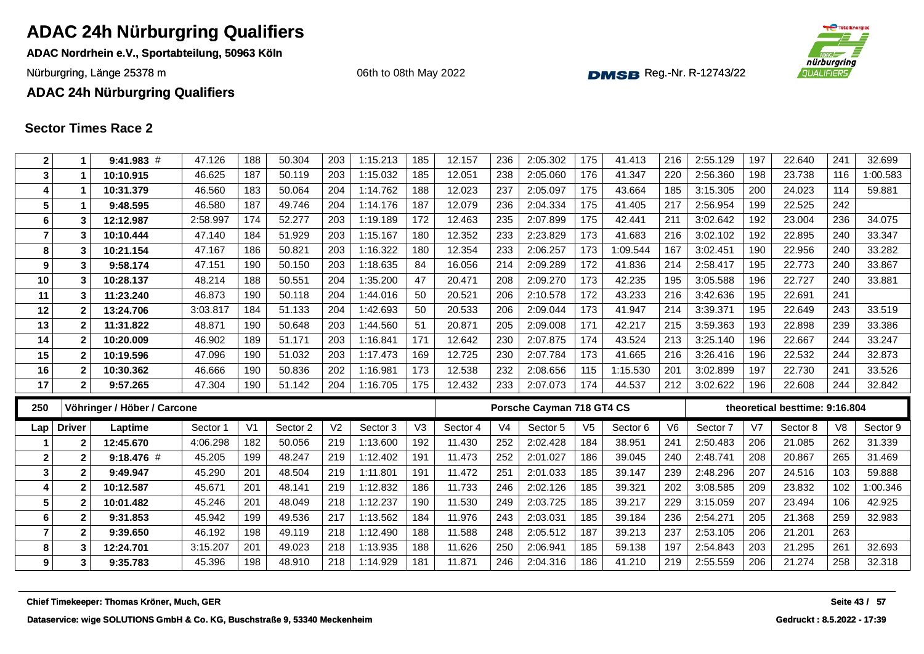**ADAC Nordrhein e.V., Sportabteilung, 50963 Köln**

Nürburgring, Länge 25378 m and the Communication of the Communication of the Communication of the Communication of the Communication of the Communication of the Communication of the Communication of the Communication of th

06th to 08th May 2022



**ADAC 24h Nürburgring Qualifiers**

| $\bf{2}$         | 1                       | $9:41.983$ #                               | 47.126   | 188            | 50.304   | 203            | 1:15.213 | 185            | 12.157   | 236            | 2:05.302                  | 175            | 41.413   | 216 | 2:55.129 | 197 | 22.640                         | 241 | 32.699        |
|------------------|-------------------------|--------------------------------------------|----------|----------------|----------|----------------|----------|----------------|----------|----------------|---------------------------|----------------|----------|-----|----------|-----|--------------------------------|-----|---------------|
| 3                | 1                       | 10:10.915                                  | 46.625   | 187            | 50.119   | 203            | 1:15.032 | 185            | 12.051   | 238            | 2:05.060                  | 176            | 41.347   | 220 | 2:56.360 | 198 | 23.738                         | 116 | 1:00.583      |
| 4                |                         | 10:31.379                                  | 46.560   | 183            | 50.064   | 204            | 1:14.762 | 188            | 12.023   | 237            | 2:05.097                  | 175            | 43.664   | 185 | 3:15.305 | 200 | 24.023                         | 114 | 59.881        |
| 5                | $\mathbf{1}$            | 9:48.595                                   | 46.580   | 187            | 49.746   | 204            | 1:14.176 | 187            | 12.079   | 236            | 2:04.334                  | 175            | 41.405   | 217 | 2:56.954 | 199 | 22.525                         | 242 |               |
| 6                | 3                       | 12:12.987                                  | 2:58.997 | 174            | 52.277   | 203            | 1:19.189 | 172            | 12.463   | 235            | 2:07.899                  | 175            | 42.441   | 211 | 3:02.642 | 192 | 23.004                         | 236 | 34.075        |
| 7                | 3                       | 10:10.444                                  | 47.140   | 184            | 51.929   | 203            | 1:15.167 | 180            | 12.352   | 233            | 2:23.829                  | 173            | 41.683   | 216 | 3:02.102 | 192 | 22.895                         | 240 | 33.347        |
| 8                | 3                       | 10:21.154                                  | 47.167   | 186            | 50.821   | 203            | 1:16.322 | 180            | 12.354   | 233            | 2:06.257                  | 173            | 1:09.544 | 167 | 3:02.451 | 190 | 22.956                         | 240 | 33.282        |
| 9                | 3                       | 9:58.174                                   | 47.151   | 190            | 50.150   | 203            | 1:18.635 | 84             | 16.056   | 214            | 2:09.289                  | 172            | 41.836   | 214 | 2:58.417 | 195 | 22.773                         | 240 | 33.867        |
| 10               | 3                       | 10:28.137                                  | 48.214   | 188            | 50.551   | 204            | 1:35.200 | 47             | 20.471   | 208            | 2:09.270                  | 173            | 42.235   | 195 | 3:05.588 | 196 | 22.727                         | 240 | 33.881        |
| 11               | 3                       | 11:23.240                                  | 46.873   | 190            | 50.118   | 204            | 1:44.016 | 50             | 20.521   | 206            | 2:10.578                  | 172            | 43.233   | 216 | 3:42.636 | 195 | 22.691                         | 241 |               |
| 12               | $\overline{\mathbf{2}}$ | 13:24.706                                  | 3:03.817 | 184            | 51.133   | 204            | 1:42.693 | 50             | 20.533   | 206            | 2:09.044                  | 173            | 41.947   | 214 | 3:39.371 | 195 | 22.649                         | 243 | 33.519        |
| 13               | $\mathbf{2}$            | 11:31.822                                  | 48.871   | 190            | 50.648   | 203            | 1:44.560 | 51             | 20.871   | 205            | 2:09.008                  | 171            | 42.217   | 215 | 3:59.363 | 193 | 22.898                         | 239 | 33.386        |
| 14               | $\overline{2}$          | 10:20.009                                  | 46.902   | 189            | 51.171   | 203            | 1:16.841 | 171            | 12.642   | 230            | 2:07.875                  | 174            | 43.524   | 213 | 3:25.140 | 196 | 22.667                         | 244 | 33.247        |
| 15               | $\overline{2}$          | 10:19.596                                  | 47.096   | 190            | 51.032   | 203            | 1:17.473 | 169            | 12.725   | 230            | 2:07.784                  | 173            | 41.665   | 216 | 3:26.416 | 196 | 22.532                         | 244 | 32.873        |
| 16               | $\overline{2}$          | 10:30.362                                  | 46.666   | 190            | 50.836   | 202            | 1:16.981 | 173            | 12.538   | 232            | 2:08.656                  | 115            | 1:15.530 | 201 | 3:02.899 | 197 | 22.730                         | 241 | 33.526        |
|                  |                         |                                            |          |                |          |                |          |                |          |                |                           |                |          |     |          |     |                                |     |               |
| 17               | $\mathbf{2}$            | 9:57.265                                   | 47.304   | 190            | 51.142   | 204            | 1:16.705 | 175            | 12.432   | 233            | 2:07.073                  | 174            | 44.537   | 212 | 3:02.622 | 196 | 22.608                         | 244 | 32.842        |
| 250              |                         | Vöhringer / Höber / Carcone                |          |                |          |                |          |                |          |                | Porsche Cayman 718 GT4 CS |                |          |     |          |     | theoretical besttime: 9:16.804 |     |               |
| Lap              | <b>Driver</b>           | Laptime                                    | Sector 1 | V <sub>1</sub> | Sector 2 | V <sub>2</sub> | Sector 3 | V <sub>3</sub> | Sector 4 | V <sub>4</sub> | Sector 5                  | V <sub>5</sub> | Sector 6 | V6  | Sector 7 | V7  | Sector 8                       | V8  | Sector 9      |
| 1                | $\overline{2}$          | 12:45.670                                  | 4:06.298 | 182            | 50.056   | 219            | 1:13.600 | 192            | 11.430   | 252            | 2:02.428                  | 184            | 38.951   | 241 | 2:50.483 | 206 | 21.085                         | 262 | 31.339        |
| $\overline{2}$   | $\mathbf{2}$            | $9:18.476$ #                               | 45.205   | 199            | 48.247   | 219            | 1:12.402 | 191            | 11.473   | 252            | 2:01.027                  | 186            | 39.045   | 240 | 2:48.741 | 208 | 20.867                         | 265 | 31.469        |
| $\mathbf 3$      | $\mathbf{2}$            | 9:49.947                                   | 45.290   | 201            | 48.504   | 219            | 1:11.801 | 191            | 11.472   | 251            | 2:01.033                  | 185            | 39.147   | 239 | 2:48.296 | 207 | 24.516                         | 103 | 59.888        |
| 4                | $\overline{2}$          | 10:12.587                                  | 45.671   | 201            | 48.141   | 219            | 1:12.832 | 186            | 11.733   | 246            | 2:02.126                  | 185            | 39.321   | 202 | 3:08.585 | 209 | 23.832                         | 102 | 1:00.346      |
| 5                | $\overline{2}$          | 10:01.482                                  | 45.246   | 201            | 48.049   | 218            | 1:12.237 | 190            | 11.530   | 249            | 2:03.725                  | 185            | 39.217   | 229 | 3:15.059 | 207 | 23.494                         | 106 | 42.925        |
| $\bf 6$          | $\overline{\mathbf{2}}$ | 9:31.853                                   | 45.942   | 199            | 49.536   | 217            | 1:13.562 | 184            | 11.976   | 243            | 2:03.031                  | 185            | 39.184   | 236 | 2:54.271 | 205 | 21.368                         | 259 | 32.983        |
| $\overline{7}$   | $\overline{2}$          | 9:39.650                                   | 46.192   | 198            | 49.119   | 218            | 1:12.490 | 188            | 11.588   | 248            | 2:05.512                  | 187            | 39.213   | 237 | 2:53.105 | 206 | 21.201                         | 263 |               |
| 8                | 3                       | 12:24.701                                  | 3:15.207 | 201            | 49.023   | 218            | 1:13.935 | 188            | 11.626   | 250            | 2:06.941                  | 185            | 59.138   | 197 | 2:54.843 | 203 | 21.295                         | 261 | 32.693        |
| $\boldsymbol{9}$ | 3                       | 9:35.783                                   | 45.396   | 198            | 48.910   | 218            | 1:14.929 | 181            | 11.871   | 246            | 2:04.316                  | 186            | 41.210   | 219 | 2:55.559 | 206 | 21.274                         | 258 | 32.318        |
|                  |                         | Chief Timekeeper: Thomas Kröner, Much, GER |          |                |          |                |          |                |          |                |                           |                |          |     |          |     |                                |     | Seite 43 / 57 |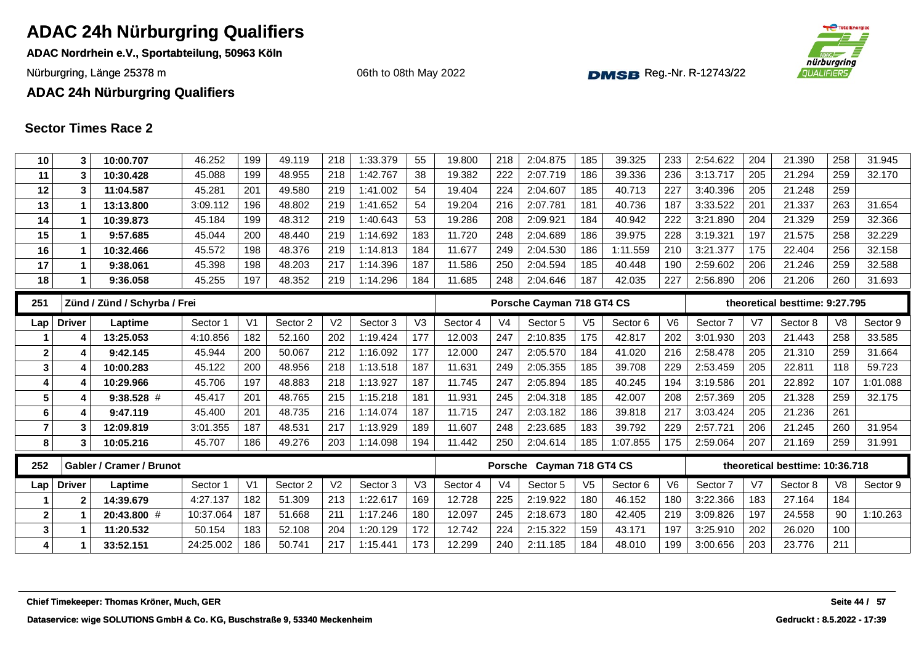**ADAC Nordrhein e.V., Sportabteilung, 50963 Köln**

Nürburgring, Länge 25378 m and the Communication of the Communication of the Communication of the Communication of the Communication of the Communication of the Communication of the Communication of the Communication of th

06th to 08th May 2022



**ADAC 24h Nürburgring Qualifiers**

| 10               | 3                       | 10:00.707                                  | 46.252    | 199            | 49.119   | 218            | 1:33.379 | 55             | 19.800   | 218            | 2:04.875                  | 185            | 39.325   | 233            | 2:54.622 | 204            | 21.390                          | 258            | 31.945        |
|------------------|-------------------------|--------------------------------------------|-----------|----------------|----------|----------------|----------|----------------|----------|----------------|---------------------------|----------------|----------|----------------|----------|----------------|---------------------------------|----------------|---------------|
| 11               | 3                       | 10:30.428                                  | 45.088    | 199            | 48.955   | 218            | 1:42.767 | 38             | 19.382   | 222            | 2:07.719                  | 186            | 39.336   | 236            | 3:13.717 | 205            | 21.294                          | 259            | 32.170        |
| 12               | 3                       | 11:04.587                                  | 45.281    | 201            | 49.580   | 219            | 1:41.002 | 54             | 19.404   | 224            | 2:04.607                  | 185            | 40.713   | 227            | 3:40.396 | 205            | 21.248                          | 259            |               |
| 13               | $\mathbf{1}$            | 13:13.800                                  | 3:09.112  | 196            | 48.802   | 219            | 1:41.652 | 54             | 19.204   | 216            | 2:07.781                  | 181            | 40.736   | 187            | 3:33.522 | 201            | 21.337                          | 263            | 31.654        |
| 14               | $\mathbf 1$             | 10:39.873                                  | 45.184    | 199            | 48.312   | 219            | 1:40.643 | 53             | 19.286   | 208            | 2:09.921                  | 184            | 40.942   | 222            | 3:21.890 | 204            | 21.329                          | 259            | 32.366        |
| 15               | $\mathbf{1}$            | 9:57.685                                   | 45.044    | 200            | 48.440   | 219            | 1:14.692 | 183            | 11.720   | 248            | 2:04.689                  | 186            | 39.975   | 228            | 3:19.321 | 197            | 21.575                          | 258            | 32.229        |
| 16               | -1                      | 10:32.466                                  | 45.572    | 198            | 48.376   | 219            | 1:14.813 | 184            | 11.677   | 249            | 2:04.530                  | 186            | 1:11.559 | 210            | 3:21.377 | 175            | 22.404                          | 256            | 32.158        |
| 17               | $\mathbf{1}$            | 9:38.061                                   | 45.398    | 198            | 48.203   | 217            | 1:14.396 | 187            | 11.586   | 250            | 2:04.594                  | 185            | 40.448   | 190            | 2:59.602 | 206            | 21.246                          | 259            | 32.588        |
| 18               |                         | 9:36.058                                   | 45.255    | 197            | 48.352   | 219            | 1:14.296 | 184            | 11.685   | 248            | 2:04.646                  | 187            | 42.035   | 227            | 2:56.890 | 206            | 21.206                          | 260            | 31.693        |
| 251              |                         | Zünd / Zünd / Schyrba / Frei               |           |                |          |                |          |                |          |                | Porsche Cayman 718 GT4 CS |                |          |                |          |                | theoretical besttime: 9:27.795  |                |               |
| Lap              | <b>Driver</b>           | Laptime                                    | Sector 1  | V <sub>1</sub> | Sector 2 | V <sub>2</sub> | Sector 3 | V <sub>3</sub> | Sector 4 | V <sub>4</sub> | Sector 5                  | V <sub>5</sub> | Sector 6 | V <sub>6</sub> | Sector 7 | V <sub>7</sub> | Sector 8                        | V <sub>8</sub> | Sector 9      |
| 1                | 4                       | 13:25.053                                  | 4:10.856  | 182            | 52.160   | 202            | 1:19.424 | 177            | 12.003   | 247            | 2:10.835                  | 175            | 42.817   | 202            | 3:01.930 | 203            | 21.443                          | 258            | 33.585        |
| $\boldsymbol{2}$ | 4                       | 9:42.145                                   | 45.944    | 200            | 50.067   | 212            | 1:16.092 | 177            | 12.000   | 247            | 2:05.570                  | 184            | 41.020   | 216            | 2:58.478 | 205            | 21.310                          | 259            | 31.664        |
| 3                | 4                       | 10:00.283                                  | 45.122    | 200            | 48.956   | 218            | 1:13.518 | 187            | 11.631   | 249            | 2:05.355                  | 185            | 39.708   | 229            | 2:53.459 | 205            | 22.811                          | 118            | 59.723        |
| 4                | 4                       | 10:29.966                                  | 45.706    | 197            | 48.883   | 218            | 1:13.927 | 187            | 11.745   | 247            | 2:05.894                  | 185            | 40.245   | 194            | 3:19.586 | 201            | 22.892                          | 107            | 1:01.088      |
| 5                | 4                       | $9:38.528$ #                               | 45.417    | 201            | 48.765   | 215            | 1:15.218 | 181            | 11.931   | 245            | 2:04.318                  | 185            | 42.007   | 208            | 2:57.369 | 205            | 21.328                          | 259            | 32.175        |
| 6                | 4                       | 9:47.119                                   | 45.400    | 201            | 48.735   | 216            | 1:14.074 | 187            | 11.715   | 247            | 2:03.182                  | 186            | 39.818   | 217            | 3:03.424 | 205            | 21.236                          | 261            |               |
| $\overline{7}$   | 3                       | 12:09.819                                  | 3:01.355  | 187            | 48.531   | 217            | 1:13.929 | 189            | 11.607   | 248            | 2:23.685                  | 183            | 39.792   | 229            | 2:57.721 | 206            | 21.245                          | 260            | 31.954        |
| 8                | 3                       | 10:05.216                                  | 45.707    | 186            | 49.276   | 203            | 1:14.098 | 194            | 11.442   | 250            | 2:04.614                  | 185            | 1:07.855 | 175            | 2:59.064 | 207            | 21.169                          | 259            | 31.991        |
| 252              |                         | <b>Gabler / Cramer / Brunot</b>            |           |                |          |                |          |                |          |                | Porsche Cayman 718 GT4 CS |                |          |                |          |                | theoretical besttime: 10:36.718 |                |               |
| Lap              | <b>Driver</b>           | Laptime                                    | Sector 1  | V <sub>1</sub> | Sector 2 | V <sub>2</sub> | Sector 3 | V <sub>3</sub> | Sector 4 | V <sub>4</sub> | Sector 5                  | V <sub>5</sub> | Sector 6 | V <sub>6</sub> | Sector 7 | V <sub>7</sub> | Sector 8                        | V <sub>8</sub> | Sector 9      |
| 1                | $\overline{2}$          | 14:39.679                                  | 4:27.137  | 182            | 51.309   | 213            | 1:22.617 | 169            | 12.728   | 225            | 2:19.922                  | 180            | 46.152   | 180            | 3:22.366 | 183            | 27.164                          | 184            |               |
| $\mathbf{2}$     |                         | 20:43.800 #                                | 10:37.064 | 187            | 51.668   | 211            | 1:17.246 | 180            | 12.097   | 245            | 2:18.673                  | 180            | 42.405   | 219            | 3:09.826 | 197            | 24.558                          | 90             | 1:10.263      |
| 3                | $\overline{\mathbf{1}}$ | 11:20.532                                  | 50.154    | 183            | 52.108   | 204            | 1:20.129 | 172            | 12.742   | 224            | 2:15.322                  | 159            | 43.171   | 197            | 3:25.910 | 202            | 26.020                          | 100            |               |
| 4                | $\mathbf 1$             | 33:52.151                                  | 24:25.002 | 186            | 50.741   | 217            | 1:15.441 | 173            | 12.299   | 240            | 2:11.185                  | 184            | 48.010   | 199            | 3:00.656 | 203            | 23.776                          | 211            |               |
|                  |                         |                                            |           |                |          |                |          |                |          |                |                           |                |          |                |          |                |                                 |                |               |
|                  |                         |                                            |           |                |          |                |          |                |          |                |                           |                |          |                |          |                |                                 |                |               |
|                  |                         | Chief Timekeeper: Thomas Kröner, Much, GER |           |                |          |                |          |                |          |                |                           |                |          |                |          |                |                                 |                | Seite 44 / 57 |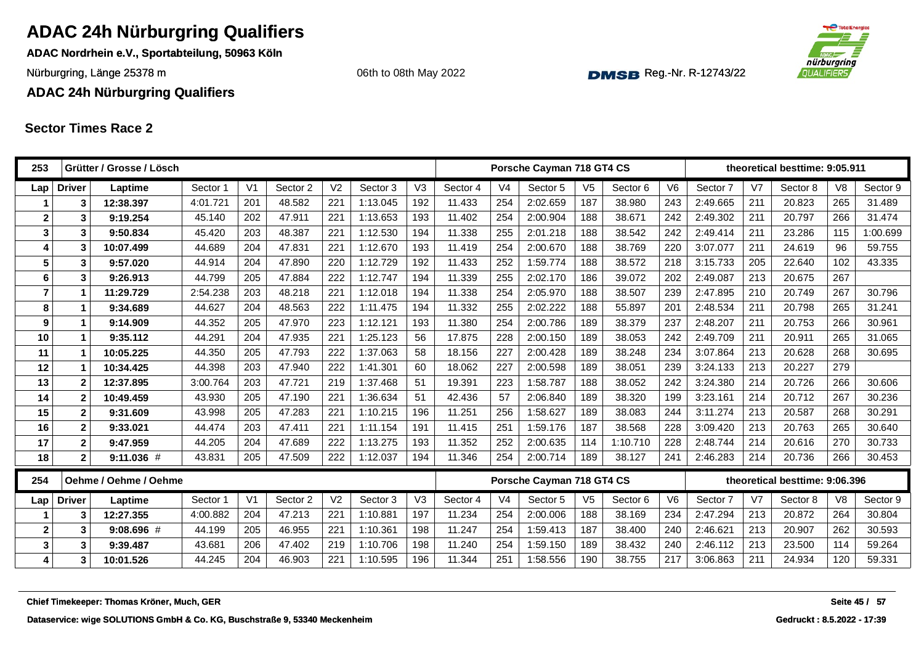**ADAC Nordrhein e.V., Sportabteilung, 50963 Köln**

Nürburgring, Länge 25378 m and the Communication of the Communication of the Communication of the Communication of the Communication of the Communication of the Communication of the Communication of the Communication of th

06th to 08th May 2022



**ADAC 24h Nürburgring Qualifiers**

| 253                     |               | Grütter / Grosse / Lösch                   |          |                |          |                |          |                |          |                | Porsche Cayman 718 GT4 CS |                |          |                |          |                | theoretical besttime: 9:05.911 |                |               |
|-------------------------|---------------|--------------------------------------------|----------|----------------|----------|----------------|----------|----------------|----------|----------------|---------------------------|----------------|----------|----------------|----------|----------------|--------------------------------|----------------|---------------|
| Lap                     | <b>Driver</b> | Laptime                                    | Sector 1 | V <sub>1</sub> | Sector 2 | V <sub>2</sub> | Sector 3 | V3             | Sector 4 | V <sub>4</sub> | Sector 5                  | V <sub>5</sub> | Sector 6 | V <sub>6</sub> | Sector 7 | V7             | Sector 8                       | V <sub>8</sub> | Sector 9      |
|                         | 3             | 12:38.397                                  | 4:01.721 | 201            | 48.582   | 221            | 1:13.045 | 192            | 11.433   | 254            | 2:02.659                  | 187            | 38.980   | 243            | 2:49.665 | 211            | 20.823                         | 265            | 31.489        |
| $\mathbf{2}$            | 3             | 9:19.254                                   | 45.140   | 202            | 47.911   | 221            | 1:13.653 | 193            | 11.402   | 254            | 2:00.904                  | 188            | 38.671   | 242            | 2:49.302 | 211            | 20.797                         | 266            | 31.474        |
| 3                       | 3             | 9:50.834                                   | 45.420   | 203            | 48.387   | 221            | 1:12.530 | 194            | 11.338   | 255            | 2:01.218                  | 188            | 38.542   | 242            | 2:49.414 | 211            | 23.286                         | 115            | 1:00.699      |
| 4                       | 3             | 10:07.499                                  | 44.689   | 204            | 47.831   | 221            | 1:12.670 | 193            | 11.419   | 254            | 2:00.670                  | 188            | 38.769   | 220            | 3:07.077 | 211            | 24.619                         | 96             | 59.755        |
| 5                       | 3             | 9:57.020                                   | 44.914   | 204            | 47.890   | 220            | 1:12.729 | 192            | 11.433   | 252            | 1:59.774                  | 188            | 38.572   | 218            | 3:15.733 | 205            | 22.640                         | 102            | 43.335        |
| 6                       | 3             | 9:26.913                                   | 44.799   | 205            | 47.884   | 222            | 1:12.747 | 194            | 11.339   | 255            | 2:02.170                  | 186            | 39.072   | 202            | 2:49.087 | 213            | 20.675                         | 267            |               |
| $\overline{7}$          | 1             | 11:29.729                                  | 2:54.238 | 203            | 48.218   | 221            | 1:12.018 | 194            | 11.338   | 254            | 2:05.970                  | 188            | 38.507   | 239            | 2:47.895 | 210            | 20.749                         | 267            | 30.796        |
| 8                       | 1             | 9:34.689                                   | 44.627   | 204            | 48.563   | 222            | 1:11.475 | 194            | 11.332   | 255            | 2:02.222                  | 188            | 55.897   | 201            | 2:48.534 | 211            | 20.798                         | 265            | 31.241        |
| 9                       | 1             | 9:14.909                                   | 44.352   | 205            | 47.970   | 223            | 1:12.121 | 193            | 11.380   | 254            | 2:00.786                  | 189            | 38.379   | 237            | 2:48.207 | 211            | 20.753                         | 266            | 30.961        |
| 10                      | 1             | 9:35.112                                   | 44.291   | 204            | 47.935   | 221            | 1:25.123 | 56             | 17.875   | 228            | 2:00.150                  | 189            | 38.053   | 242            | 2:49.709 | 211            | 20.911                         | 265            | 31.065        |
| 11                      | 1             | 10:05.225                                  | 44.350   | 205            | 47.793   | 222            | 1:37.063 | 58             | 18.156   | 227            | 2:00.428                  | 189            | 38.248   | 234            | 3:07.864 | 213            | 20.628                         | 268            | 30.695        |
| 12                      | 1             | 10:34.425                                  | 44.398   | 203            | 47.940   | 222            | 1:41.301 | 60             | 18.062   | 227            | 2:00.598                  | 189            | 38.051   | 239            | 3:24.133 | 213            | 20.227                         | 279            |               |
| 13                      | $\mathbf{2}$  | 12:37.895                                  | 3:00.764 | 203            | 47.721   | 219            | 1:37.468 | 51             | 19.391   | 223            | 1:58.787                  | 188            | 38.052   | 242            | 3:24.380 | 214            | 20.726                         | 266            | 30.606        |
| 14                      | $\mathbf{2}$  | 10:49.459                                  | 43.930   | 205            | 47.190   | 221            | 1:36.634 | 51             | 42.436   | 57             | 2:06.840                  | 189            | 38.320   | 199            | 3:23.161 | 214            | 20.712                         | 267            | 30.236        |
| 15                      | $\mathbf{2}$  | 9:31.609                                   | 43.998   | 205            | 47.283   | 221            | 1:10.215 | 196            | 11.251   | 256            | 1:58.627                  | 189            | 38.083   | 244            | 3:11.274 | 213            | 20.587                         | 268            | 30.291        |
| 16                      | $\mathbf{2}$  | 9:33.021                                   | 44.474   | 203            | 47.411   | 221            | 1:11.154 | 191            | 11.415   | 251            | 1:59.176                  | 187            | 38.568   | 228            | 3:09.420 | 213            | 20.763                         | 265            | 30.640        |
| 17                      | $\mathbf{2}$  | 9:47.959                                   | 44.205   | 204            | 47.689   | 222            | 1:13.275 | 193            | 11.352   | 252            | 2:00.635                  | 114            | 1:10.710 | 228            | 2:48.744 | 214            | 20.616                         | 270            | 30.733        |
| 18                      | $\mathbf{2}$  | $9:11.036$ #                               | 43.831   | 205            | 47.509   | 222            | 1:12.037 | 194            | 11.346   | 254            | 2:00.714                  | 189            | 38.127   | 241            | 2:46.283 | 214            | 20.736                         | 266            | 30.453        |
| 254                     |               | Oehme / Oehme / Oehme                      |          |                |          |                |          |                |          |                | Porsche Cayman 718 GT4 CS |                |          |                |          |                | theoretical besttime: 9:06.396 |                |               |
| Lap                     | <b>Driver</b> | Laptime                                    | Sector 1 | V <sub>1</sub> | Sector 2 | V <sub>2</sub> | Sector 3 | V <sub>3</sub> | Sector 4 | V <sub>4</sub> | Sector 5                  | V <sub>5</sub> | Sector 6 | V <sub>6</sub> | Sector 7 | V <sub>7</sub> | Sector 8                       | V <sub>8</sub> | Sector 9      |
| -1                      | 3             | 12:27.355                                  | 4:00.882 | 204            | 47.213   | 221            | 1:10.881 | 197            | 11.234   | 254            | 2:00.006                  | 188            | 38.169   | 234            | 2:47.294 | 213            | 20.872                         | 264            | 30.804        |
| $\overline{\mathbf{2}}$ | 3             | $9:08.696$ #                               | 44.199   | 205            | 46.955   | 221            | 1:10.361 | 198            | 11.247   | 254            | 1:59.413                  | 187            | 38.400   | 240            | 2:46.621 | 213            | 20.907                         | 262            | 30.593        |
| 3                       | 3             | 9:39.487                                   | 43.681   | 206            | 47.402   | 219            | 1:10.706 | 198            | 11.240   | 254            | 1:59.150                  | 189            | 38.432   | 240            | 2:46.112 | 213            | 23.500                         | 114            | 59.264        |
| 4                       | 3             | 10:01.526                                  | 44.245   | 204            | 46.903   | 221            | 1:10.595 | 196            | 11.344   | 251            | 1:58.556                  | 190            | 38.755   | 217            | 3:06.863 | 211            | 24.934                         | 120            | 59.331        |
|                         |               | Chief Timekeeper: Thomas Kröner, Much, GER |          |                |          |                |          |                |          |                |                           |                |          |                |          |                |                                |                | Seite 45 / 57 |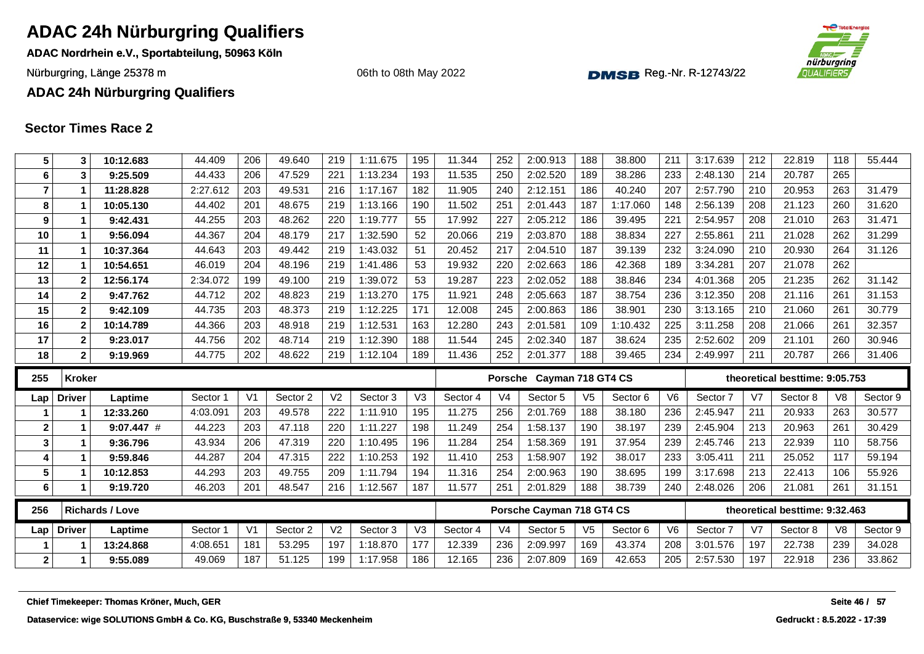**ADAC Nordrhein e.V., Sportabteilung, 50963 Köln**

Nürburgring, Länge 25378 m and the Communication of the Communication of the Communication of the Communication of the Communication of the Communication of the Communication of the Communication of the Communication of th

06th to 08th May 2022



**ADAC 24h Nürburgring Qualifiers**

| 5            | 3             | 10:12.683              | 44.409   | 206            | 49.640   | 219            | 1:11.675 | 195            | 11.344   | 252            | 2:00.913                  | 188            | 38.800   | 211            | 3:17.639 | 212 | 22.819                         | 118            | 55.444   |
|--------------|---------------|------------------------|----------|----------------|----------|----------------|----------|----------------|----------|----------------|---------------------------|----------------|----------|----------------|----------|-----|--------------------------------|----------------|----------|
| 6            | 3             | 9:25.509               | 44.433   | 206            | 47.529   | 221            | 1:13.234 | 193            | 11.535   | 250            | 2:02.520                  | 189            | 38.286   | 233            | 2:48.130 | 214 | 20.787                         | 265            |          |
| 7            |               | 11:28.828              | 2:27.612 | 203            | 49.531   | 216            | 1:17.167 | 182            | 11.905   | 240            | 2:12.151                  | 186            | 40.240   | 207            | 2:57.790 | 210 | 20.953                         | 263            | 31.479   |
| 8            | 1             | 10:05.130              | 44.402   | 201            | 48.675   | 219            | 1:13.166 | 190            | 11.502   | 251            | 2:01.443                  | 187            | 1:17.060 | 148            | 2:56.139 | 208 | 21.123                         | 260            | 31.620   |
| 9            | 1             | 9:42.431               | 44.255   | 203            | 48.262   | 220            | 1:19.777 | 55             | 17.992   | 227            | 2:05.212                  | 186            | 39.495   | 221            | 2:54.957 | 208 | 21.010                         | 263            | 31.471   |
| 10           | $\mathbf 1$   | 9:56.094               | 44.367   | 204            | 48.179   | 217            | 1:32.590 | 52             | 20.066   | 219            | 2:03.870                  | 188            | 38.834   | 227            | 2:55.861 | 211 | 21.028                         | 262            | 31.299   |
| 11           |               | 10:37.364              | 44.643   | 203            | 49.442   | 219            | 1:43.032 | 51             | 20.452   | 217            | 2:04.510                  | 187            | 39.139   | 232            | 3:24.090 | 210 | 20.930                         | 264            | 31.126   |
| 12           | 1             | 10:54.651              | 46.019   | 204            | 48.196   | 219            | 1:41.486 | 53             | 19.932   | 220            | 2:02.663                  | 186            | 42.368   | 189            | 3:34.281 | 207 | 21.078                         | 262            |          |
| 13           | $\mathbf{2}$  | 12:56.174              | 2:34.072 | 199            | 49.100   | 219            | 1:39.072 | 53             | 19.287   | 223            | 2:02.052                  | 188            | 38.846   | 234            | 4:01.368 | 205 | 21.235                         | 262            | 31.142   |
| 14           | $\mathbf{2}$  | 9:47.762               | 44.712   | 202            | 48.823   | 219            | 1:13.270 | 175            | 11.921   | 248            | 2:05.663                  | 187            | 38.754   | 236            | 3:12.350 | 208 | 21.116                         | 261            | 31.153   |
| 15           | $\mathbf{2}$  | 9:42.109               | 44.735   | 203            | 48.373   | 219            | 1:12.225 | 171            | 12.008   | 245            | 2:00.863                  | 186            | 38.901   | 230            | 3:13.165 | 210 | 21.060                         | 261            | 30.779   |
| 16           | $\mathbf{2}$  | 10:14.789              | 44.366   | 203            | 48.918   | 219            | 1:12.531 | 163            | 12.280   | 243            | 2:01.581                  | 109            | 1:10.432 | 225            | 3:11.258 | 208 | 21.066                         | 261            | 32.357   |
| 17           | $\mathbf{2}$  | 9:23.017               | 44.756   | 202            | 48.714   | 219            | 1:12.390 | 188            | 11.544   | 245            | 2:02.340                  | 187            | 38.624   | 235            | 2:52.602 | 209 | 21.101                         | 260            | 30.946   |
| 18           | $\mathbf{2}$  | 9:19.969               | 44.775   | 202            | 48.622   | 219            | 1:12.104 | 189            | 11.436   | 252            | 2:01.377                  | 188            | 39.465   | 234            | 2:49.997 | 211 | 20.787                         | 266            | 31.406   |
| 255          | <b>Kroker</b> |                        |          |                |          |                |          |                |          |                | Porsche Cayman 718 GT4 CS |                |          |                |          |     | theoretical besttime: 9:05.753 |                |          |
|              |               |                        |          |                |          |                |          |                |          |                |                           |                |          |                |          |     |                                |                |          |
| Lap          | <b>Driver</b> | Laptime                | Sector 1 | V <sub>1</sub> | Sector 2 | V <sub>2</sub> | Sector 3 | V <sub>3</sub> | Sector 4 | V <sub>4</sub> | Sector 5                  | V <sub>5</sub> | Sector 6 | V <sub>6</sub> | Sector 7 | V7  | Sector 8                       | V <sub>8</sub> | Sector 9 |
|              |               | 12:33.260              | 4:03.091 | 203            | 49.578   | 222            | 1:11.910 | 195            | 11.275   | 256            | 2:01.769                  | 188            | 38.180   | 236            | 2:45.947 | 211 | 20.933                         | 263            | 30.577   |
| $\mathbf{2}$ | 1             | $9:07.447$ #           | 44.223   | 203            | 47.118   | 220            | 1:11.227 | 198            | 11.249   | 254            | 1:58.137                  | 190            | 38.197   | 239            | 2:45.904 | 213 | 20.963                         | 261            | 30.429   |
| $\mathbf{3}$ | 1             | 9:36.796               | 43.934   | 206            | 47.319   | 220            | 1:10.495 | 196            | 11.284   | 254            | 1:58.369                  | 191            | 37.954   | 239            | 2:45.746 | 213 | 22.939                         | 110            | 58.756   |
| 4            | 1             | 9:59.846               | 44.287   | 204            | 47.315   | 222            | 1:10.253 | 192            | 11.410   | 253            | 1:58.907                  | 192            | 38.017   | 233            | 3:05.411 | 211 | 25.052                         | 117            | 59.194   |
| 5            |               | 10:12.853              | 44.293   | 203            | 49.755   | 209            | 1:11.794 | 194            | 11.316   | 254            | 2:00.963                  | 190            | 38.695   | 199            | 3:17.698 | 213 | 22.413                         | 106            | 55.926   |
| 6            |               | 9:19.720               | 46.203   | 201            | 48.547   | 216            | 1:12.567 | 187            | 11.577   | 251            | 2:01.829                  | 188            | 38.739   | 240            | 2:48.026 | 206 | 21.081                         | 261            | 31.151   |
| 256          |               | <b>Richards / Love</b> |          |                |          |                |          |                |          |                | Porsche Cayman 718 GT4 CS |                |          |                |          |     | theoretical besttime: 9:32.463 |                |          |
| Lap          | <b>Driver</b> | Laptime                | Sector 1 | V <sub>1</sub> | Sector 2 | V <sub>2</sub> | Sector 3 | V <sub>3</sub> | Sector 4 | V <sub>4</sub> | Sector 5                  | V <sub>5</sub> | Sector 6 | V <sub>6</sub> | Sector 7 | V7  | Sector 8                       | V8             | Sector 9 |
|              |               | 13:24.868              | 4:08.651 | 181            | 53.295   | 197            | 1:18.870 | 177            | 12.339   | 236            | 2:09.997                  | 169            | 43.374   | 208            | 3:01.576 | 197 | 22.738                         | 239            | 34.028   |
| $\mathbf 2$  | $\mathbf 1$   | 9:55.089               | 49.069   | 187            | 51.125   | 199            | 1:17.958 | 186            | 12.165   | 236            | 2:07.809                  | 169            | 42.653   | 205            | 2:57.530 | 197 | 22.918                         | 236            | 33.862   |
|              |               |                        |          |                |          |                |          |                |          |                |                           |                |          |                |          |     |                                |                |          |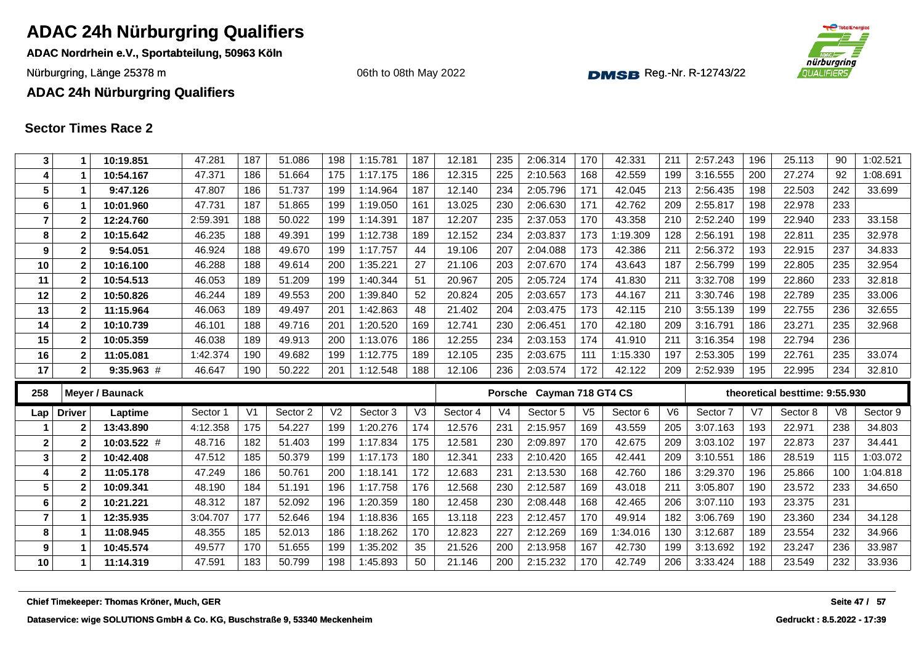**ADAC Nordrhein e.V., Sportabteilung, 50963 Köln**

Nürburgring, Länge 25378 m and the Communication of the Communication of the Communication of the Communication of the Communication of the Communication of the Communication of the Communication of the Communication of th

06th to 08th May 2022



**ADAC 24h Nürburgring Qualifiers**

| 3            | -1                      | 10:19.851              | 47.281   | 187            | 51.086   | 198            | 1:15.781 | 187 | 12.181   | 235            | 2:06.314                  | 170            | 42.331   | 211            | 2:57.243 | 196            | 25.113                         | 90             | 1:02.521 |
|--------------|-------------------------|------------------------|----------|----------------|----------|----------------|----------|-----|----------|----------------|---------------------------|----------------|----------|----------------|----------|----------------|--------------------------------|----------------|----------|
| 4            | 1                       | 10:54.167              | 47.371   | 186            | 51.664   | 175            | 1:17.175 | 186 | 12.315   | 225            | 2:10.563                  | 168            | 42.559   | 199            | 3:16.555 | 200            | 27.274                         | 92             | 1:08.691 |
| 5            | -1                      | 9:47.126               | 47.807   | 186            | 51.737   | 199            | 1:14.964 | 187 | 12.140   | 234            | 2:05.796                  | 171            | 42.045   | 213            | 2:56.435 | 198            | 22.503                         | 242            | 33.699   |
| 6            | 1                       | 10:01.960              | 47.731   | 187            | 51.865   | 199            | 1:19.050 | 161 | 13.025   | 230            | 2:06.630                  | 171            | 42.762   | 209            | 2:55.817 | 198            | 22.978                         | 233            |          |
| 7            | $\overline{2}$          | 12:24.760              | 2:59.391 | 188            | 50.022   | 199            | 1:14.391 | 187 | 12.207   | 235            | 2:37.053                  | 170            | 43.358   | 210            | 2:52.240 | 199            | 22.940                         | 233            | 33.158   |
| 8            | $\mathbf{2}$            | 10:15.642              | 46.235   | 188            | 49.391   | 199            | 1:12.738 | 189 | 12.152   | 234            | 2:03.837                  | 173            | 1:19.309 | 128            | 2:56.191 | 198            | 22.811                         | 235            | 32.978   |
| 9            | $\overline{2}$          | 9:54.051               | 46.924   | 188            | 49.670   | 199            | 1:17.757 | 44  | 19.106   | 207            | 2:04.088                  | 173            | 42.386   | 211            | 2:56.372 | 193            | 22.915                         | 237            | 34.833   |
| 10           | $\mathbf{2}$            | 10:16.100              | 46.288   | 188            | 49.614   | 200            | 1:35.221 | 27  | 21.106   | 203            | 2:07.670                  | 174            | 43.643   | 187            | 2:56.799 | 199            | 22.805                         | 235            | 32.954   |
| 11           | $\overline{2}$          | 10:54.513              | 46.053   | 189            | 51.209   | 199            | 1:40.344 | 51  | 20.967   | 205            | 2:05.724                  | 174            | 41.830   | 211            | 3:32.708 | 199            | 22.860                         | 233            | 32.818   |
| 12           | $\overline{2}$          | 10:50.826              | 46.244   | 189            | 49.553   | 200            | 1:39.840 | 52  | 20.824   | 205            | 2:03.657                  | 173            | 44.167   | 211            | 3:30.746 | 198            | 22.789                         | 235            | 33.006   |
| 13           | $\mathbf{2}$            | 11:15.964              | 46.063   | 189            | 49.497   | 201            | 1:42.863 | 48  | 21.402   | 204            | 2:03.475                  | 173            | 42.115   | 210            | 3:55.139 | 199            | 22.755                         | 236            | 32.655   |
| 14           | $\mathbf{2}$            | 10:10.739              | 46.101   | 188            | 49.716   | 201            | 1:20.520 | 169 | 12.741   | 230            | 2:06.451                  | 170            | 42.180   | 209            | 3:16.791 | 186            | 23.271                         | 235            | 32.968   |
| 15           | $\overline{2}$          | 10:05.359              | 46.038   | 189            | 49.913   | 200            | 1:13.076 | 186 | 12.255   | 234            | 2:03.153                  | 174            | 41.910   | 211            | 3:16.354 | 198            | 22.794                         | 236            |          |
| 16           | $\overline{2}$          | 11:05.081              | 1:42.374 | 190            | 49.682   | 199            | 1:12.775 | 189 | 12.105   | 235            | 2:03.675                  | 111            | 1:15.330 | 197            | 2:53.305 | 199            | 22.761                         | 235            | 33.074   |
| 17           | $\mathbf{2}$            | $9:35.963$ #           | 46.647   | 190            | 50.222   | 201            | 1:12.548 | 188 | 12.106   | 236            | 2:03.574                  | 172            | 42.122   | 209            | 2:52.939 | 195            | 22.995                         | 234            | 32.810   |
|              |                         |                        |          |                |          |                |          |     |          |                |                           |                |          |                |          |                |                                |                |          |
| 258          |                         | <b>Meyer / Baunack</b> |          |                |          |                |          |     |          |                | Porsche Cayman 718 GT4 CS |                |          |                |          |                | theoretical besttime: 9:55.930 |                |          |
| Lap          | <b>Driver</b>           | Laptime                | Sector 1 | V <sub>1</sub> | Sector 2 | V <sub>2</sub> | Sector 3 | V3  | Sector 4 | V <sub>4</sub> | Sector 5                  | V <sub>5</sub> | Sector 6 | V <sub>6</sub> | Sector 7 | V <sub>7</sub> | Sector 8                       | V <sub>8</sub> | Sector 9 |
|              | $\overline{2}$          | 13:43.890              | 4:12.358 | 175            | 54.227   | 199            | 1:20.276 | 174 | 12.576   | 231            | 2:15.957                  | 169            | 43.559   | 205            | 3:07.163 | 193            | 22.971                         | 238            | 34.803   |
| $\mathbf{2}$ | $\overline{2}$          | 10:03.522 #            | 48.716   | 182            | 51.403   | 199            | 1:17.834 | 175 | 12.581   | 230            | 2:09.897                  | 170            | 42.675   | 209            | 3:03.102 | 197            | 22.873                         | 237            | 34.441   |
| $\mathbf 3$  | $\overline{2}$          | 10:42.408              | 47.512   | 185            | 50.379   | 199            | 1:17.173 | 180 | 12.341   | 233            | 2:10.420                  | 165            | 42.441   | 209            | 3:10.551 | 186            | 28.519                         | 115            | 1:03.072 |
| 4            | $\overline{\mathbf{2}}$ | 11:05.178              | 47.249   | 186            | 50.761   | 200            | 1:18.141 | 172 | 12.683   | 231            | 2:13.530                  | 168            | 42.760   | 186            | 3:29.370 | 196            | 25.866                         | 100            | 1:04.818 |
| 5            | $\overline{2}$          | 10:09.341              | 48.190   | 184            | 51.191   | 196            | 1:17.758 | 176 | 12.568   | 230            | 2:12.587                  | 169            | 43.018   | 211            | 3:05.807 | 190            | 23.572                         | 233            | 34.650   |
| 6            | $\overline{\mathbf{2}}$ | 10:21.221              | 48.312   | 187            | 52.092   | 196            | 1:20.359 | 180 | 12.458   | 230            | 2:08.448                  | 168            | 42.465   | 206            | 3:07.110 | 193            | 23.375                         | 231            |          |
| 7            | -1                      | 12:35.935              | 3:04.707 | 177            | 52.646   | 194            | 1:18.836 | 165 | 13.118   | 223            | 2:12.457                  | 170            | 49.914   | 182            | 3:06.769 | 190            | 23.360                         | 234            | 34.128   |
| 8            | 1                       | 11:08.945              | 48.355   | 185            | 52.013   | 186            | 1:18.262 | 170 | 12.823   | 227            | 2:12.269                  | 169            | 1:34.016 | 130            | 3:12.687 | 189            | 23.554                         | 232            | 34.966   |
| 9            |                         | 10:45.574              | 49.577   | 170            | 51.655   | 199            | 1:35.202 | 35  | 21.526   | 200            | 2:13.958                  | 167            | 42.730   | 199            | 3:13.692 | 192            | 23.247                         | 236            | 33.987   |
| 10           | -1                      | 11:14.319              | 47.591   | 183            | 50.799   | 198            | 1:45.893 | 50  | 21.146   | 200            | 2:15.232                  | 170            | 42.749   | 206            | 3:33.424 | 188            | 23.549                         | 232            | 33.936   |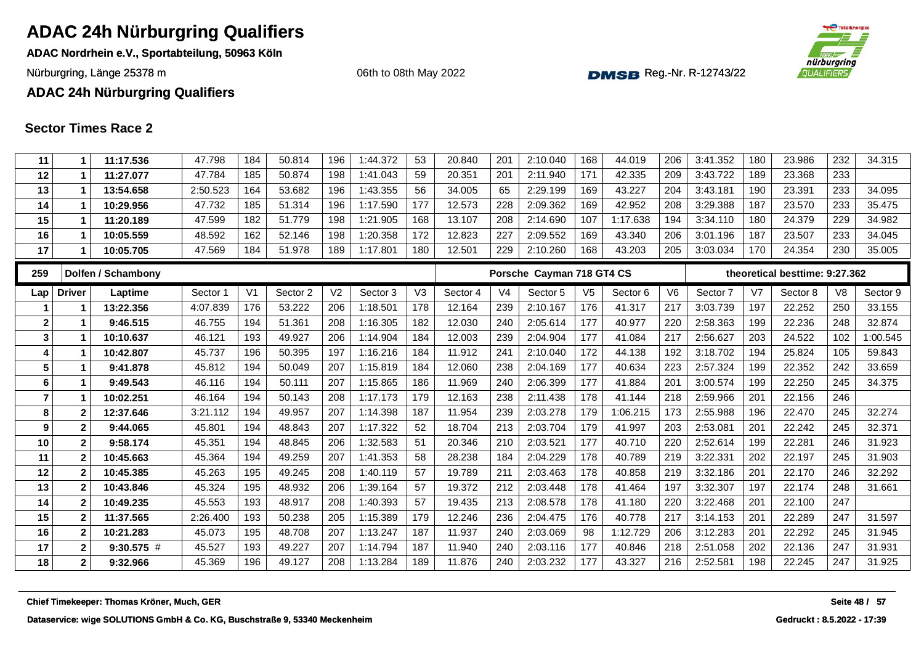**ADAC Nordrhein e.V., Sportabteilung, 50963 Köln**

Nürburgring, Länge 25378 m and the Communication of the Communication of the Communication of the Communication of the Communication of the Communication of the Communication of the Communication of the Communication of th

06th to 08th May 2022



**ADAC 24h Nürburgring Qualifiers**

| 11             | $\mathbf{1}$            | 11:17.536                                  | 47.798   | 184            | 50.814   | 196            | 1:44.372 | 53             | 20.840   | 201            | 2:10.040                  | 168            | 44.019   | 206            | 3:41.352 | 180 | 23.986                         | 232            | 34.315        |
|----------------|-------------------------|--------------------------------------------|----------|----------------|----------|----------------|----------|----------------|----------|----------------|---------------------------|----------------|----------|----------------|----------|-----|--------------------------------|----------------|---------------|
| 12             | $\mathbf{1}$            | 11:27.077                                  | 47.784   | 185            | 50.874   | 198            | 1:41.043 | 59             | 20.351   | 201            | 2:11.940                  | 171            | 42.335   | 209            | 3:43.722 | 189 | 23.368                         | 233            |               |
| 13             | $\mathbf{1}$            | 13:54.658                                  | 2:50.523 | 164            | 53.682   | 196            | 1:43.355 | 56             | 34.005   | 65             | 2:29.199                  | 169            | 43.227   | 204            | 3:43.181 | 190 | 23.391                         | 233            | 34.095        |
| 14             | $\mathbf{1}$            | 10:29.956                                  | 47.732   | 185            | 51.314   | 196            | 1:17.590 | 177            | 12.573   | 228            | 2:09.362                  | 169            | 42.952   | 208            | 3:29.388 | 187 | 23.570                         | 233            | 35.475        |
| 15             | -1                      | 11:20.189                                  | 47.599   | 182            | 51.779   | 198            | 1:21.905 | 168            | 13.107   | 208            | 2:14.690                  | 107            | 1:17.638 | 194            | 3:34.110 | 180 | 24.379                         | 229            | 34.982        |
| 16             | $\mathbf{1}$            | 10:05.559                                  | 48.592   | 162            | 52.146   | 198            | 1:20.358 | 172            | 12.823   | 227            | 2:09.552                  | 169            | 43.340   | 206            | 3:01.196 | 187 | 23.507                         | 233            | 34.045        |
| 17             | $\mathbf 1$             | 10:05.705                                  | 47.569   | 184            | 51.978   | 189            | 1:17.801 | 180            | 12.501   | 229            | 2:10.260                  | 168            | 43.203   | 205            | 3:03.034 | 170 | 24.354                         | 230            | 35.005        |
| 259            |                         | Dolfen / Schambony                         |          |                |          |                |          |                |          |                | Porsche Cayman 718 GT4 CS |                |          |                |          |     | theoretical besttime: 9:27.362 |                |               |
| Lap            | <b>Driver</b>           | Laptime                                    | Sector 1 | V <sub>1</sub> | Sector 2 | V <sub>2</sub> | Sector 3 | V <sub>3</sub> | Sector 4 | V <sub>4</sub> | Sector 5                  | V <sub>5</sub> | Sector 6 | V <sub>6</sub> | Sector 7 | V7  | Sector 8                       | V <sub>8</sub> | Sector 9      |
|                | $\mathbf 1$             | 13:22.356                                  | 4:07.839 | 176            | 53.222   | 206            | 1:18.501 | 178            | 12.164   | 239            | 2:10.167                  | 176            | 41.317   | 217            | 3:03.739 | 197 | 22.252                         | 250            | 33.155        |
| $\mathbf 2$    | $\mathbf{1}$            | 9:46.515                                   | 46.755   | 194            | 51.361   | 208            | 1:16.305 | 182            | 12.030   | 240            | 2:05.614                  | 177            | 40.977   | 220            | 2:58.363 | 199 | 22.236                         | 248            | 32.874        |
| 3              | $\mathbf 1$             | 10:10.637                                  | 46.121   | 193            | 49.927   | 206            | 1:14.904 | 184            | 12.003   | 239            | 2:04.904                  | 177            | 41.084   | 217            | 2:56.627 | 203 | 24.522                         | 102            | 1:00.545      |
| 4              | -1                      | 10:42.807                                  | 45.737   | 196            | 50.395   | 197            | 1:16.216 | 184            | 11.912   | 241            | 2:10.040                  | 172            | 44.138   | 192            | 3:18.702 | 194 | 25.824                         | 105            | 59.843        |
| 5              | $\overline{\mathbf{1}}$ | 9:41.878                                   | 45.812   | 194            | 50.049   | 207            | 1:15.819 | 184            | 12.060   | 238            | 2:04.169                  | 177            | 40.634   | 223            | 2:57.324 | 199 | 22.352                         | 242            | 33.659        |
| 6              | 1                       | 9:49.543                                   | 46.116   | 194            | 50.111   | 207            | 1:15.865 | 186            | 11.969   | 240            | 2:06.399                  | 177            | 41.884   | 201            | 3:00.574 | 199 | 22.250                         | 245            | 34.375        |
| $\overline{7}$ | $\overline{\mathbf{1}}$ | 10:02.251                                  | 46.164   | 194            | 50.143   | 208            | 1:17.173 | 179            | 12.163   | 238            | 2:11.438                  | 178            | 41.144   | 218            | 2:59.966 | 201 | 22.156                         | 246            |               |
| 8              | $\overline{2}$          | 12:37.646                                  | 3:21.112 | 194            | 49.957   | 207            | 1:14.398 | 187            | 11.954   | 239            | 2:03.278                  | 179            | 1:06.215 | 173            | 2:55.988 | 196 | 22.470                         | 245            | 32.274        |
| 9              | $\overline{2}$          | 9:44.065                                   | 45.801   | 194            | 48.843   | 207            | 1:17.322 | 52             | 18.704   | 213            | 2:03.704                  | 179            | 41.997   | 203            | 2:53.081 | 201 | 22.242                         | 245            | 32.371        |
| 10             | $\mathbf{2}$            | 9:58.174                                   | 45.351   | 194            | 48.845   | 206            | 1:32.583 | 51             | 20.346   | 210            | 2:03.521                  | 177            | 40.710   | 220            | 2:52.614 | 199 | 22.281                         | 246            | 31.923        |
| 11             | $\overline{2}$          | 10:45.663                                  | 45.364   | 194            | 49.259   | 207            | 1:41.353 | 58             | 28.238   | 184            | 2:04.229                  | 178            | 40.789   | 219            | 3:22.331 | 202 | 22.197                         | 245            | 31.903        |
| 12             | $\overline{2}$          | 10:45.385                                  | 45.263   | 195            | 49.245   | 208            | 1:40.119 | 57             | 19.789   | 211            | 2:03.463                  | 178            | 40.858   | 219            | 3:32.186 | 201 | 22.170                         | 246            | 32.292        |
| 13             | $\overline{2}$          | 10:43.846                                  | 45.324   | 195            | 48.932   | 206            | 1:39.164 | 57             | 19.372   | 212            | 2:03.448                  | 178            | 41.464   | 197            | 3:32.307 | 197 | 22.174                         | 248            | 31.661        |
| 14             | $\overline{2}$          | 10:49.235                                  | 45.553   | 193            | 48.917   | 208            | 1:40.393 | 57             | 19.435   | 213            | 2:08.578                  | 178            | 41.180   | 220            | 3:22.468 | 201 | 22.100                         | 247            |               |
| 15             | $\overline{2}$          | 11:37.565                                  | 2:26.400 | 193            | 50.238   | 205            | 1:15.389 | 179            | 12.246   | 236            | 2:04.475                  | 176            | 40.778   | 217            | 3:14.153 | 201 | 22.289                         | 247            | 31.597        |
| 16             | $\overline{2}$          | 10:21.283                                  | 45.073   | 195            | 48.708   | 207            | 1:13.247 | 187            | 11.937   | 240            | 2:03.069                  | 98             | 1:12.729 | 206            | 3:12.283 | 201 | 22.292                         | 245            | 31.945        |
| 17             | $\mathbf{2}$            | $9:30.575$ #                               | 45.527   | 193            | 49.227   | 207            | 1:14.794 | 187            | 11.940   | 240            | 2:03.116                  | 177            | 40.846   | 218            | 2:51.058 | 202 | 22.136                         | 247            | 31.931        |
| 18             | $\mathbf{2}$            | 9:32.966                                   | 45.369   | 196            | 49.127   | 208            | 1:13.284 | 189            | 11.876   | 240            | 2:03.232                  | 177            | 43.327   | 216            | 2:52.581 | 198 | 22.245                         | 247            | 31.925        |
|                |                         |                                            |          |                |          |                |          |                |          |                |                           |                |          |                |          |     |                                |                |               |
|                |                         | Chief Timekeeper: Thomas Kröner, Much, GER |          |                |          |                |          |                |          |                |                           |                |          |                |          |     |                                |                | Seite 48 / 57 |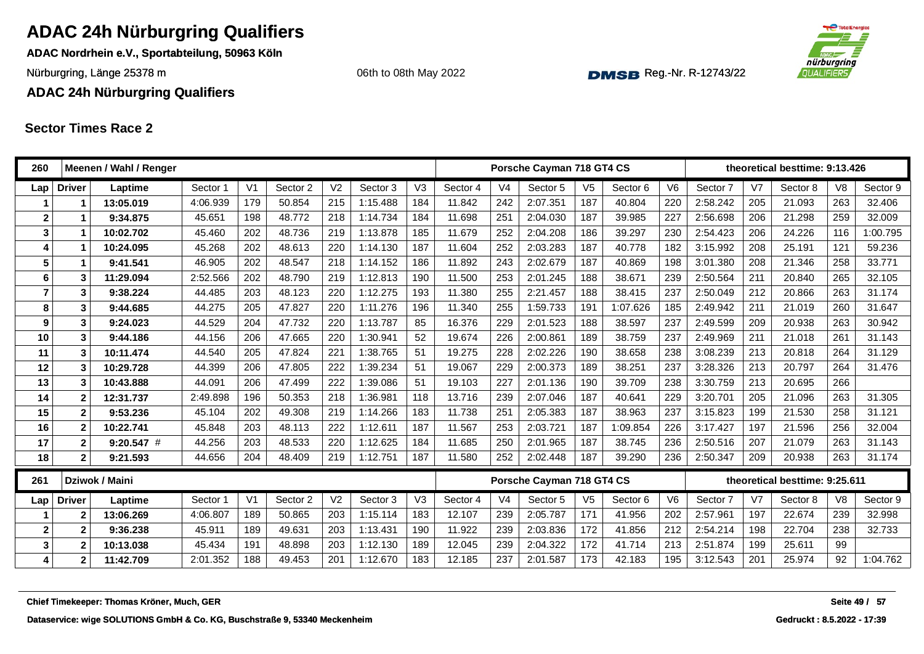**ADAC Nordrhein e.V., Sportabteilung, 50963 Köln**

Nürburgring, Länge 25378 m and the Communication of the Communication of the Communication of the Communication of the Communication of the Communication of the Communication of the Communication of the Communication of th

06th to 08th May 2022



**ADAC 24h Nürburgring Qualifiers**

| 260            |                | Meenen / Wahl / Renger                     |          |                |          |                |          |                |          |                | Porsche Cayman 718 GT4 CS |                |          |                |          |                | theoretical besttime: 9:13.426 |                |               |
|----------------|----------------|--------------------------------------------|----------|----------------|----------|----------------|----------|----------------|----------|----------------|---------------------------|----------------|----------|----------------|----------|----------------|--------------------------------|----------------|---------------|
| Lap            | <b>Driver</b>  | Laptime                                    | Sector 1 | V <sub>1</sub> | Sector 2 | V <sub>2</sub> | Sector 3 | V3             | Sector 4 | V <sub>4</sub> | Sector 5                  | V <sub>5</sub> | Sector 6 | V <sub>6</sub> | Sector 7 | V7             | Sector 8                       | V8             | Sector 9      |
|                |                | 13:05.019                                  | 4:06.939 | 179            | 50.854   | 215            | 1:15.488 | 184            | 11.842   | 242            | 2:07.351                  | 187            | 40.804   | 220            | 2:58.242 | 205            | 21.093                         | 263            | 32.406        |
| $\mathbf 2$    |                | 9:34.875                                   | 45.651   | 198            | 48.772   | 218            | 1:14.734 | 184            | 11.698   | 251            | 2:04.030                  | 187            | 39.985   | 227            | 2:56.698 | 206            | 21.298                         | 259            | 32.009        |
| 3              |                | 10:02.702                                  | 45.460   | 202            | 48.736   | 219            | 1:13.878 | 185            | 11.679   | 252            | 2:04.208                  | 186            | 39.297   | 230            | 2:54.423 | 206            | 24.226                         | 116            | 1:00.795      |
| 4              |                | 10:24.095                                  | 45.268   | 202            | 48.613   | 220            | 1:14.130 | 187            | 11.604   | 252            | 2:03.283                  | 187            | 40.778   | 182            | 3:15.992 | 208            | 25.191                         | 121            | 59.236        |
| 5              | 1              | 9:41.541                                   | 46.905   | 202            | 48.547   | 218            | 1:14.152 | 186            | 11.892   | 243            | 2:02.679                  | 187            | 40.869   | 198            | 3:01.380 | 208            | 21.346                         | 258            | 33.771        |
| 6              | 3              | 11:29.094                                  | 2:52.566 | 202            | 48.790   | 219            | 1:12.813 | 190            | 11.500   | 253            | 2:01.245                  | 188            | 38.671   | 239            | 2:50.564 | 211            | 20.840                         | 265            | 32.105        |
| $\overline{7}$ | 3              | 9:38.224                                   | 44.485   | 203            | 48.123   | 220            | 1:12.275 | 193            | 11.380   | 255            | 2:21.457                  | 188            | 38.415   | 237            | 2:50.049 | 212            | 20.866                         | 263            | 31.174        |
| 8              | 3              | 9:44.685                                   | 44.275   | 205            | 47.827   | 220            | 1:11.276 | 196            | 11.340   | 255            | 1:59.733                  | 191            | 1:07.626 | 185            | 2:49.942 | 211            | 21.019                         | 260            | 31.647        |
| 9              | 3              | 9:24.023                                   | 44.529   | 204            | 47.732   | 220            | 1:13.787 | 85             | 16.376   | 229            | 2:01.523                  | 188            | 38.597   | 237            | 2:49.599 | 209            | 20.938                         | 263            | 30.942        |
| 10             | 3              | 9:44.186                                   | 44.156   | 206            | 47.665   | 220            | 1:30.941 | 52             | 19.674   | 226            | 2:00.861                  | 189            | 38.759   | 237            | 2:49.969 | 211            | 21.018                         | 261            | 31.143        |
| 11             | 3              | 10:11.474                                  | 44.540   | 205            | 47.824   | 221            | 1:38.765 | 51             | 19.275   | 228            | 2:02.226                  | 190            | 38.658   | 238            | 3:08.239 | 213            | 20.818                         | 264            | 31.129        |
| 12             | 3              | 10:29.728                                  | 44.399   | 206            | 47.805   | 222            | 1:39.234 | 51             | 19.067   | 229            | 2:00.373                  | 189            | 38.251   | 237            | 3:28.326 | 213            | 20.797                         | 264            | 31.476        |
| 13             | 3              | 10:43.888                                  | 44.091   | 206            | 47.499   | 222            | 1:39.086 | 51             | 19.103   | 227            | 2:01.136                  | 190            | 39.709   | 238            | 3:30.759 | 213            | 20.695                         | 266            |               |
| 14             | $\mathbf{2}$   | 12:31.737                                  | 2:49.898 | 196            | 50.353   | 218            | 1:36.981 | 118            | 13.716   | 239            | 2:07.046                  | 187            | 40.641   | 229            | 3:20.701 | 205            | 21.096                         | 263            | 31.305        |
| 15             | $\mathbf{2}$   | 9:53.236                                   | 45.104   | 202            | 49.308   | 219            | 1:14.266 | 183            | 11.738   | 251            | 2:05.383                  | 187            | 38.963   | 237            | 3:15.823 | 199            | 21.530                         | 258            | 31.121        |
| 16             | $\mathbf{2}$   | 10:22.741                                  | 45.848   | 203            | 48.113   | 222            | 1:12.611 | 187            | 11.567   | 253            | 2:03.721                  | 187            | 1:09.854 | 226            | 3:17.427 | 197            | 21.596                         | 256            | 32.004        |
| 17             | $\mathbf{2}$   | $9:20.547$ #                               | 44.256   | 203            | 48.533   | 220            | 1:12.625 | 184            | 11.685   | 250            | 2:01.965                  | 187            | 38.745   | 236            | 2:50.516 | 207            | 21.079                         | 263            | 31.143        |
| 18             | $\overline{2}$ | 9:21.593                                   | 44.656   | 204            | 48.409   | 219            | 1:12.751 | 187            | 11.580   | 252            | 2:02.448                  | 187            | 39.290   | 236            | 2:50.347 | 209            | 20.938                         | 263            | 31.174        |
| 261            |                | Dziwok / Maini                             |          |                |          |                |          |                |          |                | Porsche Cayman 718 GT4 CS |                |          |                |          |                | theoretical besttime: 9:25.611 |                |               |
| Lap            | <b>Driver</b>  | Laptime                                    | Sector 1 | V <sub>1</sub> | Sector 2 | V <sub>2</sub> | Sector 3 | V <sub>3</sub> | Sector 4 | V <sub>4</sub> | Sector 5                  | V <sub>5</sub> | Sector 6 | V <sub>6</sub> | Sector 7 | V <sub>7</sub> | Sector 8                       | V <sub>8</sub> | Sector 9      |
| -1             | $\mathbf{2}$   | 13:06.269                                  | 4:06.807 | 189            | 50.865   | 203            | 1:15.114 | 183            | 12.107   | 239            | 2:05.787                  | 171            | 41.956   | 202            | 2:57.961 | 197            | 22.674                         | 239            | 32.998        |
| $\mathbf{2}$   | $\mathbf{2}$   | 9:36.238                                   | 45.911   | 189            | 49.631   | 203            | 1:13.431 | 190            | 11.922   | 239            | 2:03.836                  | 172            | 41.856   | 212            | 2:54.214 | 198            | 22.704                         | 238            | 32.733        |
| 3              | $\mathbf 2$    | 10:13.038                                  | 45.434   | 191            | 48.898   | 203            | 1:12.130 | 189            | 12.045   | 239            | 2:04.322                  | 172            | 41.714   | 213            | 2:51.874 | 199            | 25.611                         | 99             |               |
| 4              | $\mathbf{2}$   | 11:42.709                                  | 2:01.352 | 188            | 49.453   | 201            | 1:12.670 | 183            | 12.185   | 237            | 2:01.587                  | 173            | 42.183   | 195            | 3:12.543 | 201            | 25.974                         | 92             | 1:04.762      |
|                |                |                                            |          |                |          |                |          |                |          |                |                           |                |          |                |          |                |                                |                |               |
|                |                | Chief Timekeeper: Thomas Kröner, Much, GER |          |                |          |                |          |                |          |                |                           |                |          |                |          |                |                                |                | Seite 49 / 57 |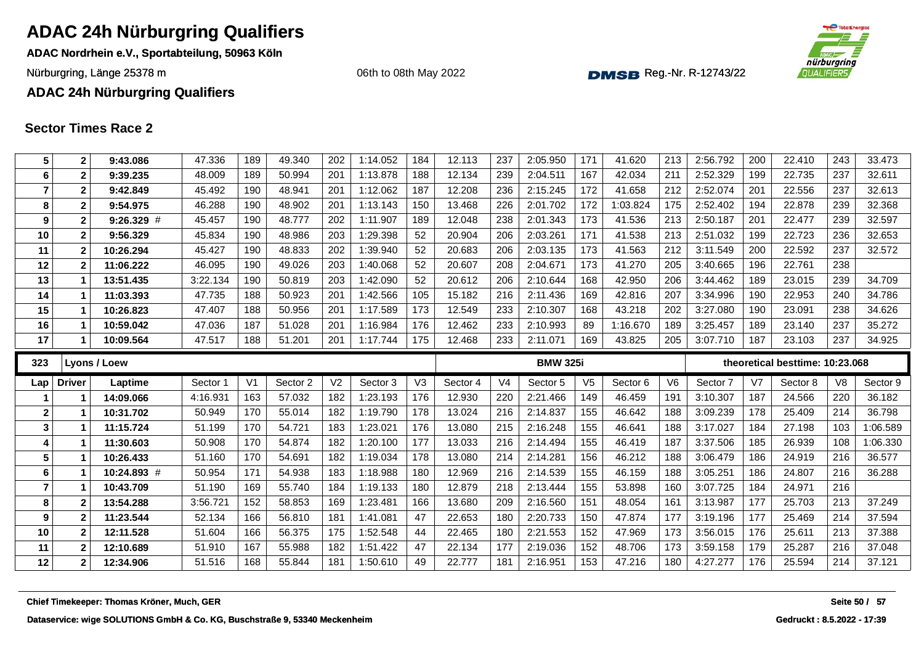**ADAC Nordrhein e.V., Sportabteilung, 50963 Köln**

Nürburgring, Länge 25378 m and the Communication of the Communication of the Communication of the Communication of the Communication of the Communication of the Communication of the Communication of the Communication of th

06th to 08th May 2022



**ADAC 24h Nürburgring Qualifiers**

| 5                | $\mathbf 2$    | 9:43.086     | 47.336   | 189            | 49.340   | 202            | 1:14.052 | 184            | 12.113   | 237            | 2:05.950        | 171            | 41.620              | 213 | 2:56.792 | 200 | 22.410                          | 243            | 33.473   |
|------------------|----------------|--------------|----------|----------------|----------|----------------|----------|----------------|----------|----------------|-----------------|----------------|---------------------|-----|----------|-----|---------------------------------|----------------|----------|
| 6                | $\mathbf{2}$   | 9:39.235     | 48.009   | 189            | 50.994   | 201            | 1:13.878 | 188            | 12.134   | 239            | 2:04.511        | 167            | 42.034              | 211 | 2:52.329 | 199 | 22.735                          | 237            | 32.611   |
| 7                | $\mathbf{2}$   | 9:42.849     | 45.492   | 190            | 48.941   | 201            | 1:12.062 | 187            | 12.208   | 236            | 2:15.245        | 172            | 41.658              | 212 | 2:52.074 | 201 | 22.556                          | 237            | 32.613   |
| 8                | 2              | 9:54.975     | 46.288   | 190            | 48.902   | 201            | 1:13.143 | 150            | 13.468   | 226            | 2:01.702        | 172            | 1:03.824            | 175 | 2:52.402 | 194 | 22.878                          | 239            | 32.368   |
| 9                | $\mathbf{2}$   | $9:26.329$ # | 45.457   | 190            | 48.777   | 202            | 1:11.907 | 189            | 12.048   | 238            | 2:01.343        | 173            | 41.536              | 213 | 2:50.187 | 201 | 22.477                          | 239            | 32.597   |
| 10               | $\mathbf{2}$   | 9:56.329     | 45.834   | 190            | 48.986   | 203            | 1:29.398 | 52             | 20.904   | 206            | 2:03.261        | 171            | 41.538              | 213 | 2:51.032 | 199 | 22.723                          | 236            | 32.653   |
| 11               | $\mathbf{2}$   | 10:26.294    | 45.427   | 190            | 48.833   | 202            | 1:39.940 | 52             | 20.683   | 206            | 2:03.135        | 173            | 41.563              | 212 | 3:11.549 | 200 | 22.592                          | 237            | 32.572   |
| 12               | $\mathbf{2}$   | 11:06.222    | 46.095   | 190            | 49.026   | 203            | 1:40.068 | 52             | 20.607   | 208            | 2:04.671        | 173            | 41.270              | 205 | 3:40.665 | 196 | 22.761                          | 238            |          |
| 13               | -1             | 13:51.435    | 3:22.134 | 190            | 50.819   | 203            | 1:42.090 | 52             | 20.612   | 206            | 2:10.644        | 168            | 42.950              | 206 | 3:44.462 | 189 | 23.015                          | 239            | 34.709   |
| 14               | -1             | 11:03.393    | 47.735   | 188            | 50.923   | 201            | 1:42.566 | 105            | 15.182   | 216            | 2:11.436        | 169            | 42.816              | 207 | 3:34.996 | 190 | 22.953                          | 240            | 34.786   |
| 15               |                | 10:26.823    | 47.407   | 188            | 50.956   | 201            | 1:17.589 | 173            | 12.549   | 233            | 2:10.307        | 168            | 43.218              | 202 | 3:27.080 | 190 | 23.091                          | 238            | 34.626   |
| 16               | 1              | 10:59.042    | 47.036   | 187            | 51.028   | 201            | 1:16.984 | 176            | 12.462   | 233            | 2:10.993        | 89             | 1:16.670            | 189 | 3:25.457 | 189 | 23.140                          | 237            | 35.272   |
| 17               |                | 10:09.564    | 47.517   | 188            | 51.201   | 201            | 1:17.744 | 175            | 12.468   | 233            | 2:11.071        | 169            | 43.825              | 205 | 3:07.710 | 187 | 23.103                          | 237            | 34.925   |
| 323              |                | Lyons / Loew |          |                |          |                |          |                |          |                | <b>BMW 325i</b> |                |                     |     |          |     | theoretical besttime: 10:23.068 |                |          |
|                  |                |              |          |                |          |                |          |                |          |                |                 |                |                     |     |          |     |                                 |                |          |
|                  |                |              |          |                |          |                |          |                |          |                |                 |                |                     |     |          |     |                                 |                |          |
| Lap              | <b>Driver</b>  | Laptime      | Sector 1 | V <sub>1</sub> | Sector 2 | V <sub>2</sub> | Sector 3 | V <sub>3</sub> | Sector 4 | V <sub>4</sub> | Sector 5        | V <sub>5</sub> | Sector <sub>6</sub> | V6  | Sector 7 | V7  | Sector 8                        | V <sub>8</sub> | Sector 9 |
| 1                | 1              | 14:09.066    | 4:16.931 | 163            | 57.032   | 182            | 1:23.193 | 176            | 12.930   | 220            | 2:21.466        | 149            | 46.459              | 191 | 3:10.307 | 187 | 24.566                          | 220            | 36.182   |
| $\mathbf{2}$     | 1              | 10:31.702    | 50.949   | 170            | 55.014   | 182            | 1:19.790 | 178            | 13.024   | 216            | 2:14.837        | 155            | 46.642              | 188 | 3:09.239 | 178 | 25.409                          | 214            | 36.798   |
| 3                | 1              | 11:15.724    | 51.199   | 170            | 54.721   | 183            | 1:23.021 | 176            | 13.080   | 215            | 2:16.248        | 155            | 46.641              | 188 | 3:17.027 | 184 | 27.198                          | 103            | 1:06.589 |
| $\overline{4}$   | 1              | 11:30.603    | 50.908   | 170            | 54.874   | 182            | 1:20.100 | 177            | 13.033   | 216            | 2:14.494        | 155            | 46.419              | 187 | 3:37.506 | 185 | 26.939                          | 108            | 1:06.330 |
| 5                | -1             | 10:26.433    | 51.160   | 170            | 54.691   | 182            | 1:19.034 | 178            | 13.080   | 214            | 2:14.281        | 156            | 46.212              | 188 | 3:06.479 | 186 | 24.919                          | 216            | 36.577   |
| 6                | -1             | 10:24.893 #  | 50.954   | 171            | 54.938   | 183            | 1:18.988 | 180            | 12.969   | 216            | 2:14.539        | 155            | 46.159              | 188 | 3:05.251 | 186 | 24.807                          | 216            | 36.288   |
| $\overline{7}$   | 1              | 10:43.709    | 51.190   | 169            | 55.740   | 184            | 1:19.133 | 180            | 12.879   | 218            | 2:13.444        | 155            | 53.898              | 160 | 3:07.725 | 184 | 24.971                          | 216            |          |
| 8                | $\overline{2}$ | 13:54.288    | 3:56.721 | 152            | 58.853   | 169            | 1:23.481 | 166            | 13.680   | 209            | 2:16.560        | 151            | 48.054              | 161 | 3:13.987 | 177 | 25.703                          | 213            | 37.249   |
| $\boldsymbol{9}$ | $\overline{2}$ | 11:23.544    | 52.134   | 166            | 56.810   | 181            | 1:41.081 | 47             | 22.653   | 180            | 2:20.733        | 150            | 47.874              | 177 | 3:19.196 | 177 | 25.469                          | 214            | 37.594   |
| 10               | $\overline{2}$ | 12:11.528    | 51.604   | 166            | 56.375   | 175            | 1:52.548 | 44             | 22.465   | 180            | 2:21.553        | 152            | 47.969              | 173 | 3:56.015 | 176 | 25.611                          | 213            | 37.388   |
| 11               | $\mathbf{2}$   | 12:10.689    | 51.910   | 167            | 55.988   | 182            | 1:51.422 | 47             | 22.134   | 177            | 2:19.036        | 152            | 48.706              | 173 | 3:59.158 | 179 | 25.287                          | 216            | 37.048   |
| 12               | $\mathbf{2}$   | 12:34.906    | 51.516   | 168            | 55.844   | 181            | 1:50.610 | 49             | 22.777   | 181            | 2:16.951        | 153            | 47.216              | 180 | 4:27.277 | 176 | 25.594                          | 214            | 37.121   |
|                  |                |              |          |                |          |                |          |                |          |                |                 |                |                     |     |          |     |                                 |                |          |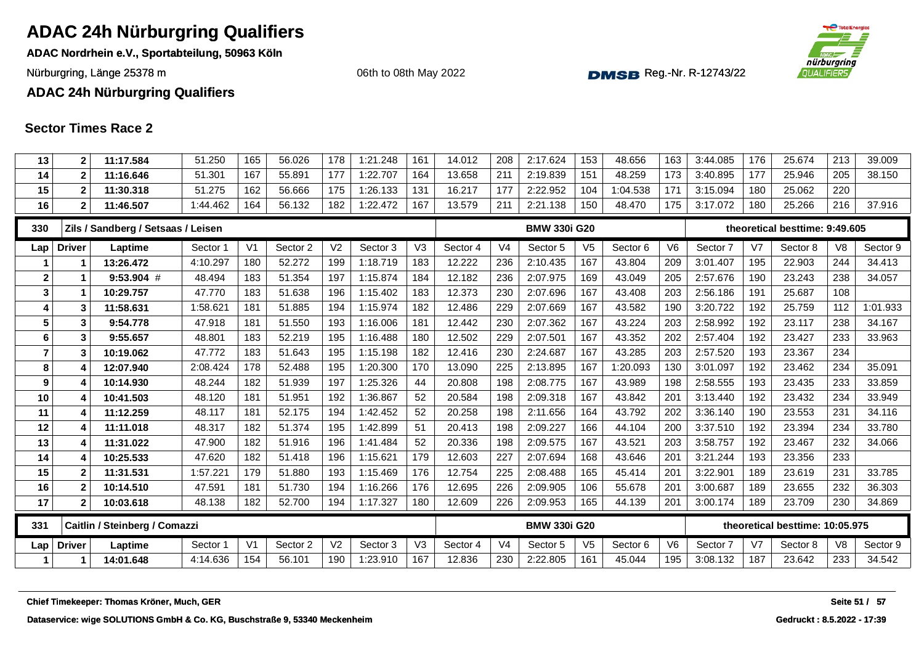**ADAC Nordrhein e.V., Sportabteilung, 50963 Köln**

Nürburgring, Länge 25378 m and the Communication of the Communication of the Communication of the Communication of the Communication of the Communication of the Communication of the Communication of the Communication of th

06th to 08th May 2022



**ADAC 24h Nürburgring Qualifiers**

| 13               | $\overline{2}$          | 11:17.584                                  | 51.250   | 165            | 56.026   | 178            | 1:21.248 | 161            | 14.012   | 208            | 2:17.624            | 153            | 48.656   | 163            | 3:44.085 | 176            | 25.674                          | 213            | 39.009        |
|------------------|-------------------------|--------------------------------------------|----------|----------------|----------|----------------|----------|----------------|----------|----------------|---------------------|----------------|----------|----------------|----------|----------------|---------------------------------|----------------|---------------|
| 14               | $\overline{2}$          | 11:16.646                                  | 51.301   | 167            | 55.891   | 177            | 1:22.707 | 164            | 13.658   | 211            | 2:19.839            | 151            | 48.259   | 173            | 3:40.895 | 177            | 25.946                          | 205            | 38.150        |
| 15               | $\overline{2}$          | 11:30.318                                  | 51.275   | 162            | 56.666   | 175            | 1:26.133 | 131            | 16.217   | 177            | 2:22.952            | 104            | 1:04.538 | 171            | 3:15.094 | 180            | 25.062                          | 220            |               |
| 16               | $\mathbf{2}$            | 11:46.507                                  | 1:44.462 | 164            | 56.132   | 182            | 1:22.472 | 167            | 13.579   | 211            | 2:21.138            | 150            | 48.470   | 175            | 3:17.072 | 180            | 25.266                          | 216            | 37.916        |
| 330              |                         | Zils / Sandberg / Setsaas / Leisen         |          |                |          |                |          |                |          |                | <b>BMW 330i G20</b> |                |          |                |          |                | theoretical besttime: 9:49.605  |                |               |
|                  |                         |                                            |          |                |          |                |          |                |          |                |                     |                |          |                |          |                |                                 |                |               |
| Lap              | <b>Driver</b>           | Laptime                                    | Sector 1 | V <sub>1</sub> | Sector 2 | V <sub>2</sub> | Sector 3 | V3             | Sector 4 | V <sub>4</sub> | Sector 5            | V <sub>5</sub> | Sector 6 | V <sub>6</sub> | Sector 7 | V7             | Sector 8                        | V <sub>8</sub> | Sector 9      |
| 1                | $\mathbf 1$             | 13:26.472                                  | 4:10.297 | 180            | 52.272   | 199            | 1:18.719 | 183            | 12.222   | 236            | 2:10.435            | 167            | 43.804   | 209            | 3:01.407 | 195            | 22.903                          | 244            | 34.413        |
| $\boldsymbol{2}$ | $\mathbf 1$             | $9:53.904$ #                               | 48.494   | 183            | 51.354   | 197            | 1:15.874 | 184            | 12.182   | 236            | 2:07.975            | 169            | 43.049   | 205            | 2:57.676 | 190            | 23.243                          | 238            | 34.057        |
| 3                | $\mathbf{1}$            | 10:29.757                                  | 47.770   | 183            | 51.638   | 196            | 1:15.402 | 183            | 12.373   | 230            | 2:07.696            | 167            | 43.408   | 203            | 2:56.186 | 191            | 25.687                          | 108            |               |
| 4                | 3                       | 11:58.631                                  | 1:58.621 | 181            | 51.885   | 194            | 1:15.974 | 182            | 12.486   | 229            | 2:07.669            | 167            | 43.582   | 190            | 3:20.722 | 192            | 25.759                          | 112            | 1:01.933      |
| 5                | 3                       | 9:54.778                                   | 47.918   | 181            | 51.550   | 193            | 1:16.006 | 181            | 12.442   | 230            | 2:07.362            | 167            | 43.224   | 203            | 2:58.992 | 192            | 23.117                          | 238            | 34.167        |
| 6                | 3                       | 9:55.657                                   | 48.801   | 183            | 52.219   | 195            | 1:16.488 | 180            | 12.502   | 229            | 2:07.501            | 167            | 43.352   | 202            | 2:57.404 | 192            | 23.427                          | 233            | 33.963        |
| $\overline{7}$   | 3                       | 10:19.062                                  | 47.772   | 183            | 51.643   | 195            | 1:15.198 | 182            | 12.416   | 230            | 2:24.687            | 167            | 43.285   | 203            | 2:57.520 | 193            | 23.367                          | 234            |               |
| 8                | 4                       | 12:07.940                                  | 2:08.424 | 178            | 52.488   | 195            | 1:20.300 | 170            | 13.090   | 225            | 2:13.895            | 167            | 1:20.093 | 130            | 3:01.097 | 192            | 23.462                          | 234            | 35.091        |
| $\boldsymbol{9}$ | 4                       | 10:14.930                                  | 48.244   | 182            | 51.939   | 197            | 1:25.326 | 44             | 20.808   | 198            | 2:08.775            | 167            | 43.989   | 198            | 2:58.555 | 193            | 23.435                          | 233            | 33.859        |
| 10               | $\overline{4}$          | 10:41.503                                  | 48.120   | 181            | 51.951   | 192            | 1:36.867 | 52             | 20.584   | 198            | 2:09.318            | 167            | 43.842   | 201            | 3:13.440 | 192            | 23.432                          | 234            | 33.949        |
| 11               | 4                       | 11:12.259                                  | 48.117   | 181            | 52.175   | 194            | 1:42.452 | 52             | 20.258   | 198            | 2:11.656            | 164            | 43.792   | 202            | 3:36.140 | 190            | 23.553                          | 231            | 34.116        |
| 12               | 4                       | 11:11.018                                  | 48.317   | 182            | 51.374   | 195            | 1:42.899 | 51             | 20.413   | 198            | 2:09.227            | 166            | 44.104   | 200            | 3:37.510 | 192            | 23.394                          | 234            | 33.780        |
| 13               | 4                       | 11:31.022                                  | 47.900   | 182            | 51.916   | 196            | 1:41.484 | 52             | 20.336   | 198            | 2:09.575            | 167            | 43.521   | 203            | 3:58.757 | 192            | 23.467                          | 232            | 34.066        |
| 14               | 4                       | 10:25.533                                  | 47.620   | 182            | 51.418   | 196            | 1:15.621 | 179            | 12.603   | 227            | 2:07.694            | 168            | 43.646   | 201            | 3:21.244 | 193            | 23.356                          | 233            |               |
| 15               | 2                       | 11:31.531                                  | 1:57.221 | 179            | 51.880   | 193            | 1:15.469 | 176            | 12.754   | 225            | 2:08.488            | 165            | 45.414   | 201            | 3:22.901 | 189            | 23.619                          | 231            | 33.785        |
| 16               | $\overline{2}$          | 10:14.510                                  | 47.591   | 181            | 51.730   | 194            | 1:16.266 | 176            | 12.695   | 226            | 2:09.905            | 106            | 55.678   | 201            | 3:00.687 | 189            | 23.655                          | 232            | 36.303        |
| 17               | $\overline{\mathbf{2}}$ | 10:03.618                                  | 48.138   | 182            | 52.700   | 194            | 1:17.327 | 180            | 12.609   | 226            | 2:09.953            | 165            | 44.139   | 201            | 3:00.174 | 189            | 23.709                          | 230            | 34.869        |
| 331              |                         | Caitlin / Steinberg / Comazzi              |          |                |          |                |          |                |          |                | <b>BMW 330i G20</b> |                |          |                |          |                | theoretical besttime: 10:05.975 |                |               |
| Lap              | <b>Driver</b>           | Laptime                                    | Sector 1 | V <sub>1</sub> | Sector 2 | V <sub>2</sub> | Sector 3 | V <sub>3</sub> | Sector 4 | V <sub>4</sub> | Sector 5            | V <sub>5</sub> | Sector 6 | V <sub>6</sub> | Sector 7 | V <sub>7</sub> | Sector 8                        | V <sub>8</sub> | Sector 9      |
| 1                | -1                      | 14:01.648                                  | 4:14.636 | 154            | 56.101   | 190            | 1:23.910 | 167            | 12.836   | 230            | 2:22.805            | 161            | 45.044   | 195            | 3:08.132 | 187            | 23.642                          | 233            | 34.542        |
|                  |                         |                                            |          |                |          |                |          |                |          |                |                     |                |          |                |          |                |                                 |                |               |
|                  |                         | Chief Timekeeper: Thomas Kröner, Much, GER |          |                |          |                |          |                |          |                |                     |                |          |                |          |                |                                 |                | Seite 51 / 57 |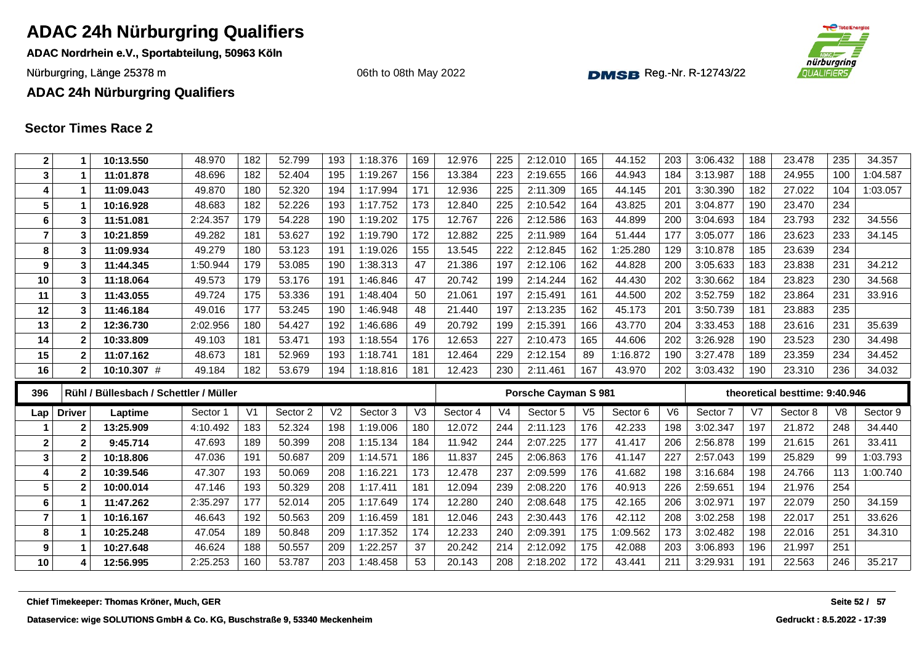**ADAC Nordrhein e.V., Sportabteilung, 50963 Köln**

Nürburgring, Länge 25378 m and the Communication of the Communication of the Communication of the Communication of the Communication of the Communication of the Communication of the Communication of the Communication of th

06th to 08th May 2022



**ADAC 24h Nürburgring Qualifiers**

| $\boldsymbol{2}$ | -1                      | 10:13.550                              | 48.970   | 182            | 52.799   | 193            | 1:18.376 | 169            | 12.976   | 225            | 2:12.010             | 165            | 44.152   | 203            | 3:06.432 | 188 | 23.478                         | 235            | 34.357   |
|------------------|-------------------------|----------------------------------------|----------|----------------|----------|----------------|----------|----------------|----------|----------------|----------------------|----------------|----------|----------------|----------|-----|--------------------------------|----------------|----------|
| $\mathbf{3}$     | $\overline{1}$          | 11:01.878                              | 48.696   | 182            | 52.404   | 195            | 1:19.267 | 156            | 13.384   | 223            | 2:19.655             | 166            | 44.943   | 184            | 3:13.987 | 188 | 24.955                         | 100            | 1:04.587 |
| 4                | -1                      | 11:09.043                              | 49.870   | 180            | 52.320   | 194            | 1:17.994 | 171            | 12.936   | 225            | 2:11.309             | 165            | 44.145   | 201            | 3:30.390 | 182 | 27.022                         | 104            | 1:03.057 |
| 5                | $\overline{\mathbf{1}}$ | 10:16.928                              | 48.683   | 182            | 52.226   | 193            | 1:17.752 | 173            | 12.840   | 225            | 2:10.542             | 164            | 43.825   | 201            | 3:04.877 | 190 | 23.470                         | 234            |          |
| $\bf 6$          | 3                       | 11:51.081                              | 2:24.357 | 179            | 54.228   | 190            | 1:19.202 | 175            | 12.767   | 226            | 2:12.586             | 163            | 44.899   | 200            | 3:04.693 | 184 | 23.793                         | 232            | 34.556   |
| 7                | 3                       | 10:21.859                              | 49.282   | 181            | 53.627   | 192            | 1:19.790 | 172            | 12.882   | 225            | 2:11.989             | 164            | 51.444   | 177            | 3:05.077 | 186 | 23.623                         | 233            | 34.145   |
| 8                | 3                       | 11:09.934                              | 49.279   | 180            | 53.123   | 191            | 1:19.026 | 155            | 13.545   | 222            | 2:12.845             | 162            | 1:25.280 | 129            | 3:10.878 | 185 | 23.639                         | 234            |          |
| 9                | 3                       | 11:44.345                              | 1:50.944 | 179            | 53.085   | 190            | 1:38.313 | 47             | 21.386   | 197            | 2:12.106             | 162            | 44.828   | 200            | 3:05.633 | 183 | 23.838                         | 231            | 34.212   |
| 10               | 3                       | 11:18.064                              | 49.573   | 179            | 53.176   | 191            | 1:46.846 | 47             | 20.742   | 199            | 2:14.244             | 162            | 44.430   | 202            | 3:30.662 | 184 | 23.823                         | 230            | 34.568   |
| 11               | 3                       | 11:43.055                              | 49.724   | 175            | 53.336   | 191            | 1:48.404 | 50             | 21.061   | 197            | 2:15.491             | 161            | 44.500   | 202            | 3:52.759 | 182 | 23.864                         | 231            | 33.916   |
| 12               | 3                       | 11:46.184                              | 49.016   | 177            | 53.245   | 190            | 1:46.948 | 48             | 21.440   | 197            | 2:13.235             | 162            | 45.173   | 201            | 3:50.739 | 181 | 23.883                         | 235            |          |
| 13               | $\mathbf{2}$            | 12:36.730                              | 2:02.956 | 180            | 54.427   | 192            | 1:46.686 | 49             | 20.792   | 199            | 2:15.391             | 166            | 43.770   | 204            | 3:33.453 | 188 | 23.616                         | 231            | 35.639   |
| 14               | $\overline{2}$          | 10:33.809                              | 49.103   | 181            | 53.471   | 193            | 1:18.554 | 176            | 12.653   | 227            | 2:10.473             | 165            | 44.606   | 202            | 3:26.928 | 190 | 23.523                         | 230            | 34.498   |
| 15               | $\overline{2}$          | 11:07.162                              | 48.673   | 181            | 52.969   | 193            | 1:18.741 | 181            | 12.464   | 229            | 2:12.154             | 89             | 1:16.872 | 190            | 3:27.478 | 189 | 23.359                         | 234            | 34.452   |
| 16               | $\overline{2}$          | $10:10.307$ #                          | 49.184   | 182            | 53.679   | 194            | 1:18.816 | 181            | 12.423   | 230            | 2:11.461             | 167            | 43.970   | 202            | 3:03.432 | 190 | 23.310                         | 236            | 34.032   |
|                  |                         |                                        |          |                |          |                |          |                |          |                |                      |                |          |                |          |     |                                |                |          |
| 396              |                         | Rühl / Büllesbach / Schettler / Müller |          |                |          |                |          |                |          |                | Porsche Cayman S 981 |                |          |                |          |     | theoretical besttime: 9:40.946 |                |          |
| Lap              | <b>Driver</b>           | Laptime                                | Sector 1 | V <sub>1</sub> | Sector 2 | V <sub>2</sub> | Sector 3 | V <sub>3</sub> | Sector 4 | V <sub>4</sub> | Sector 5             | V <sub>5</sub> | Sector 6 | V <sub>6</sub> | Sector 7 | V7  | Sector 8                       | V <sub>8</sub> | Sector 9 |
|                  | $\overline{2}$          | 13:25.909                              | 4:10.492 | 183            | 52.324   | 198            | 1:19.006 | 180            | 12.072   | 244            | 2:11.123             | 176            | 42.233   | 198            | 3:02.347 | 197 | 21.872                         | 248            | 34.440   |
| $\bf{2}$         | $\overline{2}$          | 9:45.714                               | 47.693   | 189            | 50.399   | 208            | 1:15.134 | 184            | 11.942   | 244            | 2:07.225             | 177            | 41.417   | 206            | 2:56.878 | 199 | 21.615                         | 261            | 33.411   |
| $\mathbf{3}$     | $\overline{2}$          | 10:18.806                              | 47.036   | 191            | 50.687   | 209            | 1:14.571 | 186            | 11.837   | 245            | 2:06.863             | 176            | 41.147   | 227            | 2:57.043 | 199 | 25.829                         | 99             | 1:03.793 |
| 4                | $\overline{\mathbf{2}}$ | 10:39.546                              | 47.307   | 193            | 50.069   | 208            | 1:16.221 | 173            | 12.478   | 237            | 2:09.599             | 176            | 41.682   | 198            | 3:16.684 | 198 | 24.766                         | 113            | 1:00.740 |
| 5                | $\overline{2}$          | 10:00.014                              | 47.146   | 193            | 50.329   | 208            | 1:17.411 | 181            | 12.094   | 239            | 2:08.220             | 176            | 40.913   | 226            | 2:59.651 | 194 | 21.976                         | 254            |          |
| 6                | -1                      | 11:47.262                              | 2:35.297 | 177            | 52.014   | 205            | 1:17.649 | 174            | 12.280   | 240            | 2:08.648             | 175            | 42.165   | 206            | 3:02.971 | 197 | 22.079                         | 250            | 34.159   |
| $\overline{7}$   | -1                      | 10:16.167                              | 46.643   | 192            | 50.563   | 209            | 1:16.459 | 181            | 12.046   | 243            | 2:30.443             | 176            | 42.112   | 208            | 3:02.258 | 198 | 22.017                         | 251            | 33.626   |
| 8                | -1                      | 10:25.248                              | 47.054   | 189            | 50.848   | 209            | 1:17.352 | 174            | 12.233   | 240            | 2:09.391             | 175            | 1:09.562 | 173            | 3:02.482 | 198 | 22.016                         | 251            | 34.310   |
| 9                |                         | 10:27.648                              | 46.624   | 188            | 50.557   | 209            | 1:22.257 | 37             | 20.242   | 214            | 2:12.092             | 175            | 42.088   | 203            | 3:06.893 | 196 | 21.997                         | 251            |          |
| 10               | 4                       | 12:56.995                              | 2:25.253 | 160            | 53.787   | 203            | 1:48.458 | 53             | 20.143   | 208            | 2:18.202             | 172            | 43.441   | 211            | 3:29.931 | 191 | 22.563                         | 246            | 35.217   |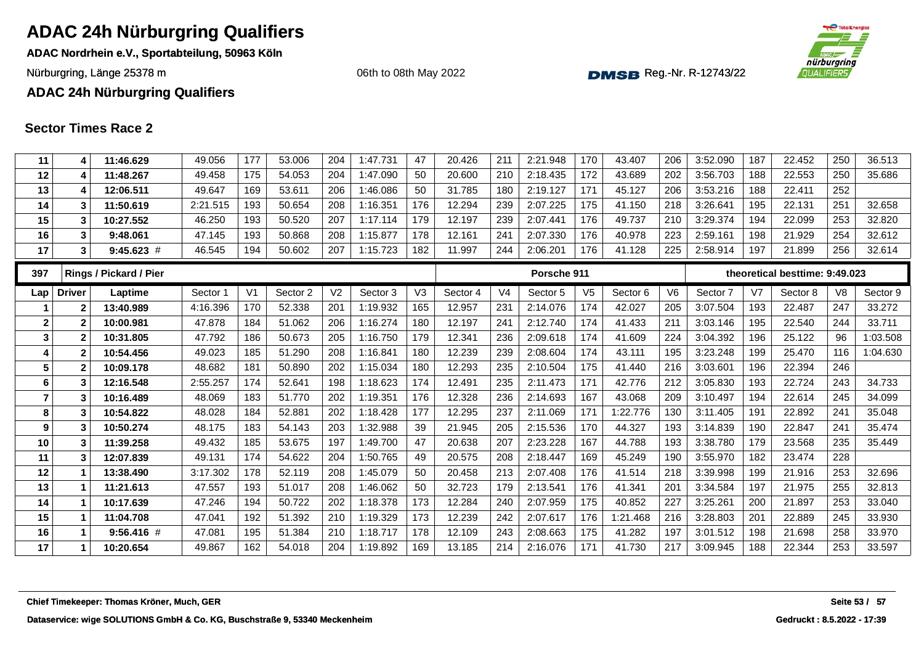**ADAC Nordrhein e.V., Sportabteilung, 50963 Köln**

Nürburgring, Länge 25378 m and the Communication of the Communication of the Communication of the Communication of the Communication of the Communication of the Communication of the Communication of the Communication of th

nürburgring *OUALIFIERS* 

06th to 08th May 2022

#### **ADAC 24h Nürburgring Qualifiers**

| 11             | 4                       | 11:46.629                                  | 49.056   | 177            | 53.006   | 204            | 1:47.731 | 47             | 20.426   | 211            | 2:21.948    | 170            | 43.407   | 206            | 3:52.090 | 187            | 22.452                         | 250 | 36.513        |
|----------------|-------------------------|--------------------------------------------|----------|----------------|----------|----------------|----------|----------------|----------|----------------|-------------|----------------|----------|----------------|----------|----------------|--------------------------------|-----|---------------|
| 12             | 4                       | 11:48.267                                  | 49.458   | 175            | 54.053   | 204            | 1:47.090 | 50             | 20.600   | 210            | 2:18.435    | 172            | 43.689   | 202            | 3:56.703 | 188            | 22.553                         | 250 | 35.686        |
| 13             | 4                       | 12:06.511                                  | 49.647   | 169            | 53.611   | 206            | 1:46.086 | 50             | 31.785   | 180            | 2:19.127    | 171            | 45.127   | 206            | 3:53.216 | 188            | 22.411                         | 252 |               |
| 14             | 3                       | 11:50.619                                  | 2:21.515 | 193            | 50.654   | 208            | 1:16.351 | 176            | 12.294   | 239            | 2:07.225    | 175            | 41.150   | 218            | 3:26.641 | 195            | 22.131                         | 251 | 32.658        |
| 15             | 3                       | 10:27.552                                  | 46.250   | 193            | 50.520   | 207            | 1:17.114 | 179            | 12.197   | 239            | 2:07.441    | 176            | 49.737   | 210            | 3:29.374 | 194            | 22.099                         | 253 | 32.820        |
| 16             | 3                       | 9:48.061                                   | 47.145   | 193            | 50.868   | 208            | 1:15.877 | 178            | 12.161   | 241            | 2:07.330    | 176            | 40.978   | 223            | 2:59.161 | 198            | 21.929                         | 254 | 32.612        |
| 17             | 3 <sub>1</sub>          | $9:45.623$ #                               | 46.545   | 194            | 50.602   | 207            | 1:15.723 | 182            | 11.997   | 244            | 2:06.201    | 176            | 41.128   | 225            | 2:58.914 | 197            | 21.899                         | 256 | 32.614        |
| 397            |                         | <b>Rings / Pickard / Pier</b>              |          |                |          |                |          |                |          |                | Porsche 911 |                |          |                |          |                | theoretical besttime: 9:49.023 |     |               |
| Lap            | <b>Driver</b>           | Laptime                                    | Sector 1 | V <sub>1</sub> | Sector 2 | V <sub>2</sub> | Sector 3 | V <sub>3</sub> | Sector 4 | V <sub>4</sub> | Sector 5    | V <sub>5</sub> | Sector 6 | V <sub>6</sub> | Sector 7 | V <sub>7</sub> | Sector 8                       | V8  | Sector 9      |
| 1              | $\mathbf{2}$            | 13:40.989                                  | 4:16.396 | 170            | 52.338   | 201            | 1:19.932 | 165            | 12.957   | 231            | 2:14.076    | 174            | 42.027   | 205            | 3:07.504 | 193            | 22.487                         | 247 | 33.272        |
| $\mathbf{2}$   | 2                       | 10:00.981                                  | 47.878   | 184            | 51.062   | 206            | 1:16.274 | 180            | 12.197   | 241            | 2:12.740    | 174            | 41.433   | 211            | 3:03.146 | 195            | 22.540                         | 244 | 33.711        |
| 3              | $\mathbf{2}$            | 10:31.805                                  | 47.792   | 186            | 50.673   | 205            | 1:16.750 | 179            | 12.341   | 236            | 2:09.618    | 174            | 41.609   | 224            | 3:04.392 | 196            | 25.122                         | 96  | 1:03.508      |
| 4              | 2                       | 10:54.456                                  | 49.023   | 185            | 51.290   | 208            | 1:16.841 | 180            | 12.239   | 239            | 2:08.604    | 174            | 43.111   | 195            | 3:23.248 | 199            | 25.470                         | 116 | 1:04.630      |
| 5              | $\overline{\mathbf{2}}$ | 10:09.178                                  | 48.682   | 181            | 50.890   | 202            | 1:15.034 | 180            | 12.293   | 235            | 2:10.504    | 175            | 41.440   | 216            | 3:03.601 | 196            | 22.394                         | 246 |               |
| $\bf 6$        | 3                       | 12:16.548                                  | 2:55.257 | 174            | 52.641   | 198            | 1:18.623 | 174            | 12.491   | 235            | 2:11.473    | 171            | 42.776   | 212            | 3:05.830 | 193            | 22.724                         | 243 | 34.733        |
| $\overline{7}$ | 3                       | 10:16.489                                  | 48.069   | 183            | 51.770   | 202            | 1:19.351 | 176            | 12.328   | 236            | 2:14.693    | 167            | 43.068   | 209            | 3:10.497 | 194            | 22.614                         | 245 | 34.099        |
| 8              | 3                       | 10:54.822                                  | 48.028   | 184            | 52.881   | 202            | 1:18.428 | 177            | 12.295   | 237            | 2:11.069    | 171            | 1:22.776 | 130            | 3:11.405 | 191            | 22.892                         | 241 | 35.048        |
| 9              | 3                       | 10:50.274                                  | 48.175   | 183            | 54.143   | 203            | 1:32.988 | 39             | 21.945   | 205            | 2:15.536    | 170            | 44.327   | 193            | 3:14.839 | 190            | 22.847                         | 241 | 35.474        |
| 10             | 3                       | 11:39.258                                  | 49.432   | 185            | 53.675   | 197            | 1:49.700 | 47             | 20.638   | 207            | 2:23.228    | 167            | 44.788   | 193            | 3:38.780 | 179            | 23.568                         | 235 | 35.449        |
| 11             | 3                       | 12:07.839                                  | 49.131   | 174            | 54.622   | 204            | 1:50.765 | 49             | 20.575   | 208            | 2:18.447    | 169            | 45.249   | 190            | 3:55.970 | 182            | 23.474                         | 228 |               |
| 12             | $\mathbf 1$             | 13:38.490                                  | 3:17.302 | 178            | 52.119   | 208            | 1:45.079 | 50             | 20.458   | 213            | 2:07.408    | 176            | 41.514   | 218            | 3:39.998 | 199            | 21.916                         | 253 | 32.696        |
| 13             | $\mathbf{1}$            | 11:21.613                                  | 47.557   | 193            | 51.017   | 208            | 1:46.062 | 50             | 32.723   | 179            | 2:13.541    | 176            | 41.341   | 201            | 3:34.584 | 197            | 21.975                         | 255 | 32.813        |
| 14             | $\mathbf 1$             | 10:17.639                                  | 47.246   | 194            | 50.722   | 202            | 1:18.378 | 173            | 12.284   | 240            | 2:07.959    | 175            | 40.852   | 227            | 3:25.261 | 200            | 21.897                         | 253 | 33.040        |
| 15             | $\mathbf 1$             | 11:04.708                                  | 47.041   | 192            | 51.392   | 210            | 1:19.329 | 173            | 12.239   | 242            | 2:07.617    | 176            | 1:21.468 | 216            | 3:28.803 | 201            | 22.889                         | 245 | 33.930        |
| 16             | $\mathbf{1}$            | $9:56.416$ #                               | 47.081   | 195            | 51.384   | 210            | 1:18.717 | 178            | 12.109   | 243            | 2:08.663    | 175            | 41.282   | 197            | 3:01.512 | 198            | 21.698                         | 258 | 33.970        |
| 17             | 1                       | 10:20.654                                  | 49.867   | 162            | 54.018   | 204            | 1:19.892 | 169            | 13.185   | 214            | 2:16.076    | 171            | 41.730   | 217            | 3:09.945 | 188            | 22.344                         | 253 | 33.597        |
|                |                         |                                            |          |                |          |                |          |                |          |                |             |                |          |                |          |                |                                |     |               |
|                |                         |                                            |          |                |          |                |          |                |          |                |             |                |          |                |          |                |                                |     |               |
|                |                         | Chief Timekeeper: Thomas Kröner, Much, GER |          |                |          |                |          |                |          |                |             |                |          |                |          |                |                                |     | Seite 53 / 57 |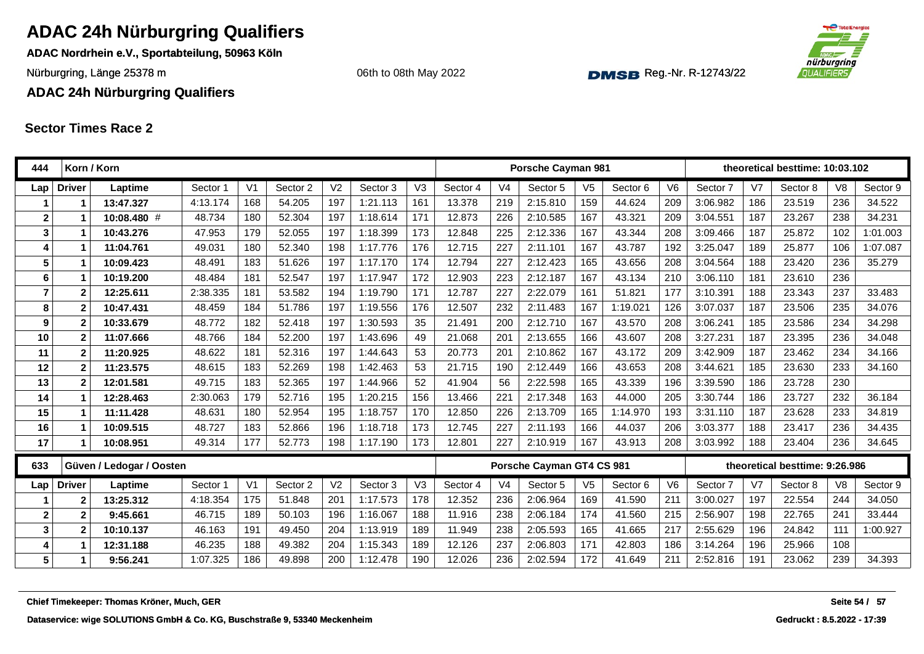**ADAC Nordrhein e.V., Sportabteilung, 50963 Köln**

Nürburgring, Länge 25378 m and the Communication of the Communication of the Communication of the Communication of the Communication of the Communication of the Communication of the Communication of the Communication of th

06th to 08th May 2022



**ADAC 24h Nürburgring Qualifiers**

| 444            | Korn / Korn             |                                            |          |                |          |                |          |                |          |                | <b>Porsche Cayman 981</b> |                |          |                |          |                | theoretical besttime: 10:03.102 |                |               |
|----------------|-------------------------|--------------------------------------------|----------|----------------|----------|----------------|----------|----------------|----------|----------------|---------------------------|----------------|----------|----------------|----------|----------------|---------------------------------|----------------|---------------|
| Lap            | <b>Driver</b>           | Laptime                                    | Sector 1 | V <sub>1</sub> | Sector 2 | V <sub>2</sub> | Sector 3 | V <sub>3</sub> | Sector 4 | V <sub>4</sub> | Sector 5                  | V <sub>5</sub> | Sector 6 | V <sub>6</sub> | Sector 7 | V <sub>7</sub> | Sector 8                        | V <sub>8</sub> | Sector 9      |
|                |                         | 13:47.327                                  | 4:13.174 | 168            | 54.205   | 197            | 1:21.113 | 161            | 13.378   | 219            | 2:15.810                  | 159            | 44.624   | 209            | 3:06.982 | 186            | 23.519                          | 236            | 34.522        |
| $\mathbf{2}$   |                         | 10:08.480 #                                | 48.734   | 180            | 52.304   | 197            | 1:18.614 | 171            | 12.873   | 226            | 2:10.585                  | 167            | 43.321   | 209            | 3:04.551 | 187            | 23.267                          | 238            | 34.231        |
| $\mathbf{3}$   | 1                       | 10:43.276                                  | 47.953   | 179            | 52.055   | 197            | 1:18.399 | 173            | 12.848   | 225            | 2:12.336                  | 167            | 43.344   | 208            | 3:09.466 | 187            | 25.872                          | 102            | 1:01.003      |
| 4              | -1                      | 11:04.761                                  | 49.031   | 180            | 52.340   | 198            | 1:17.776 | 176            | 12.715   | 227            | 2:11.101                  | 167            | 43.787   | 192            | 3:25.047 | 189            | 25.877                          | 106            | 1:07.087      |
| 5              | $\overline{\mathbf{1}}$ | 10:09.423                                  | 48.491   | 183            | 51.626   | 197            | 1:17.170 | 174            | 12.794   | 227            | 2:12.423                  | 165            | 43.656   | 208            | 3:04.564 | 188            | 23.420                          | 236            | 35.279        |
| 6              |                         | 10:19.200                                  | 48.484   | 181            | 52.547   | 197            | 1:17.947 | 172            | 12.903   | 223            | 2:12.187                  | 167            | 43.134   | 210            | 3:06.110 | 181            | 23.610                          | 236            |               |
| $\overline{7}$ | $\mathbf{2}$            | 12:25.611                                  | 2:38.335 | 181            | 53.582   | 194            | 1:19.790 | 171            | 12.787   | 227            | 2:22.079                  | 161            | 51.821   | 177            | 3:10.391 | 188            | 23.343                          | 237            | 33.483        |
| 8              | $\overline{2}$          | 10:47.431                                  | 48.459   | 184            | 51.786   | 197            | 1:19.556 | 176            | 12.507   | 232            | 2:11.483                  | 167            | 1:19.021 | 126            | 3:07.037 | 187            | 23.506                          | 235            | 34.076        |
| 9              | $\overline{2}$          | 10:33.679                                  | 48.772   | 182            | 52.418   | 197            | 1:30.593 | 35             | 21.491   | 200            | 2:12.710                  | 167            | 43.570   | 208            | 3:06.241 | 185            | 23.586                          | 234            | 34.298        |
| 10             | $\overline{2}$          | 11:07.666                                  | 48.766   | 184            | 52.200   | 197            | 1:43.696 | 49             | 21.068   | 201            | 2:13.655                  | 166            | 43.607   | 208            | 3:27.231 | 187            | 23.395                          | 236            | 34.048        |
| 11             | $\overline{2}$          | 11:20.925                                  | 48.622   | 181            | 52.316   | 197            | 1:44.643 | 53             | 20.773   | 201            | 2:10.862                  | 167            | 43.172   | 209            | 3:42.909 | 187            | 23.462                          | 234            | 34.166        |
| 12             | $\overline{2}$          | 11:23.575                                  | 48.615   | 183            | 52.269   | 198            | 1:42.463 | 53             | 21.715   | 190            | 2:12.449                  | 166            | 43.653   | 208            | 3:44.621 | 185            | 23.630                          | 233            | 34.160        |
| 13             | $\overline{2}$          | 12:01.581                                  | 49.715   | 183            | 52.365   | 197            | 1:44.966 | 52             | 41.904   | 56             | 2:22.598                  | 165            | 43.339   | 196            | 3:39.590 | 186            | 23.728                          | 230            |               |
| 14             |                         | 12:28.463                                  | 2:30.063 | 179            | 52.716   | 195            | 1:20.215 | 156            | 13.466   | 221            | 2:17.348                  | 163            | 44.000   | 205            | 3:30.744 | 186            | 23.727                          | 232            | 36.184        |
| 15             | 1                       | 11:11.428                                  | 48.631   | 180            | 52.954   | 195            | 1:18.757 | 170            | 12.850   | 226            | 2:13.709                  | 165            | 1:14.970 | 193            | 3:31.110 | 187            | 23.628                          | 233            | 34.819        |
| 16             |                         | 10:09.515                                  | 48.727   | 183            | 52.866   | 196            | 1:18.718 | 173            | 12.745   | 227            | 2:11.193                  | 166            | 44.037   | 206            | 3:03.377 | 188            | 23.417                          | 236            | 34.435        |
| 17             | $\overline{\mathbf{1}}$ | 10:08.951                                  | 49.314   | 177            | 52.773   | 198            | 1:17.190 | 173            | 12.801   | 227            | 2:10.919                  | 167            | 43.913   | 208            | 3:03.992 | 188            | 23.404                          | 236            | 34.645        |
| 633            |                         | Güven / Ledogar / Oosten                   |          |                |          |                |          |                |          |                | Porsche Cayman GT4 CS 981 |                |          |                |          |                | theoretical besttime: 9:26.986  |                |               |
| Lap            | <b>Driver</b>           | Laptime                                    | Sector 1 | V <sub>1</sub> | Sector 2 | V <sub>2</sub> | Sector 3 | V <sub>3</sub> | Sector 4 | V <sub>4</sub> | Sector 5                  | V <sub>5</sub> | Sector 6 | V <sub>6</sub> | Sector 7 | V <sub>7</sub> | Sector 8                        | V <sub>8</sub> | Sector 9      |
|                | $\overline{2}$          | 13:25.312                                  | 4:18.354 | 175            | 51.848   | 201            | 1:17.573 | 178            | 12.352   | 236            | 2:06.964                  | 169            | 41.590   | 211            | 3:00.027 | 197            | 22.554                          | 244            | 34.050        |
| $\mathbf 2$    | $\mathbf{2}$            | 9:45.661                                   | 46.715   | 189            | 50.103   | 196            | 1:16.067 | 188            | 11.916   | 238            | 2:06.184                  | 174            | 41.560   | 215            | 2:56.907 | 198            | 22.765                          | 241            | 33.444        |
| $\mathbf{3}$   | $\overline{\mathbf{2}}$ | 10:10.137                                  | 46.163   | 191            | 49.450   | 204            | 1:13.919 | 189            | 11.949   | 238            | 2:05.593                  | 165            | 41.665   | 217            | 2:55.629 | 196            | 24.842                          | 111            | 1:00.927      |
| 4              | 1                       | 12:31.188                                  | 46.235   | 188            | 49.382   | 204            | 1:15.343 | 189            | 12.126   | 237            | 2:06.803                  | 171            | 42.803   | 186            | 3:14.264 | 196            | 25.966                          | 108            |               |
| 5              | -1                      | 9:56.241                                   | 1:07.325 | 186            | 49.898   | 200            | 1:12.478 | 190            | 12.026   | 236            | 2:02.594                  | 172            | 41.649   | 211            | 2:52.816 | 191            | 23.062                          | 239            | 34.393        |
|                |                         | Chief Timekeeper: Thomas Kröner, Much, GER |          |                |          |                |          |                |          |                |                           |                |          |                |          |                |                                 |                | Seite 54 / 57 |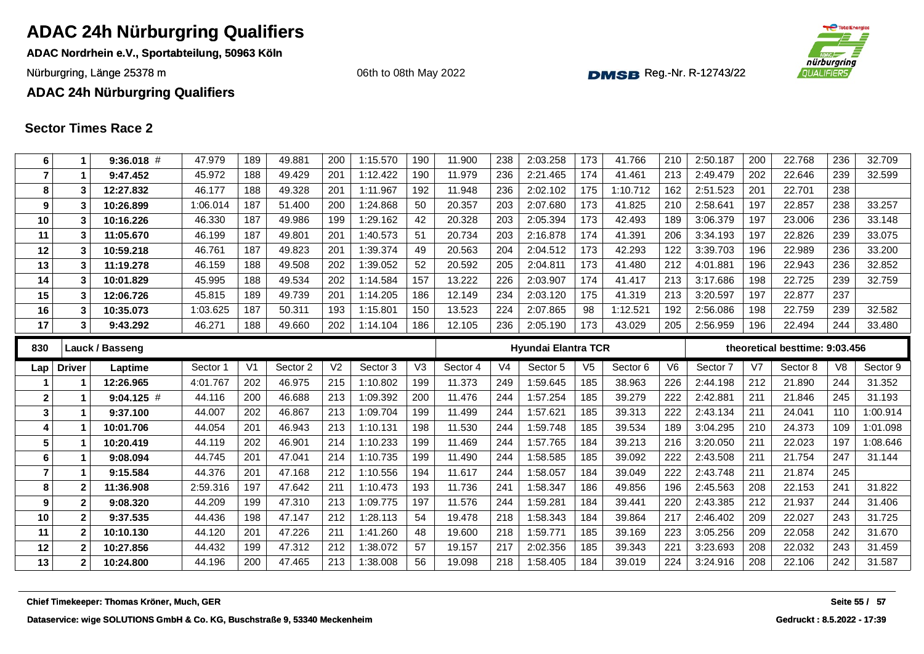**ADAC Nordrhein e.V., Sportabteilung, 50963 Köln**

Nürburgring, Länge 25378 m and the Communication of the Communication of the Communication of the Communication of the Communication of the Communication of the Communication of the Communication of the Communication of th

06th to 08th May 2022



#### **ADAC 24h Nürburgring Qualifiers**

| 6                   | 1             | $9:36.018$ #          | 47.979           | 189            | 49.881           | 200            | 1:15.570             | 190        | 11.900           | 238            | 2:03.258                   | 173            | 41.766           | 210            | 2:50.187             | 200        | 22.768                         | 236            | 32.709   |
|---------------------|---------------|-----------------------|------------------|----------------|------------------|----------------|----------------------|------------|------------------|----------------|----------------------------|----------------|------------------|----------------|----------------------|------------|--------------------------------|----------------|----------|
| $\overline{7}$      | 1             | 9:47.452              | 45.972           | 188            | 49.429           | 201            | 1:12.422             | 190        | 11.979           | 236            | 2:21.465                   | 174            | 41.461           | 213            | 2:49.479             | 202        | 22.646                         | 239            | 32.599   |
| 8                   | 3             | 12:27.832             | 46.177           | 188            | 49.328           | 201            | 1:11.967             | 192        | 11.948           | 236            | 2:02.102                   | 175            | 1:10.712         | 162            | 2:51.523             | 201        | 22.701                         | 238            |          |
| 9                   | 3             | 10:26.899             | 1:06.014         | 187            | 51.400           | 200            | 1:24.868             | 50         | 20.357           | 203            | 2:07.680                   | 173            | 41.825           | 210            | 2:58.641             | 197        | 22.857                         | 238            | 33.257   |
| 10                  | 3             | 10:16.226             | 46.330           | 187            | 49.986           | 199            | 1:29.162             | 42         | 20.328           | 203            | 2:05.394                   | 173            | 42.493           | 189            | 3:06.379             | 197        | 23.006                         | 236            | 33.148   |
| 11                  | 3             | 11:05.670             | 46.199           | 187            | 49.801           | 201            | 1:40.573             | 51         | 20.734           | 203            | 2:16.878                   | 174            | 41.391           | 206            | 3:34.193             | 197        | 22.826                         | 239            | 33.075   |
| 12                  | 3             | 10:59.218             | 46.761           | 187            | 49.823           | 201            | 1:39.374             | 49         | 20.563           | 204            | 2:04.512                   | 173            | 42.293           | 122            | 3:39.703             | 196        | 22.989                         | 236            | 33.200   |
| 13                  | 3             | 11:19.278             | 46.159           | 188            | 49.508           | 202            | 1:39.052             | 52         | 20.592           | 205            | 2:04.811                   | 173            | 41.480           | 212            | 4:01.881             | 196        | 22.943                         | 236            | 32.852   |
| 14                  | 3             | 10:01.829             | 45.995           | 188            | 49.534           | 202            | 1:14.584             | 157        | 13.222           | 226            | 2:03.907                   | 174            | 41.417           | 213            | 3:17.686             | 198        | 22.725                         | 239            | 32.759   |
| 15                  | 3             | 12:06.726             | 45.815           | 189            | 49.739           | 201            | 1:14.205             | 186        | 12.149           | 234            | 2:03.120                   | 175            | 41.319           | 213            | 3:20.597             | 197        | 22.877                         | 237            |          |
| 16                  | 3             | 10:35.073             | 1:03.625         | 187            | 50.311           | 193            | 1:15.801             | 150        | 13.523           | 224            | 2:07.865                   | 98             | 1:12.521         | 192            | 2:56.086             | 198        | 22.759                         | 239            | 32.582   |
| 17                  | 3             | 9:43.292              | 46.271           | 188            | 49.660           | 202            | 1:14.104             | 186        | 12.105           | 236            | 2:05.190                   | 173            | 43.029           | 205            | 2:56.959             | 196        | 22.494                         | 244            | 33.480   |
| 830                 |               | Lauck / Basseng       |                  |                |                  |                |                      |            |                  |                | <b>Hyundai Elantra TCR</b> |                |                  |                |                      |            | theoretical besttime: 9:03.456 |                |          |
|                     |               |                       |                  |                |                  |                |                      |            |                  |                |                            |                |                  |                |                      |            |                                |                |          |
| Lap                 | <b>Driver</b> | Laptime               | Sector 1         | V <sub>1</sub> | Sector 2         | V <sub>2</sub> | Sector 3             | V3         | Sector 4         | V <sub>4</sub> | Sector 5                   | V <sub>5</sub> | Sector 6         | V <sub>6</sub> | Sector 7             | V7         | Sector 8                       | V <sub>8</sub> | Sector 9 |
|                     |               | 12:26.965             | 4:01.767         | 202            | 46.975           | 215            | 1:10.802             | 199        | 11.373           | 249            | 1:59.645                   | 185            | 38.963           | 226            | 2:44.198             | 212        | 21.890                         | 244            | 31.352   |
| $\mathbf{2}$        | 1             | $9:04.125$ #          | 44.116           | 200            | 46.688           | 213            | 1:09.392             | 200        | 11.476           | 244            | 1:57.254                   | 185            | 39.279           | 222            | 2:42.881             | 211        | 21.846                         | 245            | 31.193   |
| 3                   | 1             | 9:37.100              | 44.007           | 202            | 46.867           | 213            | 1:09.704             | 199        | 11.499           | 244            | 1:57.621                   | 185            | 39.313           | 222            | 2:43.134             | 211        | 24.041                         | 110            | 1:00.914 |
| 4                   | 1             | 10:01.706             | 44.054           | 201            | 46.943           | 213            | 1:10.131             | 198        | 11.530           | 244            | 1:59.748                   | 185            | 39.534           | 189            | 3:04.295             | 210        | 24.373                         | 109            | 1:01.098 |
| $5\phantom{.0}$     | 1             | 10:20.419             | 44.119           | 202            | 46.901           | 214            | 1:10.233             | 199        | 11.469           | 244            | 1:57.765                   | 184            | 39.213           | 216            | 3:20.050             | 211        | 22.023                         | 197            | 1:08.646 |
| 6                   | 1<br>1        | 9:08.094              | 44.745<br>44.376 | 201            | 47.041<br>47.168 | 214<br>212     | 1:10.735<br>1:10.556 | 199<br>194 | 11.490<br>11.617 | 244<br>244     | 1:58.585<br>1:58.057       | 185<br>184     | 39.092<br>39.049 | 222<br>222     | 2:43.508<br>2:43.748 | 211<br>211 | 21.754<br>21.874               | 247<br>245     | 31.144   |
| $\overline{7}$<br>8 | $\mathbf{2}$  | 9:15.584              | 2:59.316         | 201<br>197     | 47.642           | 211            | 1:10.473             | 193        | 11.736           | 241            | 1:58.347                   | 186            | 49.856           | 196            | 2:45.563             | 208        | 22.153                         | 241            | 31.822   |
| 9                   | $\mathbf{2}$  | 11:36.908<br>9:08.320 | 44.209           | 199            | 47.310           | 213            | 1:09.775             | 197        | 11.576           | 244            | 1:59.281                   | 184            | 39.441           | 220            | 2:43.385             | 212        | 21.937                         | 244            | 31.406   |
| 10                  | $\mathbf{2}$  | 9:37.535              | 44.436           | 198            | 47.147           | 212            | 1:28.113             | 54         | 19.478           | 218            | 1:58.343                   | 184            | 39.864           | 217            | 2:46.402             | 209        | 22.027                         | 243            | 31.725   |
| 11                  | $\mathbf{2}$  | 10:10.130             | 44.120           | 201            | 47.226           | 211            | 1:41.260             | 48         | 19.600           | 218            | 1:59.771                   | 185            | 39.169           | 223            | 3:05.256             | 209        | 22.058                         | 242            | 31.670   |
| 12                  | $\mathbf{2}$  | 10:27.856             | 44.432           | 199            | 47.312           | 212            | 1:38.072             | 57         | 19.157           | 217            | 2:02.356                   | 185            | 39.343           | 221            | 3:23.693             | 208        | 22.032                         | 243            | 31.459   |
| 13                  |               |                       |                  |                |                  |                |                      |            |                  |                |                            |                |                  |                |                      |            |                                |                |          |
|                     |               |                       |                  |                |                  |                |                      |            |                  |                |                            |                |                  |                |                      |            |                                |                |          |
|                     | $\mathbf{2}$  | 10:24.800             | 44.196           | 200            | 47.465           | 213            | 1:38.008             | 56         | 19.098           | 218            | 1:58.405                   | 184            | 39.019           | 224            | 3:24.916             | 208        | 22.106                         | 242            | 31.587   |
|                     |               |                       |                  |                |                  |                |                      |            |                  |                |                            |                |                  |                |                      |            |                                |                |          |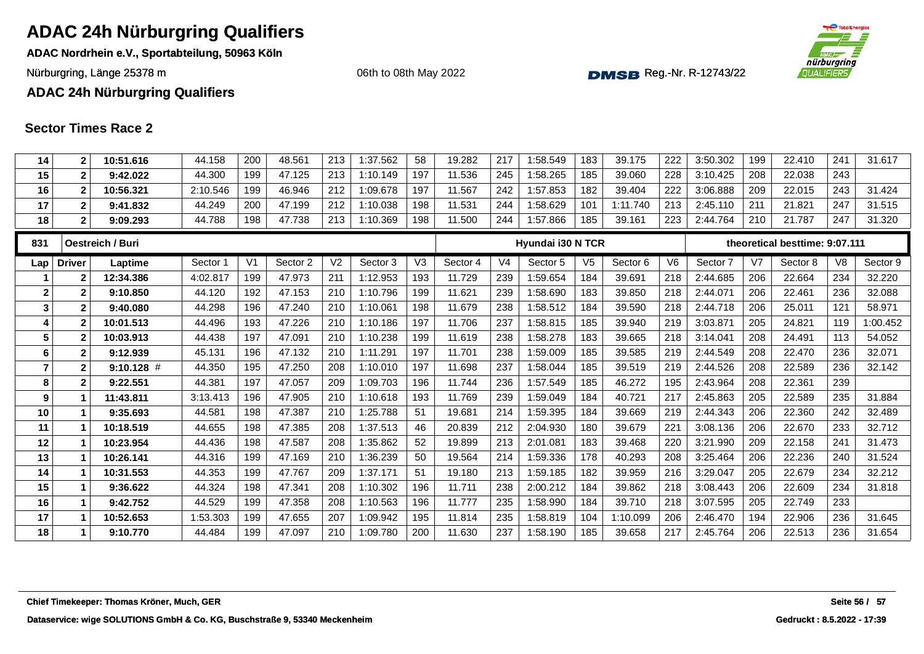**ADAC Nordrhein e.V., Sportabteilung, 50963 Köln**

Nürburgring, Länge 25378 m and the Communication of the Communication of the Communication of the Communication of the Communication of the Communication of the Communication of the Communication of the Communication of th

06th to 08th May 2022



**ADAC 24h Nürburgring Qualifiers**

| 14               | $\mathbf{2}$            | 10:51.616                                  | 44.158   | 200            | 48.561   | 213            | 1:37.562 | 58             | 19.282   | 217            | 1:58.549          | 183            | 39.175   | 222            | 3:50.302 | 199            | 22.410                         | 241 | 31.617        |
|------------------|-------------------------|--------------------------------------------|----------|----------------|----------|----------------|----------|----------------|----------|----------------|-------------------|----------------|----------|----------------|----------|----------------|--------------------------------|-----|---------------|
| 15               | $\mathbf{2}$            | 9:42.022                                   | 44.300   | 199            | 47.125   | 213            | 1:10.149 | 197            | 11.536   | 245            | 1:58.265          | 185            | 39.060   | 228            | 3:10.425 | 208            | 22.038                         | 243 |               |
| 16               | $\overline{\mathbf{2}}$ | 10:56.321                                  | 2:10.546 | 199            | 46.946   | 212            | 1:09.678 | 197            | 11.567   | 242            | 1:57.853          | 182            | 39.404   | 222            | 3:06.888 | 209            | 22.015                         | 243 | 31.424        |
| 17               | $\mathbf{2}$            | 9:41.832                                   | 44.249   | 200            | 47.199   | 212            | 1:10.038 | 198            | 11.531   | 244            | 1:58.629          | 101            | 1:11.740 | 213            | 2:45.110 | 211            | 21.821                         | 247 | 31.515        |
| 18               | $\mathbf{2}$            | 9:09.293                                   | 44.788   | 198            | 47.738   | 213            | 1:10.369 | 198            | 11.500   | 244            | 1:57.866          | 185            | 39.161   | 223            | 2:44.764 | 210            | 21.787                         | 247 | 31.320        |
| 831              |                         | Oestreich / Buri                           |          |                |          |                |          |                |          |                | Hyundai i30 N TCR |                |          |                |          |                | theoretical besttime: 9:07.111 |     |               |
| Lap              | <b>Driver</b>           | Laptime                                    | Sector 1 | V <sub>1</sub> | Sector 2 | V <sub>2</sub> | Sector 3 | V <sub>3</sub> | Sector 4 | V <sub>4</sub> | Sector 5          | V <sub>5</sub> | Sector 6 | V <sub>6</sub> | Sector 7 | V <sub>7</sub> | Sector 8                       | V8  | Sector 9      |
| 1                | $\boldsymbol{2}$        | 12:34.386                                  | 4:02.817 | 199            | 47.973   | 211            | 1:12.953 | 193            | 11.729   | 239            | 1:59.654          | 184            | 39.691   | 218            | 2:44.685 | 206            | 22.664                         | 234 | 32.220        |
| $\boldsymbol{2}$ | $\boldsymbol{2}$        | 9:10.850                                   | 44.120   | 192            | 47.153   | 210            | 1:10.796 | 199            | 11.621   | 239            | 1:58.690          | 183            | 39.850   | 218            | 2:44.071 | 206            | 22.461                         | 236 | 32.088        |
| 3                | $\boldsymbol{2}$        | 9:40.080                                   | 44.298   | 196            | 47.240   | 210            | 1:10.061 | 198            | 11.679   | 238            | 1:58.512          | 184            | 39.590   | 218            | 2:44.718 | 206            | 25.011                         | 121 | 58.971        |
| 4                | $\overline{\mathbf{2}}$ | 10:01.513                                  | 44.496   | 193            | 47.226   | 210            | 1:10.186 | 197            | 11.706   | 237            | 1:58.815          | 185            | 39.940   | 219            | 3:03.871 | 205            | 24.821                         | 119 | 1:00.452      |
| 5                | $\overline{\mathbf{2}}$ | 10:03.913                                  | 44.438   | 197            | 47.091   | 210            | 1:10.238 | 199            | 11.619   | 238            | 1:58.278          | 183            | 39.665   | 218            | 3:14.041 | 208            | 24.491                         | 113 | 54.052        |
| $\bf 6$          | $\mathbf{2}$            | 9:12.939                                   | 45.131   | 196            | 47.132   | 210            | 1:11.291 | 197            | 11.701   | 238            | 1:59.009          | 185            | 39.585   | 219            | 2:44.549 | 208            | 22.470                         | 236 | 32.071        |
| $\overline{7}$   | $\mathbf{2}$            | $9:10.128$ #                               | 44.350   | 195            | 47.250   | 208            | 1:10.010 | 197            | 11.698   | 237            | 1:58.044          | 185            | 39.519   | 219            | 2:44.526 | 208            | 22.589                         | 236 | 32.142        |
| 8                | $\mathbf{2}$            | 9:22.551                                   | 44.381   | 197            | 47.057   | 209            | 1:09.703 | 196            | 11.744   | 236            | 1:57.549          | 185            | 46.272   | 195            | 2:43.964 | 208            | 22.361                         | 239 |               |
| 9                | $\mathbf{1}$            | 11:43.811                                  | 3:13.413 | 196            | 47.905   | 210            | 1:10.618 | 193            | 11.769   | 239            | 1:59.049          | 184            | 40.721   | 217            | 2:45.863 | 205            | 22.589                         | 235 | 31.884        |
| 10               | $\mathbf 1$             | 9:35.693                                   | 44.581   | 198            | 47.387   | 210            | 1:25.788 | 51             | 19.681   | 214            | 1:59.395          | 184            | 39.669   | 219            | 2:44.343 | 206            | 22.360                         | 242 | 32.489        |
| 11               | $\mathbf 1$             | 10:18.519                                  | 44.655   | 198            | 47.385   | 208            | 1:37.513 | 46             | 20.839   | 212            | 2:04.930          | 180            | 39.679   | 221            | 3:08.136 | 206            | 22.670                         | 233 | 32.712        |
| 12               | $\mathbf 1$             | 10:23.954                                  | 44.436   | 198            | 47.587   | 208            | 1:35.862 | 52             | 19.899   | 213            | 2:01.081          | 183            | 39.468   | 220            | 3:21.990 | 209            | 22.158                         | 241 | 31.473        |
| 13               | $\mathbf 1$             | 10:26.141                                  | 44.316   | 199            | 47.169   | 210            | 1:36.239 | 50             | 19.564   | 214            | 1:59.336          | 178            | 40.293   | 208            | 3:25.464 | 206            | 22.236                         | 240 | 31.524        |
| 14               | $\mathbf 1$             | 10:31.553                                  | 44.353   | 199            | 47.767   | 209            | 1:37.171 | 51             | 19.180   | 213            | 1:59.185          | 182            | 39.959   | 216            | 3:29.047 | 205            | 22.679                         | 234 | 32.212        |
| 15               | $\mathbf{1}$            | 9:36.622                                   | 44.324   | 198            | 47.341   | 208            | 1:10.302 | 196            | 11.711   | 238            | 2:00.212          | 184            | 39.862   | 218            | 3:08.443 | 206            | 22.609                         | 234 | 31.818        |
| 16               | $\mathbf{1}$            | 9:42.752                                   | 44.529   | 199            | 47.358   | 208            | 1:10.563 | 196            | 11.777   | 235            | 1:58.990          | 184            | 39.710   | 218            | 3:07.595 | 205            | 22.749                         | 233 |               |
| 17               | $\mathbf{1}$            | 10:52.653                                  | 1:53.303 | 199            | 47.655   | 207            | 1:09.942 | 195            | 11.814   | 235            | 1:58.819          | 104            | 1:10.099 | 206            | 2:46.470 | 194            | 22.906                         | 236 | 31.645        |
| 18               | $\mathbf 1$             | 9:10.770                                   | 44.484   | 199            | 47.097   | 210            | 1:09.780 | 200            | 11.630   | 237            | 1:58.190          | 185            | 39.658   | 217            | 2:45.764 | 206            | 22.513                         | 236 | 31.654        |
|                  |                         |                                            |          |                |          |                |          |                |          |                |                   |                |          |                |          |                |                                |     |               |
|                  |                         | Chief Timekeeper: Thomas Kröner, Much, GER |          |                |          |                |          |                |          |                |                   |                |          |                |          |                |                                |     | Seite 56 / 57 |